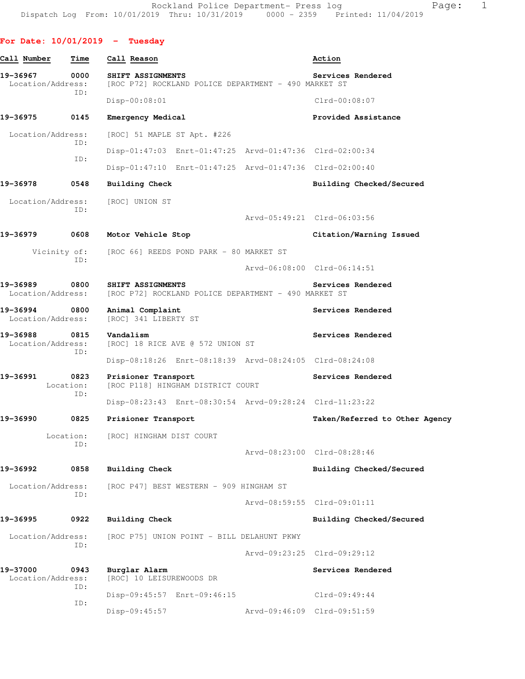**For Date: 10/01/2019 - Tuesday Call Number Time Call Reason Action 19-36967 0000 SHIFT ASSIGNMENTS Services Rendered**  Location/Address: [ROC P72] ROCKLAND POLICE DEPARTMENT - 490 MARKET ST ID: Disp-00:08:01 Clrd-00:08:07 **19-36975 0145 Emergency Medical Provided Assistance**  Location/Address: [ROC] 51 MAPLE ST Apt. #226 ID: Disp-01:47:03 Enrt-01:47:25 Arvd-01:47:36 Clrd-02:00:34 ID: Disp-01:47:10 Enrt-01:47:25 Arvd-01:47:36 Clrd-02:00:40 **19-36978 0548 Building Check Building Checked/Secured**  Location/Address: [ROC] UNION ST ID: Arvd-05:49:21 Clrd-06:03:56 **19-36979 0608 Motor Vehicle Stop Citation/Warning Issued**  Vicinity of: [ROC 66] REEDS POND PARK - 80 MARKET ST ID: Arvd-06:08:00 Clrd-06:14:51 **19-36989 0800 SHIFT ASSIGNMENTS Services Rendered**  Location/Address: [ROC P72] ROCKLAND POLICE DEPARTMENT - 490 MARKET ST **19-36994 0800 Animal Complaint Services Rendered**  Location/Address: [ROC] 341 LIBERTY ST 19-36988 0815 Vandalism Services Rendered **Services Rendered** Location/Address: [ROC] 18 RICE AVE @ 572 UNION ST ID: Disp-08:18:26 Enrt-08:18:39 Arvd-08:24:05 Clrd-08:24:08 **19-36991 0823 Prisioner Transport Services Rendered**  Location: [ROC P118] HINGHAM DISTRICT COURT ID: Disp-08:23:43 Enrt-08:30:54 Arvd-09:28:24 Clrd-11:23:22 **19-36990 0825 Prisioner Transport Taken/Referred to Other Agency** Location: [ROC] HINGHAM DIST COURT ID: Arvd-08:23:00 Clrd-08:28:46 **19-36992 0858 Building Check Building Checked/Secured**  Location/Address: [ROC P47] BEST WESTERN - 909 HINGHAM ST ID: Arvd-08:59:55 Clrd-09:01:11 **19-36995 0922 Building Check Building Checked/Secured**  Location/Address: [ROC P75] UNION POINT - BILL DELAHUNT PKWY ID: Arvd-09:23:25 Clrd-09:29:12 **19-37000 0943 Burglar Alarm Services Rendered**  Location/Address: [ROC] 10 LEISUREWOODS DR ID: Disp-09:45:57 Enrt-09:46:15 Clrd-09:49:44 ID: Disp-09:45:57 Arvd-09:46:09 Clrd-09:51:59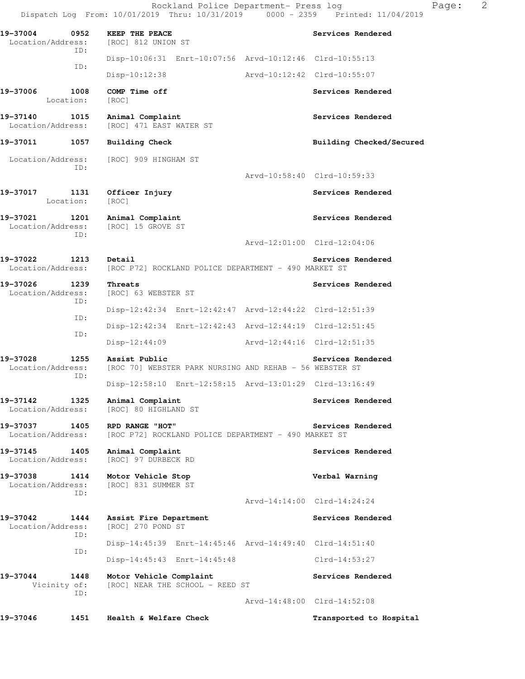|                                              | Dispatch Log From: 10/01/2019 Thru: 10/31/2019 0000 - 2359 Printed: 11/04/2019 |                             |                             |
|----------------------------------------------|--------------------------------------------------------------------------------|-----------------------------|-----------------------------|
| 19-37004<br>0952<br>Location/Address:        | KEEP THE PEACE<br>[ROC] 812 UNION ST                                           |                             | Services Rendered           |
| ID:                                          | Disp-10:06:31 Enrt-10:07:56 Arvd-10:12:46 Clrd-10:55:13                        |                             |                             |
| ID:                                          | Disp-10:12:38                                                                  | Arvd-10:12:42 Clrd-10:55:07 |                             |
| 19-37006<br>1008<br>Location:                | COMP Time off<br>[ROC]                                                         |                             | Services Rendered           |
| 19-37140 1015<br>Location/Address:           | Animal Complaint<br>[ROC] 471 EAST WATER ST                                    |                             | Services Rendered           |
| 19-37011<br>1057                             | <b>Building Check</b>                                                          |                             | Building Checked/Secured    |
| ID:                                          | Location/Address: [ROC] 909 HINGHAM ST                                         |                             |                             |
|                                              |                                                                                |                             | Arvd-10:58:40 Clrd-10:59:33 |
| 19-37017 1131<br>Location:                   | Officer Injury<br>[ROC]                                                        |                             | Services Rendered           |
| 19-37021 1201<br>Location/Address:<br>ID:    | Animal Complaint<br>[ROC] 15 GROVE ST                                          |                             | Services Rendered           |
|                                              |                                                                                |                             | Arvd-12:01:00 Clrd-12:04:06 |
| 19-37022 1213<br>Location/Address:           | Detail<br>[ROC P72] ROCKLAND POLICE DEPARTMENT - 490 MARKET ST                 |                             | Services Rendered           |
| 19-37026<br>1239<br>Location/Address:<br>ID: | Threats<br>[ROC] 63 WEBSTER ST                                                 |                             | Services Rendered           |
|                                              | Disp-12:42:34 Enrt-12:42:47 Arvd-12:44:22 Clrd-12:51:39                        |                             |                             |
| ID:                                          | Disp-12:42:34 Enrt-12:42:43 Arvd-12:44:19 Clrd-12:51:45                        |                             |                             |
| ID:                                          | Disp-12:44:09                                                                  | Arvd-12:44:16 Clrd-12:51:35 |                             |
| 19-37028<br>1255<br>Location/Address:        | Assist Public<br>[ROC 70] WEBSTER PARK NURSING AND REHAB - 56 WEBSTER ST       |                             | Services Rendered           |
| ID:                                          | Disp-12:58:10 Enrt-12:58:15 Arvd-13:01:29 Clrd-13:16:49                        |                             |                             |
| 19-37142<br>1325<br>Location/Address:        | Animal Complaint<br>[ROC] 80 HIGHLAND ST                                       |                             | Services Rendered           |
| 19-37037<br>1405<br>Location/Address:        | RPD RANGE "HOT"<br>[ROC P72] ROCKLAND POLICE DEPARTMENT - 490 MARKET ST        |                             | Services Rendered           |
| 19-37145<br>1405<br>Location/Address:        | Animal Complaint<br>[ROC] 97 DURBECK RD                                        |                             | Services Rendered           |
| 19-37038<br>1414<br>Location/Address:<br>TD: | Motor Vehicle Stop<br>[ROC] 831 SUMMER ST                                      |                             | Verbal Warning              |
|                                              |                                                                                |                             | Arvd-14:14:00 Clrd-14:24:24 |
| 19-37042<br>1444<br>Location/Address:<br>ID: | Assist Fire Department<br>[ROC] 270 POND ST                                    |                             | Services Rendered           |
|                                              | Disp-14:45:39 Enrt-14:45:46 Arvd-14:49:40 Clrd-14:51:40                        |                             |                             |
| ID:                                          | Disp-14:45:43 Enrt-14:45:48                                                    |                             | $Clrd-14:53:27$             |
| 19-37044<br>1448<br>Vicinity of:             | Motor Vehicle Complaint<br>[ROC] NEAR THE SCHOOL - REED ST                     |                             | Services Rendered           |
| ID:                                          |                                                                                |                             | Arvd-14:48:00 Clrd-14:52:08 |
| 19-37046<br>1451                             | Health & Welfare Check                                                         |                             | Transported to Hospital     |

Rockland Police Department- Press log entitled and Page: 2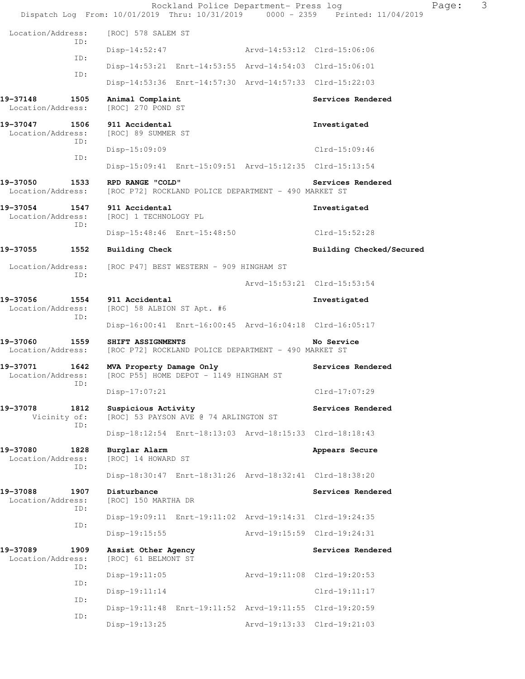|                                              | Rockland Police Department- Press log<br>Dispatch Log From: 10/01/2019 Thru: 10/31/2019 0000 - 2359 Printed: 11/04/2019 |                             |                             | 3<br>Page: |  |
|----------------------------------------------|-------------------------------------------------------------------------------------------------------------------------|-----------------------------|-----------------------------|------------|--|
| Location/Address:                            | [ROC] 578 SALEM ST                                                                                                      |                             |                             |            |  |
| ID:                                          | Disp-14:52:47                                                                                                           | Arvd-14:53:12 Clrd-15:06:06 |                             |            |  |
| ID:                                          | Disp-14:53:21 Enrt-14:53:55 Arvd-14:54:03 Clrd-15:06:01                                                                 |                             |                             |            |  |
| ID:                                          | Disp-14:53:36 Enrt-14:57:30 Arvd-14:57:33 Clrd-15:22:03                                                                 |                             |                             |            |  |
| 1505<br>19-37148<br>Location/Address:        | Animal Complaint<br>[ROC] 270 POND ST                                                                                   |                             | Services Rendered           |            |  |
| 19-37047<br>1506<br>Location/Address:<br>ID: | 911 Accidental<br>[ROC] 89 SUMMER ST                                                                                    |                             | Investigated                |            |  |
| ID:                                          | Disp-15:09:09                                                                                                           |                             | Clrd-15:09:46               |            |  |
|                                              | Disp-15:09:41 Enrt-15:09:51 Arvd-15:12:35 Clrd-15:13:54                                                                 |                             |                             |            |  |
| 19-37050<br>1533<br>Location/Address:        | RPD RANGE "COLD"<br>[ROC P72] ROCKLAND POLICE DEPARTMENT - 490 MARKET ST                                                |                             | Services Rendered           |            |  |
| 19-37054 1547<br>Location/Address:<br>ID:    | 911 Accidental<br>[ROC] 1 TECHNOLOGY PL                                                                                 |                             | Investigated                |            |  |
|                                              | Disp-15:48:46 Enrt-15:48:50                                                                                             |                             | Clrd-15:52:28               |            |  |
| 19-37055<br>1552                             | Building Check                                                                                                          |                             | Building Checked/Secured    |            |  |
| Location/Address:<br>ID:                     | [ROC P47] BEST WESTERN - 909 HINGHAM ST                                                                                 |                             |                             |            |  |
|                                              |                                                                                                                         |                             | Arvd-15:53:21 Clrd-15:53:54 |            |  |
| 19-37056<br>1554<br>Location/Address:<br>ID: | 911 Accidental<br>[ROC] 58 ALBION ST Apt. #6                                                                            |                             | Investigated                |            |  |
|                                              | Disp-16:00:41 Enrt-16:00:45 Arvd-16:04:18 Clrd-16:05:17                                                                 |                             |                             |            |  |
| 19-37060<br>1559<br>Location/Address:        | SHIFT ASSIGNMENTS<br>[ROC P72] ROCKLAND POLICE DEPARTMENT - 490 MARKET ST                                               |                             | No Service                  |            |  |
| 1642<br>19-37071<br>Location/Address:<br>ID: | MVA Property Damage Only<br>[ROC P55] HOME DEPOT - 1149 HINGHAM ST                                                      |                             | Services Rendered           |            |  |
|                                              | Disp-17:07:21                                                                                                           |                             | Clrd-17:07:29               |            |  |
| 19-37078<br>1812<br>Vicinity of:<br>ID:      | Suspicious Activity<br>[ROC] 53 PAYSON AVE @ 74 ARLINGTON ST                                                            |                             | Services Rendered           |            |  |
|                                              | Disp-18:12:54 Enrt-18:13:03 Arvd-18:15:33 Clrd-18:18:43                                                                 |                             |                             |            |  |
| 19-37080<br>1828<br>Location/Address:<br>ID: | Burglar Alarm<br>[ROC] 14 HOWARD ST                                                                                     |                             | Appears Secure              |            |  |
|                                              | Disp-18:30:47 Enrt-18:31:26 Arvd-18:32:41 Clrd-18:38:20                                                                 |                             |                             |            |  |
| 19-37088<br>1907<br>Location/Address:<br>ID: | Disturbance<br>[ROC] 150 MARTHA DR                                                                                      |                             | Services Rendered           |            |  |
| ID:                                          | Disp-19:09:11 Enrt-19:11:02 Arvd-19:14:31 Clrd-19:24:35                                                                 |                             |                             |            |  |
|                                              | $Disp-19:15:55$                                                                                                         |                             | Arvd-19:15:59 Clrd-19:24:31 |            |  |
| 19-37089<br>1909<br>Location/Address:<br>ID: | Assist Other Agency<br>[ROC] 61 BELMONT ST                                                                              |                             | Services Rendered           |            |  |
| ID:                                          | $Disp-19:11:05$                                                                                                         |                             | Arvd-19:11:08 Clrd-19:20:53 |            |  |
| ID:                                          | Disp-19:11:14                                                                                                           |                             | $C1rd-19:11:17$             |            |  |
| ID:                                          | Disp-19:11:48 Enrt-19:11:52 Arvd-19:11:55 Clrd-19:20:59                                                                 |                             |                             |            |  |
|                                              | Disp-19:13:25                                                                                                           |                             | Arvd-19:13:33 Clrd-19:21:03 |            |  |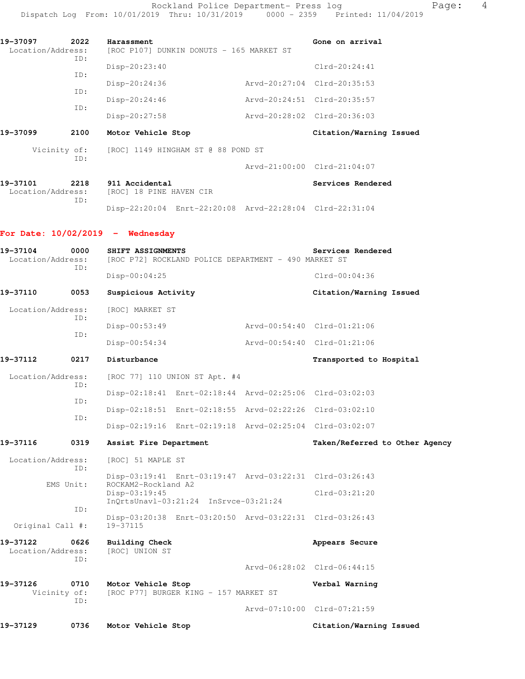| 19-37097          | 2022 | Harassment                               | Gone on arrival             |
|-------------------|------|------------------------------------------|-----------------------------|
| Location/Address: | ID:  | [ROC P107] DUNKIN DONUTS - 165 MARKET ST |                             |
|                   | TD:  | $Disp-20:23:40$                          | $Clrd-20:24:41$             |
|                   | ID:  | $Disp-20:24:36$                          | Arvd-20:27:04 Clrd-20:35:53 |
|                   | ID:  | $Disp-20:24:46$                          | Arvd-20:24:51 Clrd-20:35:57 |
|                   |      | $Disp-20:27:58$                          | Arvd-20:28:02 Clrd-20:36:03 |
|                   |      |                                          |                             |

# **19-37099 2100 Motor Vehicle Stop Citation/Warning Issued**

 Vicinity of: [ROC] 1149 HINGHAM ST @ 88 POND ST ID:

Arvd-21:00:00 Clrd-21:04:07

| 19-37101          | 2218 | 911 Accidental          |                                                         | <b>Services Rendered</b> |
|-------------------|------|-------------------------|---------------------------------------------------------|--------------------------|
| Location/Address: |      | [ROC] 18 PINE HAVEN CIR |                                                         |                          |
|                   | TD:  |                         |                                                         |                          |
|                   |      |                         | Disp-22:20:04 Enrt-22:20:08 Arvd-22:28:04 Clrd-22:31:04 |                          |

### **For Date: 10/02/2019 - Wednesday**

| 19-37104<br>Location/Address: | 0000<br>TD:                 | SHIFT ASSIGNMENTS<br>[ROC P72] ROCKLAND POLICE DEPARTMENT - 490 MARKET ST      | Services Rendered              |
|-------------------------------|-----------------------------|--------------------------------------------------------------------------------|--------------------------------|
|                               |                             | Disp-00:04:25                                                                  | $Clrd-00:04:36$                |
| 19-37110                      | 0053                        | Suspicious Activity                                                            | Citation/Warning Issued        |
| Location/Address:             | TD:                         | [ROC] MARKET ST                                                                |                                |
|                               | ID:                         | Disp-00:53:49                                                                  | Arvd-00:54:40 Clrd-01:21:06    |
|                               |                             | Disp-00:54:34                                                                  | Arvd-00:54:40 Clrd-01:21:06    |
| 19-37112                      | 0217                        | Disturbance                                                                    | Transported to Hospital        |
| Location/Address:             | TD:                         | [ROC 77] 110 UNION ST Apt. #4                                                  |                                |
|                               |                             | Disp-02:18:41 Enrt-02:18:44 Arvd-02:25:06 Clrd-03:02:03                        |                                |
|                               | ID:                         | Disp-02:18:51 Enrt-02:18:55 Arvd-02:22:26 Clrd-03:02:10                        |                                |
|                               | ID:                         | Disp-02:19:16 Enrt-02:19:18 Arvd-02:25:04 Clrd-03:02:07                        |                                |
| 19-37116                      | 0319                        | Assist Fire Department                                                         | Taken/Referred to Other Agency |
| Location/Address:             | TD:                         | [ROC] 51 MAPLE ST                                                              |                                |
|                               | EMS Unit:                   | Disp-03:19:41 Enrt-03:19:47 Arvd-03:22:31 Clrd-03:26:43<br>ROCKAM2-Rockland A2 |                                |
|                               |                             | Disp-03:19:45<br>$InOrtsUnav1-03:21:24$ $InSrvec-03:21:24$                     | $Clrd-03:21:20$                |
| Original Call #:              | ID:                         | Disp-03:20:38 Enrt-03:20:50 Arvd-03:22:31 Clrd-03:26:43<br>19-37115            |                                |
| 19-37122<br>Location/Address: | 0626<br>TD:                 | Building Check<br>[ROC] UNION ST                                               | Appears Secure                 |
|                               |                             |                                                                                | Arvd-06:28:02 Clrd-06:44:15    |
| 19-37126                      | 0710<br>Vicinity of:<br>ID: | Motor Vehicle Stop<br>[ROC P77] BURGER KING - 157 MARKET ST                    | Verbal Warning                 |
|                               |                             |                                                                                | Arvd-07:10:00 Clrd-07:21:59    |
| 19-37129                      | 0736                        | Motor Vehicle Stop                                                             | Citation/Warning Issued        |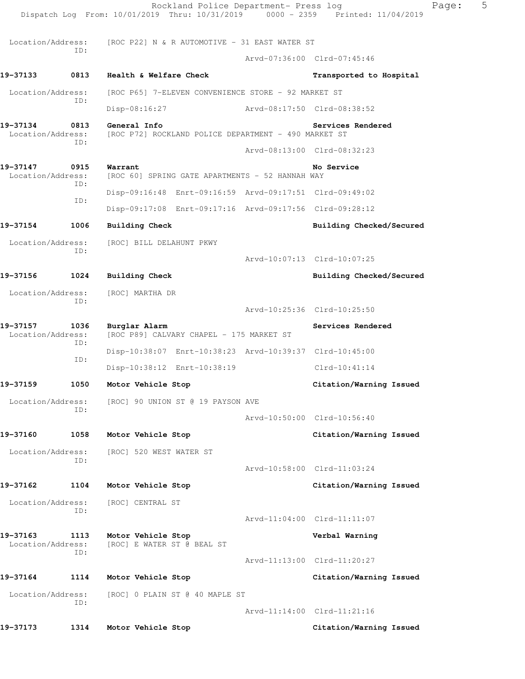|                               |             | Rockland Police Department- Press log<br>Dispatch Log From: 10/01/2019 Thru: 10/31/2019 0000 - 2359 Printed: 11/04/2019 |                             | Page:                       | 5 |
|-------------------------------|-------------|-------------------------------------------------------------------------------------------------------------------------|-----------------------------|-----------------------------|---|
| Location/Address:             |             | [ROC P22] N & R AUTOMOTIVE - 31 EAST WATER ST                                                                           |                             |                             |   |
|                               | ID:         |                                                                                                                         |                             | Arvd-07:36:00 Clrd-07:45:46 |   |
| 19–37133                      | 0813        | Health & Welfare Check                                                                                                  |                             | Transported to Hospital     |   |
| Location/Address:             |             | [ROC P65] 7-ELEVEN CONVENIENCE STORE - 92 MARKET ST                                                                     |                             |                             |   |
|                               | ID:         | Disp-08:16:27                                                                                                           | Arvd-08:17:50 Clrd-08:38:52 |                             |   |
| 19-37134<br>Location/Address: | 0813        | General Info<br>[ROC P72] ROCKLAND POLICE DEPARTMENT - 490 MARKET ST                                                    |                             | Services Rendered           |   |
|                               | ID:         |                                                                                                                         |                             | Arvd-08:13:00 Clrd-08:32:23 |   |
| 19-37147<br>Location/Address: | 0915<br>ID: | Warrant<br>[ROC 60] SPRING GATE APARTMENTS - 52 HANNAH WAY                                                              |                             | No Service                  |   |
|                               | ID:         | Disp-09:16:48 Enrt-09:16:59 Arvd-09:17:51 Clrd-09:49:02                                                                 |                             |                             |   |
|                               |             | Disp-09:17:08 Enrt-09:17:16 Arvd-09:17:56 Clrd-09:28:12                                                                 |                             |                             |   |
| 19-37154                      | 1006        | <b>Building Check</b>                                                                                                   |                             | Building Checked/Secured    |   |
| Location/Address:             | ID:         | [ROC] BILL DELAHUNT PKWY                                                                                                |                             |                             |   |
|                               |             |                                                                                                                         |                             | Arvd-10:07:13 Clrd-10:07:25 |   |
| 19-37156                      | 1024        | <b>Building Check</b>                                                                                                   |                             | Building Checked/Secured    |   |
| Location/Address:             | ID:         | [ROC] MARTHA DR                                                                                                         |                             |                             |   |
|                               |             |                                                                                                                         |                             | Arvd-10:25:36 Clrd-10:25:50 |   |
| 19-37157<br>Location/Address: | 1036<br>ID: | Burglar Alarm<br>[ROC P89] CALVARY CHAPEL - 175 MARKET ST                                                               |                             | Services Rendered           |   |
|                               | ID:         | Disp-10:38:07 Enrt-10:38:23 Arvd-10:39:37 Clrd-10:45:00                                                                 |                             |                             |   |
|                               |             | Disp-10:38:12 Enrt-10:38:19                                                                                             |                             | $Clrd-10:41:14$             |   |
| 19-37159                      | 1050        | Motor Vehicle Stop                                                                                                      |                             | Citation/Warning Issued     |   |
| Location/Address:             | ID:         | [ROC] 90 UNION ST @ 19 PAYSON AVE                                                                                       |                             |                             |   |
|                               |             |                                                                                                                         |                             | Arvd-10:50:00 Clrd-10:56:40 |   |
| 19-37160                      | 1058        | Motor Vehicle Stop                                                                                                      |                             | Citation/Warning Issued     |   |
| Location/Address:             | ID:         | [ROC] 520 WEST WATER ST                                                                                                 |                             |                             |   |
|                               |             |                                                                                                                         |                             | Arvd-10:58:00 Clrd-11:03:24 |   |
| 19-37162                      | 1104        | Motor Vehicle Stop                                                                                                      |                             | Citation/Warning Issued     |   |
| Location/Address:             | ID:         | [ROC] CENTRAL ST                                                                                                        |                             |                             |   |
|                               |             |                                                                                                                         |                             | Arvd-11:04:00 Clrd-11:11:07 |   |
| 19-37163<br>Location/Address: | 1113<br>ID: | Motor Vehicle Stop<br>[ROC] E WATER ST @ BEAL ST                                                                        |                             | Verbal Warning              |   |
|                               |             |                                                                                                                         |                             | Arvd-11:13:00 Clrd-11:20:27 |   |
| 19-37164                      | 1114        | Motor Vehicle Stop                                                                                                      |                             | Citation/Warning Issued     |   |
| Location/Address:             | ID:         | [ROC] 0 PLAIN ST @ 40 MAPLE ST                                                                                          |                             |                             |   |
|                               |             |                                                                                                                         |                             | Arvd-11:14:00 Clrd-11:21:16 |   |
| 19-37173                      | 1314        | Motor Vehicle Stop                                                                                                      |                             | Citation/Warning Issued     |   |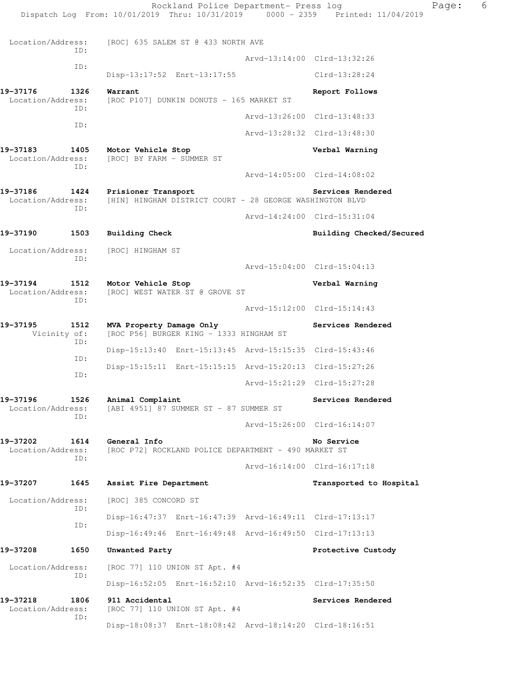Dispatch Log From: 10/01/2019 Thru: 10/31/2019 0000 - 2359 Printed: 11/04/2019 Location/Address: [ROC] 635 SALEM ST @ 433 NORTH AVE ID: Arvd-13:14:00 Clrd-13:32:26 ID: Disp-13:17:52 Enrt-13:17:55 Clrd-13:28:24 **19-37176 1326 Warrant Report Follows**  Location/Address: [ROC P107] DUNKIN DONUTS - 165 MARKET ST ID: Arvd-13:26:00 Clrd-13:48:33 ID: Arvd-13:28:32 Clrd-13:48:30 **19-37183 1405 Motor Vehicle Stop Verbal Warning**  Location/Address: [ROC] BY FARM - SUMMER ST ID: Arvd-14:05:00 Clrd-14:08:02 **19-37186 1424 Prisioner Transport Services Rendered**  Location/Address: [HIN] HINGHAM DISTRICT COURT - 28 GEORGE WASHINGTON BLVD ID: Arvd-14:24:00 Clrd-15:31:04 **19-37190 1503 Building Check Building Checked/Secured**  Location/Address: [ROC] HINGHAM ST ID: Arvd-15:04:00 Clrd-15:04:13 **19-37194 1512 Motor Vehicle Stop Verbal Warning**  Location/Address: [ROC] WEST WATER ST @ GROVE ST ID: Arvd-15:12:00 Clrd-15:14:43 **19-37195 1512 MVA Property Damage Only Services Rendered**  Vicinity of: [ROC P56] BURGER KING - 1333 HINGHAM ST ID: Disp-15:13:40 Enrt-15:13:45 Arvd-15:15:35 Clrd-15:43:46 ID: Disp-15:15:11 Enrt-15:15:15 Arvd-15:20:13 Clrd-15:27:26 ID: Arvd-15:21:29 Clrd-15:27:28 **19-37196 1526 Animal Complaint 1688 1888** Services Rendered Location/Address: [ABI 4951] 87 SUMMER ST - 87 SUMMER ST [ABI 4951] 87 SUMMER ST - 87 SUMMER ST ID: Arvd-15:26:00 Clrd-16:14:07 **19-37202 1614 General Info No Service**  Location/Address: [ROC P72] ROCKLAND POLICE DEPARTMENT - 490 MARKET ST ID: Arvd-16:14:00 Clrd-16:17:18 **19-37207 1645 Assist Fire Department Transported to Hospital**  Location/Address: [ROC] 385 CONCORD ST ID: Disp-16:47:37 Enrt-16:47:39 Arvd-16:49:11 Clrd-17:13:17 ID: Disp-16:49:46 Enrt-16:49:48 Arvd-16:49:50 Clrd-17:13:13 **19-37208 1650 Unwanted Party Protective Custody**  Location/Address: [ROC 77] 110 UNION ST Apt. #4 ID: Disp-16:52:05 Enrt-16:52:10 Arvd-16:52:35 Clrd-17:35:50 19-37218 1806 911 Accidental **1806 1806 1807 1918** Services Rendered Location/Address: [ROC 77] 110 UNION ST Apt. #4 ID: Disp-18:08:37 Enrt-18:08:42 Arvd-18:14:20 Clrd-18:16:51

Rockland Police Department- Press log Fage: 6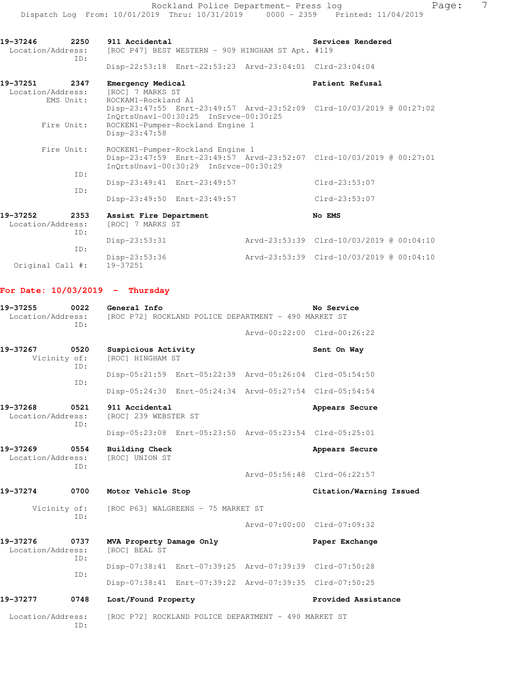Rockland Police Department- Press log Page: 7 Dispatch Log From: 10/01/2019 Thru: 10/31/2019 0000 - 2359 Printed: 11/04/2019

19-37246 2250 911 Accidental **19-37246** Services Rendered Location/Address: [ROC P47] BEST WESTERN - 909 HINGHAM ST Apt. #119 ID: Disp-22:53:18 Enrt-22:53:23 Arvd-23:04:01 Clrd-23:04:04 **19-37251 2347 Emergency Medical Patient Refusal**  Location/Address: [ROC] 7 MARKS ST EMS Unit: ROCKAM1-Rockland A1 Disp-23:47:55 Enrt-23:49:57 Arvd-23:52:09 Clrd-10/03/2019 @ 00:27:02 InQrtsUnavl-00:30:25 InSrvce-00:30:25 Fire Unit: ROCKEN1-Pumper-Rockland Engine 1 Disp-23:47:58 Fire Unit: ROCKEN1-Pumper-Rockland Engine 1 Disp-23:47:59 Enrt-23:49:57 Arvd-23:52:07 Clrd-10/03/2019 @ 00:27:01

 InQrtsUnavl-00:30:29 InSrvce-00:30:29 ID: Disp-23:49:41 Enrt-23:49:57 Clrd-23:53:07 ID: Disp-23:49:50 Enrt-23:49:57 Clrd-23:53:07 **19-37252 2353 Assist Fire Department No EMS** 

|                   |     |                  | --- ----                                 |
|-------------------|-----|------------------|------------------------------------------|
| Location/Address: |     | [ROC] 7 MARKS ST |                                          |
|                   | ID: |                  |                                          |
|                   |     | Disp-23:53:31    | Arvd-23:53:39 Clrd-10/03/2019 @ 00:04:10 |
|                   | TD: |                  |                                          |
|                   |     |                  |                                          |
|                   |     | Disp-23:53:36    | Arvd-23:53:39 Clrd-10/03/2019 @ 00:04:10 |
| Original Call #:  |     | 19-37251         |                                          |

#### **For Date: 10/03/2019 - Thursday**

| 19-37255<br>0022<br>Location/Address:<br>ID: |             | No Service<br>General Info<br>[ROC P72] ROCKLAND POLICE DEPARTMENT - 490 MARKET ST |                                                         |  |                             |  |
|----------------------------------------------|-------------|------------------------------------------------------------------------------------|---------------------------------------------------------|--|-----------------------------|--|
|                                              |             |                                                                                    |                                                         |  | Arvd-00:22:00 Clrd-00:26:22 |  |
| 19-37267<br>Vicinity of:                     | 0520<br>ID: | Suspicious Activity<br>[ROC] HINGHAM ST                                            |                                                         |  | Sent On Way                 |  |
|                                              | ID:         |                                                                                    | Disp-05:21:59 Enrt-05:22:39 Arvd-05:26:04 Clrd-05:54:50 |  |                             |  |
|                                              |             |                                                                                    | Disp-05:24:30 Enrt-05:24:34 Arvd-05:27:54 Clrd-05:54:54 |  |                             |  |
| 19-37268<br>Location/Address:                | 0521<br>ID: | 911 Accidental<br>[ROC] 239 WEBSTER ST                                             |                                                         |  | Appears Secure              |  |
|                                              |             |                                                                                    | Disp-05:23:08 Enrt-05:23:50 Arvd-05:23:54 Clrd-05:25:01 |  |                             |  |
| 19-37269<br>0554<br>Location/Address:<br>ID: |             | <b>Building Check</b><br>[ROC] UNION ST                                            |                                                         |  | Appears Secure              |  |
|                                              |             |                                                                                    |                                                         |  | Arvd-05:56:48 Clrd-06:22:57 |  |
| 19-37274                                     | 0700        | Motor Vehicle Stop                                                                 |                                                         |  | Citation/Warning Issued     |  |
| Vicinity of:                                 |             | [ROC P63] WALGREENS - 75 MARKET ST                                                 |                                                         |  |                             |  |
|                                              | ID:         |                                                                                    |                                                         |  | Arvd-07:00:00 Clrd-07:09:32 |  |
| 19-37276<br>Location/Address:                | 0737        | MVA Property Damage Only<br>[ROC] BEAL ST                                          |                                                         |  | Paper Exchange              |  |
|                                              | ID:         |                                                                                    | Disp-07:38:41 Enrt-07:39:25 Arvd-07:39:39 Clrd-07:50:28 |  |                             |  |
|                                              | ID:         |                                                                                    | Disp-07:38:41 Enrt-07:39:22 Arvd-07:39:35 Clrd-07:50:25 |  |                             |  |
| 19-37277                                     | 0748        | Lost/Found Property                                                                |                                                         |  | Provided Assistance         |  |
| Location/Address:                            | ID:         |                                                                                    | [ROC P72] ROCKLAND POLICE DEPARTMENT - 490 MARKET ST    |  |                             |  |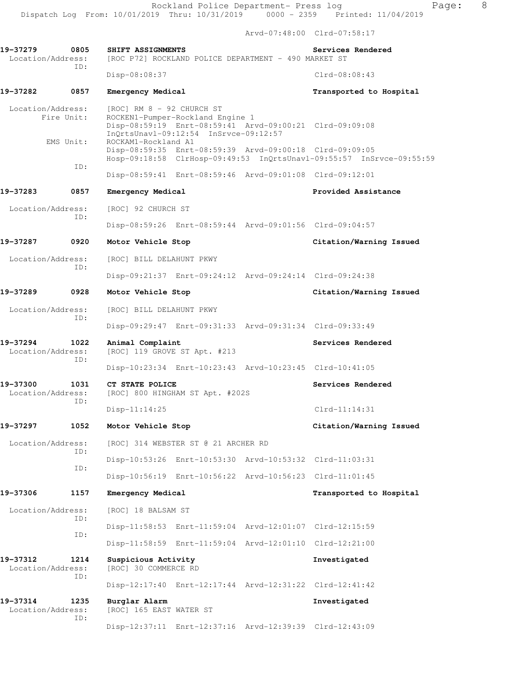Arvd-07:48:00 Clrd-07:58:17

**19-37279 0805 SHIFT ASSIGNMENTS Services Rendered**  Location/Address: [ROC P72] ROCKLAND POLICE DEPARTMENT - 490 MARKET ST ID: Disp-08:08:37 Clrd-08:08:43 **19-37282 0857 Emergency Medical Transported to Hospital**  Location/Address: [ROC] RM 8 - 92 CHURCH ST Fire Unit: ROCKEN1-Pumper-Rockland Engine 1 Disp-08:59:19 Enrt-08:59:41 Arvd-09:00:21 Clrd-09:09:08 InQrtsUnavl-09:12:54 InSrvce-09:12:57<br>EMS Unit: ROCKAM1-Rockland A1 ROCKAM1-Rockland A1 Disp-08:59:35 Enrt-08:59:39 Arvd-09:00:18 Clrd-09:09:05 Hosp-09:18:58 ClrHosp-09:49:53 InQrtsUnavl-09:55:57 InSrvce-09:55:59 ID: Disp-08:59:41 Enrt-08:59:46 Arvd-09:01:08 Clrd-09:12:01 19-37283 0857 Emergency Medical **Exercise and Assistance Provided Assistance**  Location/Address: [ROC] 92 CHURCH ST ID: Disp-08:59:26 Enrt-08:59:44 Arvd-09:01:56 Clrd-09:04:57 **19-37287 0920 Motor Vehicle Stop Citation/Warning Issued**  Location/Address: [ROC] BILL DELAHUNT PKWY ID: Disp-09:21:37 Enrt-09:24:12 Arvd-09:24:14 Clrd-09:24:38 **19-37289 0928 Motor Vehicle Stop Citation/Warning Issued**  Location/Address: [ROC] BILL DELAHUNT PKWY ID: Disp-09:29:47 Enrt-09:31:33 Arvd-09:31:34 Clrd-09:33:49 19-37294 1022 Animal Complaint **Services Rendered**  Location/Address: [ROC] 119 GROVE ST Apt. #213 ID: Disp-10:23:34 Enrt-10:23:43 Arvd-10:23:45 Clrd-10:41:05 **19-37300 1031 CT STATE POLICE Services Rendered**  Location/Address: [ROC] 800 HINGHAM ST Apt. #202S ID: Disp-11:14:25 Clrd-11:14:31 **19-37297 1052 Motor Vehicle Stop Citation/Warning Issued**  Location/Address: [ROC] 314 WEBSTER ST @ 21 ARCHER RD ID: Disp-10:53:26 Enrt-10:53:30 Arvd-10:53:32 Clrd-11:03:31 ID: Disp-10:56:19 Enrt-10:56:22 Arvd-10:56:23 Clrd-11:01:45 **19-37306 1157 Emergency Medical Transported to Hospital**  Location/Address: [ROC] 18 BALSAM ST ID: Disp-11:58:53 Enrt-11:59:04 Arvd-12:01:07 Clrd-12:15:59 ID: Disp-11:58:59 Enrt-11:59:04 Arvd-12:01:10 Clrd-12:21:00 **19-37312 1214 Suspicious Activity Investigated**  Location/Address: [ROC] 30 COMMERCE RD ID: Disp-12:17:40 Enrt-12:17:44 Arvd-12:31:22 Clrd-12:41:42 **19-37314 1235 Burglar Alarm Investigated**  Location/Address: [ROC] 165 EAST WATER ST ID: Disp-12:37:11 Enrt-12:37:16 Arvd-12:39:39 Clrd-12:43:09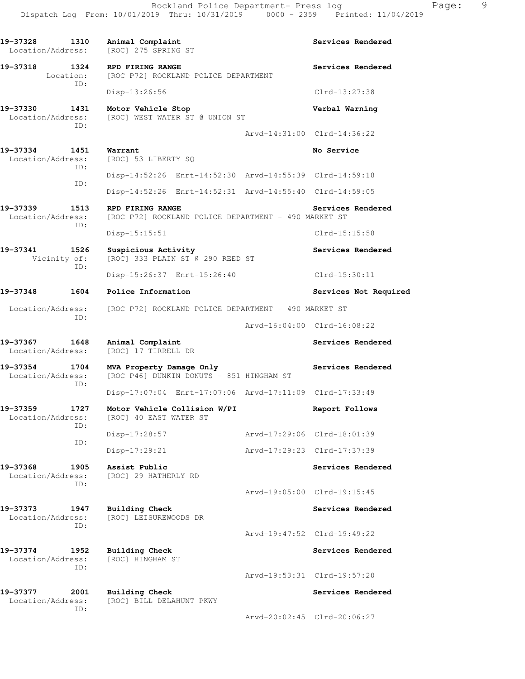19-37328 1310 Animal Complaint **Services Rendered** Location/Address: [ROC] 275 SPRING ST **19-37318 1324 RPD FIRING RANGE Services Rendered**  Location: [ROC P72] ROCKLAND POLICE DEPARTMENT ID: Disp-13:26:56 Clrd-13:27:38 **19-37330 1431 Motor Vehicle Stop Verbal Warning**  Location/Address: [ROC] WEST WATER ST @ UNION ST ID: Arvd-14:31:00 Clrd-14:36:22 **19-37334 1451 Warrant No Service**  Location/Address: [ROC] 53 LIBERTY SQ ID: Disp-14:52:26 Enrt-14:52:30 Arvd-14:55:39 Clrd-14:59:18 ID: Disp-14:52:26 Enrt-14:52:31 Arvd-14:55:40 Clrd-14:59:05 19-37339 1513 RPD FIRING RANGE **Services Rendered**  Location/Address: [ROC P72] ROCKLAND POLICE DEPARTMENT - 490 MARKET ST ID: Disp-15:15:51 Clrd-15:15:58 **19-37341 1526 Suspicious Activity 19-37341 1526 Suspicious Activity**<br>Vicinity of: [ROC] 333 PLAIN ST @ 290 REED ST [ROC] 333 PLAIN ST @ 290 REED ST ID: Disp-15:26:37 Enrt-15:26:40 Clrd-15:30:11 **19-37348 1604 Police Information Services Not Required**  Location/Address: [ROC P72] ROCKLAND POLICE DEPARTMENT - 490 MARKET ST ID: Arvd-16:04:00 Clrd-16:08:22 19-37367 1648 Animal Complaint **Services Rendered Services Rendered** Location/Address: [ROC] 17 TIRRELL DR **19-37354 1704 MVA Property Damage Only Services Rendered**  Location/Address: [ROC P46] DUNKIN DONUTS - 851 HINGHAM ST ID: Disp-17:07:04 Enrt-17:07:06 Arvd-17:11:09 Clrd-17:33:49 **19-37359 1727 Motor Vehicle Collision W/PI Report Follows**  Location/Address: [ROC] 40 EAST WATER ST ID: Disp-17:28:57 Arvd-17:29:06 Clrd-18:01:39 ID: Disp-17:29:21 Arvd-17:29:23 Clrd-17:37:39 **19-37368 1905 Assist Public Services Rendered**  Location/Address: [ROC] 29 HATHERLY RD ID: Arvd-19:05:00 Clrd-19:15:45 **19-37373 1947 Building Check Services Rendered**  Location/Address: [ROC] LEISUREWOODS DR ID: Arvd-19:47:52 Clrd-19:49:22 **19-37374 1952 Building Check Services Rendered**  Location/Address: [ROC] HINGHAM ST ID: Arvd-19:53:31 Clrd-19:57:20 19-37377 2001 Building Check **Services Rendered**  Location/Address: [ROC] BILL DELAHUNT PKWY ID: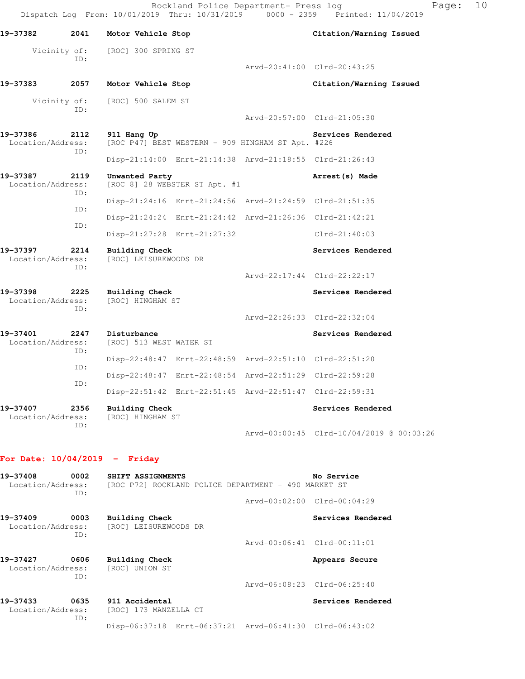| 19-37382                                     | 2041        | Motor Vehicle Stop                                               |                             | Citation/Warning Issued                  |
|----------------------------------------------|-------------|------------------------------------------------------------------|-----------------------------|------------------------------------------|
| Vicinity of:                                 |             | [ROC] 300 SPRING ST                                              |                             |                                          |
|                                              | TD:         |                                                                  | Arvd-20:41:00 Clrd-20:43:25 |                                          |
| 19-37383                                     | 2057        | Motor Vehicle Stop                                               |                             | Citation/Warning Issued                  |
| Vicinity of:                                 | ID:         | [ROC] 500 SALEM ST                                               |                             |                                          |
|                                              |             |                                                                  | Arvd-20:57:00 Clrd-21:05:30 |                                          |
| 19-37386<br>Location/Address:                | 2112<br>ID: | 911 Hang Up<br>[ROC P47] BEST WESTERN - 909 HINGHAM ST Apt. #226 |                             | Services Rendered                        |
|                                              |             | Disp-21:14:00 Enrt-21:14:38 Arvd-21:18:55 Clrd-21:26:43          |                             |                                          |
| 19-37387<br>Location/Address:                | 2119<br>TD: | Unwanted Party<br>[ROC 8] 28 WEBSTER ST Apt. #1                  |                             | Arrest (s) Made                          |
|                                              | ID:         | Disp-21:24:16 Enrt-21:24:56 Arvd-21:24:59 Clrd-21:51:35          |                             |                                          |
|                                              | ID:         | Disp-21:24:24 Enrt-21:24:42 Arvd-21:26:36 Clrd-21:42:21          |                             |                                          |
|                                              |             | Disp-21:27:28 Enrt-21:27:32                                      |                             | $Clrd-21:40:03$                          |
| 19-37397<br>2214<br>Location/Address:<br>ID: |             | <b>Building Check</b><br>[ROC] LEISUREWOODS DR                   |                             | Services Rendered                        |
|                                              |             |                                                                  | Arvd-22:17:44 Clrd-22:22:17 |                                          |
| 19-37398<br>Location/Address:                | 2225<br>TD: | <b>Building Check</b><br>[ROC] HINGHAM ST                        |                             | Services Rendered                        |
|                                              |             |                                                                  | Arvd-22:26:33 Clrd-22:32:04 |                                          |
| 19-37401<br>Location/Address:                | 2247<br>ID: | Disturbance<br>[ROC] 513 WEST WATER ST                           |                             | Services Rendered                        |
|                                              | ID:         | Disp-22:48:47 Enrt-22:48:59 Arvd-22:51:10 Clrd-22:51:20          |                             |                                          |
|                                              | ID:         | Disp-22:48:47 Enrt-22:48:54 Arvd-22:51:29 Clrd-22:59:28          |                             |                                          |
|                                              |             | Disp-22:51:42 Enrt-22:51:45 Arvd-22:51:47 Clrd-22:59:31          |                             |                                          |
| 19-37407<br>Location/Address:                | 2356<br>TD: | Building Check<br>[ROC] HINGHAM ST                               |                             | Services Rendered                        |
|                                              |             |                                                                  |                             | Arvd-00:00:45 Clrd-10/04/2019 @ 00:03:26 |

# **For Date: 10/04/2019 - Friday**

| 19-37408<br>Location/Address: | 0002<br>ID: | SHIFT ASSIGNMENTS                       | [ROC P72] ROCKLAND POLICE DEPARTMENT - 490 MARKET ST    | No Service                  |
|-------------------------------|-------------|-----------------------------------------|---------------------------------------------------------|-----------------------------|
|                               |             |                                         |                                                         | Arvd-00:02:00 Clrd-00:04:29 |
| 19-37409<br>Location/Address: | 0003<br>ID: | Building Check<br>[ROC] LEISUREWOODS DR |                                                         | Services Rendered           |
|                               |             |                                         |                                                         | Arvd-00:06:41 Clrd-00:11:01 |
| 19-37427<br>Location/Address: | 0606<br>ID: | Building Check<br>[ROC] UNION ST        |                                                         | Appears Secure              |
|                               |             |                                         |                                                         | Arvd-06:08:23 Clrd-06:25:40 |
| 19-37433<br>Location/Address: | 0635<br>ID: | 911 Accidental<br>[ROC] 173 MANZELLA CT |                                                         | Services Rendered           |
|                               |             |                                         | Disp-06:37:18 Enrt-06:37:21 Arvd-06:41:30 Clrd-06:43:02 |                             |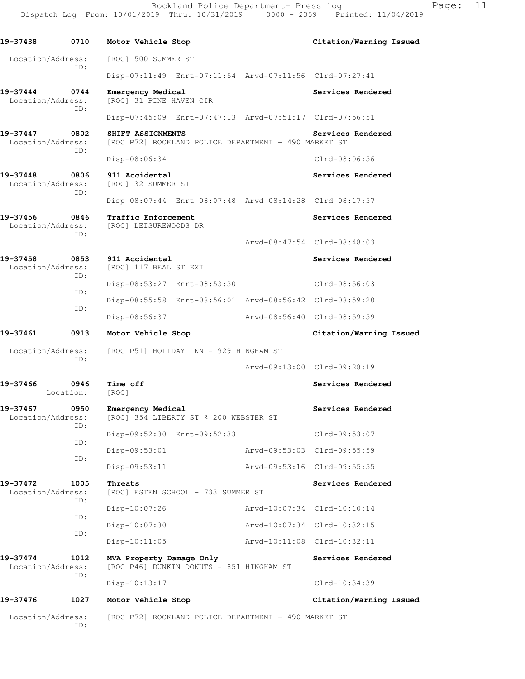Rockland Police Department- Press log Fage: 11 Dispatch Log From: 10/01/2019 Thru: 10/31/2019 0000 - 2359 Printed: 11/04/2019

**19-37438 0710 Motor Vehicle Stop Citation/Warning Issued**  Location/Address: [ROC] 500 SUMMER ST ID: Disp-07:11:49 Enrt-07:11:54 Arvd-07:11:56 Clrd-07:27:41 **19-37444 0744 Emergency Medical Services Rendered**  Location/Address: [ROC] 31 PINE HAVEN CIR ID: Disp-07:45:09 Enrt-07:47:13 Arvd-07:51:17 Clrd-07:56:51 **19-37447 0802 SHIFT ASSIGNMENTS Services Rendered**  Location/Address: [ROC P72] ROCKLAND POLICE DEPARTMENT - 490 MARKET ST ID: Disp-08:06:34 Clrd-08:06:56 **19-37448 0806 911 Accidental Services Rendered Execution** / Address: [ROC] 32 SUMMER ST Location/Address: ID: Disp-08:07:44 Enrt-08:07:48 Arvd-08:14:28 Clrd-08:17:57 19-37456 **0846** Traffic Enforcement **19-37456** Services Rendered Location/Address: [ROC] LEISUREWOODS DR ID: Arvd-08:47:54 Clrd-08:48:03 **19-37458 0853 911 Accidental Services Rendered**  Location/Address: [ROC] 117 BEAL ST EXT ID: Disp-08:53:27 Enrt-08:53:30 Clrd-08:56:03 ID: Disp-08:55:58 Enrt-08:56:01 Arvd-08:56:42 Clrd-08:59:20 ID: Disp-08:56:37 Arvd-08:56:40 Clrd-08:59:59 **19-37461 0913 Motor Vehicle Stop Citation/Warning Issued**  Location/Address: [ROC P51] HOLIDAY INN - 929 HINGHAM ST ID: Arvd-09:13:00 Clrd-09:28:19 **19-37466 0946 Time off Services Rendered**  Location: [ROC] **19-37467 0950 Emergency Medical Services Rendered**  Location/Address: [ROC] 354 LIBERTY ST @ 200 WEBSTER ST ID: Disp-09:52:30 Enrt-09:52:33 Clrd-09:53:07 ID: Disp-09:53:01 Arvd-09:53:03 Clrd-09:55:59 ID: Disp-09:53:11 Arvd-09:53:16 Clrd-09:55:55 **19-37472 1005 Threats Services Rendered**  Location/Address: [ROC] ESTEN SCHOOL - 733 SUMMER ST ID: Disp-10:07:26 Arvd-10:07:34 Clrd-10:10:14 ID: Disp-10:07:30 Arvd-10:07:34 Clrd-10:32:15 ID: Disp-10:11:05 Arvd-10:11:08 Clrd-10:32:11 19-37474 1012 MVA Property Damage Only **Services Rendered**  Location/Address: [ROC P46] DUNKIN DONUTS - 851 HINGHAM ST ID: Disp-10:13:17 Clrd-10:34:39 **19-37476 1027 Motor Vehicle Stop Citation/Warning Issued**  Location/Address: [ROC P72] ROCKLAND POLICE DEPARTMENT - 490 MARKET ST

ID: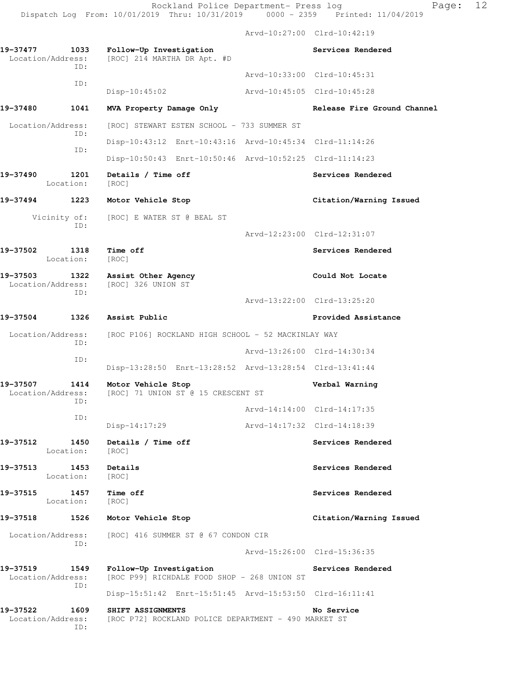|                                    |                   |                                                                           |                             | Arvd-10:27:00 Clrd-10:42:19 |
|------------------------------------|-------------------|---------------------------------------------------------------------------|-----------------------------|-----------------------------|
| 19-37477<br>Location/Address:      | 1033              | Follow-Up Investigation<br>[ROC] 214 MARTHA DR Apt. #D                    |                             | Services Rendered           |
|                                    | ID:               |                                                                           |                             | Arvd-10:33:00 Clrd-10:45:31 |
|                                    | ID:               | $Disp-10:45:02$                                                           | Arvd-10:45:05 Clrd-10:45:28 |                             |
| 19-37480                           | 1041              | MVA Property Damage Only                                                  |                             | Release Fire Ground Channel |
| Location/Address:                  |                   | [ROC] STEWART ESTEN SCHOOL - 733 SUMMER ST                                |                             |                             |
|                                    | ID:               | Disp-10:43:12 Enrt-10:43:16 Arvd-10:45:34 Clrd-11:14:26                   |                             |                             |
|                                    | ID:               | Disp-10:50:43 Enrt-10:50:46 Arvd-10:52:25 Clrd-11:14:23                   |                             |                             |
| 19-37490                           | 1201<br>Location: | Details / Time off<br>[ROC]                                               |                             | Services Rendered           |
| 19-37494 1223                      |                   | Motor Vehicle Stop                                                        |                             | Citation/Warning Issued     |
|                                    | Vicinity of:      | [ROC] E WATER ST @ BEAL ST                                                |                             |                             |
|                                    | ID:               |                                                                           |                             | Arvd-12:23:00 Clrd-12:31:07 |
| 19-37502                           | 1318<br>Location: | Time off<br>[ROC]                                                         |                             | Services Rendered           |
| 19-37503 1322<br>Location/Address: | ID:               | Assist Other Agency<br>[ROC] 326 UNION ST                                 |                             | Could Not Locate            |
|                                    |                   |                                                                           |                             | Arvd-13:22:00 Clrd-13:25:20 |
| 19-37504                           | 1326              | Assist Public                                                             |                             | Provided Assistance         |
| Location/Address:                  | ID:               | [ROC P106] ROCKLAND HIGH SCHOOL - 52 MACKINLAY WAY                        |                             |                             |
|                                    | ID:               |                                                                           |                             | Arvd-13:26:00 Clrd-14:30:34 |
|                                    |                   | Disp-13:28:50 Enrt-13:28:52 Arvd-13:28:54 Clrd-13:41:44                   |                             |                             |
| 19-37507<br>Location/Address:      | 1414<br>ID:       | Motor Vehicle Stop<br>[ROC] 71 UNION ST @ 15 CRESCENT ST                  |                             | Verbal Warning              |
|                                    | ID:               |                                                                           |                             | Arvd-14:14:00 Clrd-14:17:35 |
|                                    |                   | $Disp-14:17:29$                                                           |                             | Arvd-14:17:32 Clrd-14:18:39 |
| 19-37512                           | 1450<br>Location: | Details / Time off<br>[ROC]                                               |                             | Services Rendered           |
| 19-37513                           | 1453<br>Location: | Details<br>[ROC]                                                          |                             | Services Rendered           |
| 19-37515                           | 1457<br>Location: | Time off<br>[ROC]                                                         |                             | Services Rendered           |
| 19-37518                           | 1526              | Motor Vehicle Stop                                                        |                             | Citation/Warning Issued     |
| Location/Address:                  |                   | [ROC] 416 SUMMER ST @ 67 CONDON CIR                                       |                             |                             |
|                                    | ID:               |                                                                           |                             | Arvd-15:26:00 Clrd-15:36:35 |
| 19-37519<br>Location/Address:      | 1549<br>ID:       | Follow-Up Investigation<br>[ROC P99] RICHDALE FOOD SHOP - 268 UNION ST    |                             | Services Rendered           |
|                                    |                   | Disp-15:51:42 Enrt-15:51:45 Arvd-15:53:50 Clrd-16:11:41                   |                             |                             |
| 19–37522<br>Location/Address:      | 1609<br>ID:       | SHIFT ASSIGNMENTS<br>[ROC P72] ROCKLAND POLICE DEPARTMENT - 490 MARKET ST |                             | No Service                  |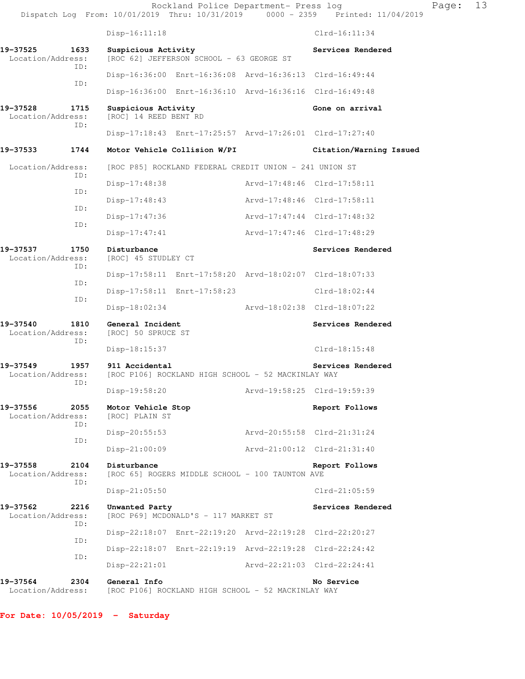|                               |             |                                              | Rockland Police Department- Press log                   |                             | Dispatch Log From: 10/01/2019 Thru: 10/31/2019 0000 - 2359 Printed: 11/04/2019 | Page: | 13 |
|-------------------------------|-------------|----------------------------------------------|---------------------------------------------------------|-----------------------------|--------------------------------------------------------------------------------|-------|----|
|                               |             | $Disp-16:11:18$                              |                                                         |                             | $Clrd-16:11:34$                                                                |       |    |
| 19–37525<br>Location/Address: | 1633        | Suspicious Activity                          | [ROC 62] JEFFERSON SCHOOL - 63 GEORGE ST                |                             | Services Rendered                                                              |       |    |
|                               | ID:         |                                              | Disp-16:36:00 Enrt-16:36:08 Arvd-16:36:13 Clrd-16:49:44 |                             |                                                                                |       |    |
|                               | ID:         |                                              | Disp-16:36:00 Enrt-16:36:10 Arvd-16:36:16 Clrd-16:49:48 |                             |                                                                                |       |    |
| 19-37528<br>Location/Address: | 1715<br>ID: | Suspicious Activity<br>[ROC] 14 REED BENT RD |                                                         |                             | Gone on arrival                                                                |       |    |
|                               |             |                                              | Disp-17:18:43 Enrt-17:25:57 Arvd-17:26:01 Clrd-17:27:40 |                             |                                                                                |       |    |
| 19–37533                      | 1744        |                                              | Motor Vehicle Collision W/PI                            |                             | Citation/Warning Issued                                                        |       |    |
| Location/Address:             |             |                                              | [ROC P85] ROCKLAND FEDERAL CREDIT UNION - 241 UNION ST  |                             |                                                                                |       |    |
|                               | ID:         | $Disp-17:48:38$                              |                                                         | Arvd-17:48:46 Clrd-17:58:11 |                                                                                |       |    |
|                               | ID:         | Disp-17:48:43                                |                                                         | Arvd-17:48:46 Clrd-17:58:11 |                                                                                |       |    |
|                               | ID:         | $Disp-17:47:36$                              |                                                         | Arvd-17:47:44 Clrd-17:48:32 |                                                                                |       |    |
|                               | ID:         | $Disp-17:47:41$                              |                                                         | Arvd-17:47:46 Clrd-17:48:29 |                                                                                |       |    |
| 19–37537<br>Location/Address: | 1750        | Disturbance<br>[ROC] 45 STUDLEY CT           |                                                         |                             | Services Rendered                                                              |       |    |
| ID:<br>ID:                    |             |                                              | Disp-17:58:11 Enrt-17:58:20 Arvd-18:02:07 Clrd-18:07:33 |                             |                                                                                |       |    |
|                               |             | Disp-17:58:11 Enrt-17:58:23                  |                                                         | Clrd-18:02:44               |                                                                                |       |    |
|                               | ID:         | Disp-18:02:34                                |                                                         | Arvd-18:02:38 Clrd-18:07:22 |                                                                                |       |    |
| 19-37540<br>Location/Address: | 1810        | General Incident<br>[ROC] 50 SPRUCE ST       |                                                         |                             | Services Rendered                                                              |       |    |
|                               | ID:         | Disp-18:15:37                                |                                                         |                             | Clrd-18:15:48                                                                  |       |    |
| 19-37549<br>Location/Address: | 1957        | 911 Accidental                               | [ROC P106] ROCKLAND HIGH SCHOOL - 52 MACKINLAY WAY      |                             | Services Rendered                                                              |       |    |
|                               | ID:         | Disp-19:58:20                                |                                                         |                             | Arvd-19:58:25 Clrd-19:59:39                                                    |       |    |
| 19-37556<br>Location/Address: | 2055<br>ID: | Motor Vehicle Stop<br>[ROC] PLAIN ST         |                                                         |                             | Report Follows                                                                 |       |    |
|                               | ID:         | $Disp-20:55:53$                              |                                                         |                             | Arvd-20:55:58 Clrd-21:31:24                                                    |       |    |
|                               |             | $Disp-21:00:09$                              |                                                         |                             | Arvd-21:00:12 Clrd-21:31:40                                                    |       |    |
| 19-37558<br>Location/Address: | 2104        | Disturbance                                  | [ROC 65] ROGERS MIDDLE SCHOOL - 100 TAUNTON AVE         |                             | Report Follows                                                                 |       |    |
|                               | ID:         | $Disp-21:05:50$                              |                                                         |                             | $Clrd-21:05:59$                                                                |       |    |
| 19-37562<br>Location/Address: | 2216<br>ID: | Unwanted Party                               | [ROC P69] MCDONALD'S - 117 MARKET ST                    |                             | Services Rendered                                                              |       |    |
|                               | ID:         |                                              | Disp-22:18:07 Enrt-22:19:20 Arvd-22:19:28 Clrd-22:20:27 |                             |                                                                                |       |    |
|                               | ID:         |                                              | Disp-22:18:07 Enrt-22:19:19 Arvd-22:19:28 Clrd-22:24:42 |                             |                                                                                |       |    |
|                               |             | $Disp-22:21:01$                              |                                                         |                             | Arvd-22:21:03 Clrd-22:24:41                                                    |       |    |
| 19–37564<br>Location/Address: | 2304        | General Info                                 | [ROC P106] ROCKLAND HIGH SCHOOL - 52 MACKINLAY WAY      |                             | No Service                                                                     |       |    |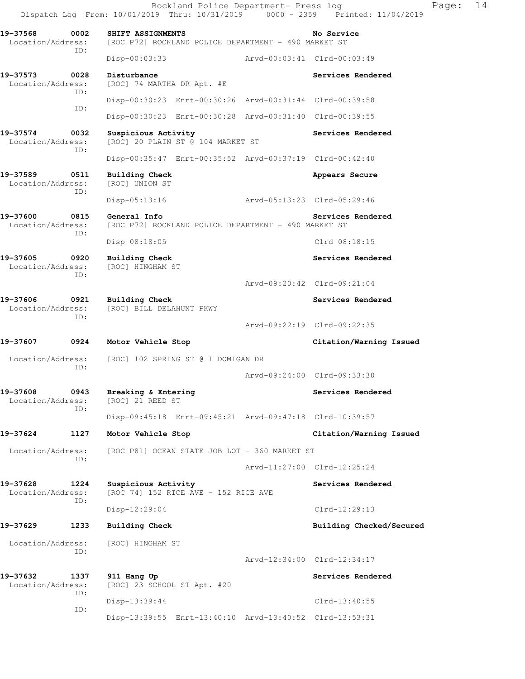Rockland Police Department- Press log Fage: 14 Dispatch Log From: 10/01/2019 Thru: 10/31/2019 0000 - 2359 Printed: 11/04/2019 **19-37568 0002 SHIFT ASSIGNMENTS No Service**  Location/Address: [ROC P72] ROCKLAND POLICE DEPARTMENT - 490 MARKET ST ID: Disp-00:03:33 Arvd-00:03:41 Clrd-00:03:49 **19-37573 0028 Disturbance Services Rendered**  Location/Address: [ROC] 74 MARTHA DR Apt. #E ID: Disp-00:30:23 Enrt-00:30:26 Arvd-00:31:44 Clrd-00:39:58 ID: Disp-00:30:23 Enrt-00:30:28 Arvd-00:31:40 Clrd-00:39:55 19-37574 0032 Suspicious Activity **Services Rendered Services Rendered**  Location/Address: [ROC] 20 PLAIN ST @ 104 MARKET ST ID: Disp-00:35:47 Enrt-00:35:52 Arvd-00:37:19 Clrd-00:42:40 **19-37589 0511 Building Check Appears Secure**  Location/Address: [ROC] UNION ST ID: Disp-05:13:16 Arvd-05:13:23 Clrd-05:29:46 **19-37600 0815 General Info Services Rendered**  Location/Address: [ROC P72] ROCKLAND POLICE DEPARTMENT - 490 MARKET ST ID: Disp-08:18:05 Clrd-08:18:15 **19-37605 0920 Building Check Services Rendered**  Location/Address: [ROC] HINGHAM ST ID: Arvd-09:20:42 Clrd-09:21:04 **19-37606 0921 Building Check Services Rendered**  Location/Address: [ROC] BILL DELAHUNT PKWY ID: Arvd-09:22:19 Clrd-09:22:35 **19-37607 0924 Motor Vehicle Stop Citation/Warning Issued**  Location/Address: [ROC] 102 SPRING ST @ 1 DOMIGAN DR ID: Arvd-09:24:00 Clrd-09:33:30 19-37608 0943 Breaking & Entering **Services Rendered Enterior Services Rendered Services Rendered** Location/Address: ID: Disp-09:45:18 Enrt-09:45:21 Arvd-09:47:18 Clrd-10:39:57 **19-37624 1127 Motor Vehicle Stop Citation/Warning Issued**  Location/Address: [ROC P81] OCEAN STATE JOB LOT - 360 MARKET ST ID: Arvd-11:27:00 Clrd-12:25:24 **19-37628 1224 Suspicious Activity Services Rendered**  Location/Address: [ROC 74] 152 RICE AVE - 152 RICE AVE ID: Disp-12:29:04 Clrd-12:29:13 19-37629 1233 Building Check **1996 120 Building Checked/Secured**  Location/Address: [ROC] HINGHAM ST ID: Arvd-12:34:00 Clrd-12:34:17 **19-37632 1337 911 Hang Up Services Rendered**  Location/Address: [ROC] 23 SCHOOL ST Apt. #20 ID: Disp-13:39:44 Clrd-13:40:55 ID: Disp-13:39:55 Enrt-13:40:10 Arvd-13:40:52 Clrd-13:53:31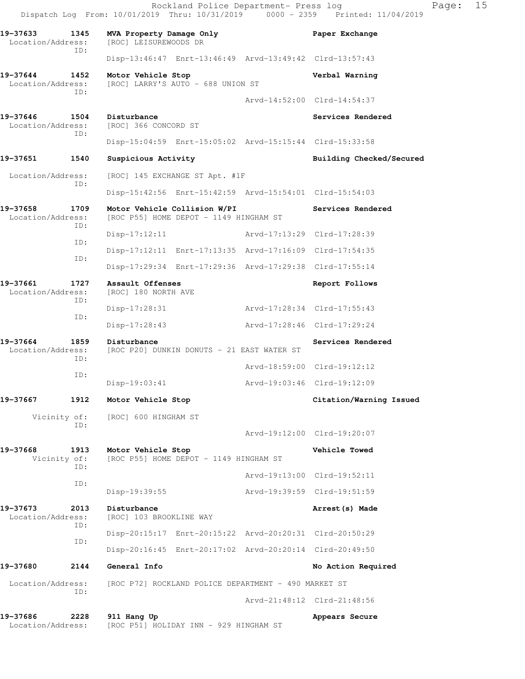|                                    |             | Rockland Police Department- Press log<br>Dispatch Log From: 10/01/2019 Thru: 10/31/2019 0000 - 2359 Printed: 11/04/2019 |                             |                             | Page: | 15 |
|------------------------------------|-------------|-------------------------------------------------------------------------------------------------------------------------|-----------------------------|-----------------------------|-------|----|
| 19-37633<br>Location/Address:      | 1345<br>ID: | MVA Property Damage Only<br>[ROC] LEISUREWOODS DR                                                                       |                             | Paper Exchange              |       |    |
|                                    |             | Disp-13:46:47 Enrt-13:46:49 Arvd-13:49:42 Clrd-13:57:43                                                                 |                             |                             |       |    |
| 19-37644<br>Location/Address:      | 1452<br>ID: | Motor Vehicle Stop<br>[ROC] LARRY'S AUTO - 688 UNION ST                                                                 |                             | Verbal Warning              |       |    |
|                                    |             |                                                                                                                         |                             | Arvd-14:52:00 Clrd-14:54:37 |       |    |
| 19-37646 1504<br>Location/Address: | ID:         | Disturbance<br>[ROC] 366 CONCORD ST                                                                                     |                             | Services Rendered           |       |    |
|                                    |             | Disp-15:04:59 Enrt-15:05:02 Arvd-15:15:44 Clrd-15:33:58                                                                 |                             |                             |       |    |
| 19-37651                           | 1540        | Suspicious Activity                                                                                                     |                             | Building Checked/Secured    |       |    |
| Location/Address:                  |             | [ROC] 145 EXCHANGE ST Apt. #1F                                                                                          |                             |                             |       |    |
|                                    | ID:         | Disp-15:42:56 Enrt-15:42:59 Arvd-15:54:01 Clrd-15:54:03                                                                 |                             |                             |       |    |
| 19-37658<br>Location/Address:      | 1709<br>ID: | Motor Vehicle Collision W/PI<br>[ROC P55] HOME DEPOT - 1149 HINGHAM ST                                                  |                             | Services Rendered           |       |    |
|                                    | ID:         | $Disp-17:12:11$                                                                                                         | Arvd-17:13:29 Clrd-17:28:39 |                             |       |    |
|                                    | ID:         | Disp-17:12:11 Enrt-17:13:35 Arvd-17:16:09 Clrd-17:54:35                                                                 |                             |                             |       |    |
|                                    |             | Disp-17:29:34 Enrt-17:29:36 Arvd-17:29:38 Clrd-17:55:14                                                                 |                             |                             |       |    |
| 19-37661<br>Location/Address:      | 1727<br>ID: | Assault Offenses<br>[ROC] 180 NORTH AVE                                                                                 |                             | Report Follows              |       |    |
|                                    | ID:         | Disp-17:28:31                                                                                                           | Arvd-17:28:34 Clrd-17:55:43 |                             |       |    |
|                                    |             | $Disp-17:28:43$                                                                                                         | Arvd-17:28:46 Clrd-17:29:24 |                             |       |    |
| 19-37664<br>Location/Address:      | 1859<br>ID: | Disturbance<br>[ROC P20] DUNKIN DONUTS - 21 EAST WATER ST                                                               |                             | Services Rendered           |       |    |
|                                    | ID:         |                                                                                                                         |                             | Arvd-18:59:00 Clrd-19:12:12 |       |    |
|                                    |             | $Disp-19:03:41$                                                                                                         |                             | Arvd-19:03:46 Clrd-19:12:09 |       |    |
| 19-37667                           | 1912        | Motor Vehicle Stop                                                                                                      |                             | Citation/Warning Issued     |       |    |
| Vicinity of:                       | ID:         | [ROC] 600 HINGHAM ST                                                                                                    |                             | Arvd-19:12:00 Clrd-19:20:07 |       |    |
|                                    |             |                                                                                                                         |                             | Vehicle Towed               |       |    |
| 19-37668<br>Vicinity of:           | 1913<br>ID: | Motor Vehicle Stop<br>[ROC P55] HOME DEPOT - 1149 HINGHAM ST                                                            |                             | Arvd-19:13:00 Clrd-19:52:11 |       |    |
|                                    | ID:         |                                                                                                                         |                             |                             |       |    |
|                                    |             | $Disp-19:39:55$                                                                                                         | Arvd-19:39:59 Clrd-19:51:59 |                             |       |    |
| 19-37673<br>Location/Address:      | 2013<br>ID: | Disturbance<br>[ROC] 103 BROOKLINE WAY                                                                                  |                             | Arrest (s) Made             |       |    |
|                                    | ID:         | Disp-20:15:17 Enrt-20:15:22 Arvd-20:20:31 Clrd-20:50:29                                                                 |                             |                             |       |    |
|                                    |             | Disp-20:16:45 Enrt-20:17:02 Arvd-20:20:14 Clrd-20:49:50                                                                 |                             |                             |       |    |
| 19-37680                           | 2144        | General Info                                                                                                            |                             | No Action Required          |       |    |
| Location/Address:                  | ID:         | [ROC P72] ROCKLAND POLICE DEPARTMENT - 490 MARKET ST                                                                    |                             |                             |       |    |
|                                    |             |                                                                                                                         |                             | Arvd-21:48:12 Clrd-21:48:56 |       |    |
| 19-37686<br>Location/Address:      | 2228        | 911 Hang Up<br>[ROC P51] HOLIDAY INN - 929 HINGHAM ST                                                                   |                             | Appears Secure              |       |    |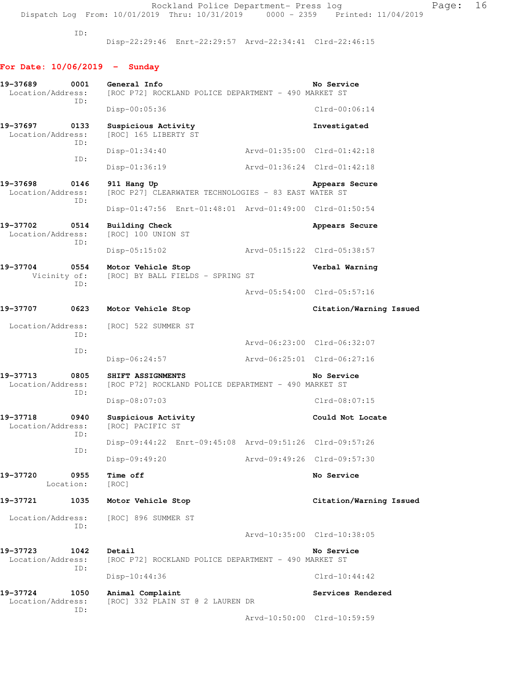Rockland Police Department- Press log entitled Page: 16 Dispatch Log From: 10/01/2019 Thru: 10/31/2019 0000 - 2359 Printed: 11/04/2019

ID:

Disp-22:29:46 Enrt-22:29:57 Arvd-22:34:41 Clrd-22:46:15

# **For Date: 10/06/2019 - Sunday**

| 0001<br>19-37689<br>Location/Address:        | General Info<br>[ROC P72] ROCKLAND POLICE DEPARTMENT - 490 MARKET ST      |                             | No Service                  |
|----------------------------------------------|---------------------------------------------------------------------------|-----------------------------|-----------------------------|
| ID:                                          | $Disp-00:05:36$                                                           |                             | $Clrd-00:06:14$             |
| 19-37697<br>0133<br>Location/Address:        | Suspicious Activity<br>[ROC] 165 LIBERTY ST                               |                             | Investigated                |
| ID:                                          | $Disp-01:34:40$                                                           |                             | Arvd-01:35:00 Clrd-01:42:18 |
| ID:                                          | Disp-01:36:19                                                             | Arvd-01:36:24 Clrd-01:42:18 |                             |
| 19-37698<br>0146<br>Location/Address:<br>ID: | 911 Hang Up<br>[ROC P27] CLEARWATER TECHNOLOGIES - 83 EAST WATER ST       |                             | Appears Secure              |
|                                              | Disp-01:47:56 Enrt-01:48:01 Arvd-01:49:00 Clrd-01:50:54                   |                             |                             |
| 19-37702<br>0514<br>Location/Address:<br>ID: | Building Check<br>[ROC] 100 UNION ST                                      |                             | Appears Secure              |
|                                              | $Disp-05:15:02$                                                           | Arvd-05:15:22 Clrd-05:38:57 |                             |
| 19-37704<br>0554<br>Vicinity of:<br>ID:      | Motor Vehicle Stop<br>[ROC] BY BALL FIELDS - SPRING ST                    |                             | Verbal Warning              |
|                                              |                                                                           |                             | Arvd-05:54:00 Clrd-05:57:16 |
| 19-37707<br>0623                             | Motor Vehicle Stop                                                        |                             | Citation/Warning Issued     |
| Location/Address:<br>ID:                     | [ROC] 522 SUMMER ST                                                       |                             |                             |
| ID:                                          |                                                                           |                             | Arvd-06:23:00 Clrd-06:32:07 |
|                                              | $Disp-06:24:57$                                                           | Arvd-06:25:01 Clrd-06:27:16 |                             |
| 19–37713<br>0805<br>Location/Address:<br>ID: | SHIFT ASSIGNMENTS<br>[ROC P72] ROCKLAND POLICE DEPARTMENT - 490 MARKET ST |                             | No Service                  |
|                                              | $Disp-08:07:03$                                                           |                             | $Clrd-08:07:15$             |
| 19-37718<br>0940<br>Location/Address:<br>ID: | Suspicious Activity<br>[ROC] PACIFIC ST                                   |                             | Could Not Locate            |
| ID:                                          | Disp-09:44:22 Enrt-09:45:08 Arvd-09:51:26 Clrd-09:57:26                   |                             |                             |
|                                              | Disp-09:49:20                                                             |                             | Arvd-09:49:26 Clrd-09:57:30 |
| 0955<br>19-37720<br>Location:                | Time off<br>[ROC]                                                         |                             | No Service                  |
| 19-37721<br>1035                             | Motor Vehicle Stop                                                        |                             | Citation/Warning Issued     |
| Location/Address:<br>ID:                     | [ROC] 896 SUMMER ST                                                       |                             |                             |
|                                              |                                                                           |                             | Arvd-10:35:00 Clrd-10:38:05 |
| 19–37723<br>1042<br>Location/Address:<br>ID: | Detail<br>[ROC P72] ROCKLAND POLICE DEPARTMENT - 490 MARKET ST            |                             | No Service                  |
|                                              | $Disp-10:44:36$                                                           |                             | $Clrd-10:44:42$             |
| 19-37724<br>1050<br>Location/Address:<br>ID: | Animal Complaint<br>[ROC] 332 PLAIN ST @ 2 LAUREN DR                      |                             | Services Rendered           |
|                                              |                                                                           |                             | Arvd-10:50:00 Clrd-10:59:59 |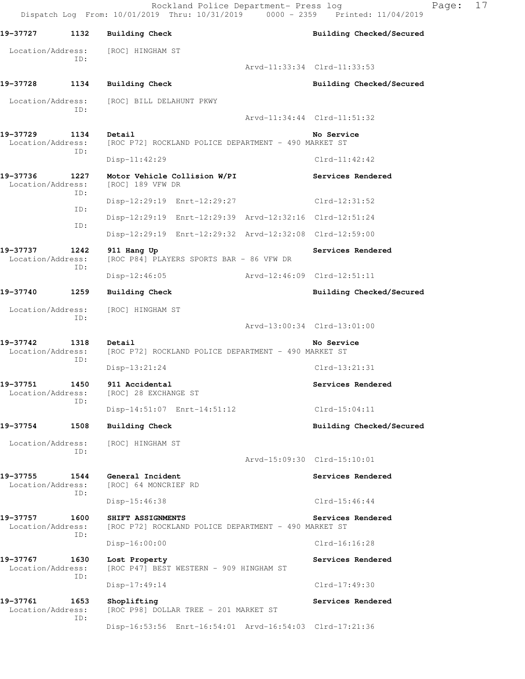Rockland Police Department- Press log Fage: 17 Dispatch Log From: 10/01/2019 Thru: 10/31/2019 0000 - 2359 Printed: 11/04/2019 19-37727 1132 Building Check **Building Checked/Secured**  Location/Address: [ROC] HINGHAM ST ID: Arvd-11:33:34 Clrd-11:33:53 **19-37728 1134 Building Check Building Checked/Secured**  Location/Address: [ROC] BILL DELAHUNT PKWY ID: Arvd-11:34:44 Clrd-11:51:32 19-37729 1134 Detail **19-37729** No Service Location/Address: [ROC P72] ROCKLAND POLICE DEPARTMENT - 490 MARKET ST ID: Disp-11:42:29 Clrd-11:42:42 19-37736 1227 Motor Vehicle Collision W/PI Services Rendered Location/Address: [ROC] 189 VFW DR Location/Address: ID: Disp-12:29:19 Enrt-12:29:27 Clrd-12:31:52 ID: Disp-12:29:19 Enrt-12:29:39 Arvd-12:32:16 Clrd-12:51:24 ID: Disp-12:29:19 Enrt-12:29:32 Arvd-12:32:08 Clrd-12:59:00 **19-37737 1242 911 Hang Up Services Rendered**  Location/Address: [ROC P84] PLAYERS SPORTS BAR - 86 VFW DR ID: Disp-12:46:05 Arvd-12:46:09 Clrd-12:51:11 **19-37740 1259 Building Check Building Checked/Secured**  Location/Address: [ROC] HINGHAM ST ID: Arvd-13:00:34 Clrd-13:01:00 **19-37742 1318 Detail No Service**  Location/Address: [ROC P72] ROCKLAND POLICE DEPARTMENT - 490 MARKET ST ID: Disp-13:21:24 Clrd-13:21:31 **19-37751 1450 911 Accidental Services Rendered**  Location/Address: [ROC] 28 EXCHANGE ST ID: Disp-14:51:07 Enrt-14:51:12 Clrd-15:04:11 19-37754 1508 Building Check **1996 120 Building Checked/Secured**  Location/Address: [ROC] HINGHAM ST ID: Arvd-15:09:30 Clrd-15:10:01 19-37755 1544 General Incident **19-37755** Services Rendered Location/Address: [ROC] 64 MONCRIEF RD ID: Disp-15:46:38 Clrd-15:46:44 **19-37757 1600 SHIFT ASSIGNMENTS Services Rendered**  Location/Address: [ROC P72] ROCKLAND POLICE DEPARTMENT - 490 MARKET ST ID: Disp-16:00:00 Clrd-16:16:28 **19-37767 1630 Lost Property Services Rendered**  Location/Address: [ROC P47] BEST WESTERN - 909 HINGHAM ST ID: Disp-17:49:14 Clrd-17:49:30 19-37761 1653 Shoplifting **Services Rendered** Location/Address: [ROC P98] DOLLAR TREE - 201 MARKET ST ID: Disp-16:53:56 Enrt-16:54:01 Arvd-16:54:03 Clrd-17:21:36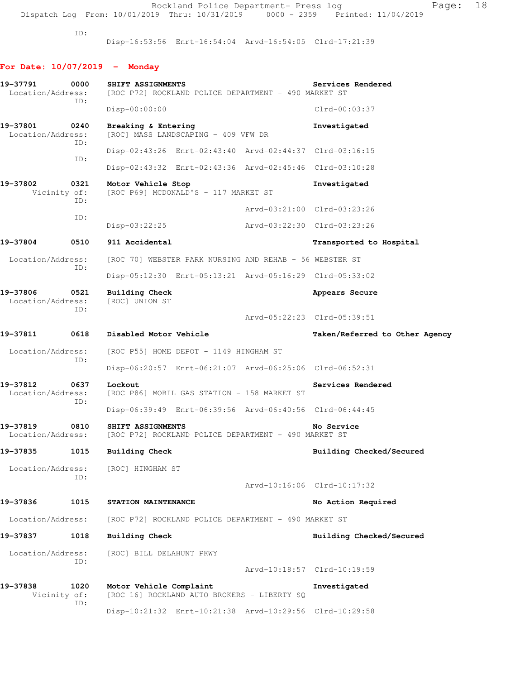Disp-16:53:56 Enrt-16:54:04 Arvd-16:54:05 Clrd-17:21:39

# **For Date: 10/07/2019 - Monday**

| 19-37791<br>Location/Address: | 0000        | SHIFT ASSIGNMENTS<br>[ROC P72] ROCKLAND POLICE DEPARTMENT - 490 MARKET ST |                             | Services Rendered              |
|-------------------------------|-------------|---------------------------------------------------------------------------|-----------------------------|--------------------------------|
|                               | ID:         | $Disp-00:00:00$                                                           |                             | $Clrd-00:03:37$                |
| 19-37801<br>Location/Address: | 0240        | Breaking & Entering<br>[ROC] MASS LANDSCAPING - 409 VFW DR                |                             | Investigated                   |
|                               | ID:         | Disp-02:43:26 Enrt-02:43:40 Arvd-02:44:37 Clrd-03:16:15                   |                             |                                |
|                               | ID:         | Disp-02:43:32 Enrt-02:43:36 Arvd-02:45:46 Clrd-03:10:28                   |                             |                                |
| 19-37802<br>Vicinity of:      | 0321        | Motor Vehicle Stop<br>[ROC P69] MCDONALD'S - 117 MARKET ST                |                             | Investigated                   |
|                               | ID:         |                                                                           |                             | Arvd-03:21:00 Clrd-03:23:26    |
|                               | ID:         | Disp-03:22:25                                                             | Arvd-03:22:30 Clrd-03:23:26 |                                |
| 19-37804                      | 0510        | 911 Accidental                                                            |                             | Transported to Hospital        |
| Location/Address:             |             | [ROC 70] WEBSTER PARK NURSING AND REHAB - 56 WEBSTER ST                   |                             |                                |
|                               | ID:         | Disp-05:12:30 Enrt-05:13:21 Arvd-05:16:29 Clrd-05:33:02                   |                             |                                |
| 19-37806<br>Location/Address: | 0521<br>ID: | Building Check<br>[ROC] UNION ST                                          |                             | Appears Secure                 |
|                               |             |                                                                           | Arvd-05:22:23 Clrd-05:39:51 |                                |
| 19-37811                      | 0618        | Disabled Motor Vehicle                                                    |                             | Taken/Referred to Other Agency |
| Location/Address:             |             | [ROC P55] HOME DEPOT - 1149 HINGHAM ST                                    |                             |                                |
|                               | ID:         | Disp-06:20:57 Enrt-06:21:07 Arvd-06:25:06 Clrd-06:52:31                   |                             |                                |
| 19-37812<br>Location/Address: | 0637<br>ID: | Lockout<br>[ROC P86] MOBIL GAS STATION - 158 MARKET ST                    |                             | Services Rendered              |
|                               |             | Disp-06:39:49 Enrt-06:39:56 Arvd-06:40:56 Clrd-06:44:45                   |                             |                                |
| 19-37819<br>Location/Address: | 0810        | SHIFT ASSIGNMENTS<br>[ROC P72] ROCKLAND POLICE DEPARTMENT - 490 MARKET ST |                             | No Service                     |
| 19-37835                      | 1015        | <b>Building Check</b>                                                     |                             | Building Checked/Secured       |
| Location/Address:             | TD:         | [ROC] HINGHAM ST                                                          |                             | Arvd-10:16:06 Clrd-10:17:32    |
|                               | 1015        |                                                                           |                             |                                |
| 19-37836                      |             | STATION MAINTENANCE                                                       |                             | No Action Required             |
| Location/Address:             |             | [ROC P72] ROCKLAND POLICE DEPARTMENT - 490 MARKET ST                      |                             |                                |
| 19-37837                      | 1018        | Building Check                                                            |                             | Building Checked/Secured       |
| Location/Address:             | ID:         | [ROC] BILL DELAHUNT PKWY                                                  | Arvd-10:18:57 Clrd-10:19:59 |                                |
| 19-37838                      | 1020        | Motor Vehicle Complaint                                                   |                             | Investigated                   |
| Vicinity of:                  | ID:         | [ROC 16] ROCKLAND AUTO BROKERS - LIBERTY SQ                               |                             |                                |
|                               |             | Disp-10:21:32 Enrt-10:21:38 Arvd-10:29:56 Clrd-10:29:58                   |                             |                                |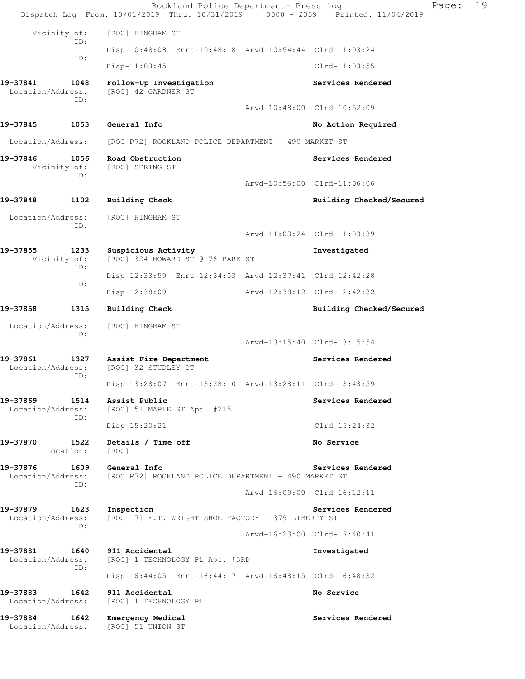|                                    |                   | Rockland Police Department- Press log<br>Dispatch Log From: 10/01/2019 Thru: 10/31/2019 0000 - 2359 Printed: 11/04/2019 |                             |                             | Page: | 19 |
|------------------------------------|-------------------|-------------------------------------------------------------------------------------------------------------------------|-----------------------------|-----------------------------|-------|----|
| Vicinity of:                       |                   | [ROC] HINGHAM ST                                                                                                        |                             |                             |       |    |
|                                    | ID:               | Disp-10:48:08 Enrt-10:48:18 Arvd-10:54:44 Clrd-11:03:24                                                                 |                             |                             |       |    |
|                                    | ID:               | $Disp-11:03:45$                                                                                                         |                             | $Clrd-11:03:55$             |       |    |
| 19-37841<br>Location/Address:      | 1048              | Follow-Up Investigation<br>[ROC] 42 GARDNER ST                                                                          |                             | Services Rendered           |       |    |
|                                    | ID:               |                                                                                                                         |                             | Aryd-10:48:00 Clrd-10:52:09 |       |    |
| 19-37845                           | 1053              | General Info                                                                                                            |                             | No Action Required          |       |    |
| Location/Address:                  |                   | [ROC P72] ROCKLAND POLICE DEPARTMENT - 490 MARKET ST                                                                    |                             |                             |       |    |
| 19-37846<br>Vicinity of:           | 1056<br>ID:       | Road Obstruction<br>[ROC] SPRING ST                                                                                     |                             | Services Rendered           |       |    |
|                                    |                   |                                                                                                                         |                             | Arvd-10:56:00 Clrd-11:06:06 |       |    |
| 19-37848                           | 1102              | <b>Building Check</b>                                                                                                   |                             | Building Checked/Secured    |       |    |
| Location/Address:                  |                   | [ROC] HINGHAM ST                                                                                                        |                             |                             |       |    |
|                                    | ID:               |                                                                                                                         |                             | Arvd-11:03:24 Clrd-11:03:39 |       |    |
| 19-37855<br>Vicinity of:           | 1233<br>ID:       | Suspicious Activity<br>[ROC] 324 HOWARD ST @ 76 PARK ST                                                                 |                             | Investigated                |       |    |
|                                    | ID:               | Disp-12:33:59 Enrt-12:34:03 Arvd-12:37:41 Clrd-12:42:28                                                                 |                             |                             |       |    |
|                                    |                   | Disp-12:38:09                                                                                                           | Arvd-12:38:12 Clrd-12:42:32 |                             |       |    |
| 19-37858                           | 1315              | Building Check                                                                                                          |                             | Building Checked/Secured    |       |    |
| Location/Address:                  |                   | [ROC] HINGHAM ST                                                                                                        |                             |                             |       |    |
|                                    | ID:               |                                                                                                                         |                             | Arvd-13:15:40 Clrd-13:15:54 |       |    |
| 19-37861<br>Location/Address:      | 1327<br>ID:       | Assist Fire Department<br>[ROC] 32 STUDLEY CT                                                                           |                             | Services Rendered           |       |    |
|                                    |                   | Disp-13:28:07 Enrt-13:28:10 Arvd-13:28:11 Clrd-13:43:59                                                                 |                             |                             |       |    |
| 19-37869<br>Location/Address:      | 1514<br>ID:       | Assist Public<br>[ROC] 51 MAPLE ST Apt. #215                                                                            |                             | Services Rendered           |       |    |
|                                    |                   | Disp-15:20:21                                                                                                           |                             | Clrd-15:24:32               |       |    |
| 19-37870                           | 1522<br>Location: | Details / Time off<br>[ROC]                                                                                             |                             | No Service                  |       |    |
| 19-37876<br>Location/Address:      | ID:               | 1609 General Info<br>[ROC P72] ROCKLAND POLICE DEPARTMENT - 490 MARKET ST                                               |                             | Services Rendered           |       |    |
|                                    |                   |                                                                                                                         |                             | Arvd-16:09:00 Clrd-16:12:11 |       |    |
| 19-37879<br>Location/Address:      | 1623<br>ID:       | Inspection<br>[ROC 17] E.T. WRIGHT SHOE FACTORY - 379 LIBERTY ST                                                        |                             | Services Rendered           |       |    |
|                                    |                   |                                                                                                                         |                             | Arvd-16:23:00 Clrd-17:40:41 |       |    |
| 19-37881<br>Location/Address:      | ID:               | 1640 911 Accidental<br>[ROC] 1 TECHNOLOGY PL Apt. #3RD                                                                  |                             | Investigated                |       |    |
|                                    |                   | Disp-16:44:05 Enrt-16:44:17 Arvd-16:48:15 Clrd-16:48:32                                                                 |                             |                             |       |    |
| 19-37883 1642<br>Location/Address: |                   | 911 Accidental<br>[ROC] 1 TECHNOLOGY PL                                                                                 |                             | No Service                  |       |    |
| 19-37884 1642<br>Location/Address: |                   | Emergency Medical<br>[ROC] 51 UNION ST                                                                                  |                             | Services Rendered           |       |    |
|                                    |                   |                                                                                                                         |                             |                             |       |    |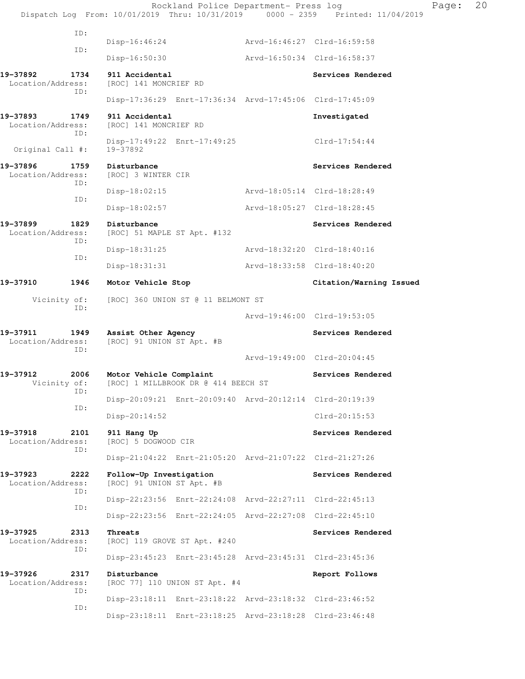Rockland Police Department- Press log Fage: 20 Dispatch Log From: 10/01/2019 Thru: 10/31/2019 0000 - 2359 Printed: 11/04/2019 ID: Disp-16:46:24 Arvd-16:46:27 Clrd-16:59:58 ID: Disp-16:50:30 Arvd-16:50:34 Clrd-16:58:37 **19-37892 1734 911 Accidental Services Rendered**  Location/Address: [ROC] 141 MONCRIEF RD ID: Disp-17:36:29 Enrt-17:36:34 Arvd-17:45:06 Clrd-17:45:09 **19-37893 1749 911 Accidental Investigated**  Location/Address: [ROC] 141 MONCRIEF RD ID: Disp-17:49:22 Enrt-17:49:25 Clrd-17:54:44<br>19-37892 Original Call #: 19-37896 1759 Disturbance **1996 1996 1997 1998 1998 1998 1998** Services Rendered Location/Address: [ROC] 3 WINTER CIR ID: Disp-18:02:15 Arvd-18:05:14 Clrd-18:28:49 ID: Disp-18:02:57 Arvd-18:05:27 Clrd-18:28:45 19-37899 1829 Disturbance **Services Rendered** Location/Address: [ROC] 51 MAPLE ST Apt. #132 ID: Disp-18:31:25 Arvd-18:32:20 Clrd-18:40:16 ID: Disp-18:31:31 Arvd-18:33:58 Clrd-18:40:20 **19-37910 1946 Motor Vehicle Stop Citation/Warning Issued**  Vicinity of: [ROC] 360 UNION ST @ 11 BELMONT ST ID: Arvd-19:46:00 Clrd-19:53:05 **19-37911 1949 Assist Other Agency Services Rendered**  Location/Address: [ROC] 91 UNION ST Apt. #B ID: Arvd-19:49:00 Clrd-20:04:45 19-37912 2006 Motor Vehicle Complaint **19-37912** Services Rendered Vicinity of: [ROC] 1 MILLBROOK DR @ 414 BEECH ST ID: Disp-20:09:21 Enrt-20:09:40 Arvd-20:12:14 Clrd-20:19:39 ID: Disp-20:14:52 Clrd-20:15:53 19-37918 2101 911 Hang Up **Services Rendered** Location/Address: [ROC] 5 DOGWOOD CIR ID: Disp-21:04:22 Enrt-21:05:20 Arvd-21:07:22 Clrd-21:27:26 **19-37923 2222 Follow-Up Investigation Services Rendered**  Location/Address: [ROC] 91 UNION ST Apt. #B ID: Disp-22:23:56 Enrt-22:24:08 Arvd-22:27:11 Clrd-22:45:13 ID: Disp-22:23:56 Enrt-22:24:05 Arvd-22:27:08 Clrd-22:45:10 **19-37925** 2313 Threats Services Rendered Location/Address: [ROC] 119 GROVE ST Apt. #240 ID: Disp-23:45:23 Enrt-23:45:28 Arvd-23:45:31 Clrd-23:45:36 **19-37926 2317 Disturbance Report Follows**  Location/Address: [ROC 77] 110 UNION ST Apt. #4 ID: Disp-23:18:11 Enrt-23:18:22 Arvd-23:18:32 Clrd-23:46:52 ID: Disp-23:18:11 Enrt-23:18:25 Arvd-23:18:28 Clrd-23:46:48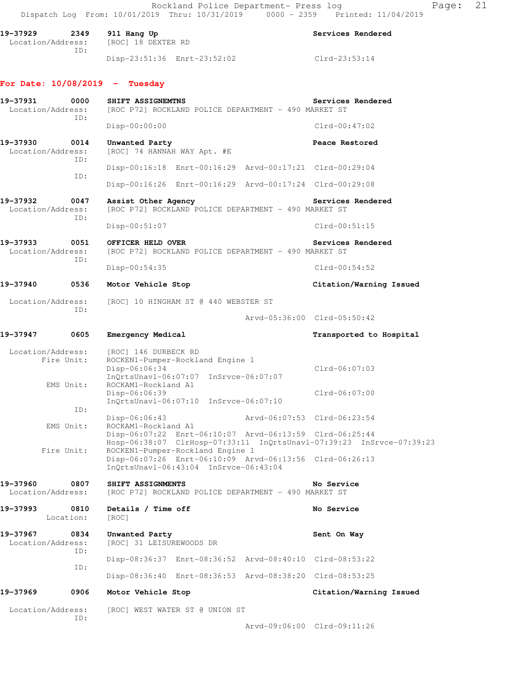Rockland Police Department- Press log Fage: 21 Dispatch Log From: 10/01/2019 Thru: 10/31/2019 0000 - 2359 Printed: 11/04/2019 **19-37929 2349 911 Hang Up Services Rendered**  Location/Address: [ROC] 18 DEXTER RD ID: Disp-23:51:36 Enrt-23:52:02 Clrd-23:53:14 **For Date: 10/08/2019 - Tuesday 19-37931 0000 SHIFT ASSIGNEMTNS Services Rendered**<br>Location/Address: [ROC P72] ROCKLAND POLICE DEPARTMENT - 490 MARKET ST [ROC P72] ROCKLAND POLICE DEPARTMENT - 490 MARKET ST ID: Disp-00:00:00 Clrd-00:47:02 **19-37930 0014 Unwanted Party Peace Restored**  Location/Address: [ROC] 74 HANNAH WAY Apt. #E ID: Disp-00:16:18 Enrt-00:16:29 Arvd-00:17:21 Clrd-00:29:04 ID: Disp-00:16:26 Enrt-00:16:29 Arvd-00:17:24 Clrd-00:29:08 19-37932 0047 Assist Other Agency **Services Rendered** Location/Address: [ROC P72] ROCKLAND POLICE DEPARTMENT - 490 MARKET ST ID: Disp-00:51:07 Clrd-00:51:15 **19-37933 0051 OFFICER HELD OVER Services Rendered**  Location/Address: [ROC P72] ROCKLAND POLICE DEPARTMENT - 490 MARKET ST ID: Disp-00:54:35 Clrd-00:54:52 **19-37940 0536 Motor Vehicle Stop Citation/Warning Issued**  Location/Address: [ROC] 10 HINGHAM ST @ 440 WEBSTER ST ID: Arvd-05:36:00 Clrd-05:50:42 **19-37947 0605 Emergency Medical Transported to Hospital**  Location/Address: [ROC] 146 DURBECK RD Fire Unit: ROCKEN1-Pumper-Rockland Engine 1 Disp-06:06:34 Clrd-06:07:03 InQrtsUnavl-06:07:07 InSrvce-06:07:07<br>EMS Unit: ROCKAM1-Rockland A1 ROCKAM1-Rockland A1 Disp-06:06:39 Clrd-06:07:00 InQrtsUnavl-06:07:10 InSrvce-06:07:10 ID: Disp-06:06:43 Arvd-06:07:53 Clrd-06:23:54<br>EMS Unit: ROCKAM1-Rockland A1 ROCKAM1-Rockland A1 Disp-06:07:22 Enrt-06:10:07 Arvd-06:13:59 Clrd-06:25:44 Hosp-06:38:07 ClrHosp-07:33:11 InQrtsUnavl-07:39:23 InSrvce-07:39:23 Fire Unit: ROCKEN1-Pumper-Rockland Engine 1 Disp-06:07:26 Enrt-06:10:09 Arvd-06:13:56 Clrd-06:26:13 InQrtsUnavl-06:43:04 InSrvce-06:43:04 **19-37960 0807 SHIFT ASSIGNMENTS No Service** 

Location/Address: [ROC P72] ROCKLAND POLICE DEPARTMENT - 490 MARKET ST

**19-37993 0810 Details / Time off No Service**  Location: [ROC] **19-37967 0834 Unwanted Party Sent On Way**  Location/Address: [ROC] 31 LEISUREWOODS DR ID: Disp-08:36:37 Enrt-08:36:52 Arvd-08:40:10 Clrd-08:53:22 ID: Disp-08:36:40 Enrt-08:36:53 Arvd-08:38:20 Clrd-08:53:25 **19-37969 0906 Motor Vehicle Stop Citation/Warning Issued** 

 Location/Address: [ROC] WEST WATER ST @ UNION ST ID:

Arvd-09:06:00 Clrd-09:11:26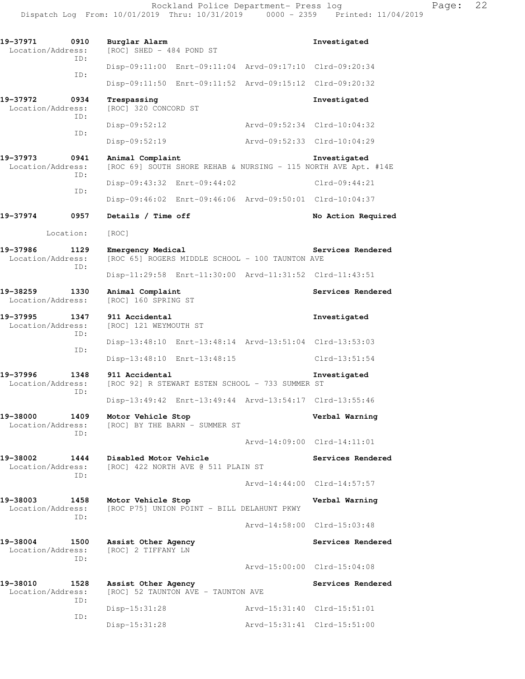| 19-37971<br>0910<br>Location/Address:        | Burglar Alarm<br>[ROC] SHED - 484 POND ST                             |                             | Investigated                                                                   |
|----------------------------------------------|-----------------------------------------------------------------------|-----------------------------|--------------------------------------------------------------------------------|
| ID:                                          | Disp-09:11:00 Enrt-09:11:04                                           |                             | Arvd-09:17:10 Clrd-09:20:34                                                    |
| ID:                                          | Disp-09:11:50 Enrt-09:11:52 Arvd-09:15:12 Clrd-09:20:32               |                             |                                                                                |
| 19-37972<br>0934<br>Location/Address:        | Trespassing<br>[ROC] 320 CONCORD ST                                   |                             | Investigated                                                                   |
| ID:                                          | $Disp-09:52:12$                                                       |                             | Arvd-09:52:34 Clrd-10:04:32                                                    |
| ID:                                          | Disp-09:52:19                                                         |                             | Arvd-09:52:33 Clrd-10:04:29                                                    |
| 19-37973<br>0941<br>Location/Address:<br>ID: | Animal Complaint                                                      |                             | Investigated<br>[ROC 69] SOUTH SHORE REHAB & NURSING - 115 NORTH AVE Apt. #14E |
|                                              | Disp-09:43:32 Enrt-09:44:02                                           |                             | $Clrd-09:44:21$                                                                |
| ID:                                          | Disp-09:46:02 Enrt-09:46:06 Arvd-09:50:01 Clrd-10:04:37               |                             |                                                                                |
| 19-37974<br>0957                             | Details / Time off                                                    |                             | No Action Required                                                             |
| Location:                                    | [ROC]                                                                 |                             |                                                                                |
| 19-37986<br>1129<br>Location/Address:<br>ID: | Emergency Medical<br>[ROC 65] ROGERS MIDDLE SCHOOL - 100 TAUNTON AVE  |                             | Services Rendered                                                              |
|                                              | Disp-11:29:58 Enrt-11:30:00 Arvd-11:31:52 Clrd-11:43:51               |                             |                                                                                |
| 19-38259<br>1330<br>Location/Address:        | Animal Complaint<br>[ROC] 160 SPRING ST                               |                             | Services Rendered                                                              |
| 19-37995<br>1347<br>Location/Address:<br>ID: | 911 Accidental<br>[ROC] 121 WEYMOUTH ST                               |                             | Investigated                                                                   |
| ID:                                          | Disp-13:48:10 Enrt-13:48:14 Arvd-13:51:04 Clrd-13:53:03               |                             |                                                                                |
|                                              | Disp-13:48:10 Enrt-13:48:15                                           |                             | $Clrd-13:51:54$                                                                |
| 19-37996<br>1348<br>Location/Address:<br>ID: | 911 Accidental<br>[ROC 92] R STEWART ESTEN SCHOOL - 733 SUMMER ST     |                             | Investigated                                                                   |
|                                              | Disp-13:49:42 Enrt-13:49:44 Arvd-13:54:17 Clrd-13:55:46               |                             |                                                                                |
| 19-38000<br>1409<br>TD:                      | Motor Vehicle Stop<br>Location/Address: [ROC] BY THE BARN - SUMMER ST |                             | Verbal Warning                                                                 |
|                                              |                                                                       |                             | Arvd-14:09:00 Clrd-14:11:01                                                    |
| 19-38002<br>Location/Address:<br>ID:         | 1444 Disabled Motor Vehicle<br>[ROC] 422 NORTH AVE @ 511 PLAIN ST     |                             | Services Rendered                                                              |
|                                              |                                                                       |                             | Arvd-14:44:00 Clrd-14:57:57                                                    |
| 19-38003<br>1458<br>Location/Address:<br>ID: | Motor Vehicle Stop<br>[ROC P75] UNION POINT - BILL DELAHUNT PKWY      |                             | Verbal Warning                                                                 |
|                                              |                                                                       |                             | Arvd-14:58:00 Clrd-15:03:48                                                    |
| 19-38004<br>1500<br>Location/Address:<br>ID: | Assist Other Agency<br>[ROC] 2 TIFFANY LN                             |                             | Services Rendered                                                              |
|                                              |                                                                       |                             | Arvd-15:00:00 Clrd-15:04:08                                                    |
| 19-38010<br>1528<br>Location/Address:<br>ID: | Assist Other Agency<br>[ROC] 52 TAUNTON AVE - TAUNTON AVE             |                             | Services Rendered                                                              |
| ID:                                          | Disp-15:31:28                                                         | Arvd-15:31:40 Clrd-15:51:01 |                                                                                |
|                                              | Disp-15:31:28                                                         | Arvd-15:31:41 Clrd-15:51:00 |                                                                                |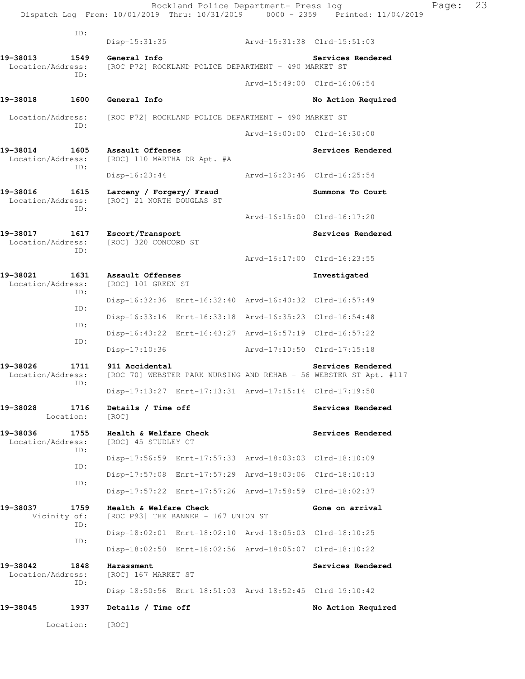|                               |                   |                                                       | Rockland Police Department- Press log                   |                             | Dispatch Log From: 10/01/2019 Thru: 10/31/2019 0000 - 2359 Printed: 11/04/2019         | Page: | 23 |
|-------------------------------|-------------------|-------------------------------------------------------|---------------------------------------------------------|-----------------------------|----------------------------------------------------------------------------------------|-------|----|
|                               | ID:               | Disp-15:31:35                                         |                                                         | Arvd-15:31:38 Clrd-15:51:03 |                                                                                        |       |    |
| 19-38013<br>Location/Address: | 1549<br>ID:       | General Info                                          | [ROC P72] ROCKLAND POLICE DEPARTMENT - 490 MARKET ST    |                             | Services Rendered                                                                      |       |    |
|                               |                   |                                                       |                                                         |                             | Arvd-15:49:00 Clrd-16:06:54                                                            |       |    |
| 19-38018                      | 1600              | General Info                                          |                                                         |                             | No Action Required                                                                     |       |    |
| Location/Address:             | ID:               |                                                       | [ROC P72] ROCKLAND POLICE DEPARTMENT - 490 MARKET ST    |                             |                                                                                        |       |    |
|                               |                   |                                                       |                                                         |                             | Arvd-16:00:00 Clrd-16:30:00                                                            |       |    |
| 19-38014<br>Location/Address: | 1605<br>ID:       | Assault Offenses<br>[ROC] 110 MARTHA DR Apt. #A       |                                                         |                             | Services Rendered                                                                      |       |    |
|                               |                   | $Disp-16:23:44$                                       |                                                         |                             | Arvd-16:23:46 Clrd-16:25:54                                                            |       |    |
| 19-38016<br>Location/Address: | 1615<br>ID:       | Larceny / Forgery/ Fraud<br>[ROC] 21 NORTH DOUGLAS ST |                                                         |                             | Summons To Court                                                                       |       |    |
|                               |                   |                                                       |                                                         |                             | Arvd-16:15:00 Clrd-16:17:20                                                            |       |    |
| 19-38017<br>Location/Address: | 1617<br>ID:       | Escort/Transport<br>[ROC] 320 CONCORD ST              |                                                         |                             | Services Rendered                                                                      |       |    |
|                               |                   |                                                       |                                                         |                             | Arvd-16:17:00 Clrd-16:23:55                                                            |       |    |
| 19-38021<br>Location/Address: | 1631<br>ID:       | Assault Offenses<br>[ROC] 101 GREEN ST                |                                                         |                             | Investigated                                                                           |       |    |
|                               | ID:               |                                                       | Disp-16:32:36 Enrt-16:32:40 Arvd-16:40:32 Clrd-16:57:49 |                             |                                                                                        |       |    |
|                               | ID:               |                                                       | Disp-16:33:16 Enrt-16:33:18 Arvd-16:35:23 Clrd-16:54:48 |                             |                                                                                        |       |    |
|                               | ID:               |                                                       | Disp-16:43:22 Enrt-16:43:27 Arvd-16:57:19 Clrd-16:57:22 |                             |                                                                                        |       |    |
|                               |                   | Disp-17:10:36                                         |                                                         |                             | Arvd-17:10:50 Clrd-17:15:18                                                            |       |    |
| 19-38026<br>Location/Address: | 1711<br>ID:       | 911 Accidental                                        |                                                         |                             | Services Rendered<br>[ROC 70] WEBSTER PARK NURSING AND REHAB - 56 WEBSTER ST Apt. #117 |       |    |
|                               |                   |                                                       | Disp-17:13:27 Enrt-17:13:31 Arvd-17:15:14 Clrd-17:19:50 |                             |                                                                                        |       |    |
| 19-38028                      | 1716<br>Location: | Details / Time off<br>[ROC]                           |                                                         |                             | Services Rendered                                                                      |       |    |
| 19-38036<br>Location/Address: | 1755<br>ID:       | Health & Welfare Check<br>[ROC] 45 STUDLEY CT         |                                                         |                             | Services Rendered                                                                      |       |    |
|                               | ID:               |                                                       | Disp-17:56:59 Enrt-17:57:33 Arvd-18:03:03 Clrd-18:10:09 |                             |                                                                                        |       |    |
|                               | ID:               |                                                       | Disp-17:57:08 Enrt-17:57:29 Arvd-18:03:06 Clrd-18:10:13 |                             |                                                                                        |       |    |
|                               |                   |                                                       | Disp-17:57:22 Enrt-17:57:26 Arvd-17:58:59 Clrd-18:02:37 |                             |                                                                                        |       |    |
| 19-38037<br>Vicinity of:      | 1759<br>ID:       | Health & Welfare Check                                | [ROC P93] THE BANNER - 167 UNION ST                     |                             | Gone on arrival                                                                        |       |    |
|                               | ID:               |                                                       | Disp-18:02:01 Enrt-18:02:10 Arvd-18:05:03 Clrd-18:10:25 |                             |                                                                                        |       |    |
|                               |                   |                                                       | Disp-18:02:50 Enrt-18:02:56 Arvd-18:05:07 Clrd-18:10:22 |                             |                                                                                        |       |    |
| 19-38042<br>Location/Address: | 1848<br>ID:       | Harassment<br>[ROC] 167 MARKET ST                     |                                                         |                             | Services Rendered                                                                      |       |    |
|                               |                   |                                                       | Disp-18:50:56 Enrt-18:51:03 Arvd-18:52:45 Clrd-19:10:42 |                             |                                                                                        |       |    |
| 19-38045                      | 1937              | Details / Time off                                    |                                                         |                             | No Action Required                                                                     |       |    |
|                               | Location:         | [ROC]                                                 |                                                         |                             |                                                                                        |       |    |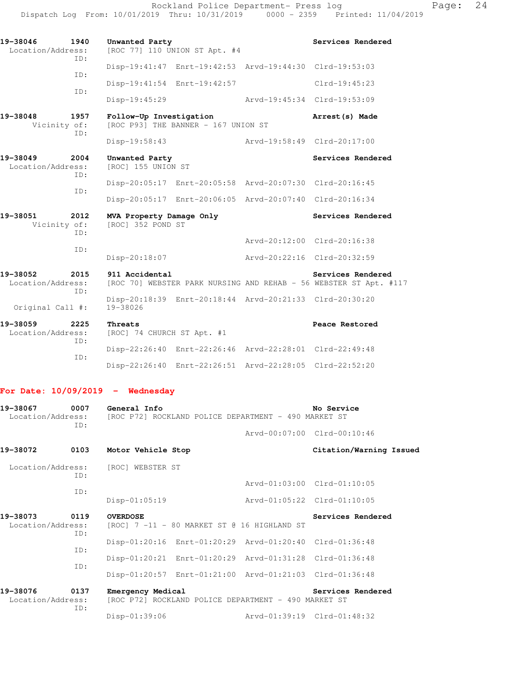| 19-38046<br>Location/Address: | 1940<br>TD: | Unwanted Party                                | [ROC 77] 110 UNION ST Apt. #4       |                                                         | Services Rendered                                                                      |
|-------------------------------|-------------|-----------------------------------------------|-------------------------------------|---------------------------------------------------------|----------------------------------------------------------------------------------------|
|                               |             |                                               |                                     | Disp-19:41:47 Enrt-19:42:53 Arvd-19:44:30 Clrd-19:53:03 |                                                                                        |
|                               | TD:         |                                               | Disp-19:41:54 Enrt-19:42:57         |                                                         | $Clrd-19:45:23$                                                                        |
|                               | ID:         | Disp-19:45:29                                 |                                     | Arvd-19:45:34 Clrd-19:53:09                             |                                                                                        |
| 19-38048<br>Vicinity of:      | 1957<br>TD: | Follow-Up Investigation                       | [ROC P93] THE BANNER - 167 UNION ST |                                                         | Arrest(s) Made                                                                         |
|                               |             | Disp-19:58:43                                 |                                     | Arvd-19:58:49 Clrd-20:17:00                             |                                                                                        |
| 19-38049<br>Location/Address: | 2004<br>TD: | Unwanted Party<br>[ROC] 155 UNION ST          |                                     |                                                         | Services Rendered                                                                      |
|                               | TD:         |                                               |                                     | Disp-20:05:17 Enrt-20:05:58 Arvd-20:07:30 Clrd-20:16:45 |                                                                                        |
|                               |             |                                               |                                     | Disp-20:05:17 Enrt-20:06:05 Arvd-20:07:40 Clrd-20:16:34 |                                                                                        |
| 19-38051<br>Vicinity of:      | 2012<br>TD: | MVA Property Damage Only<br>[ROC] 352 POND ST |                                     |                                                         | Services Rendered                                                                      |
|                               | ID:         |                                               |                                     | Arvd-20:12:00 Clrd-20:16:38                             |                                                                                        |
|                               |             | Disp-20:18:07                                 |                                     | Arvd-20:22:16 Clrd-20:32:59                             |                                                                                        |
| 19-38052<br>Location/Address: | 2015<br>ID: | 911 Accidental                                |                                     |                                                         | Services Rendered<br>[ROC 70] WEBSTER PARK NURSING AND REHAB - 56 WEBSTER ST Apt. #117 |
| Original Call #:              |             | 19-38026                                      |                                     | Disp-20:18:39 Enrt-20:18:44 Arvd-20:21:33 Clrd-20:30:20 |                                                                                        |
| 19-38059<br>Location/Address: | 2225<br>TD: | Threats<br>[ROC] 74 CHURCH ST Apt. #1         |                                     |                                                         | Peace Restored                                                                         |
|                               |             |                                               |                                     | Disp-22:26:40 Enrt-22:26:46 Arvd-22:28:01 Clrd-22:49:48 |                                                                                        |

 ID: Disp-22:26:40 Enrt-22:26:51 Arvd-22:28:05 Clrd-22:52:20

### **For Date: 10/09/2019 - Wednesday**

| 19-38067                      | 0007<br>ID: | General Info<br>Location/Address: [ROC P72] ROCKLAND POLICE DEPARTMENT - 490 MARKET ST | No Service                  |                             |
|-------------------------------|-------------|----------------------------------------------------------------------------------------|-----------------------------|-----------------------------|
|                               |             |                                                                                        |                             | Arvd-00:07:00 Clrd-00:10:46 |
| 19-38072                      | 0103        | Motor Vehicle Stop                                                                     |                             | Citation/Warning Issued     |
|                               | ID:         | Location/Address: [ROC] WEBSTER ST                                                     |                             |                             |
|                               |             |                                                                                        |                             | Arvd-01:03:00 Clrd-01:10:05 |
|                               | ID:         | Disp-01:05:19                                                                          | Arvd-01:05:22 Clrd-01:10:05 |                             |
| 19-38073<br>Location/Address: | 0119<br>ID: | <b>OVERDOSE</b><br>[ROC] 7 -11 - 80 MARKET ST @ 16 HIGHLAND ST                         |                             | Services Rendered           |
|                               |             | Disp-01:20:16 Enrt-01:20:29 Arvd-01:20:40 Clrd-01:36:48                                |                             |                             |
|                               | ID:<br>TD:  | Disp-01:20:21 Enrt-01:20:29 Arvd-01:31:28 Clrd-01:36:48                                |                             |                             |
|                               |             | Disp-01:20:57 Enrt-01:21:00 Arvd-01:21:03 Clrd-01:36:48                                |                             |                             |
| 19-38076<br>Location/Address: | 0137<br>ID: | Emergency Medical<br>[ROC P72] ROCKLAND POLICE DEPARTMENT - 490 MARKET ST              |                             | Services Rendered           |
|                               |             | Disp-01:39:06                                                                          |                             | Arvd-01:39:19 Clrd-01:48:32 |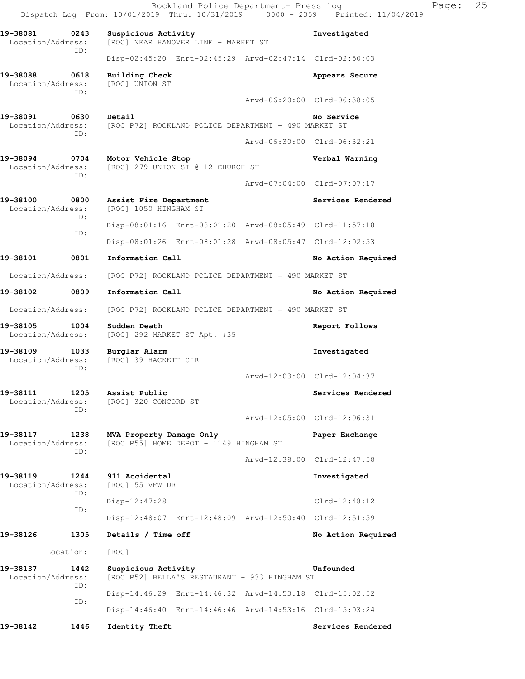Rockland Police Department- Press log Fage: 25 Dispatch Log From: 10/01/2019 Thru: 10/31/2019 0000 - 2359 Printed: 11/04/2019 **19-38081 0243 Suspicious Activity Investigated**  Location/Address: [ROC] NEAR HANOVER LINE - MARKET ST ID: Disp-02:45:20 Enrt-02:45:29 Arvd-02:47:14 Clrd-02:50:03 **19-38088 0618 Building Check Appears Secure**  Location/Address: ID: Arvd-06:20:00 Clrd-06:38:05 **19-38091 0630 Detail No Service**  Location/Address: [ROC P72] ROCKLAND POLICE DEPARTMENT - 490 MARKET ST ID: Arvd-06:30:00 Clrd-06:32:21 **19-38094 0704 Motor Vehicle Stop Verbal Warning**  Location/Address: [ROC] 279 UNION ST @ 12 CHURCH ST ID: Arvd-07:04:00 Clrd-07:07:17 19-38100 0800 Assist Fire Department **19-38100 Services Rendered Services Rendered Integral** Location/Address: [ROC] 1050 HINGHAM ST [ROC] 1050 HINGHAM ST ID: Disp-08:01:16 Enrt-08:01:20 Arvd-08:05:49 Clrd-11:57:18 ID: Disp-08:01:26 Enrt-08:01:28 Arvd-08:05:47 Clrd-12:02:53 19-38101 0801 Information Call **No Action Required**  Location/Address: [ROC P72] ROCKLAND POLICE DEPARTMENT - 490 MARKET ST 19-38102 0809 Information Call **19-38102** No Action Required Location/Address: [ROC P72] ROCKLAND POLICE DEPARTMENT - 490 MARKET ST **19-38105 1004 Sudden Death Report Follows**  Location/Address: [ROC] 292 MARKET ST Apt. #35 **19-38109 1033 Burglar Alarm Investigated**  Location/Address: [ROC] 39 HACKETT CIR ID: Arvd-12:03:00 Clrd-12:04:37 19-38111 1205 Assist Public **19-38111** Services Rendered Location/Address: [ROC] 320 CONCORD ST ID: Arvd-12:05:00 Clrd-12:06:31 **19-38117 1238 MVA Property Damage Only Paper Exchange**  Location/Address: [ROC P55] HOME DEPOT - 1149 HINGHAM ST ID: Arvd-12:38:00 Clrd-12:47:58 **19-38119 1244 911 Accidental 1244 Investigated Investigated Investigated** Location/Address: ID: Disp-12:47:28 Clrd-12:48:12 ID: Disp-12:48:07 Enrt-12:48:09 Arvd-12:50:40 Clrd-12:51:59 19-38126 1305 Details / Time off **No Action Required**  Location: [ROC] **19-38137 1442 Suspicious Activity Unfounded**  Location/Address: [ROC P52] BELLA'S RESTAURANT - 933 HINGHAM ST ID: Disp-14:46:29 Enrt-14:46:32 Arvd-14:53:18 Clrd-15:02:52 ID: Disp-14:46:40 Enrt-14:46:46 Arvd-14:53:16 Clrd-15:03:24

**19-38142 1446 Identity Theft Services Rendered**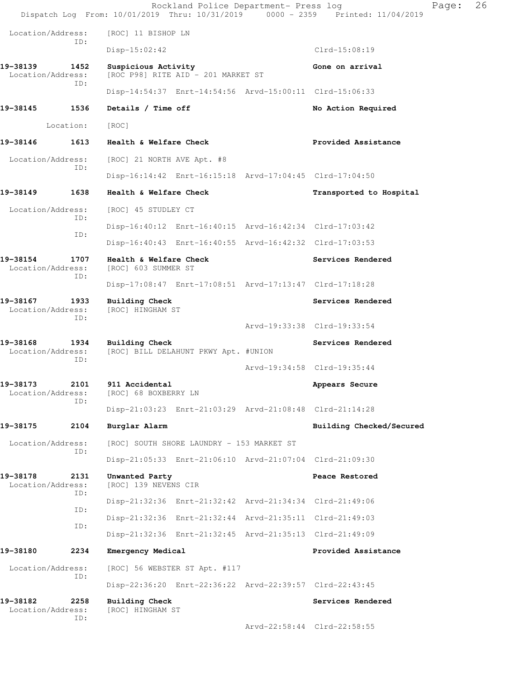|                               |             |                                                           | Rockland Police Department- Press log | Dispatch Log From: 10/01/2019 Thru: 10/31/2019 0000 - 2359 Printed: 11/04/2019 | 26<br>Page: |
|-------------------------------|-------------|-----------------------------------------------------------|---------------------------------------|--------------------------------------------------------------------------------|-------------|
| Location/Address:             |             | [ROC] 11 BISHOP LN                                        |                                       |                                                                                |             |
|                               | ID:         | $Disp-15:02:42$                                           |                                       | Clrd-15:08:19                                                                  |             |
| 19-38139<br>Location/Address: | 1452<br>ID: | Suspicious Activity<br>[ROC P98] RITE AID - 201 MARKET ST |                                       | Gone on arrival                                                                |             |
|                               |             | Disp-14:54:37 Enrt-14:54:56 Arvd-15:00:11 Clrd-15:06:33   |                                       |                                                                                |             |
| 19-38145                      | 1536        | Details / Time off                                        |                                       | No Action Required                                                             |             |
|                               | Location:   | [ROC]                                                     |                                       |                                                                                |             |
| 19-38146                      | 1613        | Health & Welfare Check                                    |                                       | Provided Assistance                                                            |             |
| Location/Address:             | ID:         | [ROC] 21 NORTH AVE Apt. #8                                |                                       |                                                                                |             |
|                               |             | Disp-16:14:42 Enrt-16:15:18 Arvd-17:04:45 Clrd-17:04:50   |                                       |                                                                                |             |
| 19-38149                      | 1638        | Health & Welfare Check                                    |                                       | Transported to Hospital                                                        |             |
| Location/Address:             | ID:         | [ROC] 45 STUDLEY CT                                       |                                       |                                                                                |             |
|                               | ID:         | Disp-16:40:12 Enrt-16:40:15 Arvd-16:42:34 Clrd-17:03:42   |                                       |                                                                                |             |
|                               |             | Disp-16:40:43 Enrt-16:40:55 Arvd-16:42:32 Clrd-17:03:53   |                                       |                                                                                |             |
| 19-38154<br>Location/Address: | 1707<br>ID: | Health & Welfare Check<br>[ROC] 603 SUMMER ST             |                                       | Services Rendered                                                              |             |
|                               |             | Disp-17:08:47 Enrt-17:08:51 Arvd-17:13:47 Clrd-17:18:28   |                                       |                                                                                |             |
| 19-38167<br>Location/Address: | 1933<br>ID: | Building Check<br>[ROC] HINGHAM ST                        |                                       | Services Rendered                                                              |             |
|                               |             |                                                           |                                       | Arvd-19:33:38 Clrd-19:33:54                                                    |             |
| 19-38168<br>Location/Address: | 1934<br>ID: | Building Check<br>[ROC] BILL DELAHUNT PKWY Apt. #UNION    |                                       | Services Rendered                                                              |             |
|                               |             |                                                           |                                       | Arvd-19:34:58 Clrd-19:35:44                                                    |             |
| 19–38173<br>Location/Address: | 2101<br>ID: | 911 Accidental<br>[ROC] 68 BOXBERRY LN                    |                                       | Appears Secure                                                                 |             |
|                               |             | Disp-21:03:23 Enrt-21:03:29 Arvd-21:08:48 Clrd-21:14:28   |                                       |                                                                                |             |
| 19-38175                      | 2104        | Burglar Alarm                                             |                                       | Building Checked/Secured                                                       |             |
| Location/Address:             | ID:         | [ROC] SOUTH SHORE LAUNDRY - 153 MARKET ST                 |                                       |                                                                                |             |
|                               |             | Disp-21:05:33 Enrt-21:06:10 Arvd-21:07:04 Clrd-21:09:30   |                                       |                                                                                |             |
| 19-38178<br>Location/Address: | 2131<br>ID: | Unwanted Party<br>[ROC] 139 NEVENS CIR                    |                                       | Peace Restored                                                                 |             |
|                               | ID:         | Disp-21:32:36 Enrt-21:32:42 Arvd-21:34:34 Clrd-21:49:06   |                                       |                                                                                |             |
|                               | ID:         | Disp-21:32:36 Enrt-21:32:44 Arvd-21:35:11 Clrd-21:49:03   |                                       |                                                                                |             |
|                               |             | Disp-21:32:36 Enrt-21:32:45 Arvd-21:35:13 Clrd-21:49:09   |                                       |                                                                                |             |
| 19-38180                      | 2234        | Emergency Medical                                         |                                       | Provided Assistance                                                            |             |
| Location/Address:             | ID:         | [ROC] 56 WEBSTER ST Apt. #117                             |                                       |                                                                                |             |
|                               |             | Disp-22:36:20 Enrt-22:36:22 Arvd-22:39:57 Clrd-22:43:45   |                                       |                                                                                |             |
| 19-38182<br>Location/Address: | 2258<br>ID: | Building Check<br>[ROC] HINGHAM ST                        |                                       | Services Rendered                                                              |             |
|                               |             |                                                           |                                       | Arvd-22:58:44 Clrd-22:58:55                                                    |             |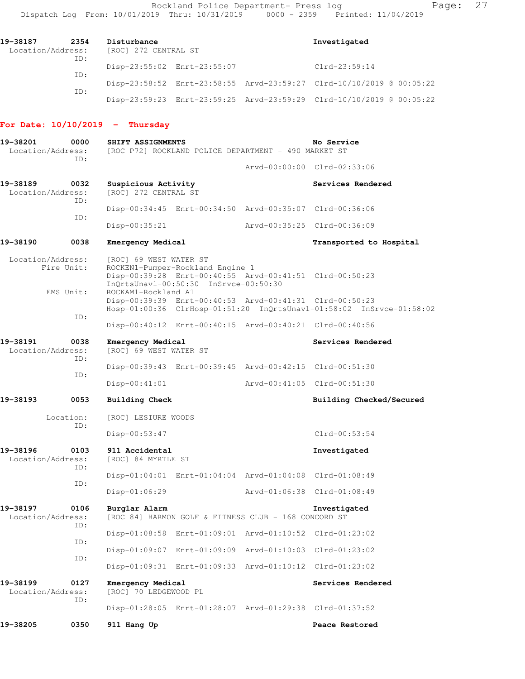| 19-38187<br>Location/Address: | 2354 | Disturbance<br>[ROC] 272 CENTRAL ST |                             | Investigated                                                         |
|-------------------------------|------|-------------------------------------|-----------------------------|----------------------------------------------------------------------|
|                               | ID:  |                                     | Disp-23:55:02 Enrt-23:55:07 | $Clrd-23:59:14$                                                      |
|                               | ID:  |                                     |                             | Disp-23:58:52 Enrt-23:58:55 Arvd-23:59:27 Clrd-10/10/2019 @ 00:05:22 |
|                               | ID:  |                                     |                             | Disp-23:59:23 Enrt-23:59:25 Arvd-23:59:29 Clrd-10/10/2019 @ 00:05:22 |

# **For Date: 10/10/2019 - Thursday**

| 19-38201<br>0000<br>Location/Address:<br>TD: |                  | SHIFT ASSIGNMENTS                           | [ROC P72] ROCKLAND POLICE DEPARTMENT - 490 MARKET ST | No Service                                              |                                                                      |
|----------------------------------------------|------------------|---------------------------------------------|------------------------------------------------------|---------------------------------------------------------|----------------------------------------------------------------------|
|                                              |                  |                                             |                                                      |                                                         | Arvd-00:00:00 Clrd-02:33:06                                          |
| 19-38189<br>Location/Address:                | 0032             | Suspicious Activity<br>[ROC] 272 CENTRAL ST |                                                      |                                                         | Services Rendered                                                    |
|                                              | ID:              |                                             |                                                      | Disp-00:34:45 Enrt-00:34:50 Arvd-00:35:07 Clrd-00:36:06 |                                                                      |
|                                              | ID:              | $Disp-00:35:21$                             |                                                      |                                                         | Arvd-00:35:25 Clrd-00:36:09                                          |
| 19-38190                                     | 0038             | Emergency Medical                           |                                                      |                                                         | Transported to Hospital                                              |
| Location/Address:                            | Fire Unit:       | [ROC] 69 WEST WATER ST                      | ROCKEN1-Pumper-Rockland Engine 1                     |                                                         |                                                                      |
|                                              | EMS Unit:        | ROCKAM1-Rockland A1                         | InQrtsUnavl-00:50:30 InSrvce-00:50:30                | Disp-00:39:28 Enrt-00:40:55 Arvd-00:41:51 Clrd-00:50:23 |                                                                      |
|                                              | ID:              |                                             |                                                      | Disp-00:39:39 Enrt-00:40:53 Arvd-00:41:31 Clrd-00:50:23 | Hosp-01:00:36 ClrHosp-01:51:20 InQrtsUnavl-01:58:02 InSrvce-01:58:02 |
|                                              |                  |                                             |                                                      | Disp-00:40:12 Enrt-00:40:15 Arvd-00:40:21 Clrd-00:40:56 |                                                                      |
| 19-38191<br>Location/Address:                | 0038<br>ID:      | Emergency Medical<br>[ROC] 69 WEST WATER ST |                                                      |                                                         | Services Rendered                                                    |
|                                              | ID:              |                                             |                                                      | Disp-00:39:43 Enrt-00:39:45 Arvd-00:42:15 Clrd-00:51:30 |                                                                      |
|                                              |                  | $Disp-00:41:01$                             |                                                      |                                                         | Arvd-00:41:05 Clrd-00:51:30                                          |
| 19-38193                                     | 0053             | <b>Building Check</b>                       |                                                      |                                                         | Building Checked/Secured                                             |
|                                              | Location:<br>ID: | [ROC] LESIURE WOODS                         |                                                      |                                                         |                                                                      |
|                                              |                  | Disp-00:53:47                               |                                                      |                                                         | $Clrd-00:53:54$                                                      |
| 19-38196<br>Location/Address:                | 0103<br>TD:      | 911 Accidental<br>[ROC] 84 MYRTLE ST        |                                                      |                                                         | Investigated                                                         |
|                                              | ID:              |                                             |                                                      | Disp-01:04:01 Enrt-01:04:04 Arvd-01:04:08 Clrd-01:08:49 |                                                                      |
|                                              |                  | $Disp-01:06:29$                             |                                                      |                                                         | Arvd-01:06:38 Clrd-01:08:49                                          |
| 19-38197<br>Location/Address:                | 0106             | Burglar Alarm                               |                                                      | [ROC 84] HARMON GOLF & FITNESS CLUB - 168 CONCORD ST    | Investigated                                                         |
|                                              | ID:              |                                             |                                                      | Disp-01:08:58 Enrt-01:09:01 Arvd-01:10:52 Clrd-01:23:02 |                                                                      |
|                                              | ID:              |                                             |                                                      | Disp-01:09:07 Enrt-01:09:09 Arvd-01:10:03               | $Clrd-01:23:02$                                                      |
|                                              | ID:              |                                             |                                                      | Disp-01:09:31 Enrt-01:09:33 Arvd-01:10:12               | Clrd-01:23:02                                                        |
| 19-38199<br>Location/Address:                | 0127             | Emergency Medical<br>[ROC] 70 LEDGEWOOD PL  |                                                      |                                                         | Services Rendered                                                    |
|                                              | ID:              |                                             |                                                      | Disp-01:28:05 Enrt-01:28:07 Arvd-01:29:38 Clrd-01:37:52 |                                                                      |
| 19-38205                                     | 0350             | 911 Hang Up                                 |                                                      |                                                         | Peace Restored                                                       |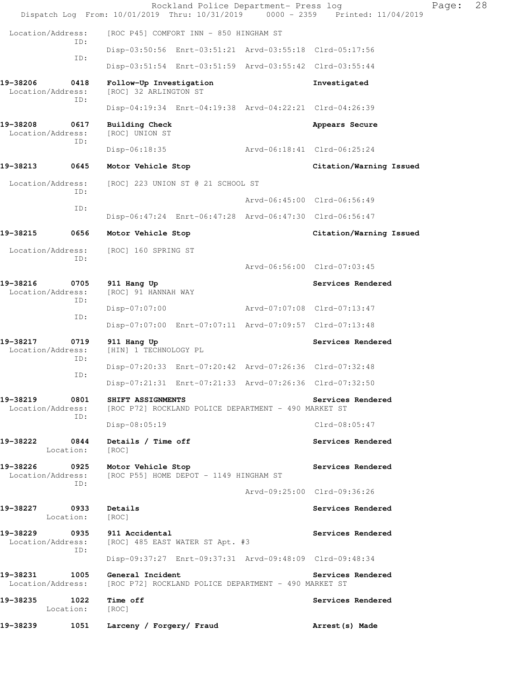|                                    |                   | Dispatch Log From: 10/01/2019 Thru: 10/31/2019 0000 - 2359 Printed: 11/04/2019    |                                        | Rockland Police Department- Press log                   |                         | Page: | 28 |
|------------------------------------|-------------------|-----------------------------------------------------------------------------------|----------------------------------------|---------------------------------------------------------|-------------------------|-------|----|
| Location/Address:                  |                   |                                                                                   | [ROC P45] COMFORT INN - 850 HINGHAM ST |                                                         |                         |       |    |
|                                    | ID:               |                                                                                   |                                        | Disp-03:50:56 Enrt-03:51:21 Arvd-03:55:18 Clrd-05:17:56 |                         |       |    |
|                                    | ID:               |                                                                                   |                                        | Disp-03:51:54 Enrt-03:51:59 Arvd-03:55:42 Clrd-03:55:44 |                         |       |    |
| 19-38206<br>Location/Address:      | 0418              | Follow-Up Investigation<br>[ROC] 32 ARLINGTON ST                                  |                                        |                                                         | Investigated            |       |    |
|                                    | ID:               |                                                                                   |                                        | Disp-04:19:34 Enrt-04:19:38 Arvd-04:22:21 Clrd-04:26:39 |                         |       |    |
| 19-38208<br>Location/Address:      | 0617<br>ID:       | <b>Building Check</b><br>[ROC] UNION ST                                           |                                        |                                                         | Appears Secure          |       |    |
|                                    |                   | Disp-06:18:35                                                                     |                                        | Arvd-06:18:41 Clrd-06:25:24                             |                         |       |    |
| 19-38213                           | 0645              | Motor Vehicle Stop                                                                |                                        |                                                         | Citation/Warning Issued |       |    |
| Location/Address:                  | ID:               |                                                                                   | [ROC] 223 UNION ST @ 21 SCHOOL ST      |                                                         |                         |       |    |
|                                    | ID:               |                                                                                   |                                        | Arvd-06:45:00 Clrd-06:56:49                             |                         |       |    |
|                                    |                   |                                                                                   |                                        | Disp-06:47:24 Enrt-06:47:28 Arvd-06:47:30 Clrd-06:56:47 |                         |       |    |
| 19-38215                           | 0656              | Motor Vehicle Stop                                                                |                                        |                                                         | Citation/Warning Issued |       |    |
| Location/Address:                  |                   | [ROC] 160 SPRING ST                                                               |                                        |                                                         |                         |       |    |
|                                    | ID:               |                                                                                   |                                        | Arvd-06:56:00 Clrd-07:03:45                             |                         |       |    |
| 19-38216<br>Location/Address:      | 0705<br>ID:       | 911 Hang Up<br>[ROC] 91 HANNAH WAY                                                |                                        |                                                         | Services Rendered       |       |    |
|                                    | ID:               | Disp-07:07:00                                                                     |                                        | Arvd-07:07:08 Clrd-07:13:47                             |                         |       |    |
|                                    |                   |                                                                                   |                                        | Disp-07:07:00 Enrt-07:07:11 Arvd-07:09:57 Clrd-07:13:48 |                         |       |    |
| 19-38217<br>Location/Address:      | 0719<br>ID:       | 911 Hang Up<br>[HIN] 1 TECHNOLOGY PL                                              |                                        |                                                         | Services Rendered       |       |    |
|                                    | ID:               |                                                                                   |                                        | Disp-07:20:33 Enrt-07:20:42 Arvd-07:26:36 Clrd-07:32:48 |                         |       |    |
|                                    |                   |                                                                                   |                                        | Disp-07:21:31 Enrt-07:21:33 Arvd-07:26:36 Clrd-07:32:50 |                         |       |    |
| 19-38219<br>Location/Address:      | 0801<br>ID:       | SHIFT ASSIGNMENTS<br>[ROC P72] ROCKLAND POLICE DEPARTMENT - 490 MARKET ST         |                                        |                                                         | Services Rendered       |       |    |
|                                    |                   | $Disp-08:05:19$                                                                   |                                        |                                                         | $Clrd-08:05:47$         |       |    |
| 19-38222                           | 0844<br>Location: | Details / Time off<br>[ROC]                                                       |                                        |                                                         | Services Rendered       |       |    |
| 19-38226 0925<br>Location/Address: | ID:               | Motor Vehicle Stop<br>[ROC P55] HOME DEPOT - 1149 HINGHAM ST                      |                                        |                                                         | Services Rendered       |       |    |
|                                    |                   |                                                                                   |                                        | Arvd-09:25:00 Clrd-09:36:26                             |                         |       |    |
| 19-38227                           | 0933<br>Location: | Details<br>[ROC]                                                                  |                                        |                                                         | Services Rendered       |       |    |
|                                    | ID:               | 19-38229 0935 911 Accidental<br>Location/Address: [ROC] 485 EAST WATER ST Apt. #3 |                                        |                                                         | Services Rendered       |       |    |
|                                    |                   |                                                                                   |                                        | Disp-09:37:27 Enrt-09:37:31 Arvd-09:48:09 Clrd-09:48:34 |                         |       |    |
| 19-38231 1005<br>Location/Address: |                   | General Incident                                                                  |                                        | [ROC P72] ROCKLAND POLICE DEPARTMENT - 490 MARKET ST    | Services Rendered       |       |    |
| 19-38235                           | 1022<br>Location: | Time off<br>[ROC]                                                                 |                                        |                                                         | Services Rendered       |       |    |
| 19-38239                           | 1051              | Larceny / Forgery/ Fraud                                                          |                                        |                                                         | Arrest (s) Made         |       |    |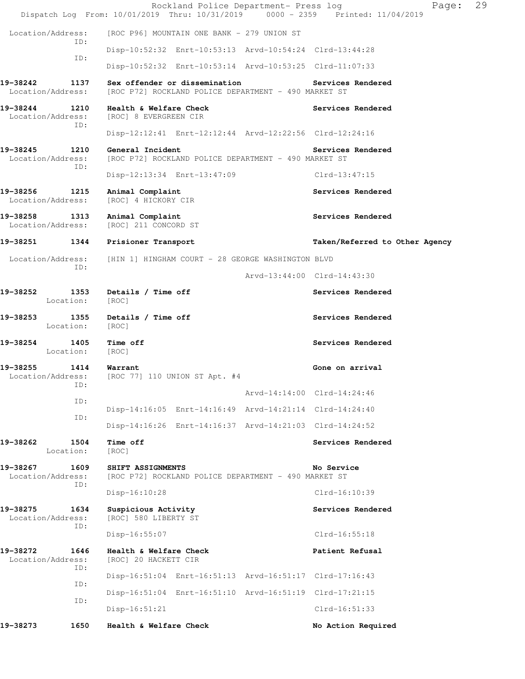|                                              | Rockland Police Department- Press log<br>Dispatch Log From: 10/01/2019 Thru: 10/31/2019 0000 - 2359 Printed: 11/04/2019 | 29<br>Page:                    |
|----------------------------------------------|-------------------------------------------------------------------------------------------------------------------------|--------------------------------|
| Location/Address:<br>ID:                     | [ROC P96] MOUNTAIN ONE BANK - 279 UNION ST                                                                              |                                |
|                                              | Disp-10:52:32 Enrt-10:53:13 Arvd-10:54:24 Clrd-13:44:28                                                                 |                                |
| ID:                                          | Disp-10:52:32 Enrt-10:53:14 Arvd-10:53:25 Clrd-11:07:33                                                                 |                                |
| 19-38242<br>1137<br>Location/Address:        | Sex offender or dissemination<br>[ROC P72] ROCKLAND POLICE DEPARTMENT - 490 MARKET ST                                   | Services Rendered              |
| 19-38244 1210<br>Location/Address:<br>ID:    | Health & Welfare Check<br>[ROC] 8 EVERGREEN CIR                                                                         | Services Rendered              |
|                                              | Disp-12:12:41 Enrt-12:12:44 Arvd-12:22:56 Clrd-12:24:16                                                                 |                                |
| 19-38245<br>1210<br>Location/Address:<br>ID: | General Incident<br>[ROC P72] ROCKLAND POLICE DEPARTMENT - 490 MARKET ST                                                | Services Rendered              |
|                                              | Disp-12:13:34 Enrt-13:47:09                                                                                             | Clrd-13:47:15                  |
| 19-38256<br>1215<br>Location/Address:        | Animal Complaint<br>[ROC] 4 HICKORY CIR                                                                                 | Services Rendered              |
| 19-38258<br>1313<br>Location/Address:        | Animal Complaint<br>[ROC] 211 CONCORD ST                                                                                | Services Rendered              |
| 19-38251 1344                                | Prisioner Transport                                                                                                     | Taken/Referred to Other Agency |
| Location/Address:                            | [HIN 1] HINGHAM COURT - 28 GEORGE WASHINGTON BLVD                                                                       |                                |
| ID:                                          |                                                                                                                         | Arvd-13:44:00 Clrd-14:43:30    |
| 1353<br>19-38252<br>Location:                | Details / Time off<br>[ROC]                                                                                             | Services Rendered              |
| 19-38253<br>1355<br>Location:                | Details / Time off<br>[ROC]                                                                                             | Services Rendered              |
| 19–38254<br>1405<br>Location:                | Time off<br>[ROC]                                                                                                       | Services Rendered              |
| 19-38255<br>1414<br>Location/Address:<br>ID: | Warrant<br>[ROC 77] 110 UNION ST Apt. #4                                                                                | Gone on arrival                |
|                                              |                                                                                                                         | Arvd-14:14:00 Clrd-14:24:46    |
| ID:                                          | Disp-14:16:05 Enrt-14:16:49 Arvd-14:21:14 Clrd-14:24:40                                                                 |                                |
| ID:                                          | Disp-14:16:26 Enrt-14:16:37 Arvd-14:21:03 Clrd-14:24:52                                                                 |                                |
| 19-38262<br>1504<br>Location:                | <b>Time off</b><br>[ROC]                                                                                                | Services Rendered              |
| 19-38267<br>1609                             | SHIFT ASSIGNMENTS                                                                                                       | No Service                     |
| Location/Address:<br>ID:                     | [ROC P72] ROCKLAND POLICE DEPARTMENT - 490 MARKET ST                                                                    |                                |
|                                              | Disp-16:10:28                                                                                                           | $Clrd-16:10:39$                |
| 19-38275<br>1634<br>Location/Address:<br>ID: | Suspicious Activity<br>[ROC] 580 LIBERTY ST                                                                             | Services Rendered              |
|                                              | $Disp-16:55:07$                                                                                                         | Clrd-16:55:18                  |
| 19-38272<br>1646<br>Location/Address:<br>ID: | Health & Welfare Check<br>[ROC] 20 HACKETT CIR                                                                          | Patient Refusal                |
| ID:                                          | Disp-16:51:04 Enrt-16:51:13 Arvd-16:51:17 Clrd-17:16:43                                                                 |                                |
| ID:                                          | Disp-16:51:04 Enrt-16:51:10 Arvd-16:51:19 Clrd-17:21:15                                                                 |                                |
|                                              | Disp-16:51:21                                                                                                           | $Clrd-16:51:33$                |
| 1650<br>19-38273                             | Health & Welfare Check                                                                                                  | No Action Required             |
|                                              |                                                                                                                         |                                |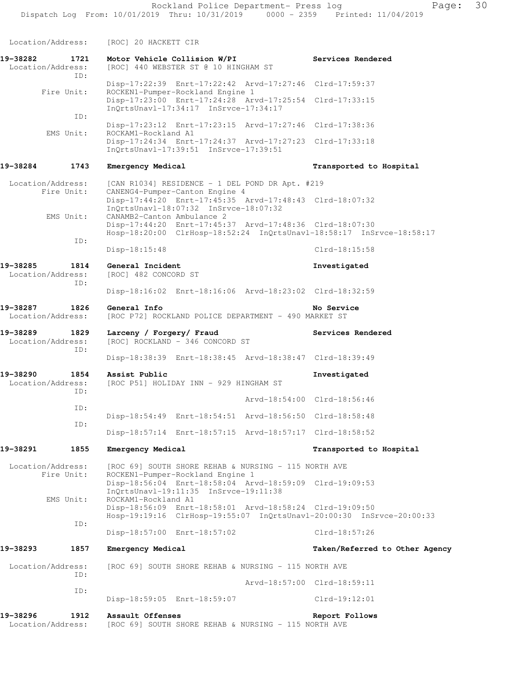Location/Address: [ROC] 20 HACKETT CIR **19-38282 1721 Motor Vehicle Collision W/PI Services Rendered**  Location/Address: [ROC] 440 WEBSTER ST @ 10 HINGHAM ST ID: Disp-17:22:39 Enrt-17:22:42 Arvd-17:27:46 Clrd-17:59:37 Fire Unit: ROCKEN1-Pumper-Rockland Engine 1 Disp-17:23:00 Enrt-17:24:28 Arvd-17:25:54 Clrd-17:33:15 InQrtsUnavl-17:34:17 InSrvce-17:34:17 ID: Disp-17:23:12 Enrt-17:23:15 Arvd-17:27:46 Clrd-17:38:36 EMS Unit: ROCKAM1-Rockland A1 Disp-17:24:34 Enrt-17:24:37 Arvd-17:27:23 Clrd-17:33:18 InQrtsUnavl-17:39:51 InSrvce-17:39:51 **19-38284 1743 Emergency Medical Transported to Hospital**  Location/Address: [CAN R1034] RESIDENCE - 1 DEL POND DR Apt. #219 Fire Unit: CANENG4-Pumper-Canton Engine 4 Disp-17:44:20 Enrt-17:45:35 Arvd-17:48:43 Clrd-18:07:32 InQrtsUnavl-18:07:32 InSrvce-18:07:32<br>EMS Unit: CANAMB2-Canton Ambulance 2 CANAMB2-Canton Ambulance 2 Disp-17:44:20 Enrt-17:45:37 Arvd-17:48:36 Clrd-18:07:30 Hosp-18:20:00 ClrHosp-18:52:24 InQrtsUnavl-18:58:17 InSrvce-18:58:17 ID: Disp-18:15:48 Clrd-18:15:58 **19-38285 1814 General Incident Investigated**  Location/Address: [ROC] 482 CONCORD ST ID: Disp-18:16:02 Enrt-18:16:06 Arvd-18:23:02 Clrd-18:32:59 **19-38287 1826 General Info No Service**  Location/Address: [ROC P72] ROCKLAND POLICE DEPARTMENT - 490 MARKET ST **19-38289 1829 Larceny / Forgery/ Fraud Services Rendered**  Location/Address: [ROC] ROCKLAND - 346 CONCORD ST ID: Disp-18:38:39 Enrt-18:38:45 Arvd-18:38:47 Clrd-18:39:49 **19-38290 1854 Assist Public Investigated**  Location/Address: [ROC P51] HOLIDAY INN - 929 HINGHAM ST ID: Arvd-18:54:00 Clrd-18:56:46 ID: Disp-18:54:49 Enrt-18:54:51 Arvd-18:56:50 Clrd-18:58:48 ID: Disp-18:57:14 Enrt-18:57:15 Arvd-18:57:17 Clrd-18:58:52 **19-38291 1855 Emergency Medical Transported to Hospital**  Location/Address: [ROC 69] SOUTH SHORE REHAB & NURSING - 115 NORTH AVE Fire Unit: ROCKEN1-Pumper-Rockland Engine 1 Disp-18:56:04 Enrt-18:58:04 Arvd-18:59:09 Clrd-19:09:53 InQrtsUnavl-19:11:35 InSrvce-19:11:38<br>EMS Unit: ROCKAM1-Rockland A1 ROCKAM1-Rockland A1 Disp-18:56:09 Enrt-18:58:01 Arvd-18:58:24 Clrd-19:09:50

ID:

Disp-18:57:00 Enrt-18:57:02 Clrd-18:57:26

Hosp-19:19:16 ClrHosp-19:55:07 InQrtsUnavl-20:00:30 InSrvce-20:00:33

# **19-38293 1857 Emergency Medical Taken/Referred to Other Agency**

Location/Address: [ROC 69] SOUTH SHORE REHAB & NURSING - 115 NORTH AVE ID: Arvd-18:57:00 Clrd-18:59:11 ID: Disp-18:59:05 Enrt-18:59:07 Clrd-19:12:01 **19-38296 1912 Assault Offenses Report Follows** 

Location/Address: [ROC 69] SOUTH SHORE REHAB & NURSING - 115 NORTH AVE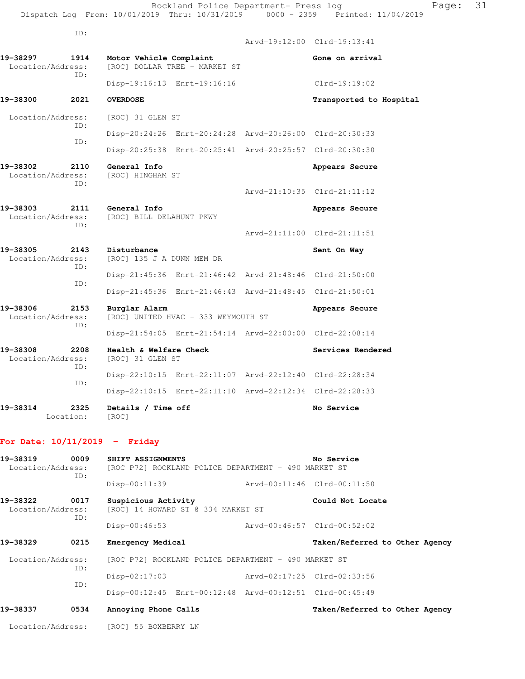Arvd-19:12:00 Clrd-19:13:41 19-38297 1914 Motor Vehicle Complaint **Motor Seart And Austral** Gone on arrival Location/Address: [ROC] DOLLAR TREE - MARKET ST ID: Disp-19:16:13 Enrt-19:16:16 Clrd-19:19:02 **19-38300 2021 OVERDOSE Transported to Hospital**  Location/Address: [ROC] 31 GLEN ST ID: Disp-20:24:26 Enrt-20:24:28 Arvd-20:26:00 Clrd-20:30:33 ID: Disp-20:25:38 Enrt-20:25:41 Arvd-20:25:57 Clrd-20:30:30 **19-38302 2110 General Info and Appears Secure Appears Secure** Location/Address: [ROC] HINGHAM ST Location/Address: ID: Arvd-21:10:35 Clrd-21:11:12 **19-38303 2111 General Info Appears Secure**  Location/Address: [ROC] BILL DELAHUNT PKWY ID: Arvd-21:11:00 Clrd-21:11:51 19-38305 2143 Disturbance<br>
Location/Address: [ROC] 135 J A DUNN MEM DR [ROC] 135 J A DUNN MEM DR ID: Disp-21:45:36 Enrt-21:46:42 Arvd-21:48:46 Clrd-21:50:00 ID: Disp-21:45:36 Enrt-21:46:43 Arvd-21:48:45 Clrd-21:50:01 **19-38306 2153 Burglar Alarm Appears Secure**  Location/Address: [ROC] UNITED HVAC - 333 WEYMOUTH ST ID: Disp-21:54:05 Enrt-21:54:14 Arvd-22:00:00 Clrd-22:08:14 19-38308 2208 **Health & Welfare Check Services Rendered Location/Address:** [ROC] 31 GLEN ST Location/Address: ID: Disp-22:10:15 Enrt-22:11:07 Arvd-22:12:40 Clrd-22:28:34 ID: Disp-22:10:15 Enrt-22:11:10 Arvd-22:12:34 Clrd-22:28:33 **19-38314 2325 Details / Time off No Service** 

Location: [ROC]

#### **For Date: 10/11/2019 - Friday**

| 19-38319<br>Location/Address: | 0009<br>ID: | SHIFT ASSIGNMENTS<br>[ROC P72] ROCKLAND POLICE DEPARTMENT - 490 MARKET ST | No Service                     |
|-------------------------------|-------------|---------------------------------------------------------------------------|--------------------------------|
|                               |             | Disp-00:11:39                                                             | Arvd-00:11:46 Clrd-00:11:50    |
| 19–38322<br>Location/Address: | 0017<br>ID: | Suspicious Activity<br>[ROC] 14 HOWARD ST @ 334 MARKET ST                 | Could Not Locate               |
|                               |             | $Disp-00:46:53$                                                           | Arvd-00:46:57 Clrd-00:52:02    |
| 19-38329                      | 0215        | Emergency Medical                                                         | Taken/Referred to Other Agency |
| Location/Address:             | ID:         | [ROC P72] ROCKLAND POLICE DEPARTMENT - 490 MARKET ST                      |                                |
|                               | ID:         | $Disp-02:17:03$                                                           | Arvd-02:17:25 Clrd-02:33:56    |
|                               |             | Disp-00:12:45 Enrt-00:12:48 Arvd-00:12:51 Clrd-00:45:49                   |                                |
| 19-38337                      | 0534        | Annoying Phone Calls                                                      | Taken/Referred to Other Agency |
| Location/Address:             |             | [ROC] 55 BOXBERRY LN                                                      |                                |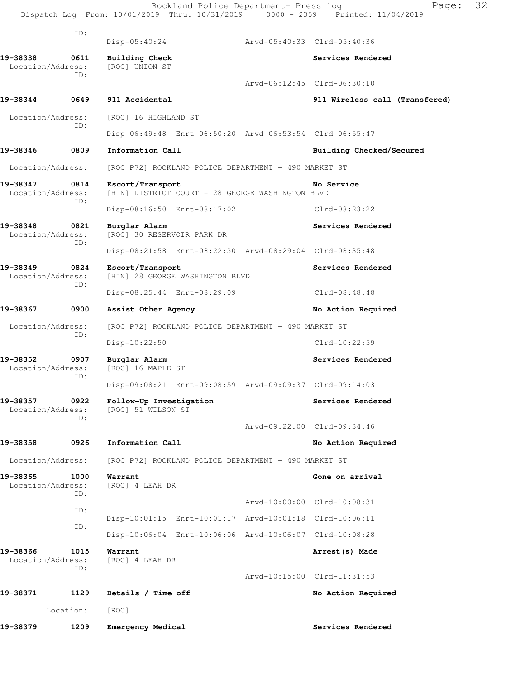|                               |             |                                               | Rockland Police Department- Press log                   |                             | Page:<br>Dispatch Log From: 10/01/2019 Thru: 10/31/2019 0000 - 2359 Printed: 11/04/2019 | 32 |
|-------------------------------|-------------|-----------------------------------------------|---------------------------------------------------------|-----------------------------|-----------------------------------------------------------------------------------------|----|
|                               | ID:         | $Disp-05:40:24$                               |                                                         | Arvd-05:40:33 Clrd-05:40:36 |                                                                                         |    |
| 19-38338                      | 0611        |                                               |                                                         |                             | Services Rendered                                                                       |    |
| Location/Address:             |             | Building Check<br>[ROC] UNION ST              |                                                         |                             |                                                                                         |    |
|                               | TD:         |                                               |                                                         |                             | Arvd-06:12:45 Clrd-06:30:10                                                             |    |
| 19-38344                      | 0649        | 911 Accidental                                |                                                         |                             | 911 Wireless call (Transfered)                                                          |    |
| Location/Address:             |             | [ROC] 16 HIGHLAND ST                          |                                                         |                             |                                                                                         |    |
|                               | ID:         |                                               | Disp-06:49:48 Enrt-06:50:20 Arvd-06:53:54 Clrd-06:55:47 |                             |                                                                                         |    |
| 19-38346                      | 0809        | Information Call                              |                                                         |                             | Building Checked/Secured                                                                |    |
| Location/Address:             |             |                                               | [ROC P72] ROCKLAND POLICE DEPARTMENT - 490 MARKET ST    |                             |                                                                                         |    |
| 19-38347<br>Location/Address: | 0814        | Escort/Transport                              | [HIN] DISTRICT COURT - 28 GEORGE WASHINGTON BLVD        |                             | No Service                                                                              |    |
|                               | TD:         |                                               | Disp-08:16:50 Enrt-08:17:02                             |                             | Clrd-08:23:22                                                                           |    |
| 19-38348<br>Location/Address: | 0821<br>ID: | Burglar Alarm<br>[ROC] 30 RESERVOIR PARK DR   |                                                         |                             | Services Rendered                                                                       |    |
|                               |             |                                               | Disp-08:21:58 Enrt-08:22:30 Arvd-08:29:04 Clrd-08:35:48 |                             |                                                                                         |    |
| 19-38349<br>Location/Address: | 0824<br>ID: | Escort/Transport                              | [HIN] 28 GEORGE WASHINGTON BLVD                         |                             | Services Rendered                                                                       |    |
|                               |             |                                               | Disp-08:25:44 Enrt-08:29:09                             |                             | Clrd-08:48:48                                                                           |    |
| 19-38367                      | 0900        | Assist Other Agency                           |                                                         |                             | No Action Required                                                                      |    |
| Location/Address:             | ID:         |                                               | [ROC P72] ROCKLAND POLICE DEPARTMENT - 490 MARKET ST    |                             |                                                                                         |    |
|                               |             | $Disp-10:22:50$                               |                                                         |                             | $Clrd-10:22:59$                                                                         |    |
| 19–38352<br>Location/Address: | 0907<br>ID: | Burglar Alarm<br>[ROC] 16 MAPLE ST            |                                                         |                             | Services Rendered                                                                       |    |
|                               |             |                                               |                                                         |                             | Disp-09:08:21 Enrt-09:08:59 Arvd-09:09:37 Clrd-09:14:03                                 |    |
| 19–38357<br>Location/Address: | 0922<br>ID: | Follow-Up Investigation<br>[ROC] 51 WILSON ST |                                                         |                             | Services Rendered                                                                       |    |
|                               |             |                                               |                                                         |                             | Arvd-09:22:00 Clrd-09:34:46                                                             |    |
| 19-38358                      | 0926        | Information Call                              |                                                         |                             | No Action Required                                                                      |    |
| Location/Address:             |             |                                               | [ROC P72] ROCKLAND POLICE DEPARTMENT - 490 MARKET ST    |                             |                                                                                         |    |
| 19-38365<br>Location/Address: | 1000<br>ID: | Warrant<br>[ROC] 4 LEAH DR                    |                                                         |                             | Gone on arrival                                                                         |    |
|                               | ID:         |                                               |                                                         |                             | Arvd-10:00:00 Clrd-10:08:31                                                             |    |
|                               | ID:         |                                               | Disp-10:01:15 Enrt-10:01:17 Arvd-10:01:18 Clrd-10:06:11 |                             |                                                                                         |    |
|                               |             |                                               | Disp-10:06:04 Enrt-10:06:06 Arvd-10:06:07 Clrd-10:08:28 |                             |                                                                                         |    |
| 19-38366<br>Location/Address: | 1015<br>ID: | Warrant<br>[ROC] 4 LEAH DR                    |                                                         |                             | Arrest (s) Made                                                                         |    |
|                               |             |                                               |                                                         |                             | Arvd-10:15:00 Clrd-11:31:53                                                             |    |
| 19-38371                      | 1129        | Details / Time off                            |                                                         |                             | No Action Required                                                                      |    |
|                               | Location:   | [ROC]                                         |                                                         |                             |                                                                                         |    |
| 19–38379                      | 1209        | Emergency Medical                             |                                                         |                             | Services Rendered                                                                       |    |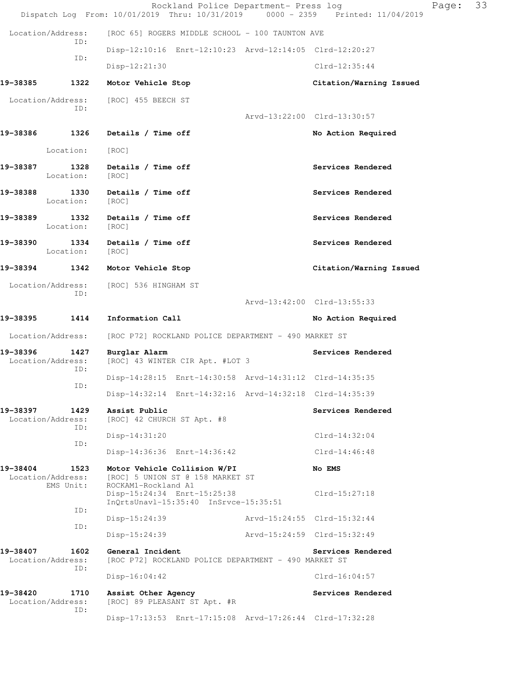|                               |                                        | Rockland Police Department- Press log<br>Dispatch Log From: 10/01/2019 Thru: 10/31/2019 0000 - 2359 Printed: 11/04/2019 |                             |                             | Page: | 33 |
|-------------------------------|----------------------------------------|-------------------------------------------------------------------------------------------------------------------------|-----------------------------|-----------------------------|-------|----|
| Location/Address:             |                                        | [ROC 65] ROGERS MIDDLE SCHOOL - 100 TAUNTON AVE                                                                         |                             |                             |       |    |
|                               | ID:                                    | Disp-12:10:16 Enrt-12:10:23 Arvd-12:14:05 Clrd-12:20:27                                                                 |                             |                             |       |    |
|                               | ID:                                    | Disp-12:21:30                                                                                                           |                             | $Clrd-12:35:44$             |       |    |
| 19-38385                      | 1322                                   | Motor Vehicle Stop                                                                                                      |                             | Citation/Warning Issued     |       |    |
| Location/Address:             |                                        | [ROC] 455 BEECH ST                                                                                                      |                             |                             |       |    |
|                               | ID:                                    |                                                                                                                         |                             | Arvd-13:22:00 Clrd-13:30:57 |       |    |
| 19-38386                      | 1326                                   | Details / Time off                                                                                                      |                             | No Action Required          |       |    |
|                               | Location:                              | [ROC]                                                                                                                   |                             |                             |       |    |
| 19-38387                      | 1328<br>Location:                      | Details / Time off<br>[ROC]                                                                                             |                             | Services Rendered           |       |    |
| 19-38388                      | 1330<br>Location:                      | Details / Time off<br>[ROC]                                                                                             |                             | Services Rendered           |       |    |
| 19-38389                      | 1332<br>Location:                      | Details / Time off<br>[ROC]                                                                                             |                             | Services Rendered           |       |    |
| 19-38390                      | 1334<br>Location:                      | Details / Time off<br>[ROC]                                                                                             |                             | Services Rendered           |       |    |
| 19-38394                      | 1342                                   | Motor Vehicle Stop                                                                                                      |                             | Citation/Warning Issued     |       |    |
| Location/Address:             | ID:                                    | [ROC] 536 HINGHAM ST                                                                                                    |                             | Arvd-13:42:00 Clrd-13:55:33 |       |    |
| 19-38395                      | 1414                                   | Information Call                                                                                                        |                             | No Action Required          |       |    |
| Location/Address:             |                                        | [ROC P72] ROCKLAND POLICE DEPARTMENT - 490 MARKET ST                                                                    |                             |                             |       |    |
| 19–38396<br>Location/Address: | 1427                                   | Burglar Alarm<br>[ROC] 43 WINTER CIR Apt. #LOT 3                                                                        |                             | Services Rendered           |       |    |
|                               | ID:<br>ID:                             | Disp-14:28:15 Enrt-14:30:58 Arvd-14:31:12 Clrd-14:35:35                                                                 |                             |                             |       |    |
|                               |                                        | Disp-14:32:14 Enrt-14:32:16 Arvd-14:32:18 Clrd-14:35:39                                                                 |                             |                             |       |    |
| 19-38397<br>Location/Address: | 1429<br>ID:                            | Assist Public<br>[ROC] 42 CHURCH ST Apt. #8                                                                             |                             | Services Rendered           |       |    |
|                               | ID:                                    | Disp-14:31:20                                                                                                           |                             | $Clrd-14:32:04$             |       |    |
|                               |                                        | Disp-14:36:36 Enrt-14:36:42                                                                                             |                             | $Clrd-14:46:48$             |       |    |
| 19-38404                      | 1523<br>Location/Address:<br>EMS Unit: | Motor Vehicle Collision W/PI<br>[ROC] 5 UNION ST @ 158 MARKET ST<br>ROCKAM1-Rockland A1<br>Disp-15:24:34 Enrt-15:25:38  |                             | No EMS<br>$Clrd-15:27:18$   |       |    |
|                               | ID:                                    | $InQrtsUnav1-15:35:40$ $InSrvce-15:35:51$                                                                               |                             |                             |       |    |
|                               | ID:                                    | $Disp-15:24:39$                                                                                                         |                             | Arvd-15:24:55 Clrd-15:32:44 |       |    |
|                               |                                        | $Disp-15:24:39$                                                                                                         | Arvd-15:24:59 Clrd-15:32:49 |                             |       |    |
| 19-38407<br>Location/Address: | 1602<br>ID:                            | General Incident<br>[ROC P72] ROCKLAND POLICE DEPARTMENT - 490 MARKET ST                                                |                             | Services Rendered           |       |    |
|                               |                                        | $Disp-16:04:42$                                                                                                         |                             | $Clrd-16:04:57$             |       |    |
| 19-38420<br>Location/Address: | 1710<br>ID:                            | Assist Other Agency<br>[ROC] 89 PLEASANT ST Apt. #R                                                                     |                             | Services Rendered           |       |    |
|                               |                                        | Disp-17:13:53 Enrt-17:15:08 Arvd-17:26:44 Clrd-17:32:28                                                                 |                             |                             |       |    |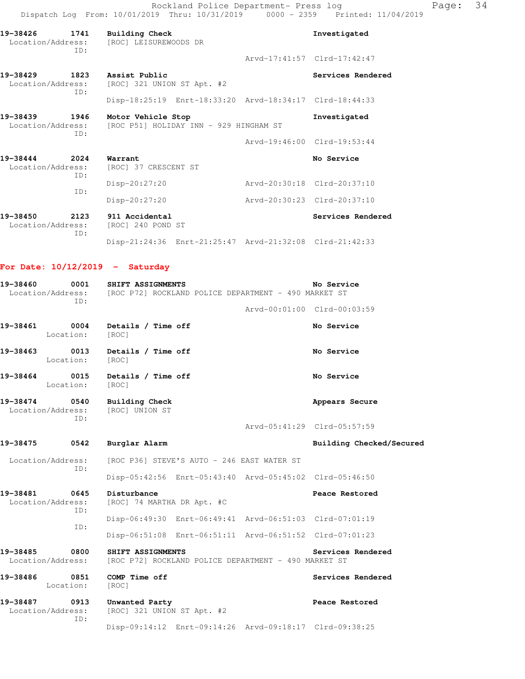Rockland Police Department- Press log Page: 34 Dispatch Log From: 10/01/2019 Thru: 10/31/2019 0000 - 2359 Printed: 11/04/2019

| 19-38426 1741                      | TD:         | Building Check<br>Location/Address: [ROC] LEISUREWOODS DR    | Investigated                |
|------------------------------------|-------------|--------------------------------------------------------------|-----------------------------|
|                                    |             |                                                              | Arvd-17:41:57 Clrd-17:42:47 |
| 19-38429 1823<br>Location/Address: | TD:         | Assist Public<br>[ROC] 321 UNION ST Apt. #2                  | Services Rendered           |
|                                    |             | Disp-18:25:19 Enrt-18:33:20 Arvd-18:34:17 Clrd-18:44:33      |                             |
| 19-38439 1946<br>Location/Address: | ID:         | Motor Vehicle Stop<br>[ROC P51] HOLIDAY INN - 929 HINGHAM ST | Investigated                |
|                                    |             |                                                              | Arvd-19:46:00 Clrd-19:53:44 |
| 19-38444<br>Location/Address:      | 2024<br>ID: | Warrant<br>[ROC] 37 CRESCENT ST                              | No Service                  |
|                                    |             | $Disp-20:27:20$                                              | Arvd-20:30:18 Clrd-20:37:10 |
|                                    | TD:         | Disp-20:27:20                                                | Arvd-20:30:23 Clrd-20:37:10 |
| 19-38450<br>Location/Address:      | 2123<br>TD: | 911 Accidental<br>[ROC] 240 POND ST                          | Services Rendered           |
|                                    |             | Disp-21:24:36 Enrt-21:25:47 Arvd-21:32:08 Clrd-21:42:33      |                             |

# **For Date: 10/12/2019 - Saturday**

| 19-38460 0001 SHIFT ASSIGNMENTS<br>TD:                                  | Location/Address: [ROC P72] ROCKLAND POLICE DEPARTMENT - 490 MARKET ST    | No Service                  |
|-------------------------------------------------------------------------|---------------------------------------------------------------------------|-----------------------------|
|                                                                         |                                                                           | Arvd-00:01:00 Clrd-00:03:59 |
| 19-38461 0004<br>Location: [ROC]                                        | Details / Time off                                                        | No Service                  |
| 19-38463 0013<br>Location:                                              | Details / Time off<br>[ROC]                                               | No Service                  |
| 19-38464 0015 Details / Time off<br>Location:                           | [ROC]                                                                     | No Service                  |
| 19-38474 0540 Building Check<br>Location/Address: [ROC] UNION ST<br>ID: |                                                                           | Appears Secure              |
|                                                                         |                                                                           | Arvd-05:41:29 Clrd-05:57:59 |
| 19-38475 0542 Burglar Alarm                                             |                                                                           | Building Checked/Secured    |
|                                                                         | Location/Address: [ROC P36] STEVE'S AUTO - 246 EAST WATER ST              |                             |
| TD:                                                                     | Disp-05:42:56 Enrt-05:43:40 Arvd-05:45:02 Clrd-05:46:50                   |                             |
| 19-38481<br>Location/Address:                                           | 0645 Disturbance<br>[ROC] 74 MARTHA DR Apt. #C                            | Peace Restored              |
| ID:                                                                     | Disp-06:49:30 Enrt-06:49:41 Arvd-06:51:03 Clrd-07:01:19                   |                             |
| TD:                                                                     | Disp-06:51:08 Enrt-06:51:11 Arvd-06:51:52 Clrd-07:01:23                   |                             |
| 19-38485<br>0800<br>Location/Address:                                   | SHIFT ASSIGNMENTS<br>[ROC P72] ROCKLAND POLICE DEPARTMENT - 490 MARKET ST | Services Rendered           |
| Location: [ROC]                                                         |                                                                           | Services Rendered           |
| 19-38487<br>0913<br>Location/Address:<br>TD:                            | Unwanted Party<br>$[ROC]$ 321 UNION ST Apt. #2                            | Peace Restored              |
|                                                                         | Disp-09:14:12 Enrt-09:14:26 Arvd-09:18:17 Clrd-09:38:25                   |                             |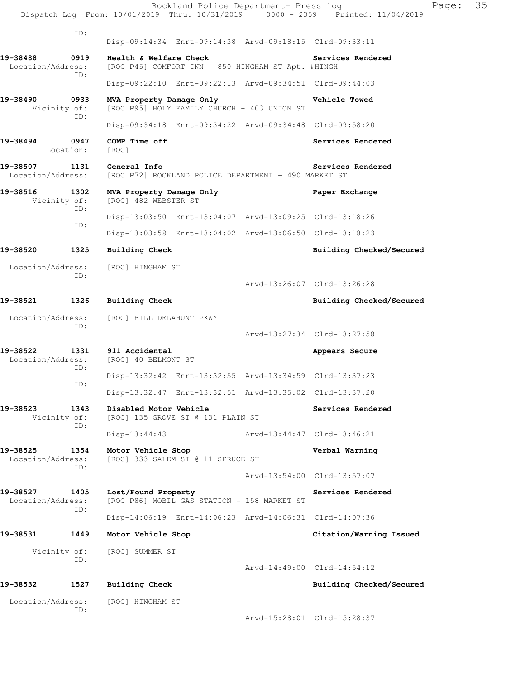| ID:<br>Disp-09:14:34 Enrt-09:14:38 Arvd-09:18:15 Clrd-09:33:11<br>19-38488<br>0919<br>Health & Welfare Check<br>Services Rendered<br>Location/Address:<br>[ROC P45] COMFORT INN - 850 HINGHAM ST Apt. #HINGH<br>ID:<br>Disp-09:22:10 Enrt-09:22:13 Arvd-09:34:51 Clrd-09:44:03<br>19-38490<br>0933<br>MVA Property Damage Only<br>Vehicle Towed<br>[ROC P95] HOLY FAMILY CHURCH - 403 UNION ST<br>Vicinity of:<br>ID:<br>Disp-09:34:18 Enrt-09:34:22 Arvd-09:34:48 Clrd-09:58:20 |  |
|----------------------------------------------------------------------------------------------------------------------------------------------------------------------------------------------------------------------------------------------------------------------------------------------------------------------------------------------------------------------------------------------------------------------------------------------------------------------------------|--|
|                                                                                                                                                                                                                                                                                                                                                                                                                                                                                  |  |
|                                                                                                                                                                                                                                                                                                                                                                                                                                                                                  |  |
|                                                                                                                                                                                                                                                                                                                                                                                                                                                                                  |  |
|                                                                                                                                                                                                                                                                                                                                                                                                                                                                                  |  |
|                                                                                                                                                                                                                                                                                                                                                                                                                                                                                  |  |
| 19-38494<br>0947<br>COMP Time off<br>Services Rendered<br>Location:<br>[ROC]                                                                                                                                                                                                                                                                                                                                                                                                     |  |
| 19-38507<br>1131<br>General Info<br>Services Rendered<br>Location/Address:<br>[ROC P72] ROCKLAND POLICE DEPARTMENT - 490 MARKET ST                                                                                                                                                                                                                                                                                                                                               |  |
| 19-38516<br>1302<br>MVA Property Damage Only<br>Paper Exchange<br>[ROC] 482 WEBSTER ST<br>Vicinity of:                                                                                                                                                                                                                                                                                                                                                                           |  |
| ID:<br>Disp-13:03:50 Enrt-13:04:07 Arvd-13:09:25 Clrd-13:18:26<br>ID:                                                                                                                                                                                                                                                                                                                                                                                                            |  |
| Disp-13:03:58 Enrt-13:04:02 Arvd-13:06:50 Clrd-13:18:23                                                                                                                                                                                                                                                                                                                                                                                                                          |  |
| 19-38520<br>1325<br>Building Check<br>Building Checked/Secured                                                                                                                                                                                                                                                                                                                                                                                                                   |  |
| Location/Address:<br>[ROC] HINGHAM ST<br>ID:<br>Arvd-13:26:07 Clrd-13:26:28                                                                                                                                                                                                                                                                                                                                                                                                      |  |
| 19-38521<br>1326<br><b>Building Check</b><br>Building Checked/Secured                                                                                                                                                                                                                                                                                                                                                                                                            |  |
| Location/Address:<br>[ROC] BILL DELAHUNT PKWY                                                                                                                                                                                                                                                                                                                                                                                                                                    |  |
| ID:<br>Arvd-13:27:34 Clrd-13:27:58                                                                                                                                                                                                                                                                                                                                                                                                                                               |  |
| 19-38522<br>1331<br>911 Accidental<br>Appears Secure<br>Location/Address:<br>[ROC] 40 BELMONT ST                                                                                                                                                                                                                                                                                                                                                                                 |  |
| ID:<br>Disp-13:32:42 Enrt-13:32:55 Arvd-13:34:59 Clrd-13:37:23                                                                                                                                                                                                                                                                                                                                                                                                                   |  |
| ID:<br>Disp-13:32:47 Enrt-13:32:51 Arvd-13:35:02 Clrd-13:37:20                                                                                                                                                                                                                                                                                                                                                                                                                   |  |
| 19-38523<br>1343<br>Disabled Motor Vehicle<br>Services Rendered<br>Vicinity of:<br>[ROC] 135 GROVE ST @ 131 PLAIN ST<br>ID:                                                                                                                                                                                                                                                                                                                                                      |  |
| Arvd-13:44:47 Clrd-13:46:21<br>$Disp-13:44:43$                                                                                                                                                                                                                                                                                                                                                                                                                                   |  |
| 19-38525<br>1354<br>Motor Vehicle Stop<br>Verbal Warning<br>Location/Address:<br>[ROC] 333 SALEM ST @ 11 SPRUCE ST<br>ID:                                                                                                                                                                                                                                                                                                                                                        |  |
| Arvd-13:54:00 Clrd-13:57:07                                                                                                                                                                                                                                                                                                                                                                                                                                                      |  |
| 19-38527<br>1405<br>Lost/Found Property<br>Services Rendered<br>[ROC P86] MOBIL GAS STATION - 158 MARKET ST<br>Location/Address:<br>ID:                                                                                                                                                                                                                                                                                                                                          |  |
| Disp-14:06:19 Enrt-14:06:23 Arvd-14:06:31 Clrd-14:07:36                                                                                                                                                                                                                                                                                                                                                                                                                          |  |
| 19-38531<br>1449<br>Citation/Warning Issued<br>Motor Vehicle Stop                                                                                                                                                                                                                                                                                                                                                                                                                |  |
| Vicinity of:<br>[ROC] SUMMER ST<br>ID:<br>Arvd-14:49:00 Clrd-14:54:12                                                                                                                                                                                                                                                                                                                                                                                                            |  |
| 19–38532<br>1527<br>Building Check<br>Building Checked/Secured                                                                                                                                                                                                                                                                                                                                                                                                                   |  |
| Location/Address:<br>[ROC] HINGHAM ST                                                                                                                                                                                                                                                                                                                                                                                                                                            |  |
| ID:<br>Arvd-15:28:01 Clrd-15:28:37                                                                                                                                                                                                                                                                                                                                                                                                                                               |  |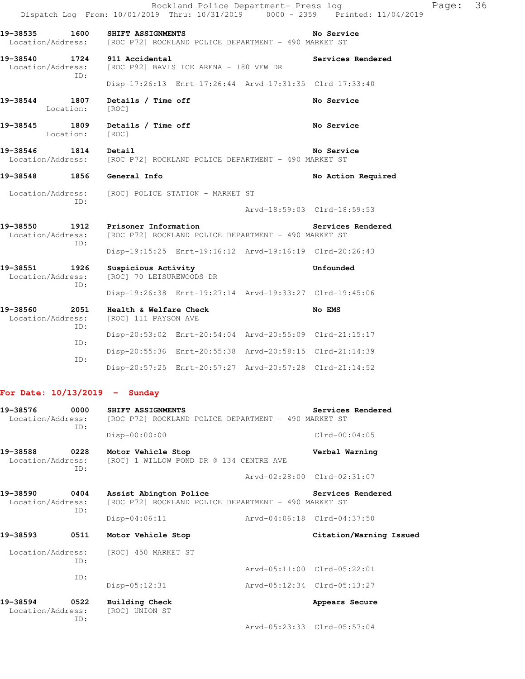|                                              |                                                                                   | Rockland Police Department- Press log<br>Dispatch Log From: 10/01/2019 Thru: 10/31/2019 0000 - 2359 Printed: 11/04/2019 | Page: | 36 |
|----------------------------------------------|-----------------------------------------------------------------------------------|-------------------------------------------------------------------------------------------------------------------------|-------|----|
| 19-38535 1600<br>Location/Address:           | SHIFT ASSIGNMENTS<br>[ROC P72] ROCKLAND POLICE DEPARTMENT - 490 MARKET ST         | No Service                                                                                                              |       |    |
| 19-38540<br>Location/Address:<br>ID:         | 1724 911 Accidental<br>[ROC P92] BAVIS ICE ARENA - 180 VFW DR                     | Services Rendered                                                                                                       |       |    |
|                                              |                                                                                   | Disp-17:26:13 Enrt-17:26:44 Arvd-17:31:35 Clrd-17:33:40                                                                 |       |    |
| 19-38544<br>1807<br>Location:                | Details / Time off<br>[ROC]                                                       | No Service                                                                                                              |       |    |
| 19-38545<br>1809<br>Location:                | Details / Time off<br>[ROC]                                                       | No Service                                                                                                              |       |    |
| 19-38546<br>1814                             | Detail<br>Location/Address: [ROC P72] ROCKLAND POLICE DEPARTMENT - 490 MARKET ST  | No Service                                                                                                              |       |    |
| 1856<br>19-38548                             | General Info                                                                      | No Action Required                                                                                                      |       |    |
| Location/Address:                            | [ROC] POLICE STATION - MARKET ST                                                  |                                                                                                                         |       |    |
| ID:                                          |                                                                                   | Arvd-18:59:03 Clrd-18:59:53                                                                                             |       |    |
| 19-38550<br>Location/Address:<br>ID:         | 1912 Prisoner Information<br>[ROC P72] ROCKLAND POLICE DEPARTMENT - 490 MARKET ST | Services Rendered                                                                                                       |       |    |
|                                              |                                                                                   | Disp-19:15:25 Enrt-19:16:12 Arvd-19:16:19 Clrd-20:26:43                                                                 |       |    |
| 19-38551<br>1926<br>Location/Address:<br>ID: | Suspicious Activity<br>[ROC] 70 LEISUREWOODS DR                                   | Unfounded                                                                                                               |       |    |
|                                              |                                                                                   | Disp-19:26:38 Enrt-19:27:14 Arvd-19:33:27 Clrd-19:45:06                                                                 |       |    |
| 19-38560<br>2051<br>Location/Address:<br>ID: | Health & Welfare Check<br>[ROC] 111 PAYSON AVE                                    | No EMS                                                                                                                  |       |    |
| ID:                                          |                                                                                   | Disp-20:53:02 Enrt-20:54:04 Arvd-20:55:09 Clrd-21:15:17                                                                 |       |    |
| ID:                                          |                                                                                   | Disp-20:55:36 Enrt-20:55:38 Arvd-20:58:15 Clrd-21:14:39                                                                 |       |    |

# **For Date: 10/13/2019 - Sunday**

| 19-38576<br>0000<br>Location/Address:<br>TD: | SHIFT ASSIGNMENTS<br>[ROC P72] ROCKLAND POLICE DEPARTMENT - 490 MARKET ST       |                             | Services Rendered           |
|----------------------------------------------|---------------------------------------------------------------------------------|-----------------------------|-----------------------------|
|                                              | $Disp-00:00:00$                                                                 |                             | $Clrd-00:04:05$             |
| 19-38588<br>0228<br>ID:                      | Motor Vehicle Stop<br>Location/Address: [ROC] 1 WILLOW POND DR @ 134 CENTRE AVE |                             | Verbal Warning              |
|                                              |                                                                                 |                             | Arvd-02:28:00 Clrd-02:31:07 |
| 19-38590<br>0404<br>Location/Address:<br>ID: | Assist Abington Police<br>[ROC P72] ROCKLAND POLICE DEPARTMENT - 490 MARKET ST  |                             | <b>Services Rendered</b>    |
|                                              | $Disp-04:06:11$                                                                 | Arvd-04:06:18 Clrd-04:37:50 |                             |
|                                              |                                                                                 |                             |                             |
| 19-38593<br>0511                             | Motor Vehicle Stop                                                              |                             | Citation/Warning Issued     |
|                                              | Location/Address: [ROC] 450 MARKET ST                                           |                             |                             |
| ID:                                          |                                                                                 |                             | Arvd-05:11:00 Clrd-05:22:01 |
| ID:                                          | Disp-05:12:31                                                                   | Arvd-05:12:34 Clrd-05:13:27 |                             |
| 19-38594<br>0522<br>Location/Address:<br>ID: | <b>Building Check</b><br>[ROC] UNION ST                                         |                             | Appears Secure              |

Disp-20:57:25 Enrt-20:57:27 Arvd-20:57:28 Clrd-21:14:52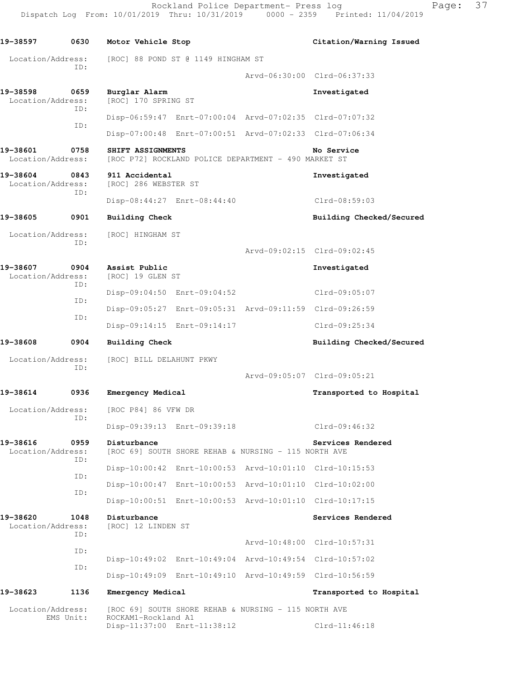Rockland Police Department- Press log Fage: 37 Dispatch Log From: 10/01/2019 Thru: 10/31/2019 0000 - 2359 Printed: 11/04/2019

**19-38597 0630 Motor Vehicle Stop Citation/Warning Issued**  Location/Address: [ROC] 88 POND ST @ 1149 HINGHAM ST ID: Arvd-06:30:00 Clrd-06:37:33 **19-38598 0659 Burglar Alarm 19-38598 Investigated**<br>
Location/Address: [ROC] 170 SPRING ST [ROC] 170 SPRING ST ID: Disp-06:59:47 Enrt-07:00:04 Arvd-07:02:35 Clrd-07:07:32 ID: Disp-07:00:48 Enrt-07:00:51 Arvd-07:02:33 Clrd-07:06:34 **19-38601 0758 SHIFT ASSIGNMENTS MO Service**<br>Location/Address: [ROC P72] ROCKLAND POLICE DEPARTMENT - 490 MARKET ST [ROC P72] ROCKLAND POLICE DEPARTMENT - 490 MARKET ST **19-38604 0843 911 Accidental Investigated**  Location/Address: [ROC] 286 WEBSTER ST ID: Disp-08:44:27 Enrt-08:44:40 Clrd-08:59:03 **19-38605 0901 Building Check Building Checked/Secured**  Location/Address: [ROC] HINGHAM ST ID: Arvd-09:02:15 Clrd-09:02:45 **19-38607 0904 Assist Public Investigated**  Location/Address: [ROC] 19 GLEN ST ID: Disp-09:04:50 Enrt-09:04:52 Clrd-09:05:07 ID: Disp-09:05:27 Enrt-09:05:31 Arvd-09:11:59 Clrd-09:26:59 ID: Disp-09:14:15 Enrt-09:14:17 Clrd-09:25:34 **19-38608 0904 Building Check Building Checked/Secured**  Location/Address: [ROC] BILL DELAHUNT PKWY ID: Arvd-09:05:07 Clrd-09:05:21 **19-38614 0936 Emergency Medical Transported to Hospital**  Location/Address: [ROC P84] 86 VFW DR ID: Disp-09:39:13 Enrt-09:39:18 Clrd-09:46:32 **19-38616** 0959 Disturbance **Services Rendered Services Rendered** Location/Address: [ROC 69] SOUTH SHORE REHAB & NURSING - 115 NORTH AVE ID: Disp-10:00:42 Enrt-10:00:53 Arvd-10:01:10 Clrd-10:15:53 ID: Disp-10:00:47 Enrt-10:00:53 Arvd-10:01:10 Clrd-10:02:00 ID: Disp-10:00:51 Enrt-10:00:53 Arvd-10:01:10 Clrd-10:17:15 19-38620 1048 Disturbance **Services Rendered**  Location/Address: [ROC] 12 LINDEN ST ID: Arvd-10:48:00 Clrd-10:57:31 ID: Disp-10:49:02 Enrt-10:49:04 Arvd-10:49:54 Clrd-10:57:02 ID: Disp-10:49:09 Enrt-10:49:10 Arvd-10:49:59 Clrd-10:56:59 **19-38623 1136 Emergency Medical Transported to Hospital**  Location/Address: [ROC 69] SOUTH SHORE REHAB & NURSING - 115 NORTH AVE EMS Unit: ROCKAM1-Rockland A1 ROCKAM1-Rockland A1 Disp-11:37:00 Enrt-11:38:12 Clrd-11:46:18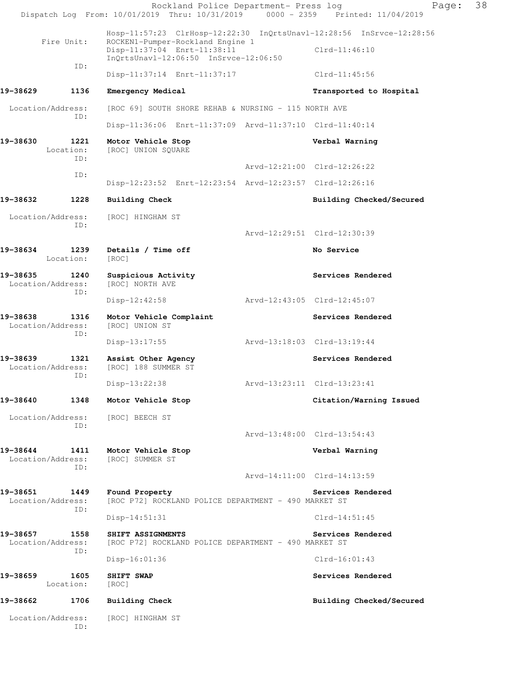|                                              | Rockland Police Department- Press log<br>Dispatch Log From: 10/01/2019 Thru: 10/31/2019 0000 - 2359 Printed: 11/04/2019                                                              |                             | Page:                       | 38 |
|----------------------------------------------|--------------------------------------------------------------------------------------------------------------------------------------------------------------------------------------|-----------------------------|-----------------------------|----|
| Fire Unit:                                   | Hosp-11:57:23 ClrHosp-12:22:30 InQrtsUnavl-12:28:56 InSrvce-12:28:56<br>ROCKEN1-Pumper-Rockland Engine 1<br>Disp-11:37:04 Enrt-11:38:11<br>$InQrtsUnav1-12:06:50$ $InSrvce-12:06:50$ |                             | $Clrd-11:46:10$             |    |
| ID:                                          | Disp-11:37:14 Enrt-11:37:17                                                                                                                                                          |                             | Clrd-11:45:56               |    |
| 19-38629<br>1136                             | Emergency Medical                                                                                                                                                                    |                             | Transported to Hospital     |    |
| Location/Address:                            | [ROC 69] SOUTH SHORE REHAB & NURSING - 115 NORTH AVE                                                                                                                                 |                             |                             |    |
| ID:                                          | Disp-11:36:06 Enrt-11:37:09 Arvd-11:37:10 Clrd-11:40:14                                                                                                                              |                             |                             |    |
| 19-38630<br>1221<br>Location:<br>ID:         | Motor Vehicle Stop<br>[ROC] UNION SQUARE                                                                                                                                             |                             | Verbal Warning              |    |
| ID:                                          |                                                                                                                                                                                      |                             | Arvd-12:21:00 Clrd-12:26:22 |    |
|                                              | Disp-12:23:52 Enrt-12:23:54 Arvd-12:23:57 Clrd-12:26:16                                                                                                                              |                             |                             |    |
| 19-38632<br>1228                             | <b>Building Check</b>                                                                                                                                                                |                             | Building Checked/Secured    |    |
| Location/Address:<br>ID:                     | [ROC] HINGHAM ST                                                                                                                                                                     |                             |                             |    |
|                                              |                                                                                                                                                                                      |                             | Arvd-12:29:51 Clrd-12:30:39 |    |
| 19-38634<br>1239<br>Location:                | Details / Time off<br>[ROC]                                                                                                                                                          |                             | No Service                  |    |
| 19-38635<br>1240<br>Location/Address:<br>ID: | Suspicious Activity<br>[ROC] NORTH AVE                                                                                                                                               |                             | Services Rendered           |    |
|                                              | Disp-12:42:58                                                                                                                                                                        | Arvd-12:43:05 Clrd-12:45:07 |                             |    |
| 19-38638<br>1316<br>Location/Address:<br>ID: | Motor Vehicle Complaint<br>[ROC] UNION ST                                                                                                                                            |                             | Services Rendered           |    |
|                                              | Disp-13:17:55                                                                                                                                                                        | Arvd-13:18:03 Clrd-13:19:44 |                             |    |
| 19-38639<br>1321<br>Location/Address:<br>ID: | Assist Other Agency<br>[ROC] 188 SUMMER ST                                                                                                                                           |                             | Services Rendered           |    |
|                                              | $Disp-13:22:38$                                                                                                                                                                      |                             |                             |    |
| 19-38640<br>1348                             | Motor Vehicle Stop                                                                                                                                                                   |                             | Citation/Warning Issued     |    |
| Location/Address:<br>ID:                     | [ROC] BEECH ST                                                                                                                                                                       |                             | Arvd-13:48:00 Clrd-13:54:43 |    |
| 19-38644<br>1411                             | Motor Vehicle Stop                                                                                                                                                                   |                             | Verbal Warning              |    |
| Location/Address:<br>ID:                     | [ROC] SUMMER ST                                                                                                                                                                      |                             |                             |    |
|                                              |                                                                                                                                                                                      |                             | Arvd-14:11:00 Clrd-14:13:59 |    |
| 19-38651<br>1449<br>Location/Address:<br>ID: | Found Property<br>[ROC P72] ROCKLAND POLICE DEPARTMENT - 490 MARKET ST                                                                                                               |                             | Services Rendered           |    |
|                                              | $Disp-14:51:31$                                                                                                                                                                      |                             | $Clrd-14:51:45$             |    |
| 19–38657<br>1558<br>Location/Address:<br>ID: | SHIFT ASSIGNMENTS<br>[ROC P72] ROCKLAND POLICE DEPARTMENT - 490 MARKET ST                                                                                                            |                             | Services Rendered           |    |
|                                              | $Disp-16:01:36$                                                                                                                                                                      |                             | $Clrd-16:01:43$             |    |
| 19–38659<br>1605<br>Location:                | SHIFT SWAP<br>[ROC]                                                                                                                                                                  |                             | Services Rendered           |    |
| 19-38662<br>1706                             | <b>Building Check</b>                                                                                                                                                                |                             | Building Checked/Secured    |    |
| Location/Address:<br>ID:                     | [ROC] HINGHAM ST                                                                                                                                                                     |                             |                             |    |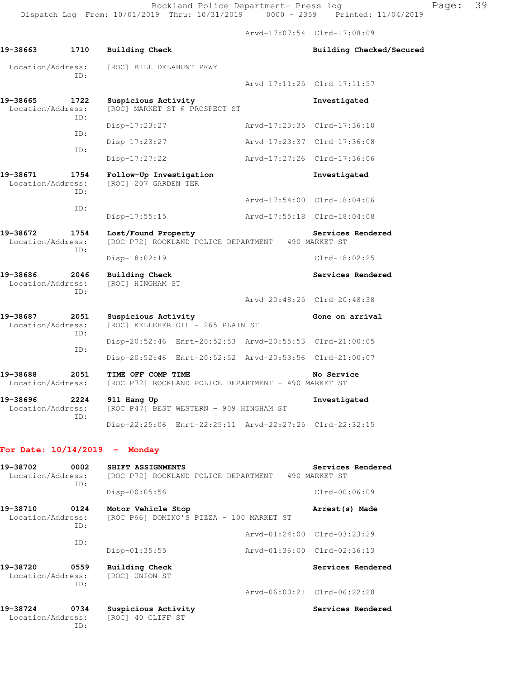Arvd-17:07:54 Clrd-17:08:09

| 19-38663                                     | 1710        | <b>Building Check</b>                                                       |                             | Building Checked/Secured |
|----------------------------------------------|-------------|-----------------------------------------------------------------------------|-----------------------------|--------------------------|
| Location/Address:                            | ID:         | [ROC] BILL DELAHUNT PKWY                                                    |                             |                          |
|                                              |             |                                                                             | Arvd-17:11:25 Clrd-17:11:57 |                          |
| 19-38665<br>Location/Address:                | 1722<br>ID: | Suspicious Activity<br>[ROC] MARKET ST @ PROSPECT ST                        |                             | Investigated             |
|                                              | ID:         | Disp-17:23:27                                                               | Arvd-17:23:35 Clrd-17:36:10 |                          |
|                                              | ID:         | Disp-17:23:27                                                               | Arvd-17:23:37 Clrd-17:36:08 |                          |
|                                              |             | $Disp-17:27:22$                                                             | Arvd-17:27:26 Clrd-17:36:06 |                          |
| 19-38671<br>Location/Address:                | 1754<br>ID: | Follow-Up Investigation<br>[ROC] 207 GARDEN TER                             |                             | Investigated             |
|                                              | ID:         |                                                                             | Arvd-17:54:00 Clrd-18:04:06 |                          |
|                                              |             | Disp-17:55:15                                                               | Arvd-17:55:18 Clrd-18:04:08 |                          |
| 19-38672<br>1754<br>Location/Address:<br>ID: |             | Lost/Found Property<br>[ROC P72] ROCKLAND POLICE DEPARTMENT - 490 MARKET ST |                             | Services Rendered        |
|                                              |             | $Disp-18:02:19$                                                             |                             | $Clrd-18:02:25$          |
| 19-38686<br>Location/Address:                | 2046<br>ID: | <b>Building Check</b><br>[ROC] HINGHAM ST                                   |                             | Services Rendered        |
|                                              |             |                                                                             | Arvd-20:48:25 Clrd-20:48:38 |                          |
| 19-38687<br>Location/Address:                | 2051<br>ID: | Suspicious Activity<br>[ROC] KELLEHER OIL - 265 PLAIN ST                    |                             | Gone on arrival          |
|                                              | ID:         | Disp-20:52:46 Enrt-20:52:53 Arvd-20:55:53 Clrd-21:00:05                     |                             |                          |
|                                              |             | Disp-20:52:46 Enrt-20:52:52 Arvd-20:53:56 Clrd-21:00:07                     |                             |                          |
| 19-38688<br>Location/Address:                | 2051        | TIME OFF COMP TIME<br>[ROC P72] ROCKLAND POLICE DEPARTMENT - 490 MARKET ST  |                             | No Service               |
| 19-38696<br>Location/Address:                | 2224<br>ID: | 911 Hang Up<br>[ROC P47] BEST WESTERN - 909 HINGHAM ST                      |                             | Investigated             |
|                                              |             | Disp-22:25:06 Enrt-22:25:11 Arvd-22:27:25 Clrd-22:32:15                     |                             |                          |
| For Date: $10/14/2019$ - Monday              |             |                                                                             |                             |                          |
| 19-38702<br>Location/Address:                | 0002<br>ID: | SHIFT ASSIGNMENTS<br>[ROC P72] ROCKLAND POLICE DEPARTMENT - 490 MARKET ST   |                             | Services Rendered        |
|                                              |             | Disp-00:05:56                                                               |                             | Clrd-00:06:09            |
| 19-38710<br>Location/Address:                | 0124<br>ID: | Motor Vehicle Stop<br>[ROC P66] DOMINO'S PIZZA - 100 MARKET ST              |                             | Arrest (s) Made          |
|                                              |             |                                                                             | Arvd-01:24:00 Clrd-03:23:29 |                          |

Disp-01:35:55 Arvd-01:36:00 Clrd-02:36:13

Arvd-06:00:21 Clrd-06:22:28

19-38720 0559 Building Check **Services Rendered** 

19-38724 0734 Suspicious Activity **Services Rendered** 

 Location/Address: [ROC] 40 CLIFF ST ID:

ID:

 Location/Address: [ROC] UNION ST ID: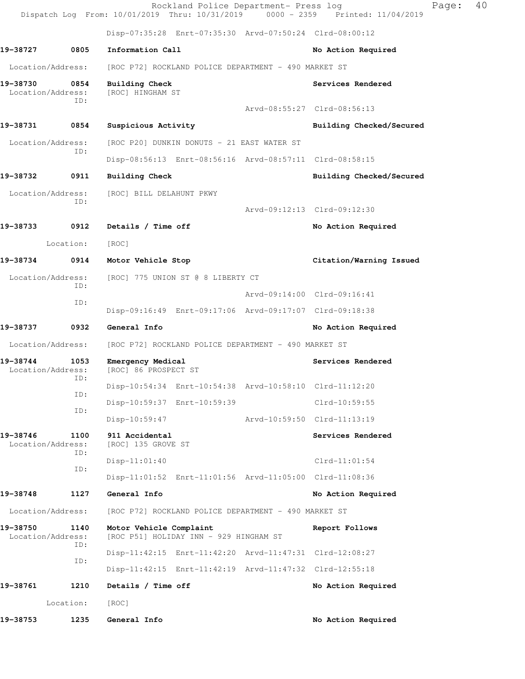|                               |             | Rockland Police Department- Press log<br>Dispatch Log From: 10/01/2019 Thru: 10/31/2019 0000 - 2359 Printed: 11/04/2019 |                             |                          | Page: | 40 |
|-------------------------------|-------------|-------------------------------------------------------------------------------------------------------------------------|-----------------------------|--------------------------|-------|----|
|                               |             | Disp-07:35:28 Enrt-07:35:30 Arvd-07:50:24 Clrd-08:00:12                                                                 |                             |                          |       |    |
| 19-38727                      | 0805        | Information Call                                                                                                        |                             | No Action Required       |       |    |
| Location/Address:             |             | [ROC P72] ROCKLAND POLICE DEPARTMENT - 490 MARKET ST                                                                    |                             |                          |       |    |
| 19-38730<br>Location/Address: | 0854<br>ID: | Building Check<br>[ROC] HINGHAM ST                                                                                      |                             | Services Rendered        |       |    |
|                               |             |                                                                                                                         | Arvd-08:55:27 Clrd-08:56:13 |                          |       |    |
| 19-38731                      | 0854        | Suspicious Activity                                                                                                     |                             | Building Checked/Secured |       |    |
| Location/Address:             | ID:         | [ROC P20] DUNKIN DONUTS - 21 EAST WATER ST                                                                              |                             |                          |       |    |
|                               |             | Disp-08:56:13 Enrt-08:56:16 Arvd-08:57:11 Clrd-08:58:15                                                                 |                             |                          |       |    |
| 19-38732                      | 0911        | Building Check                                                                                                          |                             | Building Checked/Secured |       |    |
| Location/Address:             | ID:         | [ROC] BILL DELAHUNT PKWY                                                                                                |                             |                          |       |    |
|                               |             |                                                                                                                         | Arvd-09:12:13 Clrd-09:12:30 |                          |       |    |
| 19-38733                      | 0912        | Details / Time off                                                                                                      |                             | No Action Required       |       |    |
|                               | Location:   | [ROC]                                                                                                                   |                             |                          |       |    |
| 19-38734                      | 0914        | Motor Vehicle Stop                                                                                                      |                             | Citation/Warning Issued  |       |    |
| Location/Address:             | ID:         | [ROC] 775 UNION ST @ 8 LIBERTY CT                                                                                       |                             |                          |       |    |
|                               | ID:         |                                                                                                                         | Arvd-09:14:00 Clrd-09:16:41 |                          |       |    |
|                               |             | Disp-09:16:49 Enrt-09:17:06 Arvd-09:17:07 Clrd-09:18:38                                                                 |                             |                          |       |    |
| 19-38737                      | 0932        | General Info                                                                                                            |                             | No Action Required       |       |    |
| Location/Address:             |             | [ROC P72] ROCKLAND POLICE DEPARTMENT - 490 MARKET ST                                                                    |                             |                          |       |    |
| 19-38744<br>Location/Address: | 1053<br>ID: | Emergency Medical<br>[ROC] 86 PROSPECT ST                                                                               |                             | Services Rendered        |       |    |
|                               | ID:         | Disp-10:54:34 Enrt-10:54:38 Arvd-10:58:10 Clrd-11:12:20                                                                 |                             |                          |       |    |
|                               | ID:         | Disp-10:59:37 Enrt-10:59:39                                                                                             |                             | Clrd-10:59:55            |       |    |
|                               |             | $Disp-10:59:47$                                                                                                         | Arvd-10:59:50 Clrd-11:13:19 |                          |       |    |
| 19-38746<br>Location/Address: | 1100<br>ID: | 911 Accidental<br>[ROC] 135 GROVE ST                                                                                    |                             | Services Rendered        |       |    |
|                               | ID:         | $Disp-11:01:40$                                                                                                         |                             | $Clrd-11:01:54$          |       |    |
|                               |             | Disp-11:01:52 Enrt-11:01:56 Arvd-11:05:00 Clrd-11:08:36                                                                 |                             |                          |       |    |
| 19-38748                      | 1127        | General Info                                                                                                            |                             | No Action Required       |       |    |
| Location/Address:             |             | [ROC P72] ROCKLAND POLICE DEPARTMENT - 490 MARKET ST                                                                    |                             |                          |       |    |
| 19-38750<br>Location/Address: | 1140<br>ID: | Motor Vehicle Complaint<br>[ROC P51] HOLIDAY INN - 929 HINGHAM ST                                                       |                             | Report Follows           |       |    |
|                               | ID:         | Disp-11:42:15 Enrt-11:42:20 Arvd-11:47:31 Clrd-12:08:27                                                                 |                             |                          |       |    |
|                               |             | Disp-11:42:15 Enrt-11:42:19 Arvd-11:47:32 Clrd-12:55:18                                                                 |                             |                          |       |    |
| 19-38761                      | 1210        | Details / Time off                                                                                                      |                             | No Action Required       |       |    |
|                               | Location:   | [ROC]                                                                                                                   |                             |                          |       |    |
| 19-38753                      | 1235        | General Info                                                                                                            |                             | No Action Required       |       |    |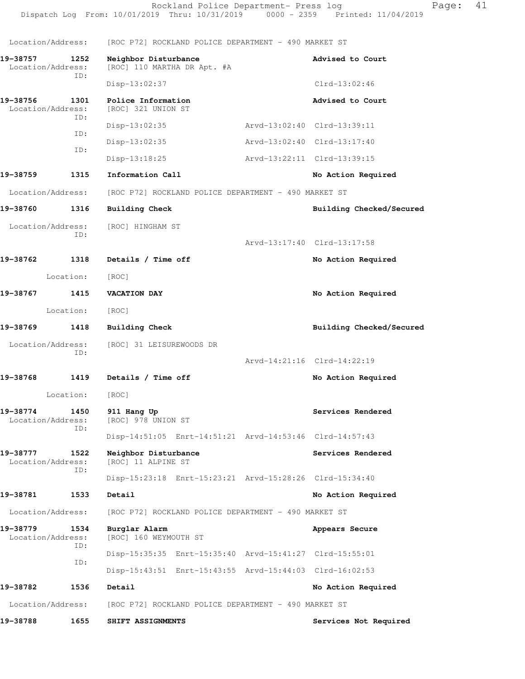Location/Address: [ROC P72] ROCKLAND POLICE DEPARTMENT - 490 MARKET ST **19-38757 1252 Neighbor Disturbance Advised to Court**  Location/Address: [ROC] 110 MARTHA DR Apt. #A ID: Disp-13:02:37 Clrd-13:02:46 19-38756 1301 Police Information **Advised to Court Advised to Court Advised to Court** [ROC] 321 UNION ST ID: Disp-13:02:35 Arvd-13:02:40 Clrd-13:39:11 ID: Disp-13:02:35 Arvd-13:02:40 Clrd-13:17:40 ID: Disp-13:18:25 Arvd-13:22:11 Clrd-13:39:15 19-38759 1315 Information Call **19-38759 1315** Location/Address: [ROC P72] ROCKLAND POLICE DEPARTMENT - 490 MARKET ST **19-38760 1316 Building Check Building Checked/Secured**  Location/Address: [ROC] HINGHAM ST ID: Arvd-13:17:40 Clrd-13:17:58 **19-38762 1318 Details / Time off No Action Required**  Location: [ROC] **19-38767 1415 VACATION DAY No Action Required**  Location: [ROC] **19-38769 1418 Building Check Building Checked/Secured**  Location/Address: [ROC] 31 LEISUREWOODS DR ID: Arvd-14:21:16 Clrd-14:22:19 19-38768 1419 Details / Time off **No Action Required**  Location: [ROC] **19-38774 1450 911 Hang Up Services Rendered** Services Rendered Location/Address: [ROC] 978 UNION ST Location/Address: ID: Disp-14:51:05 Enrt-14:51:21 Arvd-14:53:46 Clrd-14:57:43 **19-38777 1522 Neighbor Disturbance Services Rendered**  Location/Address: [ROC] 11 ALPINE ST ID: Disp-15:23:18 Enrt-15:23:21 Arvd-15:28:26 Clrd-15:34:40 **19-38781 1533 Detail No Action Required**  Location/Address: [ROC P72] ROCKLAND POLICE DEPARTMENT - 490 MARKET ST **19-38779 1534 Burglar Alarm Appears Secure**  Location/Address: [ROC] 160 WEYMOUTH ST ID: Disp-15:35:35 Enrt-15:35:40 Arvd-15:41:27 Clrd-15:55:01 ID: Disp-15:43:51 Enrt-15:43:55 Arvd-15:44:03 Clrd-16:02:53 **19-38782 1536 Detail No Action Required** 

Location/Address: [ROC P72] ROCKLAND POLICE DEPARTMENT - 490 MARKET ST

**19-38788 1655 SHIFT ASSIGNMENTS Services Not Required**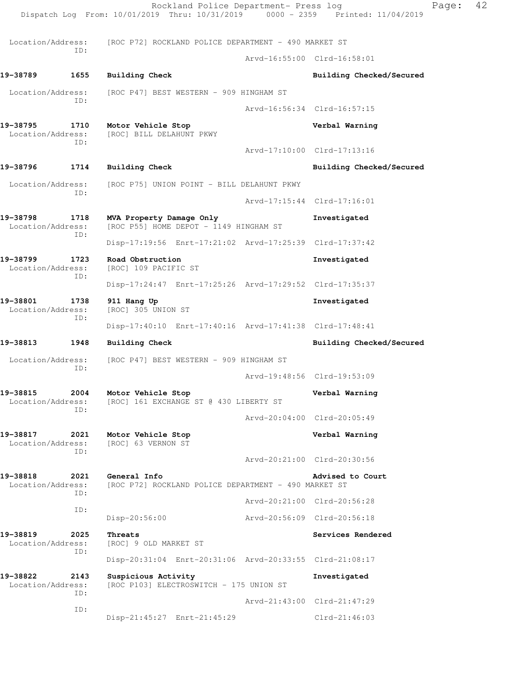Rockland Police Department- Press log Fage: 42 Dispatch Log From: 10/01/2019 Thru: 10/31/2019 0000 - 2359 Printed: 11/04/2019 Location/Address: [ROC P72] ROCKLAND POLICE DEPARTMENT - 490 MARKET ST ID: Arvd-16:55:00 Clrd-16:58:01 **19-38789 1655 Building Check Building Checked/Secured**  Location/Address: [ROC P47] BEST WESTERN - 909 HINGHAM ST ID: Arvd-16:56:34 Clrd-16:57:15 **19-38795 1710 Motor Vehicle Stop Verbal Warning**  Location/Address: [ROC] BILL DELAHUNT PKWY ID: Arvd-17:10:00 Clrd-17:13:16 19-38796 1714 Building Check **1996 1997 1998 1998 Building Checked/Secured**  Location/Address: [ROC P75] UNION POINT - BILL DELAHUNT PKWY ID: Arvd-17:15:44 Clrd-17:16:01 **19-38798 1718 MVA Property Damage Only Investigated**  Location/Address: [ROC P55] HOME DEPOT - 1149 HINGHAM ST ID: Disp-17:19:56 Enrt-17:21:02 Arvd-17:25:39 Clrd-17:37:42 **19-38799 1723 Road Obstruction Investigated**  Location/Address: [ROC] 109 PACIFIC ST ID: Disp-17:24:47 Enrt-17:25:26 Arvd-17:29:52 Clrd-17:35:37 **19-38801 1738 911 Hang Up Investigated**  Location/Address: [ROC] 305 UNION ST ID: Disp-17:40:10 Enrt-17:40:16 Arvd-17:41:38 Clrd-17:48:41 **19-38813 1948 Building Check Building Checked/Secured**  Location/Address: [ROC P47] BEST WESTERN - 909 HINGHAM ST ID: Arvd-19:48:56 Clrd-19:53:09 19-38815 2004 Motor Vehicle Stop **Verbal Warning Verbal Warning Location/Address:** [ROC] 161 EXCHANGE ST @ 430 LIBERTY ST [ROC] 161 EXCHANGE ST @ 430 LIBERTY ST ID: Arvd-20:04:00 Clrd-20:05:49 **19-38817 2021 Motor Vehicle Stop Verbal Warning**  Location/Address: [ROC] 63 VERNON ST ID: Arvd-20:21:00 Clrd-20:30:56 **19-38818 2021 General Info Advised to Court**  Location/Address: [ROC P72] ROCKLAND POLICE DEPARTMENT - 490 MARKET ST ID: Arvd-20:21:00 Clrd-20:56:28 ID: Disp-20:56:00 Arvd-20:56:09 Clrd-20:56:18 **19-38819** 2025 Threats Services Rendered Location/Address: [ROC] 9 OLD MARKET ST ID: Disp-20:31:04 Enrt-20:31:06 Arvd-20:33:55 Clrd-21:08:17 **19-38822 2143 Suspicious Activity Investigated**  Location/Address: [ROC P103] ELECTROSWITCH - 175 UNION ST ID: Arvd-21:43:00 Clrd-21:47:29 ID: Disp-21:45:27 Enrt-21:45:29 Clrd-21:46:03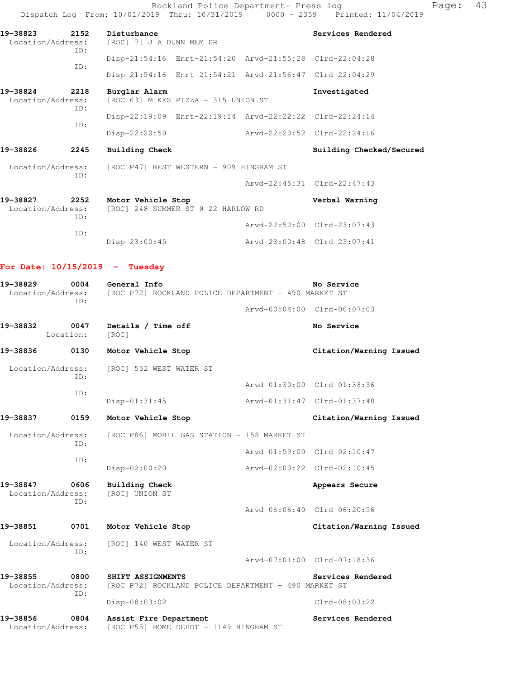Rockland Police Department- Press log entitled and Page: 43 Dispatch Log From: 10/01/2019 Thru: 10/31/2019 0000 - 2359 Printed: 11/04/2019

| 2152<br>19-38823<br>Location/Address: |      | Disturbance<br>Services Rendered<br>[ROC] 71 J A DUNN MEM DR |                                     |                             |  |  |
|---------------------------------------|------|--------------------------------------------------------------|-------------------------------------|-----------------------------|--|--|
|                                       | ID:  | Disp-21:54:16 Enrt-21:54:20 Arvd-21:55:28 Clrd-22:04:28      |                                     |                             |  |  |
|                                       | ID:  | Disp-21:54:16 Enrt-21:54:21 Arvd-21:56:47 Clrd-22:04:29      |                                     |                             |  |  |
| 2218<br>19-38824<br>Location/Address: |      | Burglar Alarm                                                | [ROC 63] MIKES PIZZA - 315 UNION ST |                             |  |  |
|                                       | ID:  | Disp-22:19:09 Enrt-22:19:14 Arvd-22:22:22 Clrd-22:24:14      |                                     |                             |  |  |
|                                       | ID:  | Disp-22:20:50                                                | Arvd-22:20:52 Clrd-22:24:16         |                             |  |  |
| 19-38826                              | 2245 | Building Check                                               |                                     | Building Checked/Secured    |  |  |
| Location/Address:                     |      | [ROC P47] BEST WESTERN - 909 HINGHAM ST                      |                                     |                             |  |  |
|                                       | ID:  |                                                              |                                     | Arvd-22:45:31 Clrd-22:47:43 |  |  |
| 19-38827<br>Location/Address:         | 2252 | Motor Vehicle Stop<br>[ROC] 248 SUMMER ST @ 22 HARLOW RD     |                                     | Verbal Warning              |  |  |
|                                       | ID:  |                                                              |                                     | Arvd-22:52:00 Clrd-23:07:43 |  |  |
|                                       | ID:  | Disp-23:00:45                                                | Arvd-23:00:48 Clrd-23:07:41         |                             |  |  |
|                                       |      |                                                              |                                     |                             |  |  |

**For Date: 10/15/2019 - Tuesday**

| 19-38829<br>Location/Address: | 0004<br>TD:       | General Info<br>[ROC P72] ROCKLAND POLICE DEPARTMENT - 490 MARKET ST      |                             | No Service                  |
|-------------------------------|-------------------|---------------------------------------------------------------------------|-----------------------------|-----------------------------|
|                               |                   |                                                                           |                             | Arvd-00:04:00 Clrd-00:07:03 |
| 19-38832                      | 0047<br>Location: | Details / Time off<br>[ROC]                                               |                             | No Service                  |
| 19-38836                      | 0130              | Motor Vehicle Stop                                                        |                             | Citation/Warning Issued     |
| Location/Address:             | TD:               | [ROC] 552 WEST WATER ST                                                   |                             |                             |
|                               | ID:               |                                                                           |                             | Arvd-01:30:00 Clrd-01:38:36 |
|                               |                   | Disp-01:31:45                                                             | Arvd-01:31:47 Clrd-01:37:40 |                             |
| 19-38837                      | 0159              | Motor Vehicle Stop                                                        |                             | Citation/Warning Issued     |
| Location/Address:<br>ID:      |                   | [ROC P86] MOBIL GAS STATION - 158 MARKET ST                               |                             |                             |
|                               |                   |                                                                           |                             | Arvd-01:59:00 Clrd-02:10:47 |
|                               | ID:               | Disp-02:00:20                                                             | Arvd-02:00:22 Clrd-02:10:45 |                             |
| 19-38847<br>Location/Address: | 0606<br>ID:       | <b>Building Check</b><br>[ROC] UNION ST                                   |                             | Appears Secure              |
|                               |                   |                                                                           |                             | Arvd-06:06:40 Clrd-06:20:56 |
| 19-38851                      | 0701              | Motor Vehicle Stop                                                        |                             | Citation/Warning Issued     |
| Location/Address:             |                   | [ROC] 140 WEST WATER ST                                                   |                             |                             |
|                               | ID:               |                                                                           |                             | Arvd-07:01:00 Clrd-07:18:36 |
| 19-38855<br>Location/Address: | 0800<br>TD:       | SHIFT ASSIGNMENTS<br>[ROC P72] ROCKLAND POLICE DEPARTMENT - 490 MARKET ST |                             | Services Rendered           |
|                               |                   | Disp-08:03:02                                                             |                             | $Clrd-08:03:22$             |
| 19-38856<br>Location/Address: | 0804              | Assist Fire Department<br>[ROC P55] HOME DEPOT - 1149 HINGHAM ST          |                             | Services Rendered           |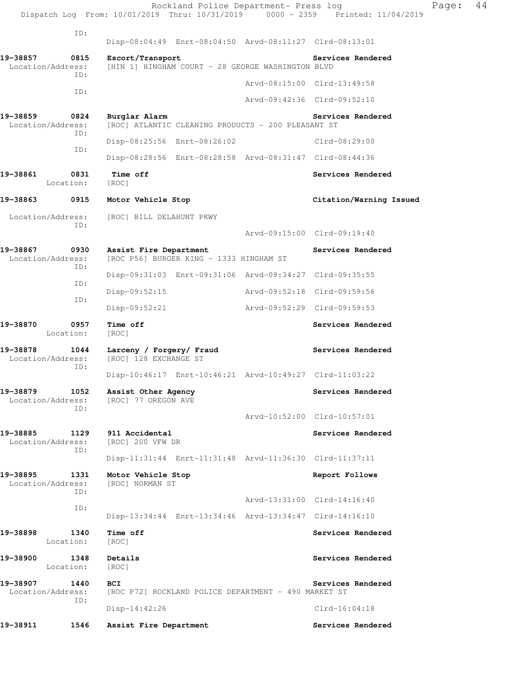|          |                                  | Rockland Police Department- Press log<br>Dispatch Log From: 10/01/2019 Thru: 10/31/2019 0000 - 2359 Printed: 11/04/2019 |                                      | Page: | 44 |
|----------|----------------------------------|-------------------------------------------------------------------------------------------------------------------------|--------------------------------------|-------|----|
|          | ID:                              |                                                                                                                         |                                      |       |    |
|          |                                  | Disp-08:04:49 Enrt-08:04:50 Arvd-08:11:27 Clrd-08:13:01                                                                 |                                      |       |    |
| 19-38857 | 0815<br>Location/Address:<br>ID: | Escort/Transport<br>[HIN 1] HINGHAM COURT - 28 GEORGE WASHINGTON BLVD                                                   | Services Rendered                    |       |    |
|          |                                  |                                                                                                                         | Arvd-08:15:00 Clrd-13:49:58          |       |    |
|          | ID:                              |                                                                                                                         | Arvd-09:42:36 Clrd-09:52:10          |       |    |
| 19-38859 | 0824<br>Location/Address:<br>ID: | Burglar Alarm<br>[ROC] ATLANTIC CLEANING PRODUCTS - 200 PLEASANT ST                                                     | Services Rendered                    |       |    |
|          | ID:                              | Disp-08:25:56 Enrt-08:26:02                                                                                             | Clrd-08:29:00                        |       |    |
|          |                                  | Disp-08:28:56 Enrt-08:28:58 Arvd-08:31:47 Clrd-08:44:36                                                                 |                                      |       |    |
| 19-38861 | 0831<br>Location:                | Time off<br>[ROC]                                                                                                       | Services Rendered                    |       |    |
| 19-38863 | 0915                             | Motor Vehicle Stop                                                                                                      | Citation/Warning Issued              |       |    |
|          | Location/Address:                | [ROC] BILL DELAHUNT PKWY                                                                                                |                                      |       |    |
|          | ID:                              |                                                                                                                         | Arvd-09:15:00 Clrd-09:19:40          |       |    |
| 19-38867 | 0930<br>Location/Address:<br>ID: | Assist Fire Department<br>[ROC P56] BURGER KING - 1333 HINGHAM ST                                                       | Services Rendered                    |       |    |
|          | ID:                              | Disp-09:31:03 Enrt-09:31:06 Arvd-09:34:27 Clrd-09:35:55                                                                 |                                      |       |    |
|          | ID:                              | Disp-09:52:15                                                                                                           | Arvd-09:52:18 Clrd-09:59:56          |       |    |
|          |                                  | $Disp-09:52:21$                                                                                                         | Arvd-09:52:29 Clrd-09:59:53          |       |    |
| 19-38870 | 0957<br>Location:                | Time off<br>[ROC]                                                                                                       | Services Rendered                    |       |    |
| 19-38878 | 1044<br>Location/Address:<br>ID: | Larceny / Forgery/ Fraud<br>[ROC] 128 EXCHANGE ST                                                                       | Services Rendered                    |       |    |
|          |                                  | Disp-10:46:17 Enrt-10:46:21 Arvd-10:49:27 Clrd-11:03:22                                                                 |                                      |       |    |
| 19-38879 | 1052<br>Location/Address:<br>ID: | Assist Other Agency<br>[ROC] 77 OREGON AVE                                                                              | Services Rendered                    |       |    |
|          |                                  |                                                                                                                         | Arvd-10:52:00 Clrd-10:57:01          |       |    |
| 19-38885 | 1129<br>Location/Address:<br>ID: | 911 Accidental<br>[ROC] 200 VFW DR                                                                                      | Services Rendered                    |       |    |
|          |                                  | Disp-11:31:44 Enrt-11:31:48 Arvd-11:36:30 Clrd-11:37:11                                                                 |                                      |       |    |
| 19-38895 | 1331<br>Location/Address:<br>ID: | Motor Vehicle Stop<br>[ROC] NORMAN ST                                                                                   | Report Follows                       |       |    |
|          | ID:                              |                                                                                                                         | Arvd-13:31:00 Clrd-14:16:40          |       |    |
|          |                                  | Disp-13:34:44 Enrt-13:34:46 Arvd-13:34:47 Clrd-14:16:10                                                                 |                                      |       |    |
| 19-38898 | 1340<br>Location:                | Time off<br>[ROC]                                                                                                       | Services Rendered                    |       |    |
| 19-38900 | 1348<br>Location:                | Details<br>[ROC]                                                                                                        | Services Rendered                    |       |    |
| 19-38907 | 1440<br>Location/Address:<br>ID: | BCI<br>[ROC P72] ROCKLAND POLICE DEPARTMENT - 490 MARKET ST<br>Disp-14:42:26                                            | Services Rendered<br>$Clrd-16:04:18$ |       |    |
|          |                                  |                                                                                                                         |                                      |       |    |
| 19-38911 | 1546                             | Assist Fire Department                                                                                                  | Services Rendered                    |       |    |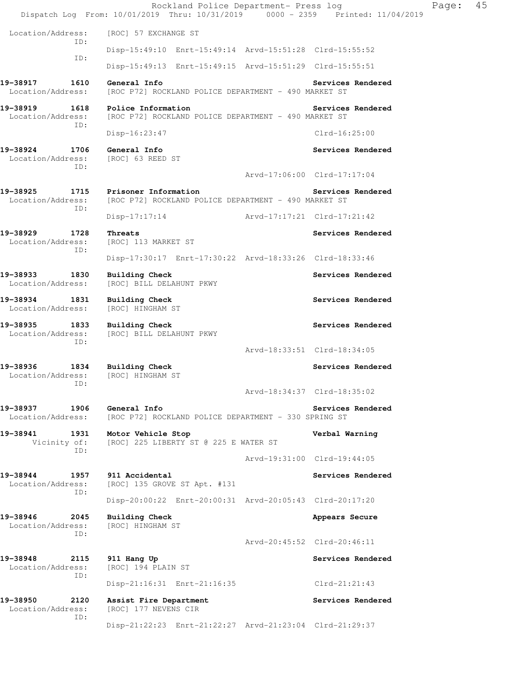Rockland Police Department- Press log Fage: 45 Dispatch Log From: 10/01/2019 Thru: 10/31/2019 0000 - 2359 Printed: 11/04/2019 Location/Address: [ROC] 57 EXCHANGE ST ID: Disp-15:49:10 Enrt-15:49:14 Arvd-15:51:28 Clrd-15:55:52 ID: Disp-15:49:13 Enrt-15:49:15 Arvd-15:51:29 Clrd-15:55:51 **19-38917 1610 General Info Services Rendered**  Location/Address: [ROC P72] ROCKLAND POLICE DEPARTMENT - 490 MARKET ST **19-38919 1618 Police Information Services Rendered**  Location/Address: [ROC P72] ROCKLAND POLICE DEPARTMENT - 490 MARKET ST ID: Disp-16:23:47 Clrd-16:25:00 19-38924 1706 General Info **1999 18 Services Rendered**  Location/Address: [ROC] 63 REED ST ID: Arvd-17:06:00 Clrd-17:17:04 **19-38925 1715 Prisoner Information Services Rendered**  Location/Address: [ROC P72] ROCKLAND POLICE DEPARTMENT - 490 MARKET ST ID: Disp-17:17:14 Arvd-17:17:21 Clrd-17:21:42 **19-38929 1728 Threats Services Rendered**  Location/Address: [ROC] 113 MARKET ST ID: Disp-17:30:17 Enrt-17:30:22 Arvd-18:33:26 Clrd-18:33:46 **19-38933 1830 Building Check Services Rendered**  Location/Address: [ROC] BILL DELAHUNT PKWY 19-38934 1831 Building Check **Services Rendered**  Location/Address: [ROC] HINGHAM ST **19-38935 1833 Building Check Services Rendered**  Location/Address: [ROC] BILL DELAHUNT PKWY ID: Arvd-18:33:51 Clrd-18:34:05 **19-38936 1834 Building Check Services Rendered**  Location/Address: [ROC] HINGHAM ST ID: Arvd-18:34:37 Clrd-18:35:02 19-38937 1906 General Info **Services Rendered** Location/Address: [ROC P72] ROCKLAND POLICE DEPARTMENT - 330 SPRING ST **19-38941 1931 Motor Vehicle Stop Verbal Warning**  Vicinity of: [ROC] 225 LIBERTY ST @ 225 E WATER ST ID: Arvd-19:31:00 Clrd-19:44:05 19-38944 1957 911 Accidental **19theabrach Services Rendered**  Location/Address: [ROC] 135 GROVE ST Apt. #131 ID: Disp-20:00:22 Enrt-20:00:31 Arvd-20:05:43 Clrd-20:17:20 19-38946 2045 Building Check **Appears Secure**  Location/Address: [ROC] HINGHAM ST ID: Arvd-20:45:52 Clrd-20:46:11 **19-38948 2115 911 Hang Up Services Rendered**  Location/Address: [ROC] 194 PLAIN ST ID: Disp-21:16:31 Enrt-21:16:35 Clrd-21:21:43 **19-38950 2120 Assist Fire Department Services Rendered**  Location/Address: [ROC] 177 NEVENS CIR ID: Disp-21:22:23 Enrt-21:22:27 Arvd-21:23:04 Clrd-21:29:37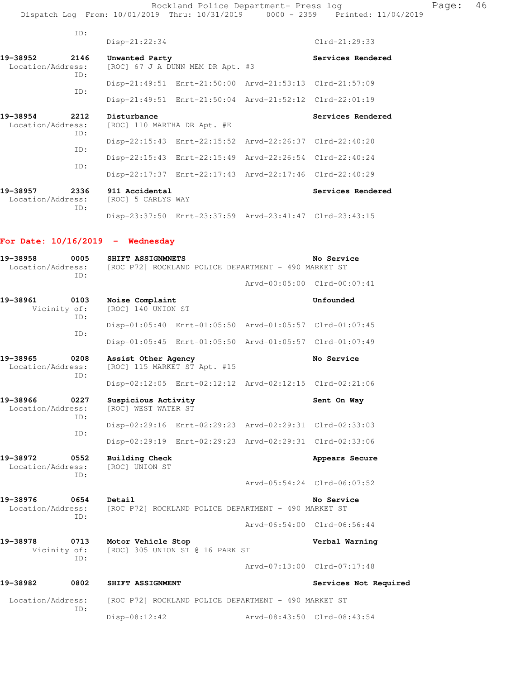Rockland Police Department- Press log entitled Page: 46 Dispatch Log From: 10/01/2019 Thru: 10/31/2019 0000 - 2359 Printed: 11/04/2019

| ID:                                          |                                            |                                                         |                   |
|----------------------------------------------|--------------------------------------------|---------------------------------------------------------|-------------------|
|                                              | $Disp-21:22:34$                            |                                                         | $Clrd-21:29:33$   |
| 2146<br>19-38952<br>Location/Address:<br>ID: | Unwanted Party                             | [ROC] 67 J A DUNN MEM DR Apt. #3                        | Services Rendered |
| ID:                                          |                                            | Disp-21:49:51 Enrt-21:50:00 Arvd-21:53:13 Clrd-21:57:09 |                   |
|                                              |                                            | Disp-21:49:51 Enrt-21:50:04 Arvd-21:52:12 Clrd-22:01:19 |                   |
| 2212<br>19-38954<br>Location/Address:<br>ID: | Disturbance<br>[ROC] 110 MARTHA DR Apt. #E |                                                         | Services Rendered |
| ID:                                          |                                            | Disp-22:15:43 Enrt-22:15:52 Arvd-22:26:37 Clrd-22:40:20 |                   |
| TD:                                          |                                            | Disp-22:15:43 Enrt-22:15:49 Arvd-22:26:54 Clrd-22:40:24 |                   |
|                                              |                                            | Disp-22:17:37 Enrt-22:17:43 Arvd-22:17:46 Clrd-22:40:29 |                   |
| 2336<br>19-38957<br>Location/Address:        | 911 Accidental<br>[ROC] 5 CARLYS WAY       |                                                         | Services Rendered |

Disp-23:37:50 Enrt-23:37:59 Arvd-23:41:47 Clrd-23:43:15

## **For Date: 10/16/2019 - Wednesday**

ID:

| 19-38958<br>0005<br>Location/Address:<br>TD: | SHIFT ASSIGNMNETS<br>No Service<br>[ROC P72] ROCKLAND POLICE DEPARTMENT - 490 MARKET ST |  |                             |  |  |
|----------------------------------------------|-----------------------------------------------------------------------------------------|--|-----------------------------|--|--|
|                                              |                                                                                         |  | Arvd-00:05:00 Clrd-00:07:41 |  |  |
| 19-38961<br>0103<br>Vicinity of:<br>ID:      | Noise Complaint<br>[ROC] 140 UNION ST                                                   |  | Unfounded                   |  |  |
| ID:                                          | Disp-01:05:40 Enrt-01:05:50 Arvd-01:05:57 Clrd-01:07:45                                 |  |                             |  |  |
|                                              | Disp-01:05:45 Enrt-01:05:50 Arvd-01:05:57 Clrd-01:07:49                                 |  |                             |  |  |
| 19-38965<br>0208<br>Location/Address:<br>TD: | Assist Other Agency<br>[ROC] 115 MARKET ST Apt. #15                                     |  | No Service                  |  |  |
|                                              | Disp-02:12:05 Enrt-02:12:12 Arvd-02:12:15 Clrd-02:21:06                                 |  |                             |  |  |
| 19-38966<br>0227<br>Location/Address:<br>ID: | Suspicious Activity<br>[ROC] WEST WATER ST                                              |  | Sent On Way                 |  |  |
| ID:                                          | Disp-02:29:16 Enrt-02:29:23 Arvd-02:29:31 Clrd-02:33:03                                 |  |                             |  |  |
|                                              | Disp-02:29:19 Enrt-02:29:23 Arvd-02:29:31 Clrd-02:33:06                                 |  |                             |  |  |
| 19-38972<br>0552<br>Location/Address:<br>TD: | Building Check<br>[ROC] UNION ST                                                        |  | Appears Secure              |  |  |
|                                              |                                                                                         |  | Arvd-05:54:24 Clrd-06:07:52 |  |  |
| 19-38976<br>0654<br>Location/Address:<br>ID: | Detail<br>[ROC P72] ROCKLAND POLICE DEPARTMENT - 490 MARKET ST                          |  | No Service                  |  |  |
|                                              |                                                                                         |  | Arvd-06:54:00 Clrd-06:56:44 |  |  |
| 19-38978<br>0713<br>Vicinity of:<br>ID:      | Motor Vehicle Stop<br>[ROC] 305 UNION ST @ 16 PARK ST                                   |  | Verbal Warning              |  |  |
|                                              |                                                                                         |  | Arvd-07:13:00 Clrd-07:17:48 |  |  |
| 19-38982<br>0802                             | SHIFT ASSIGNMENT                                                                        |  | Services Not Required       |  |  |
| Location/Address:                            | [ROC P72] ROCKLAND POLICE DEPARTMENT - 490 MARKET ST                                    |  |                             |  |  |
| ID:                                          | $Disp-08:12:42$                                                                         |  | Arvd-08:43:50 Clrd-08:43:54 |  |  |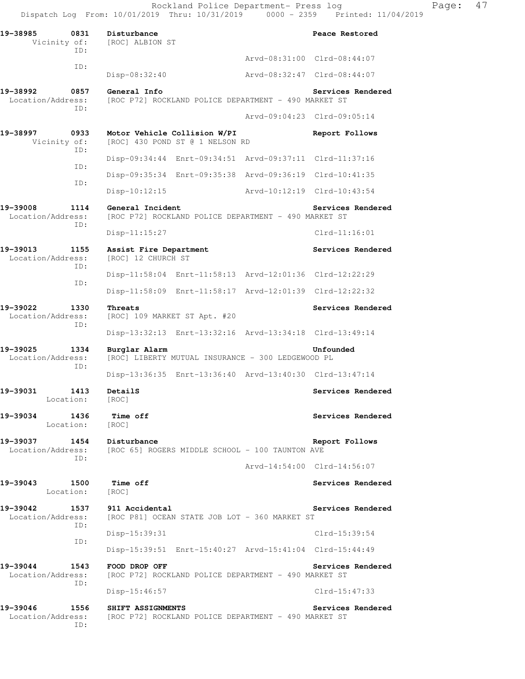Rockland Police Department- Press log Faqe: 47 Dispatch Log From: 10/01/2019 Thru: 10/31/2019 0000 - 2359 Printed: 11/04/2019

**19-38985 0831 Disturbance Peace Restored**  Vicinity of: [ROC] ALBION ST ID: Arvd-08:31:00 Clrd-08:44:07 ID: Disp-08:32:40 Arvd-08:32:47 Clrd-08:44:07 **19-38992 0857 General Info Services Rendered**  Location/Address: [ROC P72] ROCKLAND POLICE DEPARTMENT - 490 MARKET ST ID: Arvd-09:04:23 Clrd-09:05:14 **19-38997 0933 Motor Vehicle Collision W/PI Report Follows**  Vicinity of: [ROC] 430 POND ST @ 1 NELSON RD ID: Disp-09:34:44 Enrt-09:34:51 Arvd-09:37:11 Clrd-11:37:16 ID: Disp-09:35:34 Enrt-09:35:38 Arvd-09:36:19 Clrd-10:41:35 ID: Disp-10:12:15 Arvd-10:12:19 Clrd-10:43:54 19-39008 1114 General Incident **Services Rendered** Location/Address: [ROC P72] ROCKLAND POLICE DEPARTMENT - 490 MARKET ST ID: Disp-11:15:27 Clrd-11:16:01 **19-39013 1155 Assist Fire Department Services Rendered**  Location/Address: [ROC] 12 CHURCH ST ID: Disp-11:58:04 Enrt-11:58:13 Arvd-12:01:36 Clrd-12:22:29 ID: Disp-11:58:09 Enrt-11:58:17 Arvd-12:01:39 Clrd-12:22:32 **19-39022 1330 Threats Services Rendered**  Location/Address: [ROC] 109 MARKET ST Apt. #20 ID: Disp-13:32:13 Enrt-13:32:16 Arvd-13:34:18 Clrd-13:49:14 **19-39025 1334 Burglar Alarm Unfounded**  Location/Address: [ROC] LIBERTY MUTUAL INSURANCE - 300 LEDGEWOOD PL ID: Disp-13:36:35 Enrt-13:36:40 Arvd-13:40:30 Clrd-13:47:14 **19-39031 1413 DetailS Services Rendered**  Location: [ROC] **19-39034 1436 Time off Services Rendered Execution:** [ROC] Location: **19-39037 1454 Disturbance Report Follows**  Location/Address: [ROC 65] ROGERS MIDDLE SCHOOL - 100 TAUNTON AVE ID: Arvd-14:54:00 Clrd-14:56:07 **19-39043 1500 Time off Services Rendered**  Location: [ROC] **19-39042 1537 911 Accidental Services Rendered**  Location/Address: [ROC P81] OCEAN STATE JOB LOT - 360 MARKET ST ID: Disp-15:39:31 Clrd-15:39:54 ID: Disp-15:39:51 Enrt-15:40:27 Arvd-15:41:04 Clrd-15:44:49 **19-39044 1543 FOOD DROP OFF Services Rendered**  Location/Address: [ROC P72] ROCKLAND POLICE DEPARTMENT - 490 MARKET ST ID: Disp-15:46:57 Clrd-15:47:33 **19-39046 1556 SHIFT ASSIGNMENTS Services Rendered**  Location/Address: [ROC P72] ROCKLAND POLICE DEPARTMENT - 490 MARKET ST ID: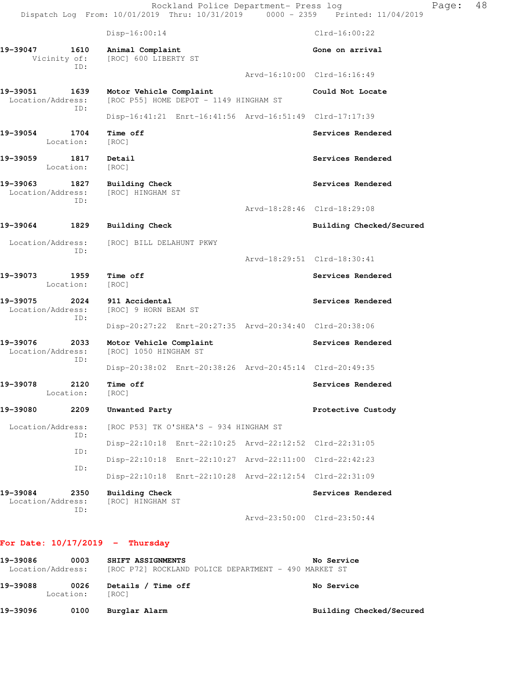|                               |                   | Rockland Police Department- Press log<br>Dispatch Log From: 10/01/2019 Thru: 10/31/2019 0000 - 2359 Printed: 11/04/2019 |                             | Page: | 48 |
|-------------------------------|-------------------|-------------------------------------------------------------------------------------------------------------------------|-----------------------------|-------|----|
|                               |                   | $Disp-16:00:14$                                                                                                         | $Clrd-16:00:22$             |       |    |
| 19-39047<br>Vicinity of:      | 1610              | Animal Complaint<br>[ROC] 600 LIBERTY ST                                                                                | Gone on arrival             |       |    |
|                               | ID:               |                                                                                                                         | Arvd-16:10:00 Clrd-16:16:49 |       |    |
| 19-39051<br>Location/Address: | 1639<br>ID:       | Motor Vehicle Complaint<br>[ROC P55] HOME DEPOT - 1149 HINGHAM ST                                                       | Could Not Locate            |       |    |
|                               |                   | Disp-16:41:21 Enrt-16:41:56 Arvd-16:51:49 Clrd-17:17:39                                                                 |                             |       |    |
| 19–39054<br>Location:         | 1704              | Time off<br>[ROC]                                                                                                       | Services Rendered           |       |    |
| 19–39059                      | 1817<br>Location: | Detail<br>[ROC]                                                                                                         | Services Rendered           |       |    |
| 19–39063<br>Location/Address: | ID:               | 1827 Building Check<br>[ROC] HINGHAM ST                                                                                 | Services Rendered           |       |    |
|                               |                   |                                                                                                                         | Arvd-18:28:46 Clrd-18:29:08 |       |    |
| 19–39064                      | 1829              | <b>Building Check</b>                                                                                                   | Building Checked/Secured    |       |    |
| Location/Address:             | ID:               | [ROC] BILL DELAHUNT PKWY                                                                                                |                             |       |    |
|                               |                   |                                                                                                                         | Arvd-18:29:51 Clrd-18:30:41 |       |    |
| 19-39073                      | 1959<br>Location: | Time off<br>[ROC]                                                                                                       | Services Rendered           |       |    |
| 19–39075<br>Location/Address: | ID:               | 2024 911 Accidental<br>[ROC] 9 HORN BEAM ST                                                                             | Services Rendered           |       |    |
|                               |                   | Disp-20:27:22 Enrt-20:27:35 Arvd-20:34:40 Clrd-20:38:06                                                                 |                             |       |    |
| 19-39076<br>Location/Address: | 2033<br>ID:       | Motor Vehicle Complaint<br>[ROC] 1050 HINGHAM ST                                                                        | Services Rendered           |       |    |
|                               |                   | Disp-20:38:02 Enrt-20:38:26 Arvd-20:45:14 Clrd-20:49:35                                                                 |                             |       |    |
| 19-39078<br>Location:         |                   | 2120 Time off<br>[ROC]                                                                                                  | Services Rendered           |       |    |
| 19-39080                      | 2209              | Unwanted Party                                                                                                          | Protective Custody          |       |    |
| Location/Address:             | ID:               | [ROC P53] TK O'SHEA'S - 934 HINGHAM ST                                                                                  |                             |       |    |
|                               |                   | Disp-22:10:18 Enrt-22:10:25 Arvd-22:12:52 Clrd-22:31:05                                                                 |                             |       |    |
|                               | ID:<br>ID:        | Disp-22:10:18 Enrt-22:10:27 Arvd-22:11:00 Clrd-22:42:23                                                                 |                             |       |    |
|                               |                   | Disp-22:10:18 Enrt-22:10:28 Arvd-22:12:54 Clrd-22:31:09                                                                 |                             |       |    |
| 19-39084<br>Location/Address: | 2350<br>ID:       | <b>Building Check</b><br>[ROC] HINGHAM ST                                                                               | Services Rendered           |       |    |
|                               |                   |                                                                                                                         | Arvd-23:50:00 Clrd-23:50:44 |       |    |

# **For Date: 10/17/2019 - Thursday**

| 19-39086 | 0003              | SHIFT ASSIGNMENTS                     | No Service                                           |
|----------|-------------------|---------------------------------------|------------------------------------------------------|
|          | Location/Address: |                                       | [ROC P72] ROCKLAND POLICE DEPARTMENT - 490 MARKET ST |
| 19-39088 | 0026<br>Location: | Details /<br><b>Time off</b><br>[ROC] | No Service                                           |
| 19-39096 | 0100              | Burglar Alarm                         | Building Checked/Secured                             |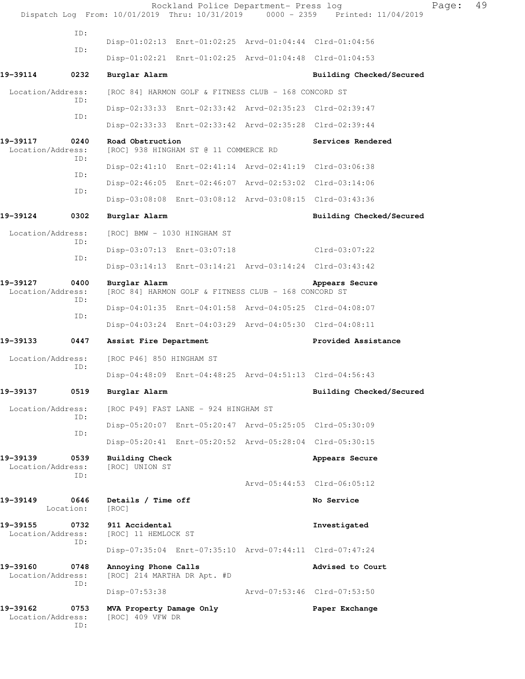|                               |                   |                                                     | Rockland Police Department- Press log                   | Dispatch Log From: 10/01/2019 Thru: 10/31/2019 0000 - 2359 Printed: 11/04/2019 | Page: | 49 |
|-------------------------------|-------------------|-----------------------------------------------------|---------------------------------------------------------|--------------------------------------------------------------------------------|-------|----|
|                               | ID:               |                                                     |                                                         |                                                                                |       |    |
|                               | ID:               |                                                     | Disp-01:02:13 Enrt-01:02:25 Arvd-01:04:44 Clrd-01:04:56 |                                                                                |       |    |
|                               |                   |                                                     | Disp-01:02:21 Enrt-01:02:25 Arvd-01:04:48 Clrd-01:04:53 |                                                                                |       |    |
| 19-39114                      | 0232              | Burglar Alarm                                       |                                                         | Building Checked/Secured                                                       |       |    |
| Location/Address:             |                   |                                                     | [ROC 84] HARMON GOLF & FITNESS CLUB - 168 CONCORD ST    |                                                                                |       |    |
|                               | ID:               |                                                     | Disp-02:33:33 Enrt-02:33:42 Arvd-02:35:23 Clrd-02:39:47 |                                                                                |       |    |
|                               | ID:               |                                                     | Disp-02:33:33 Enrt-02:33:42 Arvd-02:35:28 Clrd-02:39:44 |                                                                                |       |    |
| 19-39117<br>Location/Address: | 0240              | Road Obstruction                                    | [ROC] 938 HINGHAM ST @ 11 COMMERCE RD                   | Services Rendered                                                              |       |    |
|                               | ID:<br>ID:        |                                                     | Disp-02:41:10 Enrt-02:41:14 Arvd-02:41:19 Clrd-03:06:38 |                                                                                |       |    |
|                               | ID:               |                                                     | Disp-02:46:05 Enrt-02:46:07 Arvd-02:53:02 Clrd-03:14:06 |                                                                                |       |    |
|                               |                   |                                                     | Disp-03:08:08 Enrt-03:08:12 Arvd-03:08:15 Clrd-03:43:36 |                                                                                |       |    |
| 19-39124                      | 0302              | Burglar Alarm                                       |                                                         | Building Checked/Secured                                                       |       |    |
| Location/Address:             | ID:               | [ROC] BMW - 1030 HINGHAM ST                         |                                                         |                                                                                |       |    |
|                               | ID:               |                                                     | Disp-03:07:13 Enrt-03:07:18                             | Clrd-03:07:22                                                                  |       |    |
|                               |                   |                                                     | Disp-03:14:13 Enrt-03:14:21 Arvd-03:14:24 Clrd-03:43:42 |                                                                                |       |    |
| 19-39127<br>Location/Address: | 0400<br>ID:       | Burglar Alarm                                       | [ROC 84] HARMON GOLF & FITNESS CLUB - 168 CONCORD ST    | Appears Secure                                                                 |       |    |
|                               | ID:               |                                                     | Disp-04:01:35 Enrt-04:01:58 Arvd-04:05:25 Clrd-04:08:07 |                                                                                |       |    |
|                               |                   |                                                     | Disp-04:03:24 Enrt-04:03:29 Arvd-04:05:30 Clrd-04:08:11 |                                                                                |       |    |
| 19-39133                      | 0447              | Assist Fire Department                              |                                                         | Provided Assistance                                                            |       |    |
| Location/Address:             | ID:               | [ROC P46] 850 HINGHAM ST                            |                                                         |                                                                                |       |    |
|                               |                   |                                                     | Disp-04:48:09 Enrt-04:48:25 Arvd-04:51:13 Clrd-04:56:43 |                                                                                |       |    |
| 19-39137                      | 0519              | Burglar Alarm                                       |                                                         | Building Checked/Secured                                                       |       |    |
| Location/Address:             | ID:               |                                                     | [ROC P49] FAST LANE - 924 HINGHAM ST                    |                                                                                |       |    |
|                               | ID:               |                                                     | Disp-05:20:07 Enrt-05:20:47 Arvd-05:25:05 Clrd-05:30:09 |                                                                                |       |    |
|                               |                   |                                                     | Disp-05:20:41 Enrt-05:20:52 Arvd-05:28:04 Clrd-05:30:15 |                                                                                |       |    |
| 19-39139<br>Location/Address: | 0539<br>ID:       | Building Check<br>[ROC] UNION ST                    |                                                         | Appears Secure                                                                 |       |    |
|                               |                   |                                                     |                                                         | Arvd-05:44:53 Clrd-06:05:12                                                    |       |    |
| 19-39149                      | 0646<br>Location: | Details / Time off<br>[ROC]                         |                                                         | No Service                                                                     |       |    |
| 19-39155<br>Location/Address: | 0732<br>ID:       | 911 Accidental<br>[ROC] 11 HEMLOCK ST               |                                                         | Investigated                                                                   |       |    |
|                               |                   |                                                     | Disp-07:35:04 Enrt-07:35:10 Arvd-07:44:11 Clrd-07:47:24 |                                                                                |       |    |
| 19-39160<br>Location/Address: | 0748<br>ID:       | Annoying Phone Calls<br>[ROC] 214 MARTHA DR Apt. #D |                                                         | Advised to Court                                                               |       |    |
|                               |                   | $Disp-07:53:38$                                     |                                                         | Arvd-07:53:46 Clrd-07:53:50                                                    |       |    |
| 19-39162<br>Location/Address: | 0753<br>ID:       | MVA Property Damage Only<br>[ROC] 409 VFW DR        |                                                         | Paper Exchange                                                                 |       |    |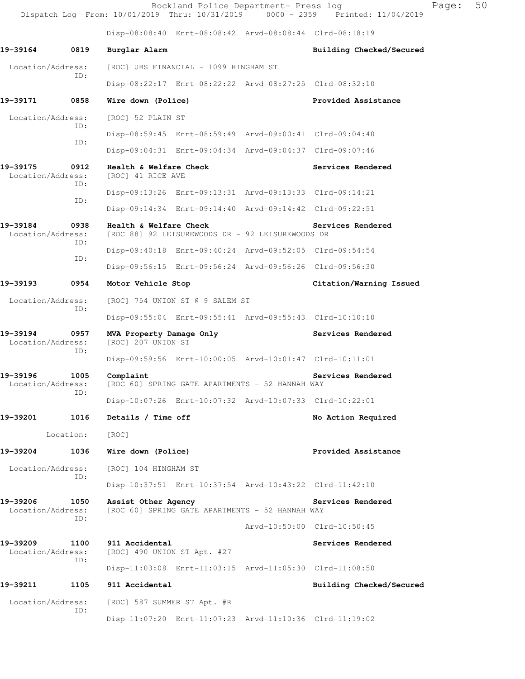|                               |             |                                                | Rockland Police Department- Press log                   | Dispatch Log From: 10/01/2019 Thru: 10/31/2019 0000 - 2359 Printed: 11/04/2019 | Page: | 50 |
|-------------------------------|-------------|------------------------------------------------|---------------------------------------------------------|--------------------------------------------------------------------------------|-------|----|
|                               |             |                                                | Disp-08:08:40 Enrt-08:08:42 Arvd-08:08:44 Clrd-08:18:19 |                                                                                |       |    |
| 19-39164                      | 0819        | Burglar Alarm                                  |                                                         | Building Checked/Secured                                                       |       |    |
| Location/Address:             |             |                                                | [ROC] UBS FINANCIAL - 1099 HINGHAM ST                   |                                                                                |       |    |
|                               | ID:         |                                                | Disp-08:22:17 Enrt-08:22:22 Arvd-08:27:25 Clrd-08:32:10 |                                                                                |       |    |
| 19-39171                      | 0858        | Wire down (Police)                             |                                                         | Provided Assistance                                                            |       |    |
| Location/Address:             | ID:         | [ROC] 52 PLAIN ST                              |                                                         |                                                                                |       |    |
|                               | ID:         |                                                | Disp-08:59:45 Enrt-08:59:49 Arvd-09:00:41 Clrd-09:04:40 |                                                                                |       |    |
|                               |             |                                                | Disp-09:04:31 Enrt-09:04:34 Arvd-09:04:37 Clrd-09:07:46 |                                                                                |       |    |
| 19–39175<br>Location/Address: | 0912<br>ID: | Health & Welfare Check<br>[ROC] 41 RICE AVE    |                                                         | Services Rendered                                                              |       |    |
|                               | ID:         |                                                | Disp-09:13:26 Enrt-09:13:31 Arvd-09:13:33 Clrd-09:14:21 |                                                                                |       |    |
|                               |             |                                                | Disp-09:14:34 Enrt-09:14:40 Arvd-09:14:42 Clrd-09:22:51 |                                                                                |       |    |
| 19-39184<br>Location/Address: | 0938<br>ID: | Health & Welfare Check                         | [ROC 88] 92 LEISUREWOODS DR - 92 LEISUREWOODS DR        | Services Rendered                                                              |       |    |
|                               | ID:         |                                                | Disp-09:40:18 Enrt-09:40:24 Arvd-09:52:05 Clrd-09:54:54 |                                                                                |       |    |
|                               |             |                                                | Disp-09:56:15 Enrt-09:56:24 Arvd-09:56:26 Clrd-09:56:30 |                                                                                |       |    |
| 19-39193                      | 0954        | Motor Vehicle Stop                             |                                                         | Citation/Warning Issued                                                        |       |    |
| Location/Address:             | ID:         |                                                | [ROC] 754 UNION ST @ 9 SALEM ST                         |                                                                                |       |    |
|                               |             |                                                | Disp-09:55:04 Enrt-09:55:41 Arvd-09:55:43 Clrd-10:10:10 |                                                                                |       |    |
| 19-39194<br>Location/Address: | 0957<br>ID: | MVA Property Damage Only<br>[ROC] 207 UNION ST |                                                         | Services Rendered                                                              |       |    |
|                               |             |                                                | Disp-09:59:56 Enrt-10:00:05 Arvd-10:01:47 Clrd-10:11:01 |                                                                                |       |    |
| 19–39196<br>Location/Address: | 1005<br>ID: | Complaint                                      | [ROC 60] SPRING GATE APARTMENTS - 52 HANNAH WAY         | Services Rendered                                                              |       |    |
|                               |             |                                                | Disp-10:07:26 Enrt-10:07:32 Arvd-10:07:33 Clrd-10:22:01 |                                                                                |       |    |
| 19-39201                      | 1016        | Details / Time off                             |                                                         | No Action Required                                                             |       |    |
|                               | Location:   | [ROC]                                          |                                                         |                                                                                |       |    |
| 19-39204                      | 1036        | Wire down (Police)                             |                                                         | Provided Assistance                                                            |       |    |
| Location/Address:             | ID:         | [ROC] 104 HINGHAM ST                           |                                                         |                                                                                |       |    |
|                               |             |                                                | Disp-10:37:51 Enrt-10:37:54 Arvd-10:43:22 Clrd-11:42:10 |                                                                                |       |    |
| 19-39206<br>Location/Address: | 1050<br>ID: | Assist Other Agency                            | [ROC 60] SPRING GATE APARTMENTS - 52 HANNAH WAY         | Services Rendered                                                              |       |    |
|                               |             |                                                |                                                         | Arvd-10:50:00 Clrd-10:50:45                                                    |       |    |
| 19-39209<br>Location/Address: | 1100<br>ID: | 911 Accidental<br>[ROC] 490 UNION ST Apt. #27  |                                                         | Services Rendered                                                              |       |    |
|                               |             |                                                | Disp-11:03:08 Enrt-11:03:15 Arvd-11:05:30 Clrd-11:08:50 |                                                                                |       |    |
| 19-39211                      | 1105        | 911 Accidental                                 |                                                         | Building Checked/Secured                                                       |       |    |
| Location/Address:             | ID:         | [ROC] 587 SUMMER ST Apt. #R                    |                                                         |                                                                                |       |    |
|                               |             |                                                | Disp-11:07:20 Enrt-11:07:23 Arvd-11:10:36 Clrd-11:19:02 |                                                                                |       |    |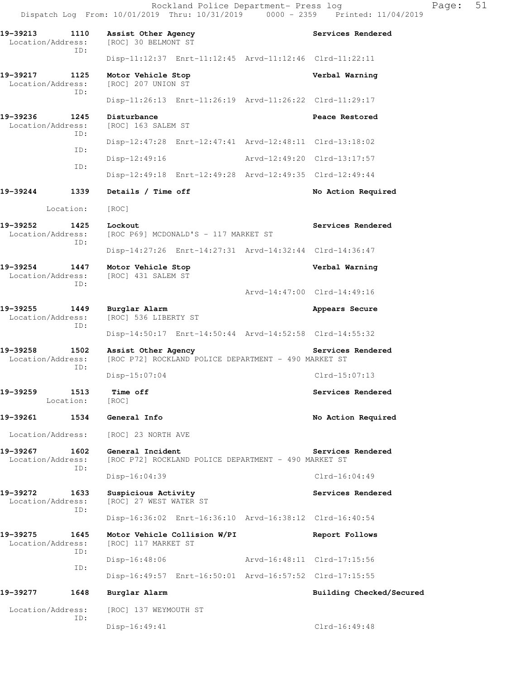**19-39217 1125 Motor Vehicle Stop Verbal Warning**  Location/Address: [ROC] 207 UNION ST ID:

 Disp-11:26:13 Enrt-11:26:19 Arvd-11:26:22 Clrd-11:29:17 **19-39236 1245 Disturbance Peace Restored**  Location/Address: [ROC] 163 SALEM ST ID: Disp-12:47:28 Enrt-12:47:41 Arvd-12:48:11 Clrd-13:18:02 ID: Disp-12:49:16 Arvd-12:49:20 Clrd-13:17:57 ID: Disp-12:49:18 Enrt-12:49:28 Arvd-12:49:35 Clrd-12:49:44

## **19-39244 1339 Details / Time off No Action Required**

Location: [ROC]

- **19-39252** 1425 Lockout Services Rendered Location/Address: [ROC P69] MCDONALD'S - 117 MARKET ST ID: Disp-14:27:26 Enrt-14:27:31 Arvd-14:32:44 Clrd-14:36:47
- **19-39254 1447 Motor Vehicle Stop Verbal Warning**  Location/Address: [ROC] 431 SALEM ST ID:

Arvd-14:47:00 Clrd-14:49:16

- **19-39255 1449 Burglar Alarm 19-39255 1449 Burglar Alarm Appears Secure**<br>
Location/Address: [ROC] 536 LIBERTY ST [ROC] 536 LIBERTY ST ID: Disp-14:50:17 Enrt-14:50:44 Arvd-14:52:58 Clrd-14:55:32
- 19-39258 1502 Assist Other Agency **1988 1999 Services Rendered** Location/Address: [ROC P72] ROCKLAND POLICE DEPARTMENT - 490 MARKET ST
	- ID: Disp-15:07:04 Clrd-15:07:13
- **19-39259 1513 Time off Services Rendered**  Location: [ROC]

**19-39261 1534 General Info No Action Required** 

Location/Address: [ROC] 23 NORTH AVE

**19-39267 1602 General Incident Services Rendered**  Location/Address: [ROC P72] ROCKLAND POLICE DEPARTMENT - 490 MARKET ST ID: Disp-16:04:39 Clrd-16:04:49

**19-39272 1633 Suspicious Activity Services Rendered**  Location/Address: [ROC] 27 WEST WATER ST ID:

Disp-16:36:02 Enrt-16:36:10 Arvd-16:38:12 Clrd-16:40:54

 Location/Address: [ROC] 117 MARKET ST Disp-16:48:06 Arvd-16:48:11 Clrd-17:15:56 Disp-16:49:57 Enrt-16:50:01 Arvd-16:57:52 Clrd-17:15:55

## **19-39277 1648 Burglar Alarm Building Checked/Secured**

ID:

ID:

ID:

Location/Address: [ROC] 137 WEYMOUTH ST

**19-39275 1645 Motor Vehicle Collision W/PI Report Follows** 

Disp-16:49:41 Clrd-16:49:48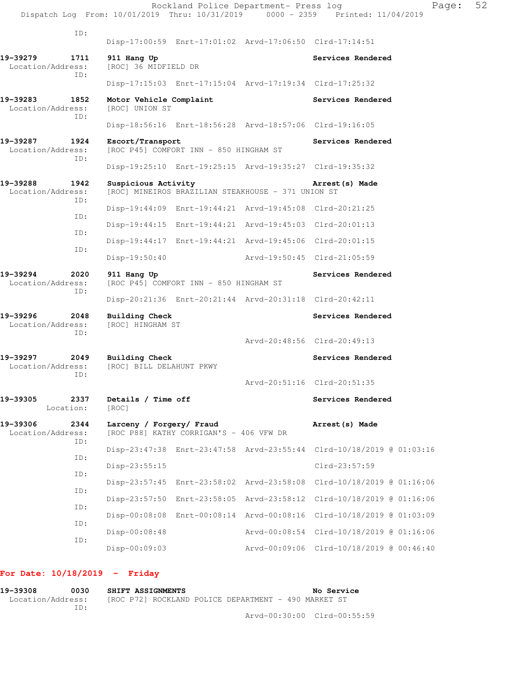|                               |             |                                                       |                                         | Rockland Police Department- Press log                   | Dispatch Log From: 10/01/2019 Thru: 10/31/2019 0000 - 2359 Printed: 11/04/2019 | Page: | 52 |
|-------------------------------|-------------|-------------------------------------------------------|-----------------------------------------|---------------------------------------------------------|--------------------------------------------------------------------------------|-------|----|
|                               | ID:         |                                                       |                                         | Disp-17:00:59 Enrt-17:01:02 Arvd-17:06:50 Clrd-17:14:51 |                                                                                |       |    |
| 19-39279<br>Location/Address: | 1711<br>ID: | 911 Hang Up<br>[ROC] 36 MIDFIELD DR                   |                                         |                                                         | Services Rendered                                                              |       |    |
|                               |             |                                                       |                                         | Disp-17:15:03 Enrt-17:15:04 Arvd-17:19:34 Clrd-17:25:32 |                                                                                |       |    |
| 19-39283<br>Location/Address: | 1852<br>ID: | Motor Vehicle Complaint<br>[ROC] UNION ST             |                                         |                                                         | Services Rendered                                                              |       |    |
|                               |             |                                                       |                                         | Disp-18:56:16 Enrt-18:56:28 Arvd-18:57:06 Clrd-19:16:05 |                                                                                |       |    |
| 19-39287<br>Location/Address: | 1924<br>ID: | Escort/Transport                                      | [ROC P45] COMFORT INN - 850 HINGHAM ST  |                                                         | Services Rendered                                                              |       |    |
|                               |             |                                                       |                                         | Disp-19:25:10 Enrt-19:25:15 Arvd-19:35:27 Clrd-19:35:32 |                                                                                |       |    |
| 19-39288<br>Location/Address: | 1942<br>ID: | Suspicious Activity                                   |                                         | [ROC] MINEIROS BRAZILIAN STEAKHOUSE - 371 UNION ST      | Arrest (s) Made                                                                |       |    |
|                               |             |                                                       |                                         | Disp-19:44:09 Enrt-19:44:21 Arvd-19:45:08 Clrd-20:21:25 |                                                                                |       |    |
|                               | ID:         |                                                       |                                         | Disp-19:44:15 Enrt-19:44:21 Arvd-19:45:03 Clrd-20:01:13 |                                                                                |       |    |
|                               | ID:         |                                                       |                                         | Disp-19:44:17 Enrt-19:44:21 Arvd-19:45:06 Clrd-20:01:15 |                                                                                |       |    |
|                               | ID:         | Disp-19:50:40                                         |                                         | Arvd-19:50:45 Clrd-21:05:59                             |                                                                                |       |    |
| 19-39294<br>Location/Address: | 2020<br>ID: | 911 Hang Up<br>[ROC P45] COMFORT INN - 850 HINGHAM ST |                                         |                                                         | Services Rendered                                                              |       |    |
|                               |             |                                                       |                                         | Disp-20:21:36 Enrt-20:21:44 Arvd-20:31:18 Clrd-20:42:11 |                                                                                |       |    |
| 19-39296<br>Location/Address: | 2048<br>ID: | <b>Building Check</b><br>[ROC] HINGHAM ST             |                                         |                                                         | Services Rendered                                                              |       |    |
|                               |             |                                                       |                                         |                                                         | Arvd-20:48:56 Clrd-20:49:13                                                    |       |    |
| 19-39297<br>Location/Address: | 2049<br>TD: | Building Check<br>[ROC] BILL DELAHUNT PKWY            |                                         |                                                         | Services Rendered                                                              |       |    |
|                               |             |                                                       |                                         |                                                         | Arvd-20:51:16 Clrd-20:51:35                                                    |       |    |
| 19-39305<br>Location:         | 2337        | Details / Time off<br>[ROC]                           |                                         |                                                         | Services Rendered                                                              |       |    |
| 19-39306<br>Location/Address: | 2344<br>ID: | Larceny / Forgery/ Fraud                              | [ROC P88] KATHY CORRIGAN'S - 406 VFW DR |                                                         | Arrest (s) Made                                                                |       |    |
|                               |             |                                                       |                                         |                                                         | Disp-23:47:38 Enrt-23:47:58 Arvd-23:55:44 Clrd-10/18/2019 @ 01:03:16           |       |    |
|                               | ID:         | Disp-23:55:15                                         |                                         |                                                         | Clrd-23:57:59                                                                  |       |    |
|                               | ID:         |                                                       |                                         | Disp-23:57:45 Enrt-23:58:02 Arvd-23:58:08               | Clrd-10/18/2019 @ 01:16:06                                                     |       |    |
|                               | ID:         |                                                       |                                         |                                                         | Disp-23:57:50 Enrt-23:58:05 Arvd-23:58:12 Clrd-10/18/2019 @ 01:16:06           |       |    |
|                               | ID:         |                                                       |                                         |                                                         | Disp-00:08:08 Enrt-00:08:14 Arvd-00:08:16 Clrd-10/18/2019 @ 01:03:09           |       |    |
|                               | ID:         | Disp-00:08:48                                         |                                         |                                                         | Arvd-00:08:54 Clrd-10/18/2019 @ 01:16:06                                       |       |    |
|                               | ID:         | $Disp-00:09:03$                                       |                                         |                                                         | Arvd-00:09:06 Clrd-10/18/2019 @ 00:46:40                                       |       |    |

# **For Date: 10/18/2019 - Friday**

| 19-39308          | 0030 | SHIFT ASSIGNMENTS |  |                                                      | No Service                  |
|-------------------|------|-------------------|--|------------------------------------------------------|-----------------------------|
| Location/Address: | TD:  |                   |  | [ROC P72] ROCKLAND POLICE DEPARTMENT - 490 MARKET ST |                             |
|                   |      |                   |  |                                                      | Arvd-00:30:00 Clrd-00:55:59 |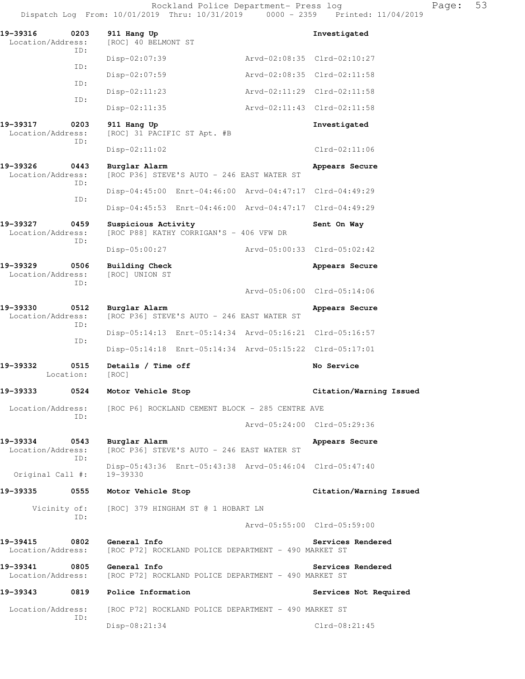| 19-39316<br>0203<br>Location/Address:        | 911 Hang Up<br>[ROC] 40 BELMONT ST              |                                            |                                                         | Investigated                |  |  |
|----------------------------------------------|-------------------------------------------------|--------------------------------------------|---------------------------------------------------------|-----------------------------|--|--|
| ID:                                          | $Disp-02:07:39$                                 |                                            |                                                         | Arvd-02:08:35 Clrd-02:10:27 |  |  |
| ID:                                          | Disp-02:07:59                                   |                                            |                                                         | Arvd-02:08:35 Clrd-02:11:58 |  |  |
| ID:                                          | $Disp-02:11:23$                                 |                                            |                                                         | Arvd-02:11:29 Clrd-02:11:58 |  |  |
| ID:                                          | $Disp-02:11:35$                                 |                                            |                                                         | Arvd-02:11:43 Clrd-02:11:58 |  |  |
| 19-39317<br>0203<br>Location/Address:<br>ID: | 911 Hang Up<br>[ROC] 31 PACIFIC ST Apt. #B      |                                            |                                                         | Investigated                |  |  |
|                                              | $Disp-02:11:02$                                 |                                            |                                                         | $Clrd-02:11:06$             |  |  |
| 19-39326<br>0443<br>Location/Address:<br>ID: | Burglar Alarm                                   | [ROC P36] STEVE'S AUTO - 246 EAST WATER ST |                                                         | Appears Secure              |  |  |
|                                              |                                                 |                                            | Disp-04:45:00 Enrt-04:46:00 Arvd-04:47:17 Clrd-04:49:29 |                             |  |  |
| ID:                                          |                                                 |                                            | Disp-04:45:53 Enrt-04:46:00 Arvd-04:47:17 Clrd-04:49:29 |                             |  |  |
| 19-39327<br>0459<br>Location/Address:<br>ID: | Suspicious Activity                             | [ROC P88] KATHY CORRIGAN'S - 406 VFW DR    |                                                         | Sent On Way                 |  |  |
|                                              | $Disp-05:00:27$                                 |                                            |                                                         | Arvd-05:00:33 Clrd-05:02:42 |  |  |
| 19–39329<br>0506<br>Location/Address:<br>ID: | Building Check<br>[ROC] UNION ST                |                                            |                                                         | Appears Secure              |  |  |
|                                              |                                                 |                                            |                                                         | Arvd-05:06:00 Clrd-05:14:06 |  |  |
| 19-39330<br>0512<br>Location/Address:<br>ID: | Burglar Alarm                                   | [ROC P36] STEVE'S AUTO - 246 EAST WATER ST |                                                         | Appears Secure              |  |  |
| ID:                                          |                                                 |                                            | Disp-05:14:13 Enrt-05:14:34 Arvd-05:16:21 Clrd-05:16:57 |                             |  |  |
|                                              |                                                 |                                            | Disp-05:14:18 Enrt-05:14:34 Arvd-05:15:22 Clrd-05:17:01 |                             |  |  |
| 19-39332<br>0515<br>Location:                | Details / Time off<br>[ROC]                     |                                            |                                                         | No Service                  |  |  |
| 19–39333<br>0524                             | Motor Vehicle Stop                              |                                            |                                                         | Citation/Warning Issued     |  |  |
| Location/Address:<br>ID:                     | [ROC P6] ROCKLAND CEMENT BLOCK - 285 CENTRE AVE |                                            |                                                         |                             |  |  |
|                                              |                                                 |                                            |                                                         | Arvd-05:24:00 Clrd-05:29:36 |  |  |
| 19–39334<br>0543<br>Location/Address:<br>ID: | Burglar Alarm                                   | [ROC P36] STEVE'S AUTO - 246 EAST WATER ST |                                                         | Appears Secure              |  |  |
| Original Call #:                             | 19-39330                                        |                                            | Disp-05:43:36 Enrt-05:43:38 Arvd-05:46:04 Clrd-05:47:40 |                             |  |  |
| 19–39335<br>0555                             | Motor Vehicle Stop                              |                                            |                                                         | Citation/Warning Issued     |  |  |
| Vicinity of:<br>ID:                          | [ROC] 379 HINGHAM ST @ 1 HOBART LN              |                                            |                                                         | Arvd-05:55:00 Clrd-05:59:00 |  |  |
|                                              |                                                 |                                            |                                                         |                             |  |  |
| 19-39415<br>0802<br>Location/Address:        | General Info                                    |                                            | [ROC P72] ROCKLAND POLICE DEPARTMENT - 490 MARKET ST    | Services Rendered           |  |  |
| 19-39341<br>0805<br>Location/Address:        | General Info                                    |                                            | [ROC P72] ROCKLAND POLICE DEPARTMENT - 490 MARKET ST    | Services Rendered           |  |  |
| 19–39343<br>0819                             | Police Information                              |                                            |                                                         | Services Not Required       |  |  |
| Location/Address:<br>ID:                     |                                                 |                                            | [ROC P72] ROCKLAND POLICE DEPARTMENT - 490 MARKET ST    |                             |  |  |
|                                              | Disp-08:21:34                                   |                                            |                                                         | Clrd-08:21:45               |  |  |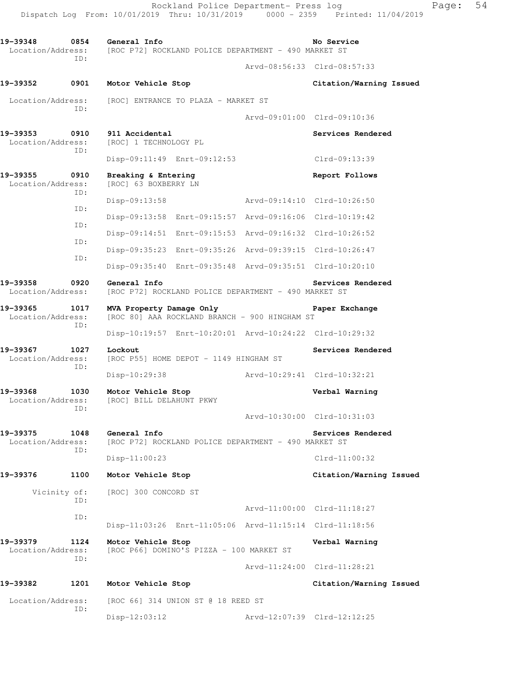19-39348 0854 General Info **No Service** No Service Location/Address: [ROC P72] ROCKLAND POLICE DEPARTMENT - 490 MARKET ST ID: Arvd-08:56:33 Clrd-08:57:33 **19-39352 0901 Motor Vehicle Stop Citation/Warning Issued**  Location/Address: [ROC] ENTRANCE TO PLAZA - MARKET ST ID: Arvd-09:01:00 Clrd-09:10:36 **19-39353 0910 911 Accidental Services Rendered**  Location/Address: [ROC] 1 TECHNOLOGY PL ID: Disp-09:11:49 Enrt-09:12:53 Clrd-09:13:39 **19-39355 0910 Breaking & Entering Report Follows**  Location/Address: [ROC] 63 BOXBERRY LN ID: Disp-09:13:58 Arvd-09:14:10 Clrd-10:26:50 ID: Disp-09:13:58 Enrt-09:15:57 Arvd-09:16:06 Clrd-10:19:42 ID: Disp-09:14:51 Enrt-09:15:53 Arvd-09:16:32 Clrd-10:26:52 ID: Disp-09:35:23 Enrt-09:35:26 Arvd-09:39:15 Clrd-10:26:47 ID: Disp-09:35:40 Enrt-09:35:48 Arvd-09:35:51 Clrd-10:20:10 **19-39358 0920 General Info Services Rendered**  Location/Address: [ROC P72] ROCKLAND POLICE DEPARTMENT - 490 MARKET ST **19-39365 1017 MVA Property Damage Only Paper Exchange**  Location/Address: [ROC 80] AAA ROCKLAND BRANCH - 900 HINGHAM ST ID: Disp-10:19:57 Enrt-10:20:01 Arvd-10:24:22 Clrd-10:29:32 19-39367 1027 Lockout **Services Rendered** Location/Address: [ROC P55] HOME DEPOT - 1149 HINGHAM ST ID: Disp-10:29:38 Arvd-10:29:41 Clrd-10:32:21 **19-39368 1030 Motor Vehicle Stop Verbal Warning**  Location/Address: [ROC] BILL DELAHUNT PKWY ID: Arvd-10:30:00 Clrd-10:31:03 **19-39375 1048 General Info Services Rendered**<br>Location/Address: [ROC P72] ROCKLAND POLICE DEPARTMENT - 490 MARKET ST [ROC P72] ROCKLAND POLICE DEPARTMENT - 490 MARKET ST ID: Disp-11:00:23 Clrd-11:00:32 **19-39376 1100 Motor Vehicle Stop Citation/Warning Issued**  Vicinity of: [ROC] 300 CONCORD ST ID: Arvd-11:00:00 Clrd-11:18:27 ID: Disp-11:03:26 Enrt-11:05:06 Arvd-11:15:14 Clrd-11:18:56 **19-39379 1124 Motor Vehicle Stop Verbal Warning**  Location/Address: [ROC P66] DOMINO'S PIZZA - 100 MARKET ST ID: Arvd-11:24:00 Clrd-11:28:21 **19-39382 1201 Motor Vehicle Stop Citation/Warning Issued**  Location/Address: [ROC 66] 314 UNION ST @ 18 REED ST ID:

Disp-12:03:12 Arvd-12:07:39 Clrd-12:12:25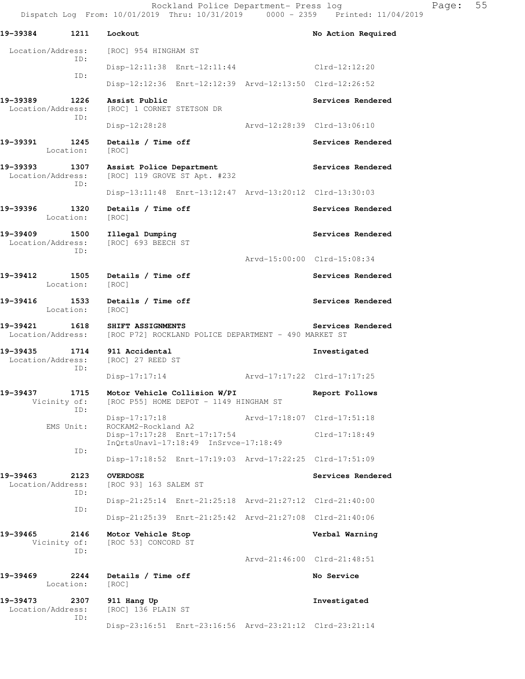| 19-39384                      | 1211                        | Lockout                                                                                  | No Action Required          |
|-------------------------------|-----------------------------|------------------------------------------------------------------------------------------|-----------------------------|
| Location/Address:             |                             | [ROC] 954 HINGHAM ST                                                                     |                             |
|                               | ID:<br>ID:                  | Disp-12:11:38 Enrt-12:11:44                                                              | Clrd-12:12:20               |
|                               |                             | Disp-12:12:36 Enrt-12:12:39 Arvd-12:13:50 Clrd-12:26:52                                  |                             |
| 19-39389<br>Location/Address: | 1226<br>ID:                 | Assist Public<br>[ROC] 1 CORNET STETSON DR                                               | Services Rendered           |
|                               |                             | $Disp-12:28:28$                                                                          | Arvd-12:28:39 Clrd-13:06:10 |
| 19-39391                      | 1245<br>Location:           | Details / Time off<br>[ROC]                                                              | Services Rendered           |
| 19–39393<br>Location/Address: | 1307<br>ID:                 | Assist Police Department<br>[ROC] 119 GROVE ST Apt. #232                                 | Services Rendered           |
|                               |                             | Disp-13:11:48 Enrt-13:12:47 Arvd-13:20:12 Clrd-13:30:03                                  |                             |
| 19-39396                      | 1320<br>Location:           | Details / Time off<br>[ROC]                                                              | Services Rendered           |
| 19-39409<br>Location/Address: | 1500<br>ID:                 | Illegal Dumping<br>[ROC] 693 BEECH ST                                                    | Services Rendered           |
|                               |                             |                                                                                          | Arvd-15:00:00 Clrd-15:08:34 |
| 19-39412                      | 1505<br>Location:           | Details / Time off<br>[ROC]                                                              | Services Rendered           |
| 19-39416                      | 1533<br>Location:           | Details / Time off<br>[ROC]                                                              | Services Rendered           |
| 19-39421<br>Location/Address: | 1618                        | SHIFT ASSIGNMENTS<br>[ROC P72] ROCKLAND POLICE DEPARTMENT - 490 MARKET ST                | Services Rendered           |
| 19-39435<br>Location/Address: | 1714                        | 911 Accidental<br>[ROC] 27 REED ST                                                       | Investigated                |
|                               | ID:                         | $Disp-17:17:14$                                                                          | Arvd-17:17:22 Clrd-17:17:25 |
| 19-39437                      | ID:                         | 1715 Motor Vehicle Collision W/PI<br>Vicinity of: [ROC P55] HOME DEPOT - 1149 HINGHAM ST | Report Follows              |
|                               | EMS Unit:                   | $Disp-17:17:18$<br>ROCKAM2-Rockland A2                                                   | Arvd-17:18:07 Clrd-17:51:18 |
|                               | ID:                         | Disp-17:17:28 Enrt-17:17:54<br>$InOrtsUnav1-17:18:49$ $InSrvec-17:18:49$                 | $Clrd-17:18:49$             |
|                               |                             | Disp-17:18:52 Enrt-17:19:03 Arvd-17:22:25 Clrd-17:51:09                                  |                             |
| 19-39463<br>Location/Address: | 2123<br>ID:                 | <b>OVERDOSE</b><br>[ROC 93] 163 SALEM ST                                                 | Services Rendered           |
|                               | ID:                         | Disp-21:25:14 Enrt-21:25:18 Arvd-21:27:12 Clrd-21:40:00                                  |                             |
|                               |                             | Disp-21:25:39 Enrt-21:25:42 Arvd-21:27:08 Clrd-21:40:06                                  |                             |
| 19-39465                      | 2146<br>Vicinity of:<br>ID: | Motor Vehicle Stop<br>[ROC 53] CONCORD ST                                                | Verbal Warning              |
|                               |                             |                                                                                          | Arvd-21:46:00 Clrd-21:48:51 |
| 19-39469                      | 2244<br>Location:           | Details / Time off<br>[ROC]                                                              | No Service                  |
| 19-39473<br>Location/Address: | 2307<br>ID:                 | 911 Hang Up<br>[ROC] 136 PLAIN ST                                                        | Investigated                |
|                               |                             | Disp-23:16:51 Enrt-23:16:56 Arvd-23:21:12 Clrd-23:21:14                                  |                             |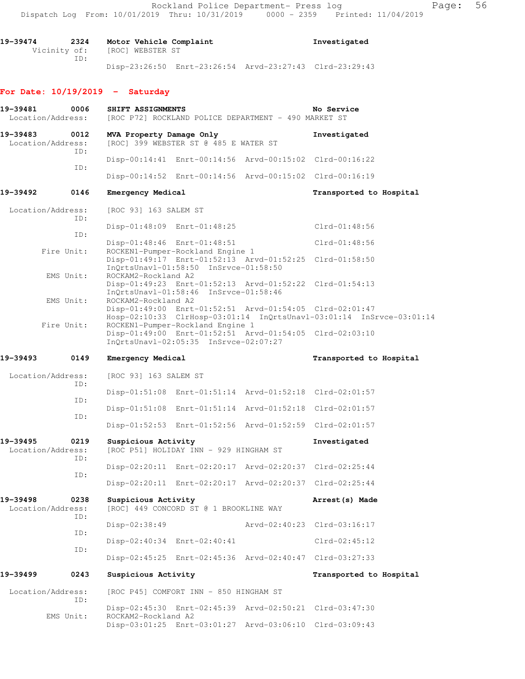**19-39474 2324 Motor Vehicle Complaint Investigated**  Vicinity of: [ROC] WEBSTER ST ID: Disp-23:26:50 Enrt-23:26:54 Arvd-23:27:43 Clrd-23:29:43

#### **For Date: 10/19/2019 - Saturday**

| 19-39481<br>Location/Address: | 0006        | SHIFT ASSIGNMENTS        | [ROC P72] ROCKLAND POLICE DEPARTMENT - 490 MARKET ST                                                                                 | No Service                                                           |
|-------------------------------|-------------|--------------------------|--------------------------------------------------------------------------------------------------------------------------------------|----------------------------------------------------------------------|
| 19-39483<br>Location/Address: | 0012<br>ID: | MVA Property Damage Only | [ROC] 399 WEBSTER ST @ 485 E WATER ST                                                                                                | Investigated                                                         |
|                               |             |                          | Disp-00:14:41 Enrt-00:14:56 Arvd-00:15:02 Clrd-00:16:22                                                                              |                                                                      |
|                               | ID:         |                          | Disp-00:14:52 Enrt-00:14:56 Arvd-00:15:02 Clrd-00:16:19                                                                              |                                                                      |
| 19-39492                      | 0146        | Emergency Medical        |                                                                                                                                      | Transported to Hospital                                              |
| Location/Address:             | ID:         | [ROC 93] 163 SALEM ST    |                                                                                                                                      |                                                                      |
|                               | ID:         |                          | Disp-01:48:09 Enrt-01:48:25                                                                                                          | $Clrd-01:48:56$                                                      |
|                               | Fire Unit:  |                          | Disp-01:48:46 Enrt-01:48:51<br>ROCKEN1-Pumper-Rockland Engine 1                                                                      | $Clrd-01:48:56$                                                      |
|                               |             |                          | Disp-01:49:17 Enrt-01:52:13 Arvd-01:52:25 Clrd-01:58:50<br>InQrtsUnavl-01:58:50 InSrvce-01:58:50                                     |                                                                      |
|                               | EMS Unit:   | ROCKAM2-Rockland A2      | Disp-01:49:23 Enrt-01:52:13 Arvd-01:52:22 Clrd-01:54:13<br>InOrtsUnavl-01:58:46 InSrvce-01:58:46                                     |                                                                      |
|                               | EMS Unit:   | ROCKAM2-Rockland A2      | Disp-01:49:00 Enrt-01:52:51 Arvd-01:54:05 Clrd-02:01:47                                                                              | Hosp-02:10:33 ClrHosp-03:01:14 InQrtsUnavl-03:01:14 InSrvce-03:01:14 |
|                               | Fire Unit:  |                          | ROCKEN1-Pumper-Rockland Engine 1<br>Disp-01:49:00 Enrt-01:52:51 Arvd-01:54:05 Clrd-02:03:10<br>InQrtsUnavl-02:05:35 InSrvce-02:07:27 |                                                                      |
| 19–39493                      | 0149        | Emergency Medical        |                                                                                                                                      | Transported to Hospital                                              |
| Location/Address:             | ID:         | [ROC 93] 163 SALEM ST    |                                                                                                                                      |                                                                      |
|                               | ID:         |                          | Disp-01:51:08 Enrt-01:51:14 Arvd-01:52:18 Clrd-02:01:57                                                                              |                                                                      |
|                               | ID:         |                          | Disp-01:51:08 Enrt-01:51:14 Arvd-01:52:18 Clrd-02:01:57                                                                              |                                                                      |
|                               |             |                          | Disp-01:52:53 Enrt-01:52:56 Arvd-01:52:59 Clrd-02:01:57                                                                              |                                                                      |
| 19–39495<br>Location/Address: | 0219<br>ID: | Suspicious Activity      | [ROC P51] HOLIDAY INN - 929 HINGHAM ST                                                                                               | Investigated                                                         |
|                               | ID:         |                          | Disp-02:20:11 Enrt-02:20:17 Arvd-02:20:37 Clrd-02:25:44                                                                              |                                                                      |
|                               |             |                          | Disp-02:20:11 Enrt-02:20:17 Arvd-02:20:37 Clrd-02:25:44                                                                              |                                                                      |
| 19-39498<br>Location/Address: | 0238<br>ID: | Suspicious Activity      | [ROC] 449 CONCORD ST @ 1 BROOKLINE WAY                                                                                               | Arrest (s) Made                                                      |
|                               |             | Disp-02:38:49            |                                                                                                                                      | Arvd-02:40:23 Clrd-03:16:17                                          |
|                               | ID:         |                          | Disp-02:40:34 Enrt-02:40:41                                                                                                          | $Clrd-02:45:12$                                                      |
|                               | ID:         |                          | Disp-02:45:25 Enrt-02:45:36 Arvd-02:40:47 Clrd-03:27:33                                                                              |                                                                      |
| 19–39499                      | 0243        | Suspicious Activity      |                                                                                                                                      | Transported to Hospital                                              |
| Location/Address:             | ID:         |                          | [ROC P45] COMFORT INN - 850 HINGHAM ST                                                                                               |                                                                      |
|                               |             | ROCKAM2-Rockland A2      | Disp-02:45:30 Enrt-02:45:39 Arvd-02:50:21 Clrd-03:47:30                                                                              |                                                                      |
|                               | EMS Unit:   |                          | Disp-03:01:25 Enrt-03:01:27 Arvd-03:06:10 Clrd-03:09:43                                                                              |                                                                      |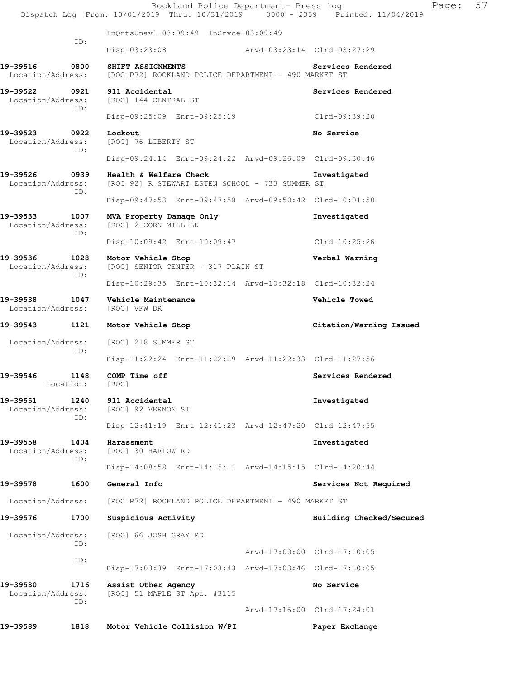|                               |                   | Rockland Police Department- Press log<br>Dispatch Log From: 10/01/2019 Thru: 10/31/2019 0000 - 2359 Printed: 11/04/2019 |                             | Page:                    | 57 |
|-------------------------------|-------------------|-------------------------------------------------------------------------------------------------------------------------|-----------------------------|--------------------------|----|
|                               |                   | InOrtsUnav1-03:09:49 InSrvce-03:09:49                                                                                   |                             |                          |    |
|                               | ID:               | Disp-03:23:08                                                                                                           | Arvd-03:23:14 Clrd-03:27:29 |                          |    |
| 19-39516<br>Location/Address: | 0800              | SHIFT ASSIGNMENTS<br>[ROC P72] ROCKLAND POLICE DEPARTMENT - 490 MARKET ST                                               |                             | Services Rendered        |    |
| 19–39522<br>Location/Address: | 0921<br>ID:       | 911 Accidental<br>[ROC] 144 CENTRAL ST                                                                                  |                             | Services Rendered        |    |
|                               |                   | Disp-09:25:09 Enrt-09:25:19                                                                                             |                             | Clrd-09:39:20            |    |
| 19–39523<br>Location/Address: | 0922<br>ID:       | Lockout<br>[ROC] 76 LIBERTY ST                                                                                          |                             | No Service               |    |
|                               |                   | Disp-09:24:14 Enrt-09:24:22 Arvd-09:26:09 Clrd-09:30:46                                                                 |                             |                          |    |
| 19-39526<br>Location/Address: | 0939<br>ID:       | Health & Welfare Check<br>[ROC 92] R STEWART ESTEN SCHOOL - 733 SUMMER ST                                               |                             | Investigated             |    |
|                               |                   | Disp-09:47:53 Enrt-09:47:58 Arvd-09:50:42 Clrd-10:01:50                                                                 |                             |                          |    |
| 19-39533<br>Location/Address: | 1007<br>ID:       | MVA Property Damage Only<br>[ROC] 2 CORN MILL LN                                                                        |                             | Investigated             |    |
|                               |                   | Disp-10:09:42 Enrt-10:09:47                                                                                             |                             | Clrd-10:25:26            |    |
| 19–39536<br>Location/Address: | 1028<br>ID:       | Motor Vehicle Stop<br>[ROC] SENIOR CENTER - 317 PLAIN ST                                                                |                             | Verbal Warning           |    |
|                               |                   | Disp-10:29:35 Enrt-10:32:14 Arvd-10:32:18 Clrd-10:32:24                                                                 |                             |                          |    |
| 19–39538<br>Location/Address: | 1047              | Vehicle Maintenance<br>[ROC] VFW DR                                                                                     |                             | Vehicle Towed            |    |
| 19-39543 1121                 |                   | Motor Vehicle Stop                                                                                                      |                             | Citation/Warning Issued  |    |
| Location/Address:             | ID:               | [ROC] 218 SUMMER ST                                                                                                     |                             |                          |    |
|                               |                   | Disp-11:22:24 Enrt-11:22:29 Arvd-11:22:33 Clrd-11:27:56                                                                 |                             |                          |    |
| 19-39546                      | 1148<br>Location: | COMP Time off<br>[ROC]                                                                                                  |                             | Services Rendered        |    |
| 19–39551<br>Location/Address: | 1240<br>ID:       | 911 Accidental<br>[ROC] 92 VERNON ST                                                                                    |                             | Investigated             |    |
|                               |                   | Disp-12:41:19 Enrt-12:41:23 Arvd-12:47:20 Clrd-12:47:55                                                                 |                             |                          |    |
| 19–39558<br>Location/Address: | 1404<br>ID:       | Harassment<br>[ROC] 30 HARLOW RD                                                                                        |                             | Investigated             |    |
|                               |                   | Disp-14:08:58 Enrt-14:15:11 Arvd-14:15:15 Clrd-14:20:44                                                                 |                             |                          |    |
| 19–39578                      | 1600              | General Info                                                                                                            |                             | Services Not Required    |    |
| Location/Address:             |                   | [ROC P72] ROCKLAND POLICE DEPARTMENT - 490 MARKET ST                                                                    |                             |                          |    |
| 19–39576                      | 1700              | Suspicious Activity                                                                                                     |                             | Building Checked/Secured |    |
| Location/Address:             | ID:               | [ROC] 66 JOSH GRAY RD                                                                                                   |                             |                          |    |
|                               | ID:               |                                                                                                                         | Arvd-17:00:00 Clrd-17:10:05 |                          |    |
|                               |                   | Disp-17:03:39 Enrt-17:03:43 Arvd-17:03:46 Clrd-17:10:05                                                                 |                             |                          |    |
| 19-39580<br>Location/Address: | 1716<br>ID:       | Assist Other Agency<br>[ROC] 51 MAPLE ST Apt. #3115                                                                     |                             | No Service               |    |
|                               |                   |                                                                                                                         | Arvd-17:16:00 Clrd-17:24:01 |                          |    |
| 19–39589                      | 1818              | Motor Vehicle Collision W/PI                                                                                            |                             | Paper Exchange           |    |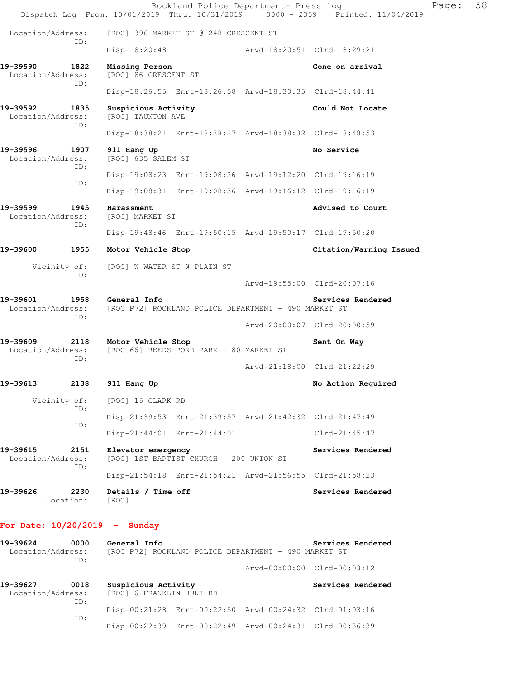Rockland Police Department- Press log Fage: 58 Dispatch Log From: 10/01/2019 Thru: 10/31/2019 0000 - 2359 Printed: 11/04/2019 Location/Address: [ROC] 396 MARKET ST @ 248 CRESCENT ST ID: Disp-18:20:48 Arvd-18:20:51 Clrd-18:29:21 **19-39590 1822 Missing Person Gone on arrival**  Location/Address: [ROC] 86 CRESCENT ST ID: Disp-18:26:55 Enrt-18:26:58 Arvd-18:30:35 Clrd-18:44:41 19-39592 1835 Suspicious Activity **19-39592** 1835 Suspicious Activity **Could Not Locate Could Not Locate** Location/Address: ID: Disp-18:38:21 Enrt-18:38:27 Arvd-18:38:32 Clrd-18:48:53 **19-39596 1907 911 Hang Up No Service**  Location/Address: [ROC] 635 SALEM ST ID: Disp-19:08:23 Enrt-19:08:36 Arvd-19:12:20 Clrd-19:16:19 ID: Disp-19:08:31 Enrt-19:08:36 Arvd-19:16:12 Clrd-19:16:19 **19-39599 1945 Harassment Advised to Court**  Location/Address: [ROC] MARKET ST ID: Disp-19:48:46 Enrt-19:50:15 Arvd-19:50:17 Clrd-19:50:20 **19-39600 1955 Motor Vehicle Stop Citation/Warning Issued**  Vicinity of: [ROC] W WATER ST @ PLAIN ST ID: Arvd-19:55:00 Clrd-20:07:16 **19-39601 1958 General Info Services Rendered**  Location/Address: [ROC P72] ROCKLAND POLICE DEPARTMENT - 490 MARKET ST ID: Arvd-20:00:07 Clrd-20:00:59 **19-39609 2118 Motor Vehicle Stop Sent On Way**  Location/Address: [ROC 66] REEDS POND PARK - 80 MARKET ST ID: Arvd-21:18:00 Clrd-21:22:29 **19-39613 2138 911 Hang Up No Action Required**  Vicinity of: [ROC] 15 CLARK RD ID: Disp-21:39:53 Enrt-21:39:57 Arvd-21:42:32 Clrd-21:47:49 ID: Disp-21:44:01 Enrt-21:44:01 Clrd-21:45:47 19-39615 2151 Elevator emergency **BEENEY SERVICES** Rendered Location/Address: [ROC] 1ST BAPTIST CHURCH - 200 UNION ST ID: Disp-21:54:18 Enrt-21:54:21 Arvd-21:56:55 Clrd-21:58:23 **19-39626 2230 Details / Time off Services Rendered**  Location: [ROC]

#### **For Date: 10/20/2019 - Sunday**

| 19-39624<br>Location/Address: | 0000<br>TD: | General Info                                    | [ROC P72] ROCKLAND POLICE DEPARTMENT - 490 MARKET ST    | Services Rendered               |
|-------------------------------|-------------|-------------------------------------------------|---------------------------------------------------------|---------------------------------|
|                               |             |                                                 |                                                         | $Arvd-00:00:00$ $Clrd-00:03:12$ |
| 19-39627<br>Location/Address: | 0018<br>TD: | Suspicious Activity<br>[ROC] 6 FRANKLIN HUNT RD |                                                         | Services Rendered               |
|                               | TD:         |                                                 | Disp-00:21:28 Enrt-00:22:50 Arvd-00:24:32 Clrd-01:03:16 |                                 |
|                               |             |                                                 | Disp-00:22:39 Enrt-00:22:49 Arvd-00:24:31 Clrd-00:36:39 |                                 |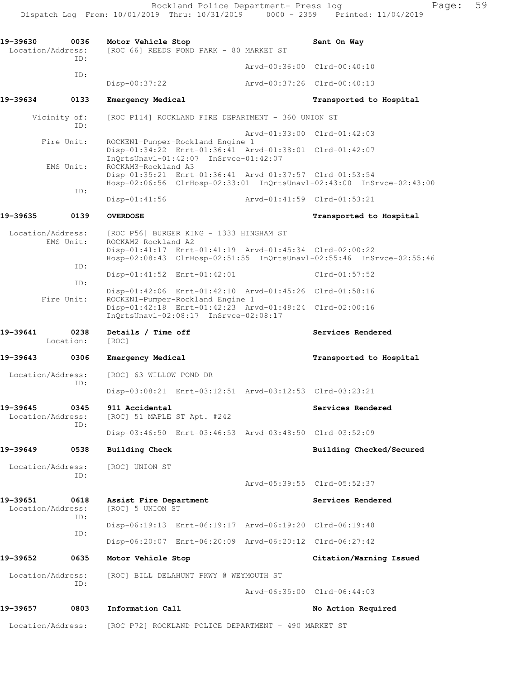**19-39630 0036 Motor Vehicle Stop Sent On Way**  Location/Address: [ROC 66] REEDS POND PARK - 80 MARKET ST ID: Arvd-00:36:00 Clrd-00:40:10 ID: Disp-00:37:22 Arvd-00:37:26 Clrd-00:40:13 **19-39634 0133 Emergency Medical Transported to Hospital**  Vicinity of: [ROC P114] ROCKLAND FIRE DEPARTMENT - 360 UNION ST ID: Arvd-01:33:00 Clrd-01:42:03 Fire Unit: ROCKEN1-Pumper-Rockland Engine 1 Disp-01:34:22 Enrt-01:36:41 Arvd-01:38:01 Clrd-01:42:07 InQrtsUnavl-01:42:07 InSrvce-01:42:07 EMS Unit: ROCKAM3-Rockland A3 Disp-01:35:21 Enrt-01:36:41 Arvd-01:37:57 Clrd-01:53:54 Hosp-02:06:56 ClrHosp-02:33:01 InQrtsUnavl-02:43:00 InSrvce-02:43:00 ID: Disp-01:41:56 Arvd-01:41:59 Clrd-01:53:21 **19-39635 0139 OVERDOSE Transported to Hospital**  Location/Address: [ROC P56] BURGER KING - 1333 HINGHAM ST EMS Unit: ROCKAM2-Rockland A2 Disp-01:41:17 Enrt-01:41:19 Arvd-01:45:34 Clrd-02:00:22 Hosp-02:08:43 ClrHosp-02:51:55 InQrtsUnavl-02:55:46 InSrvce-02:55:46 ID: Disp-01:41:52 Enrt-01:42:01 Clrd-01:57:52 ID: Disp-01:42:06 Enrt-01:42:10 Arvd-01:45:26 Clrd-01:58:16 Fire Unit: ROCKEN1-Pumper-Rockland Engine 1 Disp-01:42:18 Enrt-01:42:23 Arvd-01:48:24 Clrd-02:00:16 InQrtsUnavl-02:08:17 InSrvce-02:08:17 19-39641 **0238** Details / Time off **Services Rendered Services Rendered**  Location: [ROC] **19-39643 0306 Emergency Medical Transported to Hospital**  Location/Address: [ROC] 63 WILLOW POND DR ID: Disp-03:08:21 Enrt-03:12:51 Arvd-03:12:53 Clrd-03:23:21 19-39645 0345 911 Accidental **Services Rendered**  Location/Address: [ROC] 51 MAPLE ST Apt. #242 ID: Disp-03:46:50 Enrt-03:46:53 Arvd-03:48:50 Clrd-03:52:09 **19-39649 0538 Building Check Building Checked/Secured**  Location/Address: [ROC] UNION ST ID: Arvd-05:39:55 Clrd-05:52:37 **19-39651 0618 Assist Fire Department Services Rendered**  Location/Address: [ROC] 5 UNION ST ID: Disp-06:19:13 Enrt-06:19:17 Arvd-06:19:20 Clrd-06:19:48 ID: Disp-06:20:07 Enrt-06:20:09 Arvd-06:20:12 Clrd-06:27:42 **19-39652 0635 Motor Vehicle Stop Citation/Warning Issued**  Location/Address: [ROC] BILL DELAHUNT PKWY @ WEYMOUTH ST ID: Arvd-06:35:00 Clrd-06:44:03 19-39657 0803 Information Call **19-39657** No Action Required Location/Address: [ROC P72] ROCKLAND POLICE DEPARTMENT - 490 MARKET ST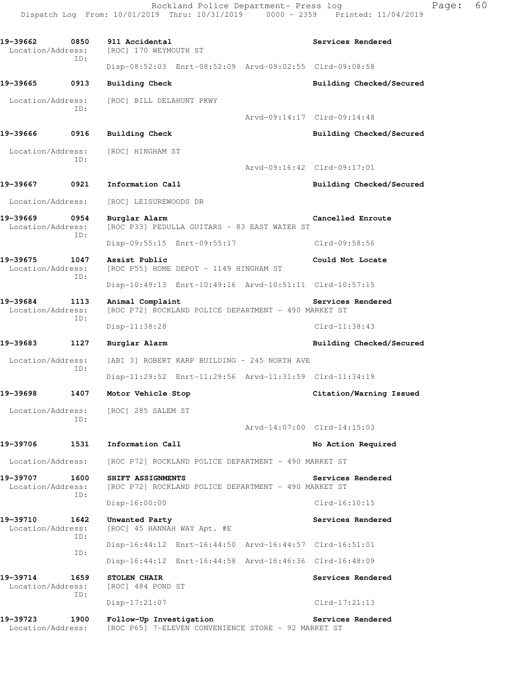**19-39662 0850 911 Accidental Services Rendered**  Location/Address: [ROC] 170 WEYMOUTH ST ID: Disp-08:52:03 Enrt-08:52:09 Arvd-09:02:55 Clrd-09:08:58 **19-39665 0913 Building Check Building Checked/Secured**  Location/Address: [ROC] BILL DELAHUNT PKWY ID: Arvd-09:14:17 Clrd-09:14:48 **19-39666 0916 Building Check Building Checked/Secured**  Location/Address: [ROC] HINGHAM ST ID: Arvd-09:16:42 Clrd-09:17:01 19-39667 0921 Information Call **Building Checked/Secured**  Location/Address: [ROC] LEISUREWOODS DR **19-39669 0954 Burglar Alarm Cancelled Enroute**  Location/Address: [ROC P33] PEDULLA GUITARS - 83 EAST WATER ST ID: Disp-09:55:15 Enrt-09:55:17 Clrd-09:58:56 **19-39675 1047 Assist Public Could Not Locate**  Location/Address: [ROC P55] HOME DEPOT - 1149 HINGHAM ST ID: Disp-10:49:13 Enrt-10:49:16 Arvd-10:51:11 Clrd-10:57:15 **19-39684 1113 Animal Complaint Services Rendered**  Location/Address: [ROC P72] ROCKLAND POLICE DEPARTMENT - 490 MARKET ST ID: Disp-11:38:28 Clrd-11:38:43 **19-39683 1127 Burglar Alarm Building Checked/Secured**  Location/Address: [ABI 3] ROBERT KARP BUILDING - 245 NORTH AVE ID: Disp-11:29:52 Enrt-11:29:56 Arvd-11:31:59 Clrd-11:34:19 **19-39698 1407 Motor Vehicle Stop Citation/Warning Issued**  Location/Address: [ROC] 285 SALEM ST ID: Arvd-14:07:00 Clrd-14:15:03 19-39706 1531 Information Call **19-39706** No Action Required Location/Address: [ROC P72] ROCKLAND POLICE DEPARTMENT - 490 MARKET ST **19-39707 1600 SHIFT ASSIGNMENTS Services Rendered**  Location/Address: [ROC P72] ROCKLAND POLICE DEPARTMENT - 490 MARKET ST ID: Disp-16:00:00 Clrd-16:10:15 19-39710 1642 Unwanted Party **Services Rendered**  Location/Address: [ROC] 45 HANNAH WAY Apt. #E ID: Disp-16:44:12 Enrt-16:44:50 Arvd-16:44:57 Clrd-16:51:01 ID: Disp-16:44:12 Enrt-16:44:58 Arvd-16:46:36 Clrd-16:48:09 **19-39714 1659 STOLEN CHAIR Services Rendered**  Location/Address: [ROC] 484 POND ST ID: Disp-17:21:07 Clrd-17:21:13 **19-39723 1900 Follow-Up Investigation Services Rendered**  Location/Address: [ROC P65] 7-ELEVEN CONVENIENCE STORE - 92 MARKET ST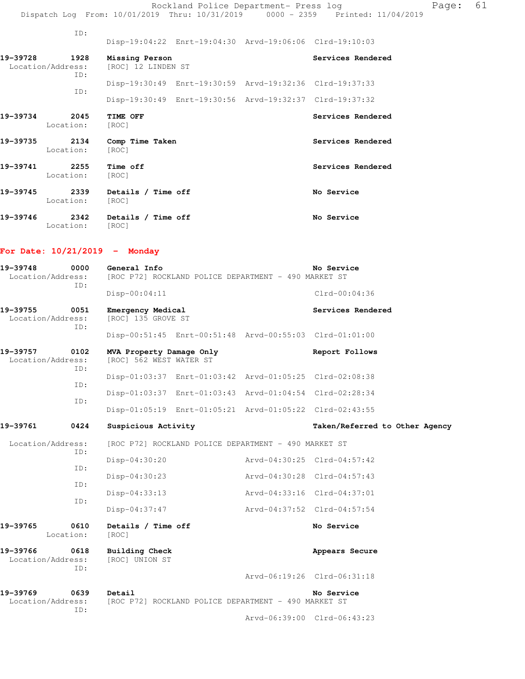| 19-39745                      | 2339        | Details / Time off                   |                                                                                                                    | No Service        |
|-------------------------------|-------------|--------------------------------------|--------------------------------------------------------------------------------------------------------------------|-------------------|
| 19-39741<br>Location:         | 2255        | Time off<br>[ROC]                    |                                                                                                                    | Services Rendered |
| 19–39735<br>Location:         | 2134        | Comp Time Taken<br>[ROC]             |                                                                                                                    | Services Rendered |
| 19-39734<br>Location:         | 2045        | TIME OFF<br>[ROC]                    |                                                                                                                    | Services Rendered |
|                               | ID:         |                                      | Disp-19:30:49 Enrt-19:30:59 Arvd-19:32:36 Clrd-19:37:33<br>Disp-19:30:49 Enrt-19:30:56 Arvd-19:32:37 Clrd-19:37:32 |                   |
| 19-39728<br>Location/Address: | 1928<br>ID: | Missing Person<br>[ROC] 12 LINDEN ST |                                                                                                                    | Services Rendered |
|                               | TD:         |                                      | Disp-19:04:22 Enrt-19:04:30 Arvd-19:06:06 Clrd-19:10:03                                                            |                   |
|                               |             |                                      |                                                                                                                    |                   |

|          | Location: [ROC]         |                    |            |
|----------|-------------------------|--------------------|------------|
| 19-39746 | 2342<br>Location: [ROC] | Details / Time off | No Service |

## **For Date: 10/21/2019 - Monday**

| 19-39748<br>0000<br>Location/Address: |                   | General Info<br>No Service<br>[ROC P72] ROCKLAND POLICE DEPARTMENT - 490 MARKET ST |  |                                                      |                                |  |
|---------------------------------------|-------------------|------------------------------------------------------------------------------------|--|------------------------------------------------------|--------------------------------|--|
|                                       | TD:               | Disp-00:04:11                                                                      |  |                                                      | $Clrd-00:04:36$                |  |
| 19-39755<br>Location/Address:         | 0051<br>TD:       | Emergency Medical<br>[ROC] 135 GROVE ST                                            |  |                                                      | Services Rendered              |  |
|                                       |                   | Disp-00:51:45 Enrt-00:51:48 Arvd-00:55:03 Clrd-01:01:00                            |  |                                                      |                                |  |
| 19–39757<br>Location/Address:         | 0102<br>TD:       | MVA Property Damage Only<br>[ROC] 562 WEST WATER ST                                |  |                                                      | Report Follows                 |  |
|                                       | TD:               | Disp-01:03:37 Enrt-01:03:42 Arvd-01:05:25 Clrd-02:08:38                            |  |                                                      |                                |  |
|                                       |                   | Disp-01:03:37 Enrt-01:03:43 Arvd-01:04:54 Clrd-02:28:34                            |  |                                                      |                                |  |
|                                       | ID:               | Disp-01:05:19 Enrt-01:05:21 Arvd-01:05:22 Clrd-02:43:55                            |  |                                                      |                                |  |
| 19-39761                              | 0424              | Suspicious Activity                                                                |  |                                                      | Taken/Referred to Other Agency |  |
| Location/Address:                     |                   |                                                                                    |  | [ROC P72] ROCKLAND POLICE DEPARTMENT - 490 MARKET ST |                                |  |
|                                       | TD:               | Disp-04:30:20                                                                      |  | Arvd-04:30:25 Clrd-04:57:42                          |                                |  |
|                                       | ID:               | $Disp-04:30:23$                                                                    |  | Arvd-04:30:28 Clrd-04:57:43                          |                                |  |
|                                       | ID:               | $Disp-04:33:13$                                                                    |  | Arvd-04:33:16 Clrd-04:37:01                          |                                |  |
|                                       | ID:               | Disp-04:37:47                                                                      |  | Arvd-04:37:52 Clrd-04:57:54                          |                                |  |
| 19-39765                              | 0610<br>Location: | Details / Time off<br>[ROC]                                                        |  |                                                      | No Service                     |  |
| 19-39766<br>Location/Address:         | 0618<br>TD:       | <b>Building Check</b><br>[ROC] UNION ST                                            |  |                                                      | Appears Secure                 |  |
|                                       |                   |                                                                                    |  |                                                      | Arvd-06:19:26 Clrd-06:31:18    |  |
| 19-39769<br>Location/Address:         | 0639<br>ID:       | Detail                                                                             |  | [ROC P72] ROCKLAND POLICE DEPARTMENT - 490 MARKET ST | No Service                     |  |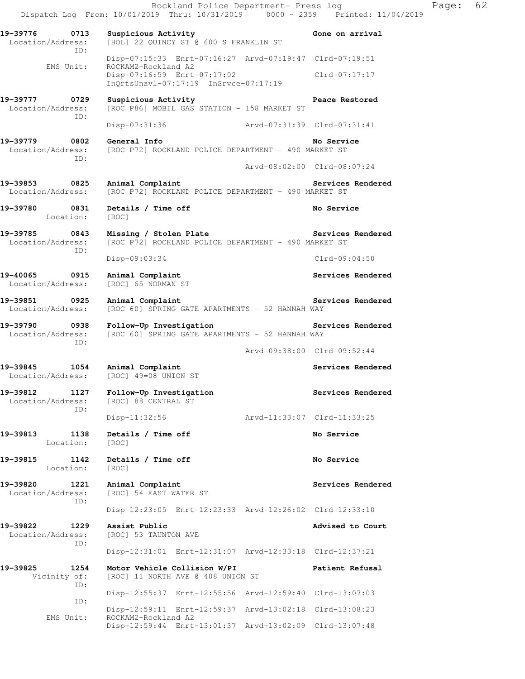Rockland Police Department- Press log Fage: 62 Dispatch Log From: 10/01/2019 Thru: 10/31/2019 0000 - 2359 Printed: 11/04/2019 19-39776 0713 Suspicious Activity Gone on arrival Location/Address: [HOL] 22 QUINCY ST @ 600 S FRANKLIN ST ID: Disp-07:15:33 Enrt-07:16:27 Arvd-07:19:47 Clrd-07:19:51 EMS Unit: ROCKAM2-Rockland A2 Disp-07:16:59 Enrt-07:17:02 Clrd-07:17:17 InQrtsUnavl-07:17:19 InSrvce-07:17:19 **19-39777 0729 Suspicious Activity Peace Restored**  Location/Address: [ROC P86] MOBIL GAS STATION - 158 MARKET ST ID: Disp-07:31:36 Arvd-07:31:39 Clrd-07:31:41 **19-39779 0802 General Info No Service**  Location/Address: [ROC P72] ROCKLAND POLICE DEPARTMENT - 490 MARKET ST ID: Arvd-08:02:00 Clrd-08:07:24 19-39853 0825 Animal Complaint **Services Rendered Services** Rendered Location/Address: [ROC P72] ROCKLAND POLICE DEPARTMENT - 490 MARKET ST 19-39780 0831 Details / Time off **No Service**  Location: [ROC] **19-39785 0843 Missing / Stolen Plate Services Rendered**  Location/Address: [ROC P72] ROCKLAND POLICE DEPARTMENT - 490 MARKET ST ID: Disp-09:03:34 Clrd-09:04:50 19-40065 0915 Animal Complaint **Services Rendered Services Rendered Services Rendered Services Rendered** Location/Address: **19-39851 0925 Animal Complaint Services Rendered**  Location/Address: [ROC 60] SPRING GATE APARTMENTS - 52 HANNAH WAY **19-39790 0938 Follow-Up Investigation Services Rendered**  Location/Address: [ROC 60] SPRING GATE APARTMENTS - 52 HANNAH WAY ID: Arvd-09:38:00 Clrd-09:52:44 19-39845 1054 Animal Complaint **19-39845** Services Rendered Location/Address: [ROC] 49=08 UNION ST **19-39812 1127 Follow-Up Investigation Services Rendered**  Location/Address: [ROC] 88 CENTRAL ST ID: Disp-11:32:56 Arvd-11:33:07 Clrd-11:33:25 **19-39813 1138 Details / Time off No Service**  Location: [ROC] **19-39815 1142 Details / Time off No Service**  Location: [ROC] 19-39820 1221 Animal Complaint **19-39820** Services Rendered Location/Address: [ROC] 54 EAST WATER ST ID: Disp-12:23:05 Enrt-12:23:33 Arvd-12:26:02 Clrd-12:33:10 **19-39822 1229 Assist Public Advised to Court**  Location/Address: [ROC] 53 TAUNTON AVE ID: Disp-12:31:01 Enrt-12:31:07 Arvd-12:33:18 Clrd-12:37:21 **19-39825 1254 Motor Vehicle Collision W/PI Patient Refusal**  Vicinity of: [ROC] 11 NORTH AVE @ 408 UNION ST ID: Disp-12:55:37 Enrt-12:55:56 Arvd-12:59:40 Clrd-13:07:03 ID: Disp-12:59:11 Enrt-12:59:37 Arvd-13:02:18 Clrd-13:08:23<br>EMS Unit: ROCKAM2-Rockland A2 ROCKAM2-Rockland A2 Disp-12:59:44 Enrt-13:01:37 Arvd-13:02:09 Clrd-13:07:48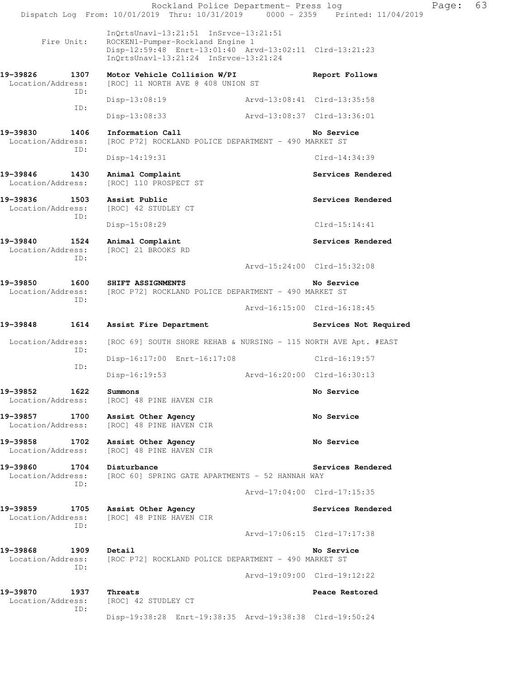Rockland Police Department- Press log Fage: 63 Dispatch Log From: 10/01/2019 Thru: 10/31/2019 0000 - 2359 Printed: 11/04/2019 InQrtsUnavl-13:21:51 InSrvce-13:21:51<br>Fire Unit: ROCKEN1-Pumper-Rockland Engine 1 ROCKEN1-Pumper-Rockland Engine 1 Disp-12:59:48 Enrt-13:01:40 Arvd-13:02:11 Clrd-13:21:23 InQrtsUnavl-13:21:24 InSrvce-13:21:24 **19-39826 1307 Motor Vehicle Collision W/PI Report Follows**  Location/Address: [ROC] 11 NORTH AVE @ 408 UNION ST ID: Disp-13:08:19 Arvd-13:08:41 Clrd-13:35:58 ID: Disp-13:08:33 Arvd-13:08:37 Clrd-13:36:01 **19-39830 1406 Information Call No Service**  Location/Address: [ROC P72] ROCKLAND POLICE DEPARTMENT - 490 MARKET ST ID: Disp-14:19:31 Clrd-14:34:39 19-39846 1430 Animal Complaint **Services Rendered**  Location/Address: [ROC] 110 PROSPECT ST **19-39836 1503 Assist Public Services Rendered**  Location/Address: [ROC] 42 STUDLEY CT ID: Disp-15:08:29 Clrd-15:14:41 19-39840 1524 Animal Complaint **19-39840** Services Rendered Location/Address: [ROC] 21 BROOKS RD ID: Arvd-15:24:00 Clrd-15:32:08 **19-39850 1600 SHIFT ASSIGNMENTS No Service**  Location/Address: [ROC P72] ROCKLAND POLICE DEPARTMENT - 490 MARKET ST ID: Arvd-16:15:00 Clrd-16:18:45 19-39848 1614 Assist Fire Department **1899 Services Not Required** Location/Address: [ROC 69] SOUTH SHORE REHAB & NURSING - 115 NORTH AVE Apt. #EAST ID: Disp-16:17:00 Enrt-16:17:08 Clrd-16:19:57 ID: Disp-16:19:53 Arvd-16:20:00 Clrd-16:30:13 **19-39852 1622 Summons No Service**  Location/Address: [ROC] 48 PINE HAVEN CIR **19-39857 1700 Assist Other Agency No Service**  Location/Address: [ROC] 48 PINE HAVEN CIR 19-39858 1702 Assist Other Agency **19-39858** No Service Location/Address: [ROC] 48 PINE HAVEN CIR 19-39860 1704 Disturbance **19-39860** Services Rendered Location/Address: [ROC 60] SPRING GATE APARTMENTS - 52 HANNAH WAY ID: Arvd-17:04:00 Clrd-17:15:35 19-39859 1705 Assist Other Agency **1986 1897 1898 1899 1898** Services Rendered Location/Address: [ROC] 48 PINE HAVEN CIR ID: Arvd-17:06:15 Clrd-17:17:38 **19-39868 1909 Detail No Service**  Location/Address: [ROC P72] ROCKLAND POLICE DEPARTMENT - 490 MARKET ST ID: Arvd-19:09:00 Clrd-19:12:22 **19-39870 1937 Threats Peace Restored**  Location/Address: [ROC] 42 STUDLEY CT ID: Disp-19:38:28 Enrt-19:38:35 Arvd-19:38:38 Clrd-19:50:24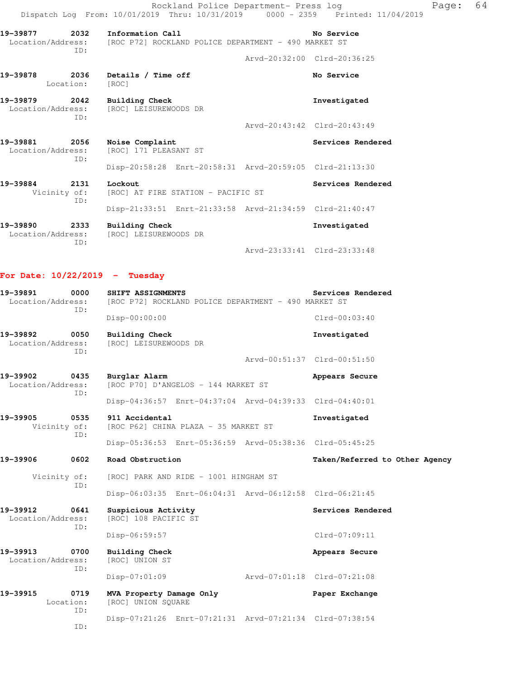|                                    |                   |                                                                                            | Rockland Police Department- Press log | Dispatch Log From: 10/01/2019 Thru: 10/31/2019 0000 - 2359 Printed: 11/04/2019 | Page: | 64 |
|------------------------------------|-------------------|--------------------------------------------------------------------------------------------|---------------------------------------|--------------------------------------------------------------------------------|-------|----|
| 19-39877                           | 2032<br>ID:       | Information Call<br>Location/Address: [ROC P72] ROCKLAND POLICE DEPARTMENT - 490 MARKET ST |                                       | No Service                                                                     |       |    |
|                                    |                   |                                                                                            | Arvd-20:32:00 Clrd-20:36:25           |                                                                                |       |    |
| 19-39878                           | 2036<br>Location: | Details / Time off<br>[ROC]                                                                |                                       | No Service                                                                     |       |    |
| 19-39879 2042                      | ID:               | Building Check<br>Location/Address: [ROC] LEISUREWOODS DR                                  |                                       | Investigated                                                                   |       |    |
|                                    |                   |                                                                                            | Arvd-20:43:42 Clrd-20:43:49           |                                                                                |       |    |
| 19-39881 2056<br>Location/Address: | TD:               | Noise Complaint<br>[ROC] 171 PLEASANT ST                                                   |                                       | Services Rendered                                                              |       |    |
|                                    |                   | Disp-20:58:28 Enrt-20:58:31 Arvd-20:59:05 Clrd-21:13:30                                    |                                       |                                                                                |       |    |
| 19-39884 2131                      | TD:               | Lockout<br>Vicinity of: [ROC] AT FIRE STATION - PACIFIC ST                                 |                                       | Services Rendered                                                              |       |    |
|                                    |                   | Disp-21:33:51 Enrt-21:33:58 Arvd-21:34:59 Clrd-21:40:47                                    |                                       |                                                                                |       |    |
| 19-39890<br>Location/Address:      | 2333<br>ID:       | <b>Building Check</b><br>[ROC] LEISUREWOODS DR                                             |                                       | Investigated                                                                   |       |    |
|                                    |                   |                                                                                            |                                       | Arvd-23:33:41 Clrd-23:33:48                                                    |       |    |

# **For Date: 10/22/2019 - Tuesday**

| 0000<br>19-39891<br>Location/Address:        | SHIFT ASSIGNMENTS<br>[ROC P72] ROCKLAND POLICE DEPARTMENT - 490 MARKET ST | Services Rendered              |  |  |  |  |
|----------------------------------------------|---------------------------------------------------------------------------|--------------------------------|--|--|--|--|
| ID:                                          | Disp-00:00:00                                                             | $Clrd-00:03:40$                |  |  |  |  |
| 19-39892<br>0050<br>Location/Address:<br>TD: | <b>Building Check</b><br>[ROC] LEISUREWOODS DR                            | Investigated                   |  |  |  |  |
|                                              |                                                                           | Arvd-00:51:37 Clrd-00:51:50    |  |  |  |  |
| 19-39902<br>0435<br>Location/Address:<br>ID: | Burglar Alarm<br>[ROC P70] D'ANGELOS - 144 MARKET ST                      | Appears Secure                 |  |  |  |  |
|                                              | Disp-04:36:57 Enrt-04:37:04 Arvd-04:39:33 Clrd-04:40:01                   |                                |  |  |  |  |
| 19-39905<br>0535<br>Vicinity of:<br>ID:      | 911 Accidental<br>[ROC P62] CHINA PLAZA - 35 MARKET ST                    | Investigated                   |  |  |  |  |
|                                              | Disp-05:36:53 Enrt-05:36:59 Arvd-05:38:36 Clrd-05:45:25                   |                                |  |  |  |  |
| 19-39906<br>0602                             | Road Obstruction                                                          | Taken/Referred to Other Agency |  |  |  |  |
| Vicinity of:<br>ID:                          | [ROC] PARK AND RIDE - 1001 HINGHAM ST                                     |                                |  |  |  |  |
|                                              | Disp-06:03:35 Enrt-06:04:31 Arvd-06:12:58 Clrd-06:21:45                   |                                |  |  |  |  |
| 19-39912<br>0641<br>Location/Address:<br>ID: | Suspicious Activity<br>[ROC] 108 PACIFIC ST                               | Services Rendered              |  |  |  |  |
|                                              | Disp-06:59:57                                                             | $Clrd-07:09:11$                |  |  |  |  |
| 19-39913<br>0700<br>Location/Address:<br>ID: | Building Check<br>[ROC] UNION ST                                          | Appears Secure                 |  |  |  |  |
|                                              | $Disp-07:01:09$                                                           | Arvd-07:01:18 Clrd-07:21:08    |  |  |  |  |
| 19-39915<br>0719<br>Location:<br>ID:         | MVA Property Damage Only<br>[ROC] UNION SOUARE                            | Paper Exchange                 |  |  |  |  |
| ID:                                          | Disp-07:21:26 Enrt-07:21:31 Arvd-07:21:34 Clrd-07:38:54                   |                                |  |  |  |  |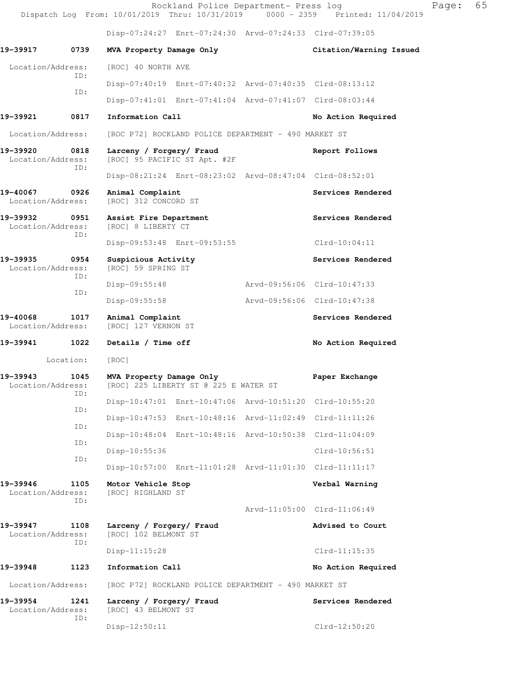|                                       |             |                                                                                     |                             | Rockland Police Department- Press log                   | Dispatch Log From: 10/01/2019 Thru: 10/31/2019 0000 - 2359 Printed: 11/04/2019 | Page: | 65 |
|---------------------------------------|-------------|-------------------------------------------------------------------------------------|-----------------------------|---------------------------------------------------------|--------------------------------------------------------------------------------|-------|----|
|                                       |             |                                                                                     |                             | Disp-07:24:27 Enrt-07:24:30 Arvd-07:24:33 Clrd-07:39:05 |                                                                                |       |    |
| 19-39917                              | 0739        | MVA Property Damage Only                                                            |                             |                                                         | Citation/Warning Issued                                                        |       |    |
| Location/Address:                     |             | [ROC] 40 NORTH AVE                                                                  |                             |                                                         |                                                                                |       |    |
|                                       | ID:<br>ID:  |                                                                                     |                             | Disp-07:40:19 Enrt-07:40:32 Arvd-07:40:35 Clrd-08:13:12 |                                                                                |       |    |
|                                       |             |                                                                                     |                             | Disp-07:41:01 Enrt-07:41:04 Arvd-07:41:07 Clrd-08:03:44 |                                                                                |       |    |
| 19-39921                              | 0817        | Information Call                                                                    |                             |                                                         | No Action Required                                                             |       |    |
| Location/Address:                     |             |                                                                                     |                             | [ROC P72] ROCKLAND POLICE DEPARTMENT - 490 MARKET ST    |                                                                                |       |    |
| 19-39920<br>0818<br>Location/Address: |             | Larceny / Forgery/ Fraud<br>[ROC] 95 PACIFIC ST Apt. #2F                            |                             |                                                         | Report Follows                                                                 |       |    |
|                                       | ID:         |                                                                                     |                             | Disp-08:21:24 Enrt-08:23:02 Arvd-08:47:04 Clrd-08:52:01 |                                                                                |       |    |
| 19-40067<br>Location/Address:         | 0926        | Animal Complaint<br>[ROC] 312 CONCORD ST                                            |                             |                                                         | Services Rendered                                                              |       |    |
| 19–39932<br>Location/Address:         | 0951<br>ID: | Assist Fire Department<br>[ROC] 8 LIBERTY CT                                        |                             |                                                         | Services Rendered                                                              |       |    |
|                                       |             |                                                                                     | Disp-09:53:48 Enrt-09:53:55 |                                                         | $Clrd-10:04:11$                                                                |       |    |
| 19-39935<br>Location/Address:         | 0954<br>ID: | Suspicious Activity<br>[ROC] 59 SPRING ST                                           |                             |                                                         | Services Rendered                                                              |       |    |
|                                       | ID:         | Disp-09:55:48                                                                       |                             |                                                         | Arvd-09:56:06 Clrd-10:47:33                                                    |       |    |
|                                       |             | Disp-09:55:58                                                                       |                             |                                                         | Arvd-09:56:06 Clrd-10:47:38                                                    |       |    |
| 19-40068<br>Location/Address:         | 1017        | Animal Complaint<br>[ROC] 127 VERNON ST                                             |                             |                                                         | Services Rendered                                                              |       |    |
| 19-39941                              | 1022        | Details / Time off                                                                  |                             |                                                         | No Action Required                                                             |       |    |
| Location:                             |             | [ROC]                                                                               |                             |                                                         |                                                                                |       |    |
| 19-39943                              | 1045<br>ID: | MVA Property Damage Only<br>Location/Address: [ROC] 225 LIBERTY ST @ 225 E WATER ST |                             |                                                         | Paper Exchange                                                                 |       |    |
|                                       | ID:         |                                                                                     |                             | Disp-10:47:01 Enrt-10:47:06 Arvd-10:51:20 Clrd-10:55:20 |                                                                                |       |    |
|                                       | ID:         |                                                                                     |                             | Disp-10:47:53 Enrt-10:48:16 Arvd-11:02:49 Clrd-11:11:26 |                                                                                |       |    |
|                                       | ID:         |                                                                                     |                             | Disp-10:48:04 Enrt-10:48:16 Arvd-10:50:38 Clrd-11:04:09 |                                                                                |       |    |
|                                       | ID:         | Disp-10:55:36                                                                       |                             |                                                         | $Clrd-10:56:51$                                                                |       |    |
|                                       |             |                                                                                     |                             | Disp-10:57:00 Enrt-11:01:28 Arvd-11:01:30 Clrd-11:11:17 |                                                                                |       |    |
| 19-39946<br>Location/Address:         | 1105<br>ID: | Motor Vehicle Stop<br>[ROC] HIGHLAND ST                                             |                             |                                                         | Verbal Warning                                                                 |       |    |
|                                       |             |                                                                                     |                             |                                                         | Arvd-11:05:00 Clrd-11:06:49                                                    |       |    |
| 19-39947<br>Location/Address:         | 1108<br>ID: | Larceny / Forgery/ Fraud<br>[ROC] 102 BELMONT ST                                    |                             |                                                         | Advised to Court                                                               |       |    |
|                                       |             | Disp-11:15:28                                                                       |                             |                                                         | $Clrd-11:15:35$                                                                |       |    |
| 19-39948                              | 1123        | Information Call                                                                    |                             |                                                         | No Action Required                                                             |       |    |
| Location/Address:                     |             |                                                                                     |                             | [ROC P72] ROCKLAND POLICE DEPARTMENT - 490 MARKET ST    |                                                                                |       |    |
| 19–39954<br>Location/Address:         | 1241<br>ID: | Larceny / Forgery/ Fraud<br>[ROC] 43 BELMONT ST                                     |                             |                                                         | Services Rendered                                                              |       |    |
|                                       |             | Disp-12:50:11                                                                       |                             |                                                         | $Clrd-12:50:20$                                                                |       |    |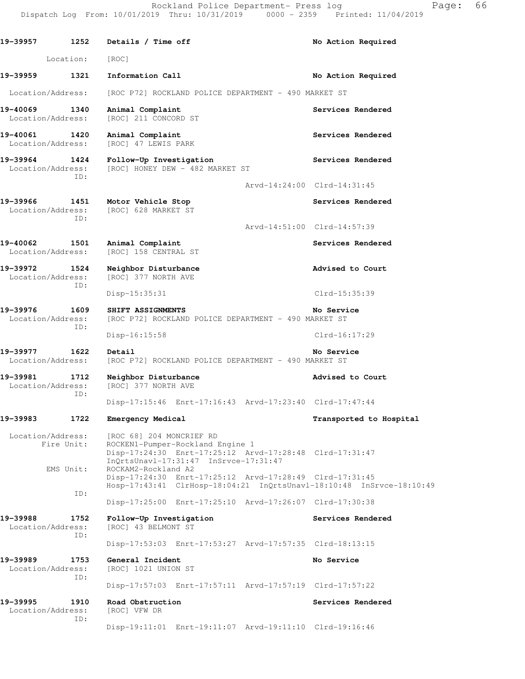19-39957 1252 Details / Time off **No Action Required**  Location: [ROC] 19-39959 1321 Information Call **19-39959** No Action Required Location/Address: [ROC P72] ROCKLAND POLICE DEPARTMENT - 490 MARKET ST 19-40069 1340 Animal Complaint **Services Rendered Services** Rendered Location/Address: [ROC] 211 CONCORD ST **19-40061 1420 Animal Complaint Services Rendered**  Location/Address: [ROC] 47 LEWIS PARK **19-39964 1424 Follow-Up Investigation Services Rendered**  Location/Address: [ROC] HONEY DEW - 482 MARKET ST ID: Arvd-14:24:00 Clrd-14:31:45 **19-39966 1451 Motor Vehicle Stop Services Rendered**  Location/Address: [ROC] 628 MARKET ST ID: Arvd-14:51:00 Clrd-14:57:39 19-40062 1501 Animal Complaint **Services Rendered Services** Rendered Location/Address: [ROC] 158 CENTRAL ST **19-39972 1524 Neighbor Disturbance Advised to Court**  Location/Address: [ROC] 377 NORTH AVE ID: Disp-15:35:31 Clrd-15:35:39 **19-39976 1609 SHIFT ASSIGNMENTS No Service**  Location/Address: [ROC P72] ROCKLAND POLICE DEPARTMENT - 490 MARKET ST ID: Disp-16:15:58 Clrd-16:17:29 **19-39977 1622 Detail No Service**  Location/Address: [ROC P72] ROCKLAND POLICE DEPARTMENT - 490 MARKET ST **19-39981 1712 Neighbor Disturbance Advised to Court**  Location/Address: [ROC] 377 NORTH AVE ID: Disp-17:15:46 Enrt-17:16:43 Arvd-17:23:40 Clrd-17:47:44 **19-39983 1722 Emergency Medical Transported to Hospital**  Location/Address: [ROC 68] 204 MONCRIEF RD Fire Unit: ROCKEN1-Pumper-Rockland Engine 1 Disp-17:24:30 Enrt-17:25:12 Arvd-17:28:48 Clrd-17:31:47 InQrtsUnavl-17:31:47 InSrvce-17:31:47 EMS Unit: ROCKAM2-Rockland A2 Disp-17:24:30 Enrt-17:25:12 Arvd-17:28:49 Clrd-17:31:45 Hosp-17:43:41 ClrHosp-18:04:21 InQrtsUnavl-18:10:48 InSrvce-18:10:49 ID: Disp-17:25:00 Enrt-17:25:10 Arvd-17:26:07 Clrd-17:30:38 **19-39988 1752 Follow-Up Investigation Services Rendered**  Location/Address: [ROC] 43 BELMONT ST ID: Disp-17:53:03 Enrt-17:53:27 Arvd-17:57:35 Clrd-18:13:15 19-39989 1753 General Incident **No Service No Service**  Location/Address: [ROC] 1021 UNION ST ID: Disp-17:57:03 Enrt-17:57:11 Arvd-17:57:19 Clrd-17:57:22 19-39995 1910 Road Obstruction **19-39995** Services Rendered Location/Address: [ROC] VFW DR ID: Disp-19:11:01 Enrt-19:11:07 Arvd-19:11:10 Clrd-19:16:46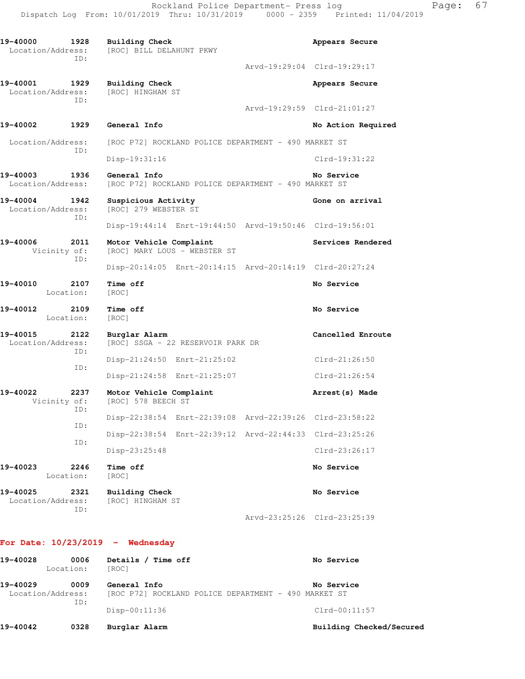19-40000 1928 Building Check **Appears Secure**  Location/Address: [ROC] BILL DELAHUNT PKWY ID: Arvd-19:29:04 Clrd-19:29:17 **19-40001 1929 Building Check Appears Secure**  Location/Address: [ROC] HINGHAM ST ID: Arvd-19:29:59 Clrd-21:01:27 **19-40002 1929 General Info No Action Required**  Location/Address: [ROC P72] ROCKLAND POLICE DEPARTMENT - 490 MARKET ST ID: Disp-19:31:16 Clrd-19:31:22 **19-40003 1936 General Info No Service**  Location/Address: [ROC P72] ROCKLAND POLICE DEPARTMENT - 490 MARKET ST 19-40004 1942 Suspicious Activity **19-40004** Gone on arrival Location/Address: [ROC] 279 WEBSTER ST ID: Disp-19:44:14 Enrt-19:44:50 Arvd-19:50:46 Clrd-19:56:01 19-40006 2011 Motor Vehicle Complaint **19-40006** Services Rendered Vicinity of: [ROC] MARY LOUS - WEBSTER ST ID: Disp-20:14:05 Enrt-20:14:15 Arvd-20:14:19 Clrd-20:27:24 **19-40010 2107 Time off No Service**  Location: [ROC] **19-40012 2109 Time off No Service**  Location: [ROC] 19-40015 2122 Burglar Alarm **Cancelled Enroute** Concelled Enroute **Cancelled Enroute Cancelled Enroute** [ROC] SSGA - 22 RESERVOIR PARK DR ID: Disp-21:24:50 Enrt-21:25:02 Clrd-21:26:50 ID: Disp-21:24:58 Enrt-21:25:07 Clrd-21:26:54 **19-40022 2237 Motor Vehicle Complaint Arrest(s) Made**  Vicinity of: [ROC] 578 BEECH ST ID: Disp-22:38:54 Enrt-22:39:08 Arvd-22:39:26 Clrd-23:58:22 ID: Disp-22:38:54 Enrt-22:39:12 Arvd-22:44:33 Clrd-23:25:26 ID: Disp-23:25:48 Clrd-23:26:17 **19-40023 2246 Time off No Service**  Location: [ROC] 19-40025 2321 Building Check **No Service No Service No Service No Service** Location/Address: ID: Arvd-23:25:26 Clrd-23:25:39

#### **For Date: 10/23/2019 - Wednesday**

|          | ID:                       | $Disp-00:11:36$                                                      | $Clrd-00:11:57$ |
|----------|---------------------------|----------------------------------------------------------------------|-----------------|
| 19-40029 | 0009<br>Location/Address: | General Info<br>[ROC P72] ROCKLAND POLICE DEPARTMENT - 490 MARKET ST | No Service      |
| 19-40028 | 0006<br>Location:         | Details /<br><b>Time off</b><br>[ROC]                                | No Service      |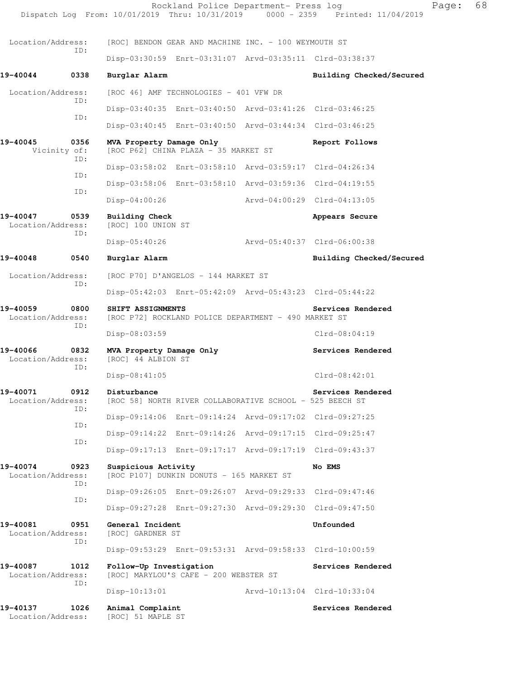|                                              |             |                                                                                                | Rockland Police Department- Press log                    |                             | Dispatch Log From: 10/01/2019 Thru: 10/31/2019 0000 - 2359 Printed: 11/04/2019 | Page: | 68 |
|----------------------------------------------|-------------|------------------------------------------------------------------------------------------------|----------------------------------------------------------|-----------------------------|--------------------------------------------------------------------------------|-------|----|
| Location/Address:                            |             |                                                                                                | [ROC] BENDON GEAR AND MACHINE INC. - 100 WEYMOUTH ST     |                             |                                                                                |       |    |
|                                              | ID:         |                                                                                                | Disp-03:30:59 Enrt-03:31:07 Arvd-03:35:11 Clrd-03:38:37  |                             |                                                                                |       |    |
| 19-40044                                     | 0338        | Burglar Alarm                                                                                  |                                                          |                             | Building Checked/Secured                                                       |       |    |
| Location/Address:                            |             |                                                                                                | [ROC 46] AMF TECHNOLOGIES - 401 VFW DR                   |                             |                                                                                |       |    |
|                                              | ID:         |                                                                                                | Disp-03:40:35 Enrt-03:40:50 Arvd-03:41:26 Clrd-03:46:25  |                             |                                                                                |       |    |
|                                              | ID:         |                                                                                                | Disp-03:40:45 Enrt-03:40:50 Arvd-03:44:34 Clrd-03:46:25  |                             |                                                                                |       |    |
| 19-40045<br>0356<br>Vicinity of:             |             | MVA Property Damage Only<br>[ROC P62] CHINA PLAZA - 35 MARKET ST                               |                                                          | Report Follows              |                                                                                |       |    |
|                                              | ID:         |                                                                                                | Disp-03:58:02 Enrt-03:58:10 Arvd-03:59:17 Clrd-04:26:34  |                             |                                                                                |       |    |
|                                              | ID:         |                                                                                                | Disp-03:58:06 Enrt-03:58:10 Arvd-03:59:36 Clrd-04:19:55  |                             |                                                                                |       |    |
|                                              | ID:         | $Disp-04:00:26$                                                                                |                                                          |                             | Arvd-04:00:29 Clrd-04:13:05                                                    |       |    |
| 19-40047<br>0539<br>Location/Address:        |             | <b>Building Check</b><br>[ROC] 100 UNION ST                                                    |                                                          |                             | Appears Secure                                                                 |       |    |
|                                              | ID:         | $Disp-05:40:26$                                                                                |                                                          | Arvd-05:40:37 Clrd-06:00:38 |                                                                                |       |    |
| 19-40048                                     | 0540        | Burglar Alarm                                                                                  |                                                          |                             | Building Checked/Secured                                                       |       |    |
| Location/Address:                            | ID:         |                                                                                                | [ROC P70] D'ANGELOS - 144 MARKET ST                      |                             |                                                                                |       |    |
|                                              |             |                                                                                                | Disp-05:42:03 Enrt-05:42:09 Arvd-05:43:23 Clrd-05:44:22  |                             |                                                                                |       |    |
| 19-40059<br>0800<br>Location/Address:<br>ID: |             | SHIFT ASSIGNMENTS<br>Services Rendered<br>[ROC P72] ROCKLAND POLICE DEPARTMENT - 490 MARKET ST |                                                          |                             |                                                                                |       |    |
|                                              |             | $Disp-08:03:59$                                                                                |                                                          |                             | $Clrd-08:04:19$                                                                |       |    |
| 19-40066<br>0832<br>Location/Address:<br>ID: |             | MVA Property Damage Only<br>[ROC] 44 ALBION ST                                                 |                                                          |                             | Services Rendered                                                              |       |    |
|                                              |             | $Disp-08:41:05$                                                                                |                                                          |                             | $Clrd-08:42:01$                                                                |       |    |
| 19-40071<br>Location/Address:                | 0912<br>TD: | Disturbance                                                                                    | [ROC 58] NORTH RIVER COLLABORATIVE SCHOOL - 525 BEECH ST |                             | Services Rendered                                                              |       |    |
|                                              | ID:         |                                                                                                | Disp-09:14:06 Enrt-09:14:24 Arvd-09:17:02 Clrd-09:27:25  |                             |                                                                                |       |    |
|                                              | ID:         |                                                                                                | Disp-09:14:22 Enrt-09:14:26 Arvd-09:17:15 Clrd-09:25:47  |                             |                                                                                |       |    |
|                                              |             |                                                                                                | Disp-09:17:13 Enrt-09:17:17 Arvd-09:17:19 Clrd-09:43:37  |                             |                                                                                |       |    |
| 19-40074<br>0923<br>Location/Address:<br>ID: |             | Suspicious Activity                                                                            | [ROC P107] DUNKIN DONUTS - 165 MARKET ST                 |                             | No EMS                                                                         |       |    |
|                                              | ID:         |                                                                                                | Disp-09:26:05 Enrt-09:26:07 Arvd-09:29:33 Clrd-09:47:46  |                             |                                                                                |       |    |
|                                              |             |                                                                                                | Disp-09:27:28 Enrt-09:27:30 Arvd-09:29:30 Clrd-09:47:50  |                             |                                                                                |       |    |
| 19-40081<br>0951<br>Location/Address:<br>ID: |             | General Incident<br>[ROC] GARDNER ST                                                           |                                                          |                             | Unfounded                                                                      |       |    |
|                                              |             |                                                                                                | Disp-09:53:29 Enrt-09:53:31 Arvd-09:58:33 Clrd-10:00:59  |                             |                                                                                |       |    |
| 19-40087<br>1012<br>Location/Address:<br>ID: |             | Follow-Up Investigation<br>[ROC] MARYLOU'S CAFE - 200 WEBSTER ST                               |                                                          | Services Rendered           |                                                                                |       |    |
|                                              |             | $Disp-10:13:01$                                                                                |                                                          |                             | Arvd-10:13:04 Clrd-10:33:04                                                    |       |    |
| 19-40137<br>Location/Address:                | 1026        | Animal Complaint<br>[ROC] 51 MAPLE ST                                                          |                                                          |                             | Services Rendered                                                              |       |    |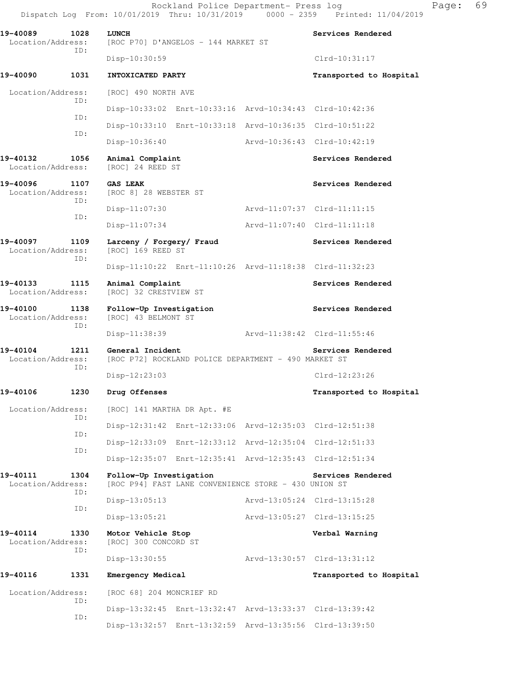Rockland Police Department- Press log Page: 69 Dispatch Log From: 10/01/2019 Thru: 10/31/2019 0000 - 2359 Printed: 11/04/2019

**19-40089 1028 LUNCH Services Rendered**  Location/Address: [ROC P70] D'ANGELOS - 144 MARKET ST ID: Disp-10:30:59 Clrd-10:31:17 **19-40090 1031 INTOXICATED PARTY Transported to Hospital**  Location/Address: [ROC] 490 NORTH AVE ID: Disp-10:33:02 Enrt-10:33:16 Arvd-10:34:43 Clrd-10:42:36 ID: Disp-10:33:10 Enrt-10:33:18 Arvd-10:36:35 Clrd-10:51:22 ID: Disp-10:36:40 Arvd-10:36:43 Clrd-10:42:19 19-40132 1056 Animal Complaint **Services Rendered Services** Rendered Location/Address: [ROC] 24 REED ST **19-40096 1107 GAS LEAK Services Rendered Services Rendered**  Location/Address: [ROC 8] 28 WEBSTER ST ID: Disp-11:07:30 Arvd-11:07:37 Clrd-11:11:15 ID: Disp-11:07:34 Arvd-11:07:40 Clrd-11:11:18 **19-40097 1109 Larceny / Forgery/ Fraud Services Rendered**  Location/Address: [ROC] 169 REED ST ID: Disp-11:10:22 Enrt-11:10:26 Arvd-11:18:38 Clrd-11:32:23 19-40133 1115 Animal Complaint **Services Rendered**  Location/Address: [ROC] 32 CRESTVIEW ST **19-40100 1138 Follow-Up Investigation Services Rendered**  Location/Address: [ROC] 43 BELMONT ST ID: Disp-11:38:39 Arvd-11:38:42 Clrd-11:55:46 **19-40104 1211 General Incident Services Rendered**  Location/Address: [ROC P72] ROCKLAND POLICE DEPARTMENT - 490 MARKET ST ID: Disp-12:23:03 Clrd-12:23:26 **19-40106 1230 Drug Offenses Transported to Hospital**  Location/Address: [ROC] 141 MARTHA DR Apt. #E ID: Disp-12:31:42 Enrt-12:33:06 Arvd-12:35:03 Clrd-12:51:38 ID: Disp-12:33:09 Enrt-12:33:12 Arvd-12:35:04 Clrd-12:51:33 ID: Disp-12:35:07 Enrt-12:35:41 Arvd-12:35:43 Clrd-12:51:34 **19-40111 1304 Follow-Up Investigation Services Rendered**  Location/Address: [ROC P94] FAST LANE CONVENIENCE STORE - 430 UNION ST ID: Disp-13:05:13 Arvd-13:05:24 Clrd-13:15:28 ID: Disp-13:05:21 Arvd-13:05:27 Clrd-13:15:25 **19-40114 1330 Motor Vehicle Stop Verbal Warning**  Location/Address: [ROC] 300 CONCORD ST ID: Disp-13:30:55 Arvd-13:30:57 Clrd-13:31:12 **19-40116 1331 Emergency Medical Transported to Hospital**  Location/Address: [ROC 68] 204 MONCRIEF RD ID: Disp-13:32:45 Enrt-13:32:47 Arvd-13:33:37 Clrd-13:39:42 ID: Disp-13:32:57 Enrt-13:32:59 Arvd-13:35:56 Clrd-13:39:50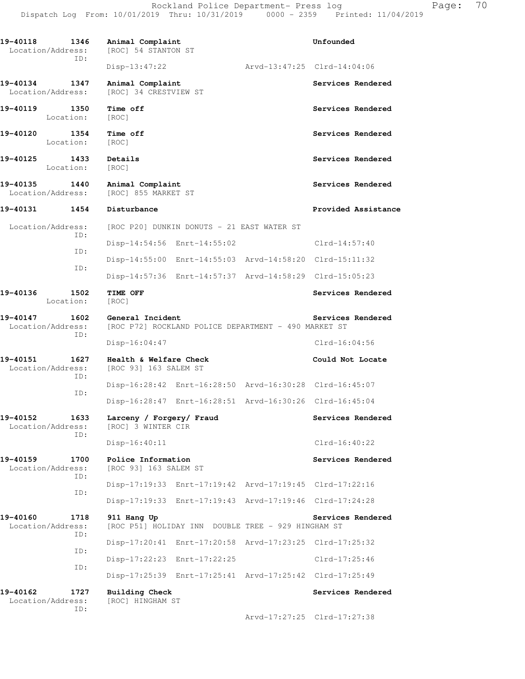| 19-40118<br>1346<br>Location/Address:<br>ID: | Animal Complaint<br>[ROC] 54 STANTON ST                                  | Unfounded                   |
|----------------------------------------------|--------------------------------------------------------------------------|-----------------------------|
|                                              | $Disp-13:47:22$                                                          | Arvd-13:47:25 Clrd-14:04:06 |
| 19-40134<br>1347<br>Location/Address:        | Animal Complaint<br>[ROC] 34 CRESTVIEW ST                                | Services Rendered           |
| 19-40119<br>1350<br>Location:                | Time off<br>[ROC]                                                        | Services Rendered           |
| 19-40120<br>1354<br>Location:                | Time off<br>[ROC]                                                        | Services Rendered           |
| 19-40125<br>1433<br>Location:                | Details<br>[ROC]                                                         | Services Rendered           |
| 19-40135<br>1440<br>Location/Address:        | Animal Complaint<br>[ROC] 855 MARKET ST                                  | Services Rendered           |
| 19-40131<br>1454                             | Disturbance                                                              | Provided Assistance         |
| Location/Address:<br>ID:                     | [ROC P20] DUNKIN DONUTS - 21 EAST WATER ST                               |                             |
| ID:                                          | Disp-14:54:56 Enrt-14:55:02                                              | $Clrd-14:57:40$             |
| ID:                                          | Disp-14:55:00 Enrt-14:55:03 Arvd-14:58:20 Clrd-15:11:32                  |                             |
|                                              | Disp-14:57:36 Enrt-14:57:37 Arvd-14:58:29 Clrd-15:05:23                  |                             |
| 19-40136<br>1502<br>Location:                | TIME OFF<br>[ROC]                                                        | Services Rendered           |
| 19-40147<br>1602<br>Location/Address:        | General Incident<br>[ROC P72] ROCKLAND POLICE DEPARTMENT - 490 MARKET ST | Services Rendered           |
| ID:                                          | $Disp-16:04:47$                                                          | $Clrd-16:04:56$             |
| 19-40151<br>1627<br>Location/Address:<br>ID: | Health & Welfare Check<br>[ROC 93] 163 SALEM ST                          | Could Not Locate            |
| ID:                                          | Disp-16:28:42 Enrt-16:28:50 Arvd-16:30:28 Clrd-16:45:07                  |                             |
|                                              | Disp-16:28:47 Enrt-16:28:51 Arvd-16:30:26 Clrd-16:45:04                  |                             |
| 1633<br>19-40152<br>Location/Address:<br>ID: | Larceny / Forgery/ Fraud<br>[ROC] 3 WINTER CIR                           | Services Rendered           |
|                                              | Disp-16:40:11                                                            | $Clrd-16:40:22$             |
| 19-40159<br>1700<br>Location/Address:<br>ID: | Police Information<br>[ROC 93] 163 SALEM ST                              | Services Rendered           |
| ID:                                          | Disp-17:19:33 Enrt-17:19:42 Arvd-17:19:45 Clrd-17:22:16                  |                             |
|                                              | Disp-17:19:33 Enrt-17:19:43 Arvd-17:19:46 Clrd-17:24:28                  |                             |
| 19-40160<br>1718<br>Location/Address:<br>ID: | 911 Hang Up<br>[ROC P51] HOLIDAY INN DOUBLE TREE - 929 HINGHAM ST        | Services Rendered           |
| ID:                                          | Disp-17:20:41 Enrt-17:20:58 Arvd-17:23:25 Clrd-17:25:32                  |                             |
| ID:                                          | Disp-17:22:23 Enrt-17:22:25                                              | $Clrd-17:25:46$             |
|                                              | Disp-17:25:39 Enrt-17:25:41 Arvd-17:25:42 Clrd-17:25:49                  |                             |
| 19-40162<br>1727<br>Location/Address:<br>ID: | <b>Building Check</b><br>[ROC] HINGHAM ST                                | Services Rendered           |

Arvd-17:27:25 Clrd-17:27:38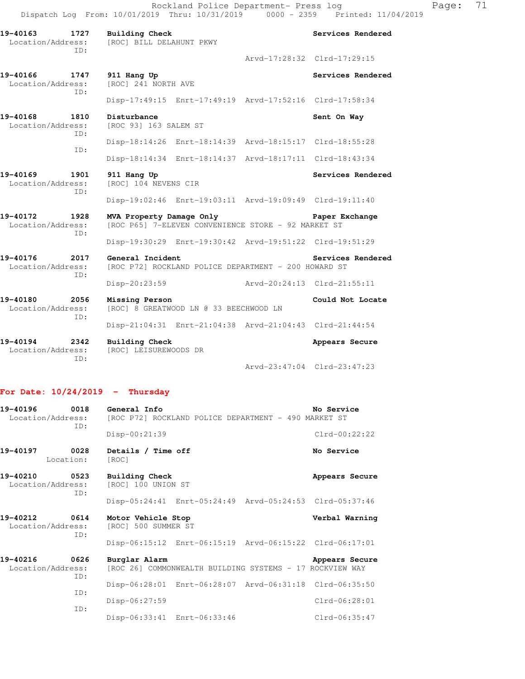| 19-40163<br>1727<br>Location/Address:<br>TD: | <b>Building Check</b><br>[ROC] BILL DELAHUNT PKWY                                                 |                             | Services Rendered                   |  |
|----------------------------------------------|---------------------------------------------------------------------------------------------------|-----------------------------|-------------------------------------|--|
|                                              |                                                                                                   |                             | Arvd-17:28:32 Clrd-17:29:15         |  |
| 19-40166 1747<br>Location/Address:<br>TD:    | 911 Hang Up<br>[ROC] 241 NORTH AVE                                                                |                             | Services Rendered                   |  |
|                                              | Disp-17:49:15 Enrt-17:49:19 Arvd-17:52:16 Clrd-17:58:34                                           |                             |                                     |  |
| 19-40168<br>1810<br>Location/Address:<br>TD: | Disturbance<br>[ROC 93] 163 SALEM ST                                                              |                             | Sent On Way                         |  |
|                                              | Disp-18:14:26 Enrt-18:14:39 Arvd-18:15:17 Clrd-18:55:28                                           |                             |                                     |  |
| TD:                                          | Disp-18:14:34 Enrt-18:14:37 Arvd-18:17:11 Clrd-18:43:34                                           |                             |                                     |  |
| 19-40169<br>1901<br>Location/Address:<br>TD: | 911 Hang Up<br>[ROC] 104 NEVENS CIR                                                               |                             | Services Rendered                   |  |
|                                              | Disp-19:02:46 Enrt-19:03:11 Arvd-19:09:49 Clrd-19:11:40                                           |                             |                                     |  |
| 19-40172<br>1928<br>Location/Address:<br>ID: | MVA Property Damage Only<br>Paper Exchange<br>[ROC P65] 7-ELEVEN CONVENIENCE STORE - 92 MARKET ST |                             |                                     |  |
|                                              | Disp-19:30:29 Enrt-19:30:42 Arvd-19:51:22 Clrd-19:51:29                                           |                             |                                     |  |
| 19-40176<br>2017<br>Location/Address:<br>TD: | General Incident<br>[ROC P72] ROCKLAND POLICE DEPARTMENT - 200 HOWARD ST                          |                             | Services Rendered                   |  |
|                                              | Disp-20:23:59                                                                                     | Arvd-20:24:13 Clrd-21:55:11 |                                     |  |
| 19-40180<br>2056<br>Location/Address:        | Missing Person<br>Could Not Locate<br>[ROC] 8 GREATWOOD LN @ 33 BEECHWOOD LN                      |                             |                                     |  |
| ID:                                          | Disp-21:04:31 Enrt-21:04:38 Arvd-21:04:43 Clrd-21:44:54                                           |                             |                                     |  |
| 19-40194<br>2342<br>Location/Address:<br>TD: | <b>Building Check</b><br>[ROC] LEISUREWOODS DR                                                    |                             | Appears Secure                      |  |
|                                              |                                                                                                   |                             | $Arvd - 23:47:04$ $Clrd - 23:47:23$ |  |

## **For Date: 10/24/2019 - Thursday**

| 19-40196 0018<br>ID:                                         | General Info<br>No Service<br>Location/Address: [ROC P72] ROCKLAND POLICE DEPARTMENT - 490 MARKET ST |                 |  |  |
|--------------------------------------------------------------|------------------------------------------------------------------------------------------------------|-----------------|--|--|
|                                                              | Disp-00:21:39                                                                                        | $Clrd-00:22:22$ |  |  |
| 19-40197 0028<br>Location:                                   | Details / Time off<br>[ROC]                                                                          | No Service      |  |  |
| 19-40210<br>Location/Address:<br>TD:                         | 0523 Building Check<br>[ROC] 100 UNION ST                                                            | Appears Secure  |  |  |
|                                                              | Disp-05:24:41 Enrt-05:24:49 Arvd-05:24:53 Clrd-05:37:46                                              |                 |  |  |
| 19-40212 0614 Motor Vehicle Stop<br>Location/Address:<br>ID: | [ROC] 500 SUMMER ST                                                                                  | Verbal Warning  |  |  |
|                                                              | Disp-06:15:12 Enrt-06:15:19 Arvd-06:15:22 Clrd-06:17:01                                              |                 |  |  |
| 19-40216<br>0626<br>Location/Address:<br>ID:                 | Burglar Alarm<br>[ROC 26] COMMONWEALTH BUILDING SYSTEMS - 17 ROCKVIEW WAY                            | Appears Secure  |  |  |
|                                                              | Disp-06:28:01 Enrt-06:28:07 Arvd-06:31:18 Clrd-06:35:50                                              |                 |  |  |
| ID:                                                          | $Disp-06:27:59$                                                                                      | $Clrd-06:28:01$ |  |  |
| TD:                                                          | Disp-06:33:41 Enrt-06:33:46                                                                          | $Clrd-06:35:47$ |  |  |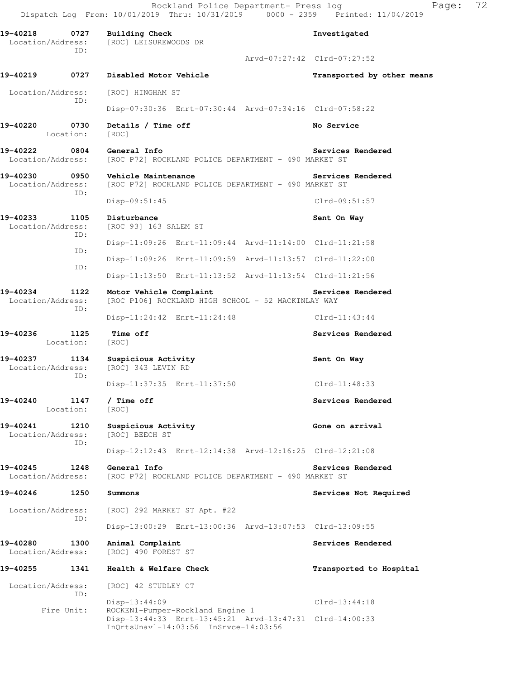| 19-40218 0727 Building Check                 |                                                                                                      | Investigated                |  |
|----------------------------------------------|------------------------------------------------------------------------------------------------------|-----------------------------|--|
| Location/Address:<br>ID:                     | [ROC] LEISUREWOODS DR                                                                                |                             |  |
|                                              |                                                                                                      | Arvd-07:27:42 Clrd-07:27:52 |  |
| 19-40219<br>0727                             | Disabled Motor Vehicle                                                                               | Transported by other means  |  |
| Location/Address:<br>ID:                     | [ROC] HINGHAM ST                                                                                     |                             |  |
|                                              | Disp-07:30:36 Enrt-07:30:44 Arvd-07:34:16 Clrd-07:58:22                                              |                             |  |
| 19-40220<br>0730<br>Location:                | Details / Time off<br>[ROC]                                                                          | No Service                  |  |
| 19-40222<br>0804<br>Location/Address:        | General Info<br>[ROC P72] ROCKLAND POLICE DEPARTMENT - 490 MARKET ST                                 | Services Rendered           |  |
| 19-40230<br>0950<br>Location/Address:<br>ID: | Vehicle Maintenance<br>[ROC P72] ROCKLAND POLICE DEPARTMENT - 490 MARKET ST                          | Services Rendered           |  |
|                                              | $Disp-09:51:45$                                                                                      | $Clrd-09:51:57$             |  |
| 19-40233<br>1105<br>Location/Address:<br>ID: | Disturbance<br>[ROC 93] 163 SALEM ST                                                                 | Sent On Way                 |  |
| ID:                                          | Disp-11:09:26 Enrt-11:09:44 Arvd-11:14:00 Clrd-11:21:58                                              |                             |  |
| ID:                                          | Disp-11:09:26 Enrt-11:09:59 Arvd-11:13:57 Clrd-11:22:00                                              |                             |  |
|                                              | Disp-11:13:50 Enrt-11:13:52 Arvd-11:13:54 Clrd-11:21:56                                              |                             |  |
| 19-40234<br>1122<br>Location/Address:<br>ID: | Motor Vehicle Complaint<br>[ROC P106] ROCKLAND HIGH SCHOOL - 52 MACKINLAY WAY                        | Services Rendered           |  |
|                                              | Disp-11:24:42 Enrt-11:24:48                                                                          | Clrd-11:43:44               |  |
| 19-40236<br>1125<br>Location:                | Time off<br>[ROC]                                                                                    | Services Rendered           |  |
| 19-40237<br>Location/Address:<br>ID:         | 1134 Suspicious Activity<br>[ROC] 343 LEVIN RD                                                       | Sent On Way                 |  |
|                                              | Disp-11:37:35 Enrt-11:37:50                                                                          | $Clrd-11:48:33$             |  |
| 19-40240<br>1147<br>Location:                | / Time off<br>[ROC]                                                                                  | Services Rendered           |  |
| 19-40241<br>1210<br>Location/Address:<br>ID: | Suspicious Activity<br>[ROC] BEECH ST                                                                | Gone on arrival             |  |
|                                              | Disp-12:12:43 Enrt-12:14:38 Arvd-12:16:25 Clrd-12:21:08                                              |                             |  |
| 19-40245<br>1248<br>Location/Address:        | General Info<br>[ROC P72] ROCKLAND POLICE DEPARTMENT - 490 MARKET ST                                 | Services Rendered           |  |
| 19-40246<br>1250                             | Summons                                                                                              | Services Not Required       |  |
| Location/Address:<br>ID:                     | [ROC] 292 MARKET ST Apt. #22                                                                         |                             |  |
|                                              | Disp-13:00:29 Enrt-13:00:36 Arvd-13:07:53 Clrd-13:09:55                                              |                             |  |
| 19-40280<br>1300<br>Location/Address:        | Animal Complaint<br>[ROC] 490 FOREST ST                                                              | Services Rendered           |  |
| 19-40255<br>1341                             | Health & Welfare Check                                                                               | Transported to Hospital     |  |
| Location/Address:<br>ID:                     | [ROC] 42 STUDLEY CT                                                                                  |                             |  |
| Fire Unit:                                   | Disp-13:44:09<br>ROCKEN1-Pumper-Rockland Engine 1                                                    | $Clrd-13:44:18$             |  |
|                                              | Disp-13:44:33 Enrt-13:45:21 Arvd-13:47:31 Clrd-14:00:33<br>$InQrtsUnav1-14:03:56$ $InSrvce-14:03:56$ |                             |  |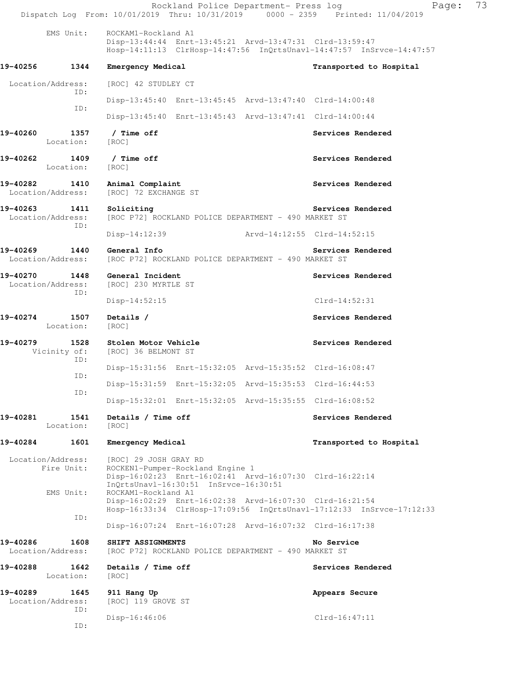Rockland Police Department- Press log Fage: 73 Dispatch Log From: 10/01/2019 Thru: 10/31/2019 0000 - 2359 Printed: 11/04/2019 EMS Unit: ROCKAM1-Rockland A1 Disp-13:44:44 Enrt-13:45:21 Arvd-13:47:31 Clrd-13:59:47 Hosp-14:11:13 ClrHosp-14:47:56 InQrtsUnavl-14:47:57 InSrvce-14:47:57 **19-40256 1344 Emergency Medical Transported to Hospital**  Location/Address: [ROC] 42 STUDLEY CT ID: Disp-13:45:40 Enrt-13:45:45 Arvd-13:47:40 Clrd-14:00:48 ID: Disp-13:45:40 Enrt-13:45:43 Arvd-13:47:41 Clrd-14:00:44 19-40260 1357 / Time off **Services Rendered**  Location: [ROC] **19-40262 1409 / Time off Services Rendered**  Location: [ROC] **19-40282 1410 Animal Complaint Services Rendered**  Location/Address: [ROC] 72 EXCHANGE ST 19-40263 1411 Soliciting Services Rendered **Services** Rendered Location/Address: [ROC P72] ROCKLAND POLICE DEPARTMENT - 490 MARKET ST ID: Disp-14:12:39 Arvd-14:12:55 Clrd-14:52:15 **19-40269 1440 General Info Services Rendered**  Location/Address: [ROC P72] ROCKLAND POLICE DEPARTMENT - 490 MARKET ST **19-40270 1448 General Incident Services Rendered**  Location/Address: [ROC] 230 MYRTLE ST ID: Disp-14:52:15 Clrd-14:52:31 19-40274 1507 Details / Services Rendered **Services Rendered**  Location: [ROC] 19-40279 1528 Stolen Motor Vehicle **1996 1997 Services Rendered**  Vicinity of: [ROC] 36 BELMONT ST ID: Disp-15:31:56 Enrt-15:32:05 Arvd-15:35:52 Clrd-16:08:47 ID: Disp-15:31:59 Enrt-15:32:05 Arvd-15:35:53 Clrd-16:44:53 ID: Disp-15:32:01 Enrt-15:32:05 Arvd-15:35:55 Clrd-16:08:52 19-40281 1541 Details / Time off **Services Rendered**  Location: [ROC] **19-40284 1601 Emergency Medical Transported to Hospital**  Location/Address: [ROC] 29 JOSH GRAY RD Fire Unit: ROCKEN1-Pumper-Rockland Engine 1 Disp-16:02:23 Enrt-16:02:41 Arvd-16:07:30 Clrd-16:22:14 InQrtsUnavl-16:30:51 InSrvce-16:30:51 EMS Unit: ROCKAM1-Rockland A1 Disp-16:02:29 Enrt-16:02:38 Arvd-16:07:30 Clrd-16:21:54 Hosp-16:33:34 ClrHosp-17:09:56 InQrtsUnavl-17:12:33 InSrvce-17:12:33 ID: Disp-16:07:24 Enrt-16:07:28 Arvd-16:07:32 Clrd-16:17:38 **19-40286 1608 SHIFT ASSIGNMENTS No Service**  Location/Address: [ROC P72] ROCKLAND POLICE DEPARTMENT - 490 MARKET ST **19-40288 1642 Details / Time off Services Rendered**  Location: [ROC] **19-40289 1645 911 Hang Up Appears Secure**  Location/Address: [ROC] 119 GROVE ST ID: Disp-16:46:06 Clrd-16:47:11 ID: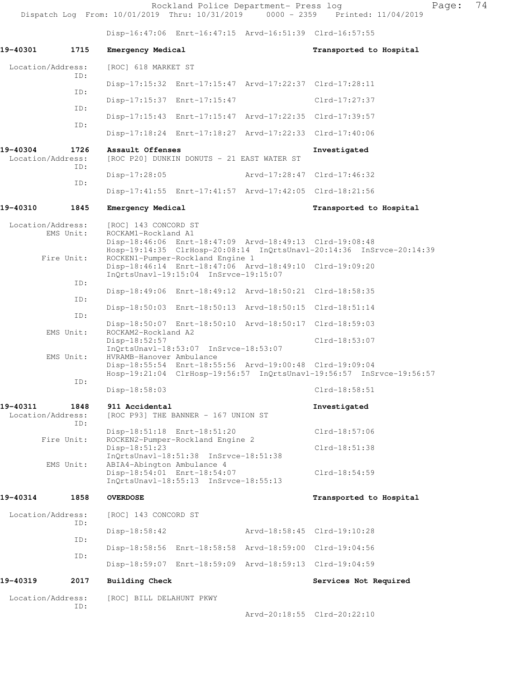Rockland Police Department- Press log Page: 74 Dispatch Log From: 10/01/2019 Thru: 10/31/2019 0000 - 2359 Printed: 11/04/2019 Disp-16:47:06 Enrt-16:47:15 Arvd-16:51:39 Clrd-16:57:55 19-40301 1715 Emergency Medical **1996 1897 120 120 Emergency Medical** 1998 1999 1 Location/Address: [ROC] 618 MARKET ST ID: Disp-17:15:32 Enrt-17:15:47 Arvd-17:22:37 Clrd-17:28:11 ID: Disp-17:15:37 Enrt-17:15:47 Clrd-17:27:37 ID: Disp-17:15:43 Enrt-17:15:47 Arvd-17:22:35 Clrd-17:39:57 ID: Disp-17:18:24 Enrt-17:18:27 Arvd-17:22:33 Clrd-17:40:06 **19-40304 1726 Assault Offenses Investigated**  Location/Address: [ROC P20] DUNKIN DONUTS - 21 EAST WATER ST ID: Disp-17:28:05 Arvd-17:28:47 Clrd-17:46:32 ID: Disp-17:41:55 Enrt-17:41:57 Arvd-17:42:05 Clrd-18:21:56 **19-40310 1845 Emergency Medical Transported to Hospital**  Location/Address: [ROC] 143 CONCORD ST EMS Unit: ROCKAM1-Rockland A1 Disp-18:46:06 Enrt-18:47:09 Arvd-18:49:13 Clrd-19:08:48 Hosp-19:14:35 ClrHosp-20:08:14 InQrtsUnavl-20:14:36 InSrvce-20:14:39 Fire Unit: ROCKEN1-Pumper-Rockland Engine 1 Disp-18:46:14 Enrt-18:47:06 Arvd-18:49:10 Clrd-19:09:20 InQrtsUnavl-19:15:04 InSrvce-19:15:07 ID: Disp-18:49:06 Enrt-18:49:12 Arvd-18:50:21 Clrd-18:58:35 ID: Disp-18:50:03 Enrt-18:50:13 Arvd-18:50:15 Clrd-18:51:14 ID: Disp-18:50:07 Enrt-18:50:10 Arvd-18:50:17 Clrd-18:59:03<br>EMS Unit: ROCKAM2-Rockland A2 ROCKAM2-Rockland A2 Disp-18:52:57 Clrd-18:53:07 InQrtsUnavl-18:53:07 InSrvce-18:53:07 EMS Unit: HVRAMB-Hanover Ambulance Disp-18:55:54 Enrt-18:55:56 Arvd-19:00:48 Clrd-19:09:04 Hosp-19:21:04 ClrHosp-19:56:57 InQrtsUnavl-19:56:57 InSrvce-19:56:57 ID: Disp-18:58:03 Clrd-18:58:51 **19-40311 1848 911 Accidental Investigated**  Location/Address: [ROC P93] THE BANNER - 167 UNION ST ID: Disp-18:51:18 Enrt-18:51:20 Clrd-18:57:06 Fire Unit: ROCKEN2-Pumper-Rockland Engine 2 Disp-18:51:23 Clrd-18:51:38 InQrtsUnavl-18:51:38 InSrvce-18:51:38 EMS Unit: ABIA4-Abington Ambulance 4 Disp-18:54:01 Enrt-18:54:07 Clrd-18:54:59 InQrtsUnavl-18:55:13 InSrvce-18:55:13 **19-40314 1858 OVERDOSE Transported to Hospital**  Location/Address: [ROC] 143 CONCORD ST ID: Disp-18:58:42 Arvd-18:58:45 Clrd-19:10:28 ID: Disp-18:58:56 Enrt-18:58:58 Arvd-18:59:00 Clrd-19:04:56 ID: Disp-18:59:07 Enrt-18:59:09 Arvd-18:59:13 Clrd-19:04:59 **19-40319 2017 Building Check Services Not Required**  Location/Address: [ROC] BILL DELAHUNT PKWY ID:

Arvd-20:18:55 Clrd-20:22:10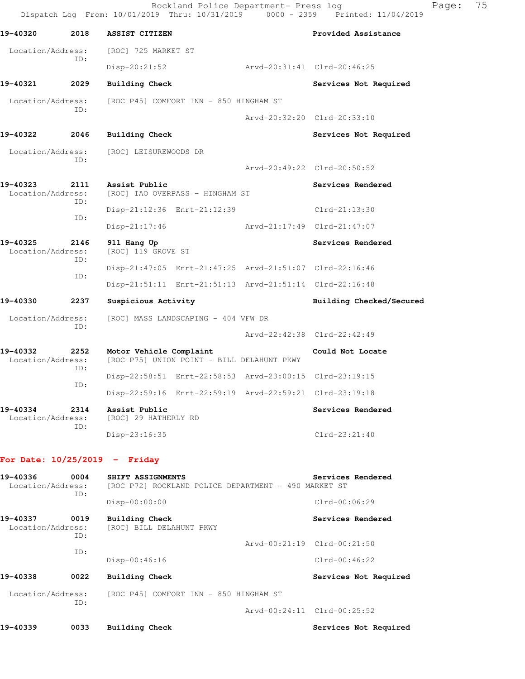|                               |             | Rockland Police Department- Press log<br>Dispatch Log From: 10/01/2019 Thru: 10/31/2019 0000 - 2359 | Printed: 11/04/2019         | Page: | 75 |
|-------------------------------|-------------|-----------------------------------------------------------------------------------------------------|-----------------------------|-------|----|
| 19-40320                      | 2018        | ASSIST CITIZEN                                                                                      | Provided Assistance         |       |    |
| Location/Address:<br>ID:      |             | [ROC] 725 MARKET ST                                                                                 |                             |       |    |
|                               |             | $Disp-20:21:52$                                                                                     | Arvd-20:31:41 Clrd-20:46:25 |       |    |
| 19-40321                      | 2029        | Building Check                                                                                      | Services Not Required       |       |    |
| Location/Address:<br>ID:      |             | [ROC P45] COMFORT INN - 850 HINGHAM ST                                                              |                             |       |    |
|                               |             |                                                                                                     | Arvd-20:32:20 Clrd-20:33:10 |       |    |
| 19-40322                      | 2046        | Building Check                                                                                      | Services Not Required       |       |    |
| Location/Address:             |             | [ROC] LEISUREWOODS DR                                                                               |                             |       |    |
| ID:                           |             |                                                                                                     | Arvd-20:49:22 Clrd-20:50:52 |       |    |
| 19-40323<br>Location/Address: | 2111<br>ID: | Assist Public<br>[ROC] IAO OVERPASS - HINGHAM ST                                                    | Services Rendered           |       |    |
| ID:                           |             | Disp-21:12:36 Enrt-21:12:39                                                                         | Clrd-21:13:30               |       |    |
|                               |             | $Disp-21:17:46$                                                                                     | Arvd-21:17:49 Clrd-21:47:07 |       |    |
| 19-40325<br>Location/Address: | 2146<br>ID: | 911 Hang Up<br>[ROC] 119 GROVE ST                                                                   | Services Rendered           |       |    |
|                               | ID:         | Disp-21:47:05 Enrt-21:47:25 Arvd-21:51:07 Clrd-22:16:46                                             |                             |       |    |
|                               |             | Disp-21:51:11 Enrt-21:51:13 Arvd-21:51:14 Clrd-22:16:48                                             |                             |       |    |
| 19-40330                      | 2237        | Suspicious Activity                                                                                 | Building Checked/Secured    |       |    |
| Location/Address:             | ID:         | [ROC] MASS LANDSCAPING - 404 VFW DR                                                                 |                             |       |    |
|                               |             |                                                                                                     | Arvd-22:42:38 Clrd-22:42:49 |       |    |
| 19-40332<br>Location/Address: | 2252<br>ID: | Motor Vehicle Complaint<br>[ROC P75] UNION POINT - BILL DELAHUNT PKWY                               | Could Not Locate            |       |    |
|                               | ID:         | Disp-22:58:51 Enrt-22:58:53 Arvd-23:00:15 Clrd-23:19:15                                             |                             |       |    |
|                               |             | Disp-22:59:16 Enrt-22:59:19 Arvd-22:59:21 Clrd-23:19:18                                             |                             |       |    |
| 19-40334<br>Location/Address: | 2314<br>ID: | Assist Public<br>[ROC] 29 HATHERLY RD                                                               | Services Rendered           |       |    |
|                               |             | Disp-23:16:35                                                                                       | $Clrd-23:21:40$             |       |    |

## **For Date: 10/25/2019 - Friday**

| 19-40336<br>Location/Address: | 0004<br>ID: | SHIFT ASSIGNMENTS<br>[ROC P72] ROCKLAND POLICE DEPARTMENT - 490 MARKET ST | Services Rendered           |
|-------------------------------|-------------|---------------------------------------------------------------------------|-----------------------------|
|                               |             | $Disp-00:00:00$                                                           | $Clrd-00:06:29$             |
| 19-40337<br>Location/Address: | 0019<br>ID: | Building Check<br>[ROC] BILL DELAHUNT PKWY                                | Services Rendered           |
|                               |             |                                                                           | Arvd-00:21:19 Clrd-00:21:50 |
|                               | ID:         | $Disp-00:46:16$                                                           | $Clrd-00:46:22$             |
| 19-40338                      | 0022        | Building Check                                                            | Services Not Required       |
| Location/Address:             |             | [ROC P45] COMFORT INN - 850 HINGHAM ST                                    |                             |
|                               | ID:         |                                                                           | Arvd-00:24:11 Clrd-00:25:52 |
| 19-40339                      | 0033        | Building Check                                                            | Services Not Required       |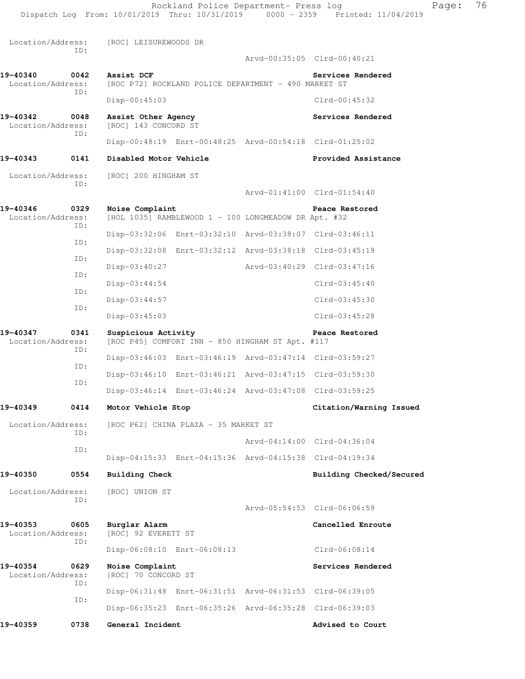Rockland Police Department- Press log Fage: 76 Dispatch Log From: 10/01/2019 Thru: 10/31/2019 0000 - 2359 Printed: 11/04/2019 Location/Address: [ROC] LEISUREWOODS DR ID: Arvd-00:35:05 Clrd-00:40:21 19-40340 0042 Assist DCF **Services Rendered Services Rendered** Location/Address: [ROC P72] ROCKLAND POLICE DEPARTMENT - 490 MARKET ST [ROC P72] ROCKLAND POLICE DEPARTMENT - 490 MARKET ST ID: Disp-00:45:03 Clrd-00:45:32 **19-40342 0048 Assist Other Agency Services Rendered**  Location/Address: [ROC] 143 CONCORD ST ID: Disp-00:48:19 Enrt-00:48:25 Arvd-00:54:18 Clrd-01:25:02 **19-40343 0141 Disabled Motor Vehicle Provided Assistance**  Location/Address: [ROC] 200 HINGHAM ST ID: Arvd-01:41:00 Clrd-01:54:40 **19-40346 0329 Noise Complaint Peace Restored**  Location/Address: [HOL 1035] RAMBLEWOOD 1 - 100 LONGMEADOW DR Apt. #32 ID: Disp-03:32:06 Enrt-03:32:10 Arvd-03:38:07 Clrd-03:46:11 ID: Disp-03:32:08 Enrt-03:32:12 Arvd-03:38:18 Clrd-03:45:19 ID: Disp-03:40:27 Arvd-03:40:29 Clrd-03:47:16 ID: Disp-03:44:54 Clrd-03:45:40 ID: Disp-03:44:57 Clrd-03:45:30 ID: Disp-03:45:03 Clrd-03:45:28 **19-40347 0341 Suspicious Activity Peace Restored**  Location/Address: [ROC P45] COMFORT INN - 850 HINGHAM ST Apt. #117 ID: Disp-03:46:03 Enrt-03:46:19 Arvd-03:47:14 Clrd-03:59:27 ID: Disp-03:46:10 Enrt-03:46:21 Arvd-03:47:15 Clrd-03:59:30 ID: Disp-03:46:14 Enrt-03:46:24 Arvd-03:47:08 Clrd-03:59:25 **19-40349 0414 Motor Vehicle Stop Citation/Warning Issued**  Location/Address: [ROC P62] CHINA PLAZA - 35 MARKET ST ID: Arvd-04:14:00 Clrd-04:36:04 ID: Disp-04:15:33 Enrt-04:15:36 Arvd-04:15:38 Clrd-04:19:34 **19-40350 0554 Building Check Building Checked/Secured**  Location/Address: [ROC] UNION ST ID: Arvd-05:54:53 Clrd-06:06:59 **19-40353 0605 Burglar Alarm Cancelled Enroute**  Location/Address: [ROC] 92 EVERETT ST ID: Disp-06:08:10 Enrt-06:08:13 Clrd-06:08:14 19-40354 0629 Noise Complaint **Services Rendered** Location/Address: [ROC] 70 CONCORD ST ID: Disp-06:31:48 Enrt-06:31:51 Arvd-06:31:53 Clrd-06:39:05 ID: Disp-06:35:23 Enrt-06:35:26 Arvd-06:35:28 Clrd-06:39:03 19-40359 **0738** General Incident **19-40359** Advised to Court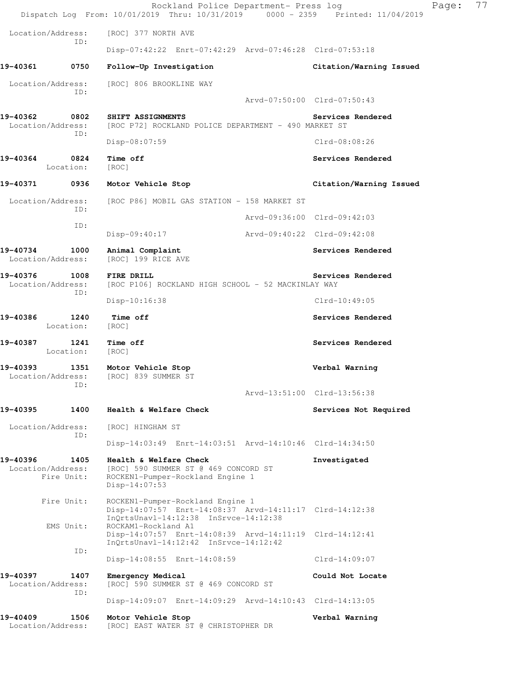|                                                     | Rockland Police Department- Press log<br>Dispatch Log From: 10/01/2019 Thru: 10/31/2019 0000 - 2359 Printed: 11/04/2019              | 77<br>Page:                 |
|-----------------------------------------------------|--------------------------------------------------------------------------------------------------------------------------------------|-----------------------------|
| Location/Address:                                   | [ROC] 377 NORTH AVE                                                                                                                  |                             |
| ID:                                                 | Disp-07:42:22 Enrt-07:42:29 Arvd-07:46:28 Clrd-07:53:18                                                                              |                             |
| 19-40361<br>0750                                    | Follow-Up Investigation                                                                                                              | Citation/Warning Issued     |
| Location/Address:<br>ID:                            | [ROC] 806 BROOKLINE WAY                                                                                                              |                             |
|                                                     |                                                                                                                                      | Arvd-07:50:00 Clrd-07:50:43 |
| 19-40362<br>0802<br>Location/Address:<br>ID:        | SHIFT ASSIGNMENTS<br>[ROC P72] ROCKLAND POLICE DEPARTMENT - 490 MARKET ST                                                            | Services Rendered           |
|                                                     | Disp-08:07:59                                                                                                                        | Clrd-08:08:26               |
| 19-40364<br>0824<br>Location:                       | Time off<br>[ROC]                                                                                                                    | Services Rendered           |
| 19-40371<br>0936                                    | Motor Vehicle Stop                                                                                                                   | Citation/Warning Issued     |
| Location/Address:<br>ID:                            | [ROC P86] MOBIL GAS STATION - 158 MARKET ST                                                                                          |                             |
| ID:                                                 |                                                                                                                                      | Arvd-09:36:00 Clrd-09:42:03 |
|                                                     | $Disp-09:40:17$                                                                                                                      | Arvd-09:40:22 Clrd-09:42:08 |
| 19-40734<br>1000<br>Location/Address:               | Animal Complaint<br>[ROC] 199 RICE AVE                                                                                               | Services Rendered           |
| 19-40376<br>1008<br>Location/Address:               | FIRE DRILL<br>[ROC P106] ROCKLAND HIGH SCHOOL - 52 MACKINLAY WAY                                                                     | Services Rendered           |
| ID:                                                 | Disp-10:16:38                                                                                                                        | $Clrd-10:49:05$             |
| 19-40386<br>1240<br>Location:                       | Time off<br>[ROC]                                                                                                                    | Services Rendered           |
| 19-40387<br>1241<br>Location:                       | Time off<br>[ROC]                                                                                                                    | Services Rendered           |
| 19-40393<br>Location/Address:<br>ID:                | 1351 Motor Vehicle Stop<br>[ROC] 839 SUMMER ST                                                                                       | Verbal Warning              |
|                                                     |                                                                                                                                      | Arvd-13:51:00 Clrd-13:56:38 |
| 19-40395<br>1400                                    | Health & Welfare Check                                                                                                               | Services Not Required       |
| Location/Address:<br>ID:                            | [ROC] HINGHAM ST                                                                                                                     |                             |
|                                                     | Disp-14:03:49 Enrt-14:03:51 Arvd-14:10:46 Clrd-14:34:50                                                                              |                             |
| 19-40396<br>1405<br>Location/Address:<br>Fire Unit: | Health & Welfare Check<br>[ROC] 590 SUMMER ST @ 469 CONCORD ST<br>ROCKEN1-Pumper-Rockland Engine 1<br>Disp-14:07:53                  | Investigated                |
| Fire Unit:                                          | ROCKEN1-Pumper-Rockland Engine 1<br>Disp-14:07:57 Enrt-14:08:37 Arvd-14:11:17 Clrd-14:12:38<br>InQrtsUnavl-14:12:38 InSrvce-14:12:38 |                             |
| EMS Unit:                                           | ROCKAM1-Rockland A1<br>Disp-14:07:57 Enrt-14:08:39 Arvd-14:11:19 Clrd-14:12:41<br>InQrtsUnavl-14:12:42 InSrvce-14:12:42              |                             |
| ID:                                                 | Disp-14:08:55 Enrt-14:08:59                                                                                                          | $Clrd-14:09:07$             |
| 19-40397<br>1407<br>Location/Address:               | Emergency Medical<br>[ROC] 590 SUMMER ST @ 469 CONCORD ST                                                                            | Could Not Locate            |
| ID:                                                 | Disp-14:09:07 Enrt-14:09:29 Arvd-14:10:43 Clrd-14:13:05                                                                              |                             |
| 19-40409<br>1506<br>Location/Address:               | Motor Vehicle Stop<br>[ROC] EAST WATER ST @ CHRISTOPHER DR                                                                           | Verbal Warning              |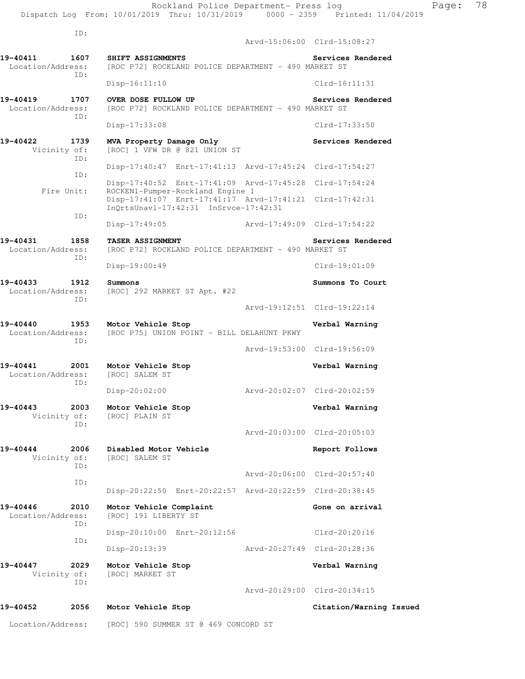ID:

 Arvd-15:06:00 Clrd-15:08:27 **19-40411 1607 SHIFT ASSIGNMENTS Services Rendered**  Location/Address: [ROC P72] ROCKLAND POLICE DEPARTMENT - 490 MARKET ST ID: Disp-16:11:10 Clrd-16:11:31 **19-40419 1707 OVER DOSE FULLOW UP Services Rendered**  Location/Address: [ROC P72] ROCKLAND POLICE DEPARTMENT - 490 MARKET ST ID: Disp-17:33:08 Clrd-17:33:50 **19-40422 1739 MVA Property Damage Only Services Rendered**  Vicinity of: [ROC] 1 VFW DR @ 821 UNION ST ID: Disp-17:40:47 Enrt-17:41:13 Arvd-17:45:24 Clrd-17:54:27 ID: Disp-17:40:52 Enrt-17:41:09 Arvd-17:45:28 Clrd-17:54:24 Fire Unit: ROCKEN1-Pumper-Rockland Engine 1 Disp-17:41:07 Enrt-17:41:17 Arvd-17:41:21 Clrd-17:42:31 InQrtsUnavl-17:42:31 InSrvce-17:42:31 ID: Disp-17:49:05 Arvd-17:49:09 Clrd-17:54:22 **19-40431 1858 TASER ASSIGNMENT Services Rendered**  Location/Address: [ROC P72] ROCKLAND POLICE DEPARTMENT - 490 MARKET ST ID: Disp-19:00:49 Clrd-19:01:09 **19-40433 1912 Summons Summons To Court**  Location/Address: [ROC] 292 MARKET ST Apt. #22 ID: Arvd-19:12:51 Clrd-19:22:14 **19-40440 1953 Motor Vehicle Stop Verbal Warning**  Location/Address: [ROC P75] UNION POINT - BILL DELAHUNT PKWY ID: Arvd-19:53:00 Clrd-19:56:09 **19-40441 2001 Motor Vehicle Stop Verbal Warning**  Location/Address: ID: Disp-20:02:00 Arvd-20:02:07 Clrd-20:02:59 **19-40443 2003 Motor Vehicle Stop Verbal Warning**  Vicinity of: [ROC] PLAIN ST ID: Arvd-20:03:00 Clrd-20:05:03 **19-40444 2006 Disabled Motor Vehicle Report Follows**  Vicinity of: [ROC] SALEM ST ID: Arvd-20:06:00 Clrd-20:57:40 ID: Disp-20:22:50 Enrt-20:22:57 Arvd-20:22:59 Clrd-20:38:45 19-40446 2010 Motor Vehicle Complaint **19-40446** Gone on arrival Location/Address: [ROC] 191 LIBERTY ST ID: Disp-20:10:00 Enrt-20:12:56 Clrd-20:20:16 ID: Disp-20:13:39 Arvd-20:27:49 Clrd-20:28:36 **19-40447 2029 Motor Vehicle Stop Verbal Warning**  Vicinity of: [ROC] MARKET ST ID: Arvd-20:29:00 Clrd-20:34:15 **19-40452 2056 Motor Vehicle Stop Citation/Warning Issued** 

Location/Address: [ROC] 590 SUMMER ST @ 469 CONCORD ST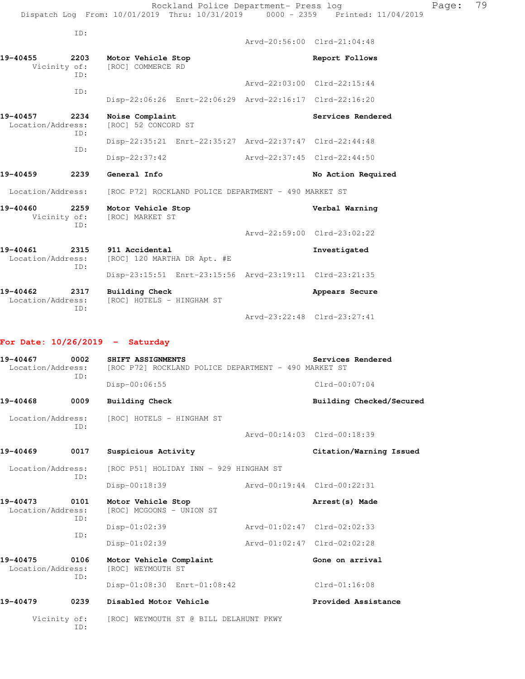|                               | TD:         |                                                         |               |                             |
|-------------------------------|-------------|---------------------------------------------------------|---------------|-----------------------------|
|                               |             |                                                         |               | Arvd-20:56:00 Clrd-21:04:48 |
| 19-40455<br>Vicinity of:      | 2203<br>TD: | Motor Vehicle Stop<br>[ROC] COMMERCE RD                 |               | Report Follows              |
|                               |             |                                                         |               | Arvd-22:03:00 Clrd-22:15:44 |
|                               | TD:         | Disp-22:06:26 Enrt-22:06:29 Arvd-22:16:17 Clrd-22:16:20 |               |                             |
| 19-40457<br>Location/Address: | 2234<br>ID: | Noise Complaint<br>[ROC] 52 CONCORD ST                  |               | Services Rendered           |
|                               | TD:         | Disp-22:35:21 Enrt-22:35:27 Arvd-22:37:47 Clrd-22:44:48 |               |                             |
|                               |             | $Disp-22:37:42$                                         |               | Arvd-22:37:45 Clrd-22:44:50 |
| 19-40459                      | 2239        | General Info                                            |               | No Action Required          |
| Location/Address:             |             | [ROC P72] ROCKLAND POLICE DEPARTMENT - 490 MARKET ST    |               |                             |
| 19-40460<br>Vicinity of:      | 2259<br>TD: | Motor Vehicle Stop<br>[ROC] MARKET ST                   |               | Verbal Warning              |
|                               |             |                                                         |               | Arvd-22:59:00 Clrd-23:02:22 |
| 19-40461<br>Location/Address: | 2315<br>ID: | 911 Accidental<br>[ROC] 120 MARTHA DR Apt. #E           |               | Investigated                |
|                               |             | Disp-23:15:51 Enrt-23:15:56 Arvd-23:19:11 Clrd-23:21:35 |               |                             |
| 19-40462<br>Location/Address: | 2317<br>TD: | <b>Building Check</b><br>[ROC] HOTELS - HINGHAM ST      |               | Appears Secure              |
|                               |             |                                                         | Arvd-23:22:48 | $Clrd-23:27:41$             |

## **For Date: 10/26/2019 - Saturday**

| 19-40467<br>0002<br>Location/Address:<br>ID: |             | Services Rendered<br>SHIFT ASSIGNMENTS<br>[ROC P72] ROCKLAND POLICE DEPARTMENT - 490 MARKET ST |                             |                             |  |  |
|----------------------------------------------|-------------|------------------------------------------------------------------------------------------------|-----------------------------|-----------------------------|--|--|
|                                              |             | Disp-00:06:55                                                                                  |                             | $Clrd-00:07:04$             |  |  |
| 19-40468                                     | 0009        | <b>Building Check</b>                                                                          |                             | Building Checked/Secured    |  |  |
| Location/Address:                            | ID:         | [ROC] HOTELS - HINGHAM ST                                                                      |                             |                             |  |  |
|                                              |             |                                                                                                |                             | Arvd-00:14:03 Clrd-00:18:39 |  |  |
| 19-40469                                     | 0017        | Suspicious Activity                                                                            |                             | Citation/Warning Issued     |  |  |
| Location/Address:<br>ID:                     |             | [ROC P51] HOLIDAY INN - 929 HINGHAM ST                                                         |                             |                             |  |  |
|                                              |             | Disp-00:18:39                                                                                  | Arvd-00:19:44 Clrd-00:22:31 |                             |  |  |
| 19-40473<br>Location/Address:                | 0101<br>ID: | Motor Vehicle Stop<br>[ROC] MCGOONS - UNION ST                                                 |                             | Arrest (s) Made             |  |  |
|                                              |             | $Disp-01:02:39$                                                                                | Arvd-01:02:47 Clrd-02:02:33 |                             |  |  |
|                                              | ID:         | $Disp-01:02:39$                                                                                | Arvd-01:02:47 Clrd-02:02:28 |                             |  |  |
| 19-40475<br>Location/Address:                | 0106<br>ID: | Motor Vehicle Complaint<br>[ROC] WEYMOUTH ST                                                   |                             | Gone on arrival             |  |  |
|                                              |             | Disp-01:08:30 Enrt-01:08:42                                                                    |                             | $Clrd-01:16:08$             |  |  |
| 19-40479                                     | 0239        | Disabled Motor Vehicle                                                                         |                             | Provided Assistance         |  |  |
| Vicinity of:                                 | ID:         | [ROC] WEYMOUTH ST @ BILL DELAHUNT PKWY                                                         |                             |                             |  |  |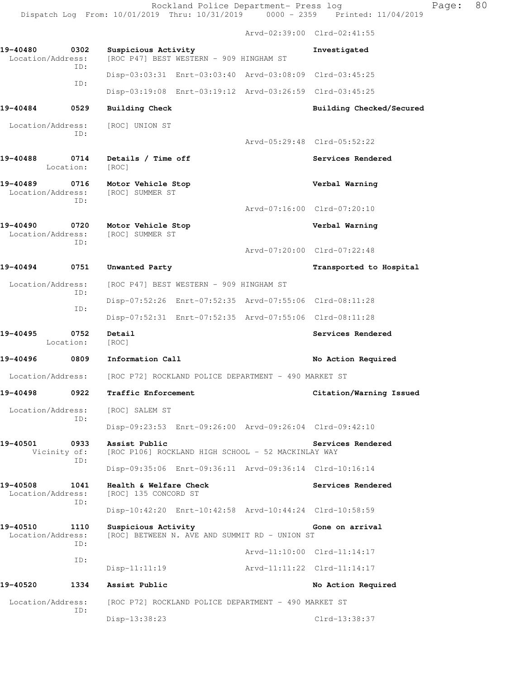Dispatch Log From: 10/01/2019 Thru: 10/31/2019 0000 - 2359 Printed: 11/04/2019 Arvd-02:39:00 Clrd-02:41:55 **19-40480 0302 Suspicious Activity Investigated**  Location/Address: [ROC P47] BEST WESTERN - 909 HINGHAM ST ID: Disp-03:03:31 Enrt-03:03:40 Arvd-03:08:09 Clrd-03:45:25 ID: Disp-03:19:08 Enrt-03:19:12 Arvd-03:26:59 Clrd-03:45:25 **19-40484 0529 Building Check Building Checked/Secured**  Location/Address: [ROC] UNION ST ID: Arvd-05:29:48 Clrd-05:52:22 19-40488 **0714** Details / Time off **Services Rendered Services** Rendered Location: [ROC] **19-40489 0716 Motor Vehicle Stop Verbal Warning**  Location/Address: ID: Arvd-07:16:00 Clrd-07:20:10 **19-40490 0720 Motor Vehicle Stop Verbal Warning**  Location/Address: [ROC] SUMMER ST ID: Arvd-07:20:00 Clrd-07:22:48 **19-40494 0751 Unwanted Party Transported to Hospital**  Location/Address: [ROC P47] BEST WESTERN - 909 HINGHAM ST ID: Disp-07:52:26 Enrt-07:52:35 Arvd-07:55:06 Clrd-08:11:28 ID: Disp-07:52:31 Enrt-07:52:35 Arvd-07:55:06 Clrd-08:11:28 **19-40495 0752 Detail Services Rendered**  Location: [ROC] 19-40496 0809 Information Call **19-40496 Monation Required** Location/Address: [ROC P72] ROCKLAND POLICE DEPARTMENT - 490 MARKET ST **19-40498 0922 Traffic Enforcement Citation/Warning Issued**  Location/Address: [ROC] SALEM ST ID: Disp-09:23:53 Enrt-09:26:00 Arvd-09:26:04 Clrd-09:42:10 **19-40501 0933 Assist Public Services Rendered**  Vicinity of: [ROC P106] ROCKLAND HIGH SCHOOL - 52 MACKINLAY WAY ID: Disp-09:35:06 Enrt-09:36:11 Arvd-09:36:14 Clrd-10:16:14 **19-40508 1041 Health & Welfare Check Services Rendered**  Location/Address: [ROC] 135 CONCORD ST ID: Disp-10:42:20 Enrt-10:42:58 Arvd-10:44:24 Clrd-10:58:59 19-40510 1110 Suspicious Activity **Gone on arrival**<br>
Location/Address: [ROC] BETWEEN N. AVE AND SUMMIT RD - UNION ST [ROC] BETWEEN N. AVE AND SUMMIT RD - UNION ST ID: Arvd-11:10:00 Clrd-11:14:17 ID: Disp-11:11:19 Arvd-11:11:22 Clrd-11:14:17 **19-40520 1334 Assist Public No Action Required**  Location/Address: [ROC P72] ROCKLAND POLICE DEPARTMENT - 490 MARKET ST ID: Disp-13:38:23 Clrd-13:38:37

Rockland Police Department- Press log Fage: 80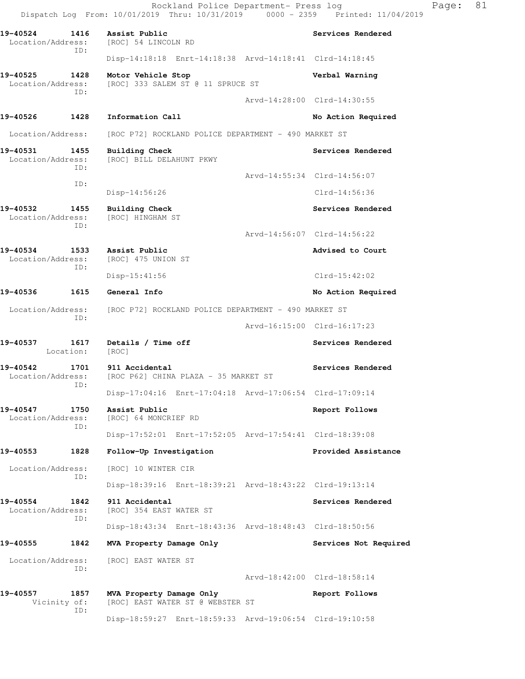Dispatch Log From: 10/01/2019 Thru: 10/31/2019 0000 - 2359 Printed: 11/04/2019 **19-40524 1416 Assist Public Services Rendered**  Location/Address: [ROC] 54 LINCOLN RD ID: Disp-14:18:18 Enrt-14:18:38 Arvd-14:18:41 Clrd-14:18:45 **19-40525 1428 Motor Vehicle Stop Verbal Warning**  Location/Address: [ROC] 333 SALEM ST @ 11 SPRUCE ST ID: Arvd-14:28:00 Clrd-14:30:55 19-40526 1428 Information Call **No Action Required**  Location/Address: [ROC P72] ROCKLAND POLICE DEPARTMENT - 490 MARKET ST **19-40531 1455 Building Check Services Rendered**  Location/Address: [ROC] BILL DELAHUNT PKWY ID: Arvd-14:55:34 Clrd-14:56:07 ID: Disp-14:56:26 Clrd-14:56:36 **19-40532 1455 Building Check Services Rendered**  Location/Address: [ROC] HINGHAM ST ID: Arvd-14:56:07 Clrd-14:56:22 **19-40534 1533 Assist Public Advised to Court**  Location/Address: [ROC] 475 UNION ST ID: Disp-15:41:56 Clrd-15:42:02 **19-40536 1615 General Info No Action Required**  Location/Address: [ROC P72] ROCKLAND POLICE DEPARTMENT - 490 MARKET ST ID: Arvd-16:15:00 Clrd-16:17:23 19-40537 1617 Details / Time off **Services Rendered**  Location: [ROC] 19-40542 1701 911 Accidental **19-40542 19-40542** Services Rendered Location/Address: [ROC P62] CHINA PLAZA - 35 MARKET ST ID: Disp-17:04:16 Enrt-17:04:18 Arvd-17:06:54 Clrd-17:09:14 **19-40547 1750 Assist Public Report Follows**  Location/Address: [ROC] 64 MONCRIEF RD ID: Disp-17:52:01 Enrt-17:52:05 Arvd-17:54:41 Clrd-18:39:08 **19-40553 1828 Follow-Up Investigation Provided Assistance**  Location/Address: [ROC] 10 WINTER CIR ID: Disp-18:39:16 Enrt-18:39:21 Arvd-18:43:22 Clrd-19:13:14 **19-40554 1842 911 Accidental Services Rendered**  Location/Address: [ROC] 354 EAST WATER ST ID: Disp-18:43:34 Enrt-18:43:36 Arvd-18:48:43 Clrd-18:50:56 19-40555 1842 MVA Property Damage Only **Services Not Required**  Location/Address: [ROC] EAST WATER ST ID: Arvd-18:42:00 Clrd-18:58:14 **19-40557 1857 MVA Property Damage Only Report Follows**  Vicinity of: [ROC] EAST WATER ST @ WEBSTER ST ID:

Disp-18:59:27 Enrt-18:59:33 Arvd-19:06:54 Clrd-19:10:58

Rockland Police Department- Press log Fage: 81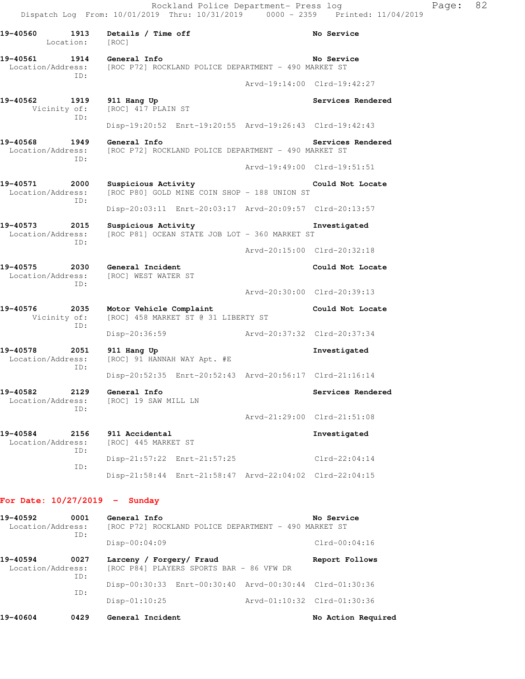| 19-40560<br>1913<br>Location:                | Details / Time off<br>[ROC]                                          | No Service                                                       |  |  |  |
|----------------------------------------------|----------------------------------------------------------------------|------------------------------------------------------------------|--|--|--|
| 19-40561<br>1914<br>Location/Address:<br>ID: | General Info<br>[ROC P72] ROCKLAND POLICE DEPARTMENT - 490 MARKET ST | No Service                                                       |  |  |  |
|                                              |                                                                      | Arvd-19:14:00 Clrd-19:42:27                                      |  |  |  |
| 19-40562<br>1919<br>Vicinity of:<br>ID:      | 911 Hang Up<br>[ROC] 417 PLAIN ST                                    | Services Rendered                                                |  |  |  |
|                                              | Disp-19:20:52 Enrt-19:20:55 Arvd-19:26:43 Clrd-19:42:43              |                                                                  |  |  |  |
| 19-40568<br>1949<br>Location/Address:<br>ID: | General Info<br>[ROC P72] ROCKLAND POLICE DEPARTMENT - 490 MARKET ST | Services Rendered                                                |  |  |  |
|                                              |                                                                      | Arvd-19:49:00 Clrd-19:51:51                                      |  |  |  |
| 19-40571<br>2000<br>Location/Address:<br>ID: | Suspicious Activity                                                  | Could Not Locate<br>[ROC P80] GOLD MINE COIN SHOP - 188 UNION ST |  |  |  |
|                                              | Disp-20:03:11 Enrt-20:03:17 Arvd-20:09:57 Clrd-20:13:57              |                                                                  |  |  |  |
| 19-40573<br>2015<br>Location/Address:<br>ID: | Suspicious Activity<br>[ROC P81] OCEAN STATE JOB LOT - 360 MARKET ST | Investigated                                                     |  |  |  |
|                                              |                                                                      | Arvd-20:15:00 Clrd-20:32:18                                      |  |  |  |
| 19-40575<br>2030<br>Location/Address:<br>TD: | General Incident<br>[ROC] WEST WATER ST                              | Could Not Locate                                                 |  |  |  |
|                                              |                                                                      | Arvd-20:30:00 Clrd-20:39:13                                      |  |  |  |
| 19-40576<br>2035<br>Vicinity of:<br>ID:      | Motor Vehicle Complaint<br>[ROC] 458 MARKET ST @ 31 LIBERTY ST       | Could Not Locate                                                 |  |  |  |
|                                              | Disp-20:36:59                                                        |                                                                  |  |  |  |
| 19-40578<br>2051<br>Location/Address:<br>ID: | 911 Hang Up<br>[ROC] 91 HANNAH WAY Apt. #E                           | Investigated                                                     |  |  |  |
|                                              | Disp-20:52:35 Enrt-20:52:43 Arvd-20:56:17 Clrd-21:16:14              |                                                                  |  |  |  |
| 19-40582<br>2129<br>Location/Address:<br>ID: | General Info<br>[ROC] 19 SAW MILL LN                                 | Services Rendered                                                |  |  |  |
|                                              |                                                                      | Arvd-21:29:00 Clrd-21:51:08                                      |  |  |  |
| 19-40584<br>2156<br>Location/Address:<br>ID: | 911 Accidental<br>[ROC] 445 MARKET ST                                | Investigated                                                     |  |  |  |
| ID:                                          | Disp-21:57:22 Enrt-21:57:25                                          | $Clrd-22:04:14$                                                  |  |  |  |
|                                              | Disp-21:58:44 Enrt-21:58:47 Arvd-22:04:02 Clrd-22:04:15              |                                                                  |  |  |  |
| For Date: $10/27/2019$ -                     | Sunday                                                               |                                                                  |  |  |  |
| $19 - 40592$ $0001$ General Info             |                                                                      | No Service                                                       |  |  |  |

| 19-40592                      | 0001        | General Info                                                         | No Service                  |
|-------------------------------|-------------|----------------------------------------------------------------------|-----------------------------|
| Location/Address:<br>ID:      |             | [ROC P72] ROCKLAND POLICE DEPARTMENT - 490 MARKET ST                 |                             |
|                               |             | $Disp-00:04:09$                                                      | $Clrd-00:04:16$             |
| 19-40594<br>Location/Address: | 0027<br>ID: | Larceny / Forgery/ Fraud<br>[ROC P84] PLAYERS SPORTS BAR - 86 VFW DR | Report Follows              |
|                               | ID:         | Disp-00:30:33 Enrt-00:30:40 Arvd-00:30:44 Clrd-01:30:36              |                             |
|                               |             | $Disp-01:10:25$                                                      | Arvd-01:10:32 Clrd-01:30:36 |
| 19-40604                      | 0429        | General Incident                                                     | No Action Required          |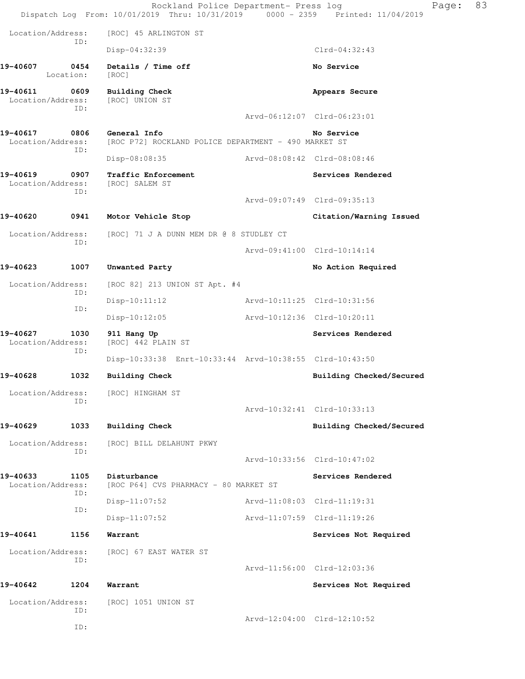|                               |                   | Rockland Police Department- Press log<br>Dispatch Log From: 10/01/2019 Thru: 10/31/2019 0000 - 2359 Printed: 11/04/2019 |                             | Page:                       | 83 |
|-------------------------------|-------------------|-------------------------------------------------------------------------------------------------------------------------|-----------------------------|-----------------------------|----|
| Location/Address:             |                   | [ROC] 45 ARLINGTON ST                                                                                                   |                             |                             |    |
|                               | ID:               | Disp-04:32:39                                                                                                           |                             | $Clrd-04:32:43$             |    |
| 19-40607                      | 0454<br>Location: | Details / Time off<br>[ROC]                                                                                             |                             | No Service                  |    |
| 19-40611<br>Location/Address: | 0609              | <b>Building Check</b><br>[ROC] UNION ST                                                                                 |                             | Appears Secure              |    |
|                               | ID:               |                                                                                                                         |                             | Arvd-06:12:07 Clrd-06:23:01 |    |
| 19-40617<br>Location/Address: | 0806<br>ID:       | General Info<br>[ROC P72] ROCKLAND POLICE DEPARTMENT - 490 MARKET ST                                                    |                             | No Service                  |    |
|                               |                   | Disp-08:08:35                                                                                                           | Arvd-08:08:42 Clrd-08:08:46 |                             |    |
| 19-40619<br>Location/Address: | 0907<br>ID:       | Traffic Enforcement<br>[ROC] SALEM ST                                                                                   |                             | Services Rendered           |    |
|                               |                   |                                                                                                                         |                             | Arvd-09:07:49 Clrd-09:35:13 |    |
| 19-40620                      | 0941              | Motor Vehicle Stop                                                                                                      |                             | Citation/Warning Issued     |    |
| Location/Address:             |                   | [ROC] 71 J A DUNN MEM DR @ 8 STUDLEY CT                                                                                 |                             |                             |    |
|                               | ID:               |                                                                                                                         |                             | Arvd-09:41:00 Clrd-10:14:14 |    |
| 19-40623                      | 1007              | Unwanted Party                                                                                                          |                             | No Action Required          |    |
| Location/Address:             |                   | [ROC 82] 213 UNION ST Apt. #4                                                                                           |                             |                             |    |
|                               | ID:<br>ID:        | $Disp-10:11:12$                                                                                                         | Arvd-10:11:25 Clrd-10:31:56 |                             |    |
|                               |                   | $Disp-10:12:05$                                                                                                         |                             | Arvd-10:12:36 Clrd-10:20:11 |    |
| 19-40627<br>Location/Address: | 1030<br>ID:       | 911 Hang Up<br>[ROC] 442 PLAIN ST                                                                                       |                             | Services Rendered           |    |
|                               |                   | Disp-10:33:38 Enrt-10:33:44 Arvd-10:38:55 Clrd-10:43:50                                                                 |                             |                             |    |
| 19-40628                      | 1032              | <b>Building Check</b>                                                                                                   |                             | Building Checked/Secured    |    |
| Location/Address:             | TD:               | [ROC] HINGHAM ST                                                                                                        |                             |                             |    |
|                               |                   |                                                                                                                         |                             | Arvd-10:32:41 Clrd-10:33:13 |    |
| 19-40629                      | 1033              | <b>Building Check</b>                                                                                                   |                             | Building Checked/Secured    |    |
| Location/Address:             | ID:               | [ROC] BILL DELAHUNT PKWY                                                                                                |                             |                             |    |
|                               |                   |                                                                                                                         |                             | Arvd-10:33:56 Clrd-10:47:02 |    |
| 19-40633<br>Location/Address: | 1105<br>ID:       | Disturbance<br>[ROC P64] CVS PHARMACY - 80 MARKET ST                                                                    |                             | Services Rendered           |    |
|                               | ID:               | Disp-11:07:52                                                                                                           |                             | Arvd-11:08:03 Clrd-11:19:31 |    |
|                               |                   | $Disp-11:07:52$                                                                                                         |                             | Arvd-11:07:59 Clrd-11:19:26 |    |
| 19-40641                      | 1156              | Warrant                                                                                                                 |                             | Services Not Required       |    |
| Location/Address:             | ID:               | [ROC] 67 EAST WATER ST                                                                                                  |                             | Arvd-11:56:00 Clrd-12:03:36 |    |
| 19-40642                      | 1204              | Warrant                                                                                                                 |                             | Services Not Required       |    |
| Location/Address:             |                   | [ROC] 1051 UNION ST                                                                                                     |                             |                             |    |
|                               | ID:               |                                                                                                                         |                             | Arvd-12:04:00 Clrd-12:10:52 |    |
|                               | ID:               |                                                                                                                         |                             |                             |    |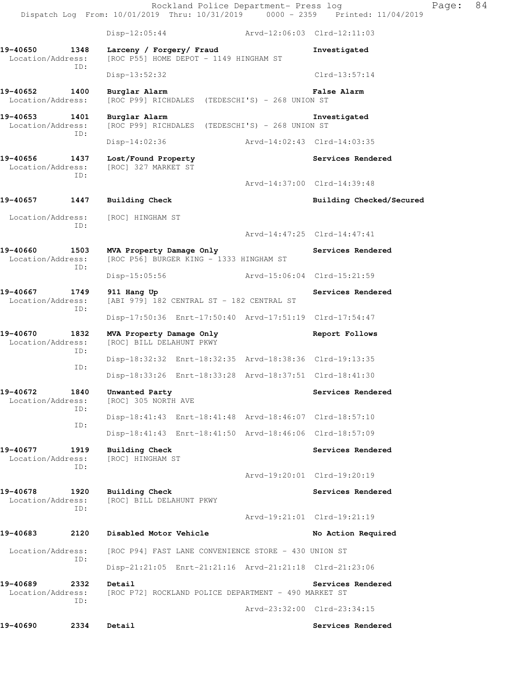Rockland Police Department- Press log Fage: 84 Dispatch Log From: 10/01/2019 Thru: 10/31/2019 0000 - 2359 Printed: 11/04/2019 Disp-12:05:44 Arvd-12:06:03 Clrd-12:11:03 **19-40650 1348 Larceny / Forgery/ Fraud Investigated**  Location/Address: [ROC P55] HOME DEPOT - 1149 HINGHAM ST ID: Disp-13:52:32 Clrd-13:57:14 **19-40652 1400 Burglar Alarm False Alarm**  Location/Address: [ROC P99] RICHDALES (TEDESCHI'S) - 268 UNION ST **19-40653 1401 Burglar Alarm Investigated**  Location/Address: [ROC P99] RICHDALES (TEDESCHI'S) - 268 UNION ST ID: Disp-14:02:36 Arvd-14:02:43 Clrd-14:03:35 **19-40656 1437 Lost/Found Property Services Rendered**  Location/Address: [ROC] 327 MARKET ST ID: Arvd-14:37:00 Clrd-14:39:48 19-40657 1447 Building Check **Building Checked/Secured** Location/Address: [ROC] HINGHAM ST ID: Arvd-14:47:25 Clrd-14:47:41 **19-40660 1503 MVA Property Damage Only Services Rendered**  Location/Address: [ROC P56] BURGER KING - 1333 HINGHAM ST ID: Disp-15:05:56 Arvd-15:06:04 Clrd-15:21:59 **19-40667 1749 911 Hang Up Services Rendered**  Location/Address: [ABI 979] 182 CENTRAL ST - 182 CENTRAL ST ID: Disp-17:50:36 Enrt-17:50:40 Arvd-17:51:19 Clrd-17:54:47 **19-40670 1832 MVA Property Damage Only Report Follows**  Location/Address: [ROC] BILL DELAHUNT PKWY ID: Disp-18:32:32 Enrt-18:32:35 Arvd-18:38:36 Clrd-19:13:35 ID: Disp-18:33:26 Enrt-18:33:28 Arvd-18:37:51 Clrd-18:41:30 19-40672 1840 Unwanted Party **Services Rendered Services** Rendered Location/Address: [ROC] 305 NORTH AVE ID: Disp-18:41:43 Enrt-18:41:48 Arvd-18:46:07 Clrd-18:57:10 ID: Disp-18:41:43 Enrt-18:41:50 Arvd-18:46:06 Clrd-18:57:09 **19-40677 1919 Building Check Services Rendered**  Location/Address: [ROC] HINGHAM ST ID: Arvd-19:20:01 Clrd-19:20:19 **19-40678 1920 Building Check Services Rendered**  Location/Address: [ROC] BILL DELAHUNT PKWY ID: Arvd-19:21:01 Clrd-19:21:19 **19-40683 2120 Disabled Motor Vehicle No Action Required**  Location/Address: [ROC P94] FAST LANE CONVENIENCE STORE - 430 UNION ST ID: Disp-21:21:05 Enrt-21:21:16 Arvd-21:21:18 Clrd-21:23:06 **19-40689 2332 Detail Services Rendered**  Location/Address: [ROC P72] ROCKLAND POLICE DEPARTMENT - 490 MARKET ST ID: Arvd-23:32:00 Clrd-23:34:15 19-40690 2334 Detail Services Rendered **Services Rendered**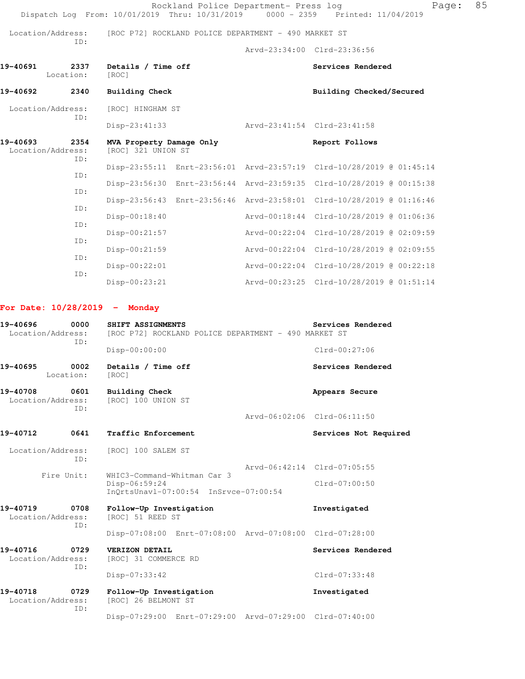| Location/Address:               | TD:         |                                                | [ROC P72] ROCKLAND POLICE DEPARTMENT - 490 MARKET ST |                                                                      |  |
|---------------------------------|-------------|------------------------------------------------|------------------------------------------------------|----------------------------------------------------------------------|--|
|                                 |             |                                                |                                                      | Arvd-23:34:00 Clrd-23:36:56                                          |  |
| 19-40691<br>Location:           | 2337        | Details / Time off<br>[ROC]                    |                                                      | Services Rendered                                                    |  |
| 19-40692                        | 2340        | <b>Building Check</b>                          |                                                      | Building Checked/Secured                                             |  |
| Location/Address:<br>ID:        |             | [ROC] HINGHAM ST                               |                                                      |                                                                      |  |
|                                 |             | $Disp-23:41:33$                                |                                                      | Arvd-23:41:54 Clrd-23:41:58                                          |  |
| 19-40693<br>Location/Address:   | 2354<br>ID: | MVA Property Damage Only<br>[ROC] 321 UNION ST |                                                      | Report Follows                                                       |  |
| ID:                             |             |                                                |                                                      | Disp-23:55:11 Enrt-23:56:01 Arvd-23:57:19 Clrd-10/28/2019 @ 01:45:14 |  |
|                                 | TD:         |                                                |                                                      | Disp-23:56:30 Enrt-23:56:44 Arvd-23:59:35 Clrd-10/28/2019 @ 00:15:38 |  |
|                                 |             |                                                |                                                      | Disp-23:56:43 Enrt-23:56:46 Arvd-23:58:01 Clrd-10/28/2019 @ 01:16:46 |  |
|                                 | ID:         | $Disp-00:18:40$                                |                                                      | Arvd-00:18:44 Clrd-10/28/2019 @ 01:06:36                             |  |
|                                 | ID:         | $Disp-00:21:57$                                |                                                      | Arvd-00:22:04 Clrd-10/28/2019 @ 02:09:59                             |  |
|                                 | ID:         | $Disp-00:21:59$                                |                                                      | Arvd-00:22:04 Clrd-10/28/2019 @ 02:09:55                             |  |
|                                 | TD:         | $Disp-00:22:01$                                |                                                      | Arvd-00:22:04 Clrd-10/28/2019 @ 00:22:18                             |  |
|                                 | ID:         | $Disp-00:23:21$                                |                                                      | Arvd-00:23:25 Clrd-10/28/2019 @ 01:51:14                             |  |
| For Date: $10/28/2019$ - Monday |             |                                                |                                                      |                                                                      |  |

 ID: Disp-00:00:00 Clrd-00:27:06 19-40695 0002 Details / Time off **Services Rendered**  Location: [ROC] **19-40708 0601 Building Check Check Appears Secure Appears Secure** Location/Address: [ROC] 100 UNION ST [ROC] 100 UNION ST ID: Arvd-06:02:06 Clrd-06:11:50 19-40712 0641 Traffic Enforcement **19-40712** Services Not Required Location/Address: [ROC] 100 SALEM ST ID: Arvd-06:42:14 Clrd-07:05:55 WHIC3-Command-Whitman Car 3 Disp-06:59:24 Clrd-07:00:50 InQrtsUnavl-07:00:54 InSrvce-07:00:54 **19-40719 0708 Follow-Up Investigation 19-40719 Investigated** Location/Address: [ROC] 51 REED ST Location/Address: ID: Disp-07:08:00 Enrt-07:08:00 Arvd-07:08:00 Clrd-07:28:00 **19-40716 0729 VERIZON DETAIL Services Rendered**  Location/Address: [ROC] 31 COMMERCE RD ID: Disp-07:33:42 Clrd-07:33:48 **19-40718 0729 Follow-Up Investigation Investigated** 

Location/Address: [ROC] 26 BELMONT ST ID:

Disp-07:29:00 Enrt-07:29:00 Arvd-07:29:00 Clrd-07:40:00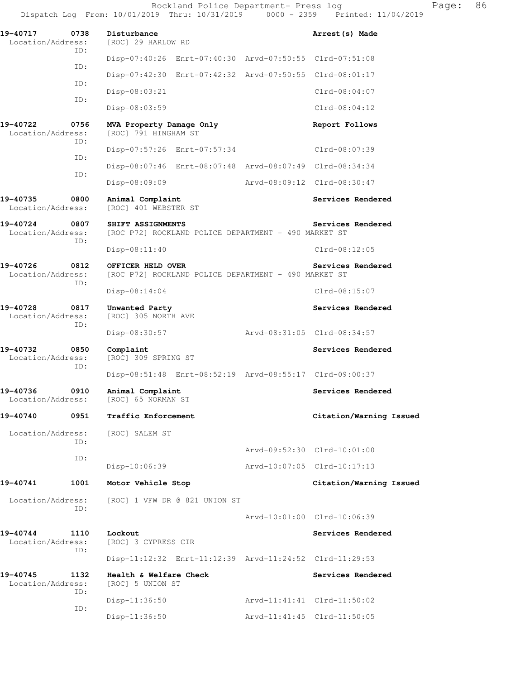Dispatch Log From: 10/01/2019 Thru: 10/31/2019 0000 - 2359 Printed: 11/04/2019 **19-40717 0738 Disturbance Arrest(s) Made**  Location/Address: [ROC] 29 HARLOW RD ID: Disp-07:40:26 Enrt-07:40:30 Arvd-07:50:55 Clrd-07:51:08 ID: Disp-07:42:30 Enrt-07:42:32 Arvd-07:50:55 Clrd-08:01:17 ID: Disp-08:03:21 Clrd-08:04:07 ID: Disp-08:03:59 Clrd-08:04:12 **19-40722 0756 MVA Property Damage Only Report Follows**  Location/Address: [ROC] 791 HINGHAM ST ID: Disp-07:57:26 Enrt-07:57:34 Clrd-08:07:39 ID: Disp-08:07:46 Enrt-08:07:48 Arvd-08:07:49 Clrd-08:34:34 ID: Disp-08:09:09 Arvd-08:09:12 Clrd-08:30:47 19-40735 0800 Animal Complaint **Services Rendered Services** Rendered Location/Address: [ROC] 401 WEBSTER ST **19-40724 0807 SHIFT ASSIGNMENTS Services Rendered**  Location/Address: [ROC P72] ROCKLAND POLICE DEPARTMENT - 490 MARKET ST ID: Disp-08:11:40 Clrd-08:12:05 **19-40726 0812 OFFICER HELD OVER Services Rendered**  Location/Address: [ROC P72] ROCKLAND POLICE DEPARTMENT - 490 MARKET ST ID: Disp-08:14:04 Clrd-08:15:07 19-40728 0817 Unwanted Party **Services Rendered** Party Services Rendered Location/Address: [ROC] 305 NORTH AVE ID: Disp-08:30:57 Arvd-08:31:05 Clrd-08:34:57 19-40732 0850 Complaint **Services Rendered** Location/Address: [ROC] 309 SPRING ST ID: Disp-08:51:48 Enrt-08:52:19 Arvd-08:55:17 Clrd-09:00:37 **19-40736 0910 Animal Complaint Services Rendered**  Location/Address: [ROC] 65 NORMAN ST **19-40740 0951 Traffic Enforcement Citation/Warning Issued**  Location/Address: [ROC] SALEM ST ID: Arvd-09:52:30 Clrd-10:01:00 ID: Disp-10:06:39 Arvd-10:07:05 Clrd-10:17:13 **19-40741 1001 Motor Vehicle Stop Citation/Warning Issued**  Location/Address: [ROC] 1 VFW DR @ 821 UNION ST ID: Arvd-10:01:00 Clrd-10:06:39 **19-40744 1110 Lockout Services Rendered**  Location/Address: [ROC] 3 CYPRESS CIR ID: Disp-11:12:32 Enrt-11:12:39 Arvd-11:24:52 Clrd-11:29:53 **19-40745 1132 Health & Welfare Check Services Rendered**  Location/Address: [ROC] 5 UNION ST ID: Disp-11:36:50 Arvd-11:41:41 Clrd-11:50:02 ID: Disp-11:36:50 Arvd-11:41:45 Clrd-11:50:05

Rockland Police Department- Press log Frank Page: 86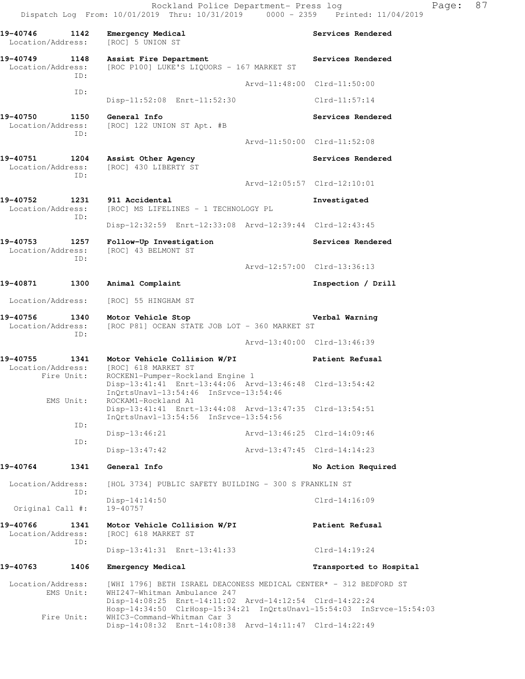19-40746 1142 Emergency Medical **Services Rendered**  Location/Address: [ROC] 5 UNION ST 19-40749 1148 Assist Fire Department **19-40749** Services Rendered Location/Address: [ROC P100] LUKE'S LIQUORS - 167 MARKET ST ID: Arvd-11:48:00 Clrd-11:50:00 ID: Disp-11:52:08 Enrt-11:52:30 Clrd-11:57:14 **19-40750 1150 General Info Services Rendered**  Location/Address: [ROC] 122 UNION ST Apt. #B ID: Arvd-11:50:00 Clrd-11:52:08 **19-40751 1204 Assist Other Agency Services Rendered**  Location/Address: [ROC] 430 LIBERTY ST ID: Arvd-12:05:57 Clrd-12:10:01 19-40752 1231 911 Accidental **Investigated Investigated Investigated Investigated Investigated Investigated** [ROC] MS LIFELINES - 1 TECHNOLOGY PL ID: Disp-12:32:59 Enrt-12:33:08 Arvd-12:39:44 Clrd-12:43:45 **19-40753 1257 Follow-Up Investigation Services Rendered**  Location/Address: [ROC] 43 BELMONT ST ID: Arvd-12:57:00 Clrd-13:36:13 **19-40871 1300 Animal Complaint Inspection / Drill**  Location/Address: [ROC] 55 HINGHAM ST **19-40756 1340 Motor Vehicle Stop Verbal Warning**  Location/Address: [ROC P81] OCEAN STATE JOB LOT - 360 MARKET ST ID: Arvd-13:40:00 Clrd-13:46:39 **19-40755 1341 Motor Vehicle Collision W/PI Patient Refusal**  Location/Address: [ROC] 618 MARKET ST<br>Fire Unit: ROCKEN1-Pumper-Rock ROCKEN1-Pumper-Rockland Engine 1 Disp-13:41:41 Enrt-13:44:06 Arvd-13:46:48 Clrd-13:54:42 InQrtsUnavl-13:54:46 InSrvce-13:54:46 EMS Unit: ROCKAM1-Rockland A1 Disp-13:41:41 Enrt-13:44:08 Arvd-13:47:35 Clrd-13:54:51 InQrtsUnavl-13:54:56 InSrvce-13:54:56 ID: Disp-13:46:21 Arvd-13:46:25 Clrd-14:09:46 ID: Disp-13:47:42 Arvd-13:47:45 Clrd-14:14:23 **19-40764 1341 General Info No Action Required**  Location/Address: [HOL 3734] PUBLIC SAFETY BUILDING - 300 S FRANKLIN ST ID: Disp-14:14:50 Clrd-14:16:09 Original Call #: 19-40757 **19-40766 1341 Motor Vehicle Collision W/PI Patient Refusal**  Location/Address: [ROC] 618 MARKET ST ID: Disp-13:41:31 Enrt-13:41:33 Clrd-14:19:24 **19-40763 1406 Emergency Medical Transported to Hospital**  Location/Address: [WHI 1796] BETH ISRAEL DEACONESS MEDICAL CENTER\* - 312 BEDFORD ST EMS Unit: WHI247-Whitman Ambulance 247 Disp-14:08:25 Enrt-14:11:02 Arvd-14:12:54 Clrd-14:22:24 Hosp-14:34:50 ClrHosp-15:34:21 InQrtsUnavl-15:54:03 InSrvce-15:54:03 Fire Unit: WHIC3-Command-Whitman Car 3 Disp-14:08:32 Enrt-14:08:38 Arvd-14:11:47 Clrd-14:22:49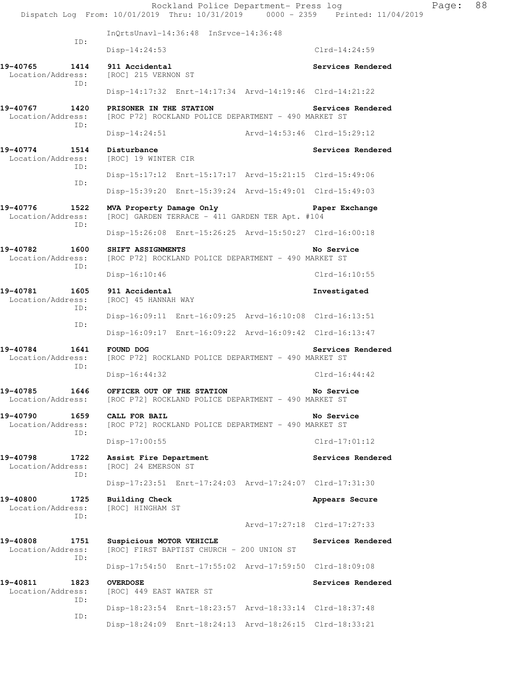Rockland Police Department- Press log Fage: 88 Dispatch Log From: 10/01/2019 Thru: 10/31/2019 0000 - 2359 Printed: 11/04/2019 InQrtsUnavl-14:36:48 InSrvce-14:36:48 ID: Disp-14:24:53 Clrd-14:24:59 **19-40765 1414 911 Accidental Services Rendered**  Location/Address: [ROC] 215 VERNON ST ID: Disp-14:17:32 Enrt-14:17:34 Arvd-14:19:46 Clrd-14:21:22 **19-40767 1420 PRISONER IN THE STATION Services Rendered**  Location/Address: [ROC P72] ROCKLAND POLICE DEPARTMENT - 490 MARKET ST ID: Disp-14:24:51 Arvd-14:53:46 Clrd-15:29:12 19-40774 1514 Disturbance **Services Rendered** Services Rendered Location/Address: [ROC] 19 WINTER CIR ID: Disp-15:17:12 Enrt-15:17:17 Arvd-15:21:15 Clrd-15:49:06 ID: Disp-15:39:20 Enrt-15:39:24 Arvd-15:49:01 Clrd-15:49:03 **19-40776 1522 MVA Property Damage Only Paper Exchange**  Location/Address: [ROC] GARDEN TERRACE - 411 GARDEN TER Apt. #104 ID: Disp-15:26:08 Enrt-15:26:25 Arvd-15:50:27 Clrd-16:00:18 **19-40782 1600 SHIFT ASSIGNMENTS No Service**  Location/Address: [ROC P72] ROCKLAND POLICE DEPARTMENT - 490 MARKET ST ID: Disp-16:10:46 Clrd-16:10:55 **19-40781 1605 911 Accidental Investigated**  Location/Address: [ROC] 45 HANNAH WAY ID: Disp-16:09:11 Enrt-16:09:25 Arvd-16:10:08 Clrd-16:13:51 ID: Disp-16:09:17 Enrt-16:09:22 Arvd-16:09:42 Clrd-16:13:47 **19-40784 1641 FOUND DOG Services Rendered**  Location/Address: [ROC P72] ROCKLAND POLICE DEPARTMENT - 490 MARKET ST ID: Disp-16:44:32 Clrd-16:44:42 **19-40785 1646 OFFICER OUT OF THE STATION No Service**  Location/Address: [ROC P72] ROCKLAND POLICE DEPARTMENT - 490 MARKET ST **19-40790 1659 CALL FOR BAIL No Service**  Location/Address: [ROC P72] ROCKLAND POLICE DEPARTMENT - 490 MARKET ST ID: Disp-17:00:55 Clrd-17:01:12 19-40798 1722 Assist Fire Department **19-40798** Services Rendered Location/Address: [ROC] 24 EMERSON ST ID: Disp-17:23:51 Enrt-17:24:03 Arvd-17:24:07 Clrd-17:31:30 **19-40800 1725 Building Check Appears Secure**  Location/Address: [ROC] HINGHAM ST ID: Arvd-17:27:18 Clrd-17:27:33 **19-40808 1751 Suspicious MOTOR VEHICLE Services Rendered**  Location/Address: [ROC] FIRST BAPTIST CHURCH - 200 UNION ST ID: Disp-17:54:50 Enrt-17:55:02 Arvd-17:59:50 Clrd-18:09:08 **19-40811 1823 OVERDOSE Services Rendered**  Location/Address: [ROC] 449 EAST WATER ST ID: Disp-18:23:54 Enrt-18:23:57 Arvd-18:33:14 Clrd-18:37:48 ID: Disp-18:24:09 Enrt-18:24:13 Arvd-18:26:15 Clrd-18:33:21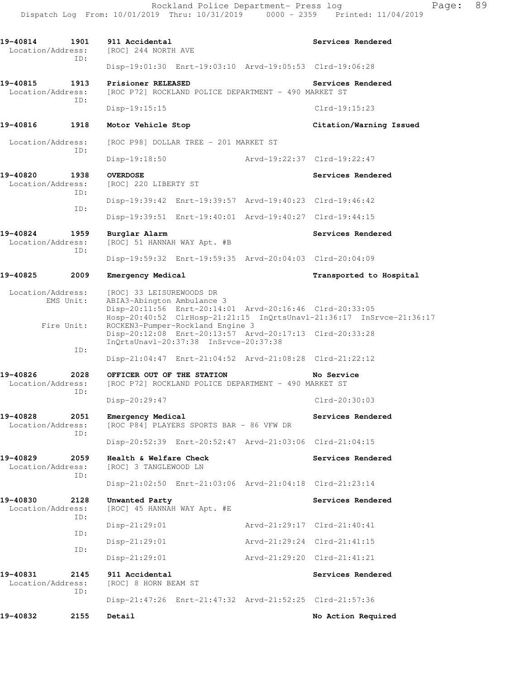Dispatch Log From: 10/01/2019 Thru: 10/31/2019 0000 - 2359 Printed: 11/04/2019 **19-40814 1901 911 Accidental Services Rendered**  Location/Address: [ROC] 244 NORTH AVE ID: Disp-19:01:30 Enrt-19:03:10 Arvd-19:05:53 Clrd-19:06:28 **19-40815 1913 Prisioner RELEASED Services Rendered**  Location/Address: [ROC P72] ROCKLAND POLICE DEPARTMENT - 490 MARKET ST ID: Disp-19:15:15 Clrd-19:15:23 **19-40816 1918 Motor Vehicle Stop Citation/Warning Issued**  Location/Address: [ROC P98] DOLLAR TREE - 201 MARKET ST ID: Disp-19:18:50 Arvd-19:22:37 Clrd-19:22:47 **19-40820 1938 OVERDOSE Services Rendered**  Location/Address: [ROC] 220 LIBERTY ST ID: Disp-19:39:42 Enrt-19:39:57 Arvd-19:40:23 Clrd-19:46:42 ID: Disp-19:39:51 Enrt-19:40:01 Arvd-19:40:27 Clrd-19:44:15 19-40824 1959 Burglar Alarm **Services Rendered** Location/Address: [ROC] 51 HANNAH WAY Apt. #B ID: Disp-19:59:32 Enrt-19:59:35 Arvd-20:04:03 Clrd-20:04:09 **19-40825 2009 Emergency Medical Transported to Hospital**  Location/Address: [ROC] 33 LEISUREWOODS DR EMS Unit: ABIA3-Abington Ambulance 3 Disp-20:11:56 Enrt-20:14:01 Arvd-20:16:46 Clrd-20:33:05 Hosp-20:40:52 ClrHosp-21:21:15 InQrtsUnavl-21:36:17 InSrvce-21:36:17 Fire Unit: ROCKEN3-Pumper-Rockland Engine 3 Disp-20:12:08 Enrt-20:13:57 Arvd-20:17:13 Clrd-20:33:28 InQrtsUnavl-20:37:38 InSrvce-20:37:38 ID: Disp-21:04:47 Enrt-21:04:52 Arvd-21:08:28 Clrd-21:22:12 **19-40826 2028 OFFICER OUT OF THE STATION No Service**  Location/Address: [ROC P72] ROCKLAND POLICE DEPARTMENT - 490 MARKET ST ID: Disp-20:29:47 Clrd-20:30:03 19-40828 2051 Emergency Medical **Exercise Services Rendered**  Location/Address: [ROC P84] PLAYERS SPORTS BAR - 86 VFW DR ID: Disp-20:52:39 Enrt-20:52:47 Arvd-21:03:06 Clrd-21:04:15 **19-40829 2059 Health & Welfare Check Services Rendered**  Location/Address: [ROC] 3 TANGLEWOOD LN ID: Disp-21:02:50 Enrt-21:03:06 Arvd-21:04:18 Clrd-21:23:14 **19-40830 2128 Unwanted Party Services Rendered**  Location/Address: [ROC] 45 HANNAH WAY Apt. #E ID: Disp-21:29:01 Arvd-21:29:17 Clrd-21:40:41 ID: Disp-21:29:01 Arvd-21:29:24 Clrd-21:41:15 ID: Disp-21:29:01 Arvd-21:29:20 Clrd-21:41:21 **19-40831 2145 911 Accidental Services Rendered**  Location/Address: [ROC] 8 HORN BEAM ST ID: Disp-21:47:26 Enrt-21:47:32 Arvd-21:52:25 Clrd-21:57:36 **19-40832 2155 Detail No Action Required** 

Rockland Police Department- Press log Page: 89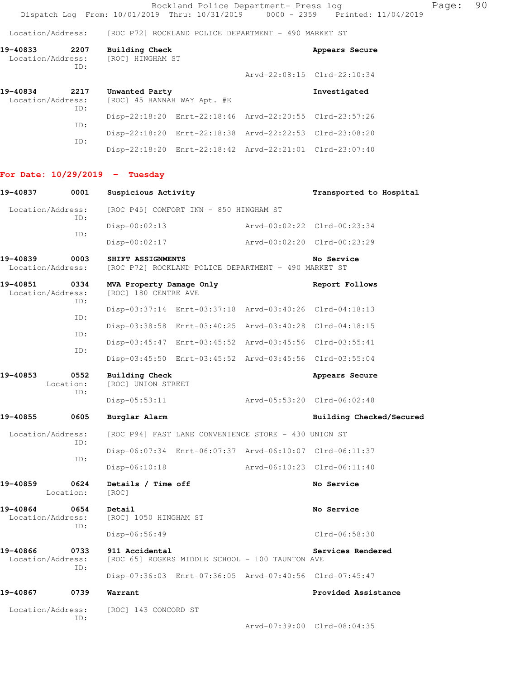Rockland Police Department- Press log Page: 90 Dispatch Log From: 10/01/2019 Thru: 10/31/2019 0000 - 2359 Printed: 11/04/2019

Location/Address: [ROC P72] ROCKLAND POLICE DEPARTMENT - 490 MARKET ST

| 19-40833<br>Location/Address:         | 2207       | Building Check<br>[ROC] HINGHAM ST                      | Appears Secure              |
|---------------------------------------|------------|---------------------------------------------------------|-----------------------------|
|                                       | ID:        |                                                         | Arvd-22:08:15 Clrd-22:10:34 |
| 19-40834<br>2217<br>Location/Address: |            | Unwanted Party<br>[ROC] 45 HANNAH WAY Apt. #E           | Investigated                |
|                                       | ID:<br>TD: | Disp-22:18:20 Enrt-22:18:46 Arvd-22:20:55 Clrd-23:57:26 |                             |

| TD: |  |                                                         |  |
|-----|--|---------------------------------------------------------|--|
|     |  | Disp-22:18:20 Enrt-22:18:38 Arvd-22:22:53 Clrd-23:08:20 |  |
| TD. |  |                                                         |  |
|     |  | Disp-22:18:20 Enrt-22:18:42 Arvd-22:21:01 Clrd-23:07:40 |  |

## **For Date: 10/29/2019 - Tuesday**

| 19-40837                              | 0001              | Suspicious Activity                                                       |  |                             | Transported to Hospital     |  |
|---------------------------------------|-------------------|---------------------------------------------------------------------------|--|-----------------------------|-----------------------------|--|
| Location/Address:                     |                   | [ROC P45] COMFORT INN - 850 HINGHAM ST                                    |  |                             |                             |  |
| TD:                                   |                   | $Disp-00:02:13$<br>Arvd-00:02:22 Clrd-00:23:34                            |  |                             |                             |  |
|                                       | ID:               | $Disp-00:02:17$                                                           |  |                             | Arvd-00:02:20 Clrd-00:23:29 |  |
| 19-40839<br>Location/Address:         | 0003              | SHIFT ASSIGNMENTS<br>[ROC P72] ROCKLAND POLICE DEPARTMENT - 490 MARKET ST |  |                             | No Service                  |  |
| 19-40851<br>Location/Address:         | 0334              | MVA Property Damage Only<br>[ROC] 180 CENTRE AVE                          |  |                             | Report Follows              |  |
|                                       | ID:               | Disp-03:37:14 Enrt-03:37:18 Arvd-03:40:26 Clrd-04:18:13                   |  |                             |                             |  |
|                                       | ID:               | Disp-03:38:58 Enrt-03:40:25 Arvd-03:40:28 Clrd-04:18:15                   |  |                             |                             |  |
|                                       | ID:               | Disp-03:45:47 Enrt-03:45:52 Arvd-03:45:56 Clrd-03:55:41                   |  |                             |                             |  |
|                                       | ID:               | Disp-03:45:50 Enrt-03:45:52 Arvd-03:45:56 Clrd-03:55:04                   |  |                             |                             |  |
| 19-40853<br>0552<br>Location:<br>ID:  |                   | Building Check<br>[ROC] UNION STREET                                      |  |                             | Appears Secure              |  |
|                                       |                   | $Disp-05:53:11$                                                           |  | Arvd-05:53:20 Clrd-06:02:48 |                             |  |
| 19-40855                              | 0605              | Burglar Alarm                                                             |  |                             | Building Checked/Secured    |  |
| Location/Address:                     |                   | [ROC P94] FAST LANE CONVENIENCE STORE - 430 UNION ST                      |  |                             |                             |  |
|                                       | ID:<br>ID:        | Disp-06:07:34 Enrt-06:07:37 Arvd-06:10:07 Clrd-06:11:37                   |  |                             |                             |  |
|                                       |                   | $Disp-06:10:18$                                                           |  |                             | Arvd-06:10:23 Clrd-06:11:40 |  |
| 19-40859                              | 0624<br>Location: | Details / Time off<br>[ROC]                                               |  |                             | No Service                  |  |
| 19-40864<br>Location/Address:         | 0654              | Detail<br>[ROC] 1050 HINGHAM ST                                           |  |                             | No Service                  |  |
| ID:                                   |                   | $Disp-06:56:49$                                                           |  |                             | Clrd-06:58:30               |  |
| 19-40866<br>0733<br>Location/Address: |                   | 911 Accidental<br>[ROC 65] ROGERS MIDDLE SCHOOL - 100 TAUNTON AVE         |  |                             | Services Rendered           |  |
|                                       | ID:               | Disp-07:36:03 Enrt-07:36:05 Arvd-07:40:56 Clrd-07:45:47                   |  |                             |                             |  |
| 19-40867                              | 0739              | Warrant                                                                   |  |                             | Provided Assistance         |  |
| Location/Address:                     | ID:               | [ROC] 143 CONCORD ST                                                      |  |                             |                             |  |

Arvd-07:39:00 Clrd-08:04:35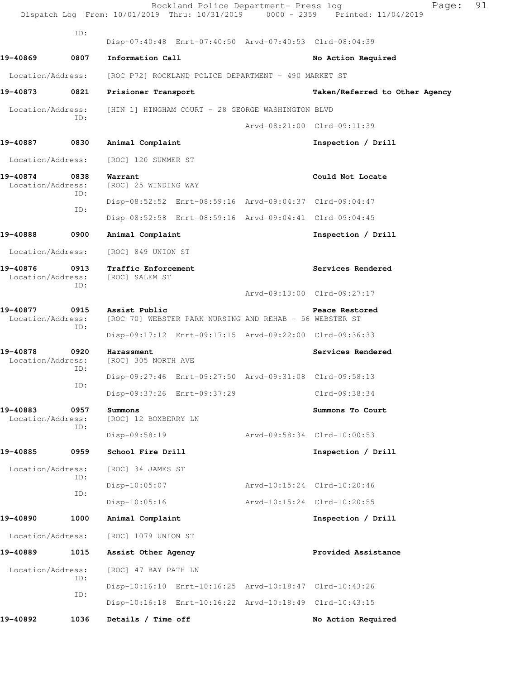|                               |             | Rockland Police Department- Press log<br>Dispatch Log From: 10/01/2019 Thru: 10/31/2019 0000 - 2359 Printed: 11/04/2019 | Page:                          | 91 |
|-------------------------------|-------------|-------------------------------------------------------------------------------------------------------------------------|--------------------------------|----|
|                               | ID:         | Disp-07:40:48 Enrt-07:40:50 Arvd-07:40:53 Clrd-08:04:39                                                                 |                                |    |
| 19-40869                      | 0807        | Information Call                                                                                                        | No Action Required             |    |
| Location/Address:             |             | [ROC P72] ROCKLAND POLICE DEPARTMENT - 490 MARKET ST                                                                    |                                |    |
| 19-40873                      | 0821        | Prisioner Transport                                                                                                     | Taken/Referred to Other Agency |    |
| Location/Address:             |             | [HIN 1] HINGHAM COURT - 28 GEORGE WASHINGTON BLVD                                                                       |                                |    |
|                               | ID:         |                                                                                                                         | Arvd-08:21:00 Clrd-09:11:39    |    |
| 19-40887                      | 0830        | Animal Complaint                                                                                                        | Inspection / Drill             |    |
| Location/Address:             |             | [ROC] 120 SUMMER ST                                                                                                     |                                |    |
| 19-40874<br>Location/Address: | 0838<br>ID: | Warrant<br>[ROC] 25 WINDING WAY                                                                                         | Could Not Locate               |    |
|                               | ID:         | Disp-08:52:52 Enrt-08:59:16 Arvd-09:04:37 Clrd-09:04:47                                                                 |                                |    |
|                               |             | Disp-08:52:58 Enrt-08:59:16 Arvd-09:04:41 Clrd-09:04:45                                                                 |                                |    |
| 19-40888                      | 0900        | Animal Complaint                                                                                                        | Inspection / Drill             |    |
| Location/Address:             |             | [ROC] 849 UNION ST                                                                                                      |                                |    |
| 19-40876<br>Location/Address: | 0913<br>ID: | Traffic Enforcement<br>[ROC] SALEM ST                                                                                   | Services Rendered              |    |
|                               |             |                                                                                                                         | Arvd-09:13:00 Clrd-09:27:17    |    |
| 19-40877<br>Location/Address: | 0915<br>ID: | Assist Public<br>[ROC 70] WEBSTER PARK NURSING AND REHAB - 56 WEBSTER ST                                                | Peace Restored                 |    |
|                               |             | Disp-09:17:12 Enrt-09:17:15 Arvd-09:22:00 Clrd-09:36:33                                                                 |                                |    |
| 19-40878<br>Location/Address: | 0920<br>ID: | Harassment<br>[ROC] 305 NORTH AVE                                                                                       | Services Rendered              |    |
|                               | ID:         | Disp-09:27:46 Enrt-09:27:50 Arvd-09:31:08 Clrd-09:58:13                                                                 |                                |    |
|                               |             | Disp-09:37:26 Enrt-09:37:29                                                                                             | Clrd-09:38:34                  |    |
| 19-40883<br>Location/Address: | 0957<br>ID: | Summons<br>[ROC] 12 BOXBERRY LN                                                                                         | Summons To Court               |    |
|                               |             | $Disp-09:58:19$                                                                                                         | Arvd-09:58:34 Clrd-10:00:53    |    |
| 19-40885                      | 0959        | School Fire Drill                                                                                                       | Inspection / Drill             |    |
| Location/Address:             | ID:         | [ROC] 34 JAMES ST                                                                                                       |                                |    |
|                               | ID:         | Disp-10:05:07                                                                                                           | Arvd-10:15:24 Clrd-10:20:46    |    |
|                               |             | $Disp-10:05:16$                                                                                                         | Arvd-10:15:24 Clrd-10:20:55    |    |
| 19-40890                      | 1000        | Animal Complaint                                                                                                        | Inspection / Drill             |    |
| Location/Address:             |             | [ROC] 1079 UNION ST                                                                                                     |                                |    |
| 19-40889                      | 1015        | Assist Other Agency                                                                                                     | Provided Assistance            |    |
| Location/Address:             | ID:         | [ROC] 47 BAY PATH LN                                                                                                    |                                |    |
|                               | ID:         | Disp-10:16:10 Enrt-10:16:25 Arvd-10:18:47 Clrd-10:43:26                                                                 |                                |    |
|                               |             | Disp-10:16:18 Enrt-10:16:22 Arvd-10:18:49 Clrd-10:43:15                                                                 |                                |    |
| 19-40892                      | 1036        | Details / Time off                                                                                                      | No Action Required             |    |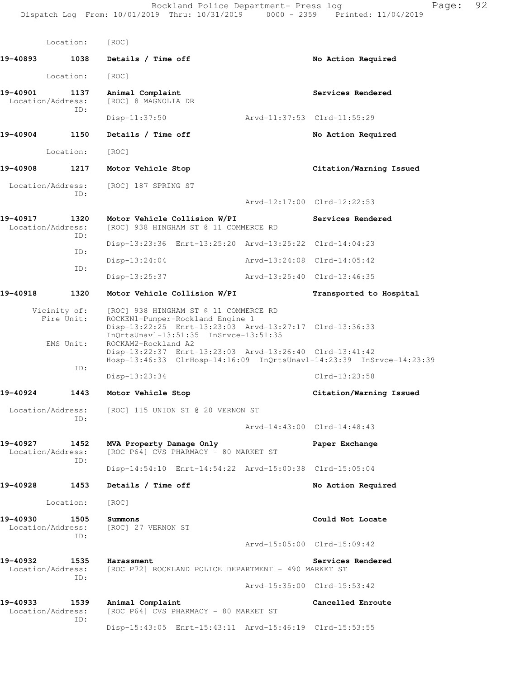|                                       | Location:                               | [ROC]                                                                                                                                                                                                                                                           |                             |
|---------------------------------------|-----------------------------------------|-----------------------------------------------------------------------------------------------------------------------------------------------------------------------------------------------------------------------------------------------------------------|-----------------------------|
| 19-40893                              | 1038                                    | Details / Time off                                                                                                                                                                                                                                              | No Action Required          |
|                                       | Location:                               | [ROC]                                                                                                                                                                                                                                                           |                             |
| 19-40901<br>1137<br>Location/Address: |                                         | Animal Complaint<br>[ROC] 8 MAGNOLIA DR                                                                                                                                                                                                                         | Services Rendered           |
|                                       | ID:                                     | $Disp-11:37:50$                                                                                                                                                                                                                                                 | Arvd-11:37:53 Clrd-11:55:29 |
| 19-40904                              | 1150                                    | Details / Time off                                                                                                                                                                                                                                              | No Action Required          |
|                                       | Location:                               | [ROC]                                                                                                                                                                                                                                                           |                             |
| 19-40908                              | 1217                                    | Motor Vehicle Stop                                                                                                                                                                                                                                              | Citation/Warning Issued     |
| Location/Address:                     | ID:                                     | [ROC] 187 SPRING ST                                                                                                                                                                                                                                             |                             |
|                                       |                                         |                                                                                                                                                                                                                                                                 | Arvd-12:17:00 Clrd-12:22:53 |
| 19-40917<br>Location/Address:         | 1320<br>ID:                             | Motor Vehicle Collision W/PI<br>[ROC] 938 HINGHAM ST @ 11 COMMERCE RD                                                                                                                                                                                           | Services Rendered           |
|                                       | ID:                                     | Disp-13:23:36 Enrt-13:25:20 Arvd-13:25:22 Clrd-14:04:23                                                                                                                                                                                                         |                             |
|                                       | ID:                                     | $Disp-13:24:04$                                                                                                                                                                                                                                                 | Arvd-13:24:08 Clrd-14:05:42 |
|                                       |                                         | $Disp-13:25:37$                                                                                                                                                                                                                                                 | Arvd-13:25:40 Clrd-13:46:35 |
| 19-40918                              | 1320                                    | Motor Vehicle Collision W/PI                                                                                                                                                                                                                                    | Transported to Hospital     |
|                                       | Vicinity of:<br>Fire Unit:<br>EMS Unit: | [ROC] 938 HINGHAM ST @ 11 COMMERCE RD<br>ROCKEN1-Pumper-Rockland Engine 1<br>Disp-13:22:25 Enrt-13:23:03 Arvd-13:27:17 Clrd-13:36:33<br>InQrtsUnavl-13:51:35 InSrvce-13:51:35<br>ROCKAM2-Rockland A2<br>Disp-13:22:37 Enrt-13:23:03 Arvd-13:26:40 Clrd-13:41:42 |                             |
|                                       | ID:                                     | Hosp-13:46:33 ClrHosp-14:16:09 InQrtsUnavl-14:23:39 InSrvce-14:23:39                                                                                                                                                                                            |                             |
|                                       |                                         | Disp-13:23:34                                                                                                                                                                                                                                                   | $Clrd-13:23:58$             |
| 19-40924                              | 1443                                    | Motor Vehicle Stop                                                                                                                                                                                                                                              | Citation/Warning Issued     |
| Location/Address:                     | ID:                                     | [ROC] 115 UNION ST @ 20 VERNON ST                                                                                                                                                                                                                               |                             |
|                                       |                                         |                                                                                                                                                                                                                                                                 | Arvd-14:43:00 Clrd-14:48:43 |
| 19-40927<br>Location/Address:         | 1452<br>ID:                             | MVA Property Damage Only<br>[ROC P64] CVS PHARMACY - 80 MARKET ST                                                                                                                                                                                               | Paper Exchange              |
|                                       |                                         | Disp-14:54:10 Enrt-14:54:22 Arvd-15:00:38 Clrd-15:05:04                                                                                                                                                                                                         |                             |
| 19-40928                              | 1453                                    | Details / Time off                                                                                                                                                                                                                                              | No Action Required          |
|                                       | Location:                               | [ROC]                                                                                                                                                                                                                                                           |                             |
| 19-40930<br>Location/Address:         | 1505<br>ID:                             | Summons<br>[ROC] 27 VERNON ST                                                                                                                                                                                                                                   | Could Not Locate            |
|                                       |                                         |                                                                                                                                                                                                                                                                 | Arvd-15:05:00 Clrd-15:09:42 |
| 19-40932<br>Location/Address:         | 1535<br>ID:                             | Harassment<br>[ROC P72] ROCKLAND POLICE DEPARTMENT - 490 MARKET ST                                                                                                                                                                                              | Services Rendered           |
|                                       |                                         |                                                                                                                                                                                                                                                                 | Arvd-15:35:00 Clrd-15:53:42 |
| 19-40933<br>Location/Address:         | 1539<br>ID:                             | Animal Complaint<br>[ROC P64] CVS PHARMACY - 80 MARKET ST                                                                                                                                                                                                       | Cancelled Enroute           |
|                                       |                                         | Disp-15:43:05 Enrt-15:43:11 Arvd-15:46:19 Clrd-15:53:55                                                                                                                                                                                                         |                             |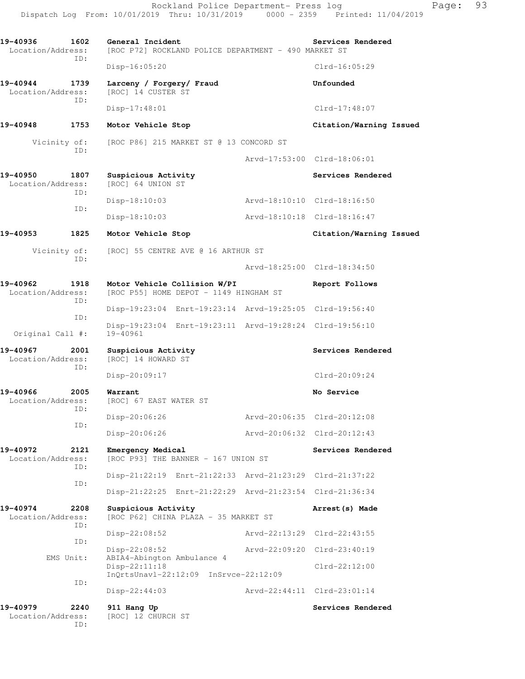| 19-40936<br>1602<br>Location/Address:<br>ID: |             | General Incident                               | [ROC P72] ROCKLAND POLICE DEPARTMENT - 490 MARKET ST                   |               | Services Rendered           |
|----------------------------------------------|-------------|------------------------------------------------|------------------------------------------------------------------------|---------------|-----------------------------|
|                                              |             | $Disp-16:05:20$                                |                                                                        |               | $Clrd-16:05:29$             |
| 19-40944<br>Location/Address:                | 1739<br>ID: | Larceny / Forgery/ Fraud<br>[ROC] 14 CUSTER ST |                                                                        |               | Unfounded                   |
|                                              |             | $Disp-17:48:01$                                |                                                                        |               | $Clrd-17:48:07$             |
| 19-40948                                     | 1753        | Motor Vehicle Stop                             |                                                                        |               | Citation/Warning Issued     |
| Vicinity of:                                 |             |                                                | [ROC P86] 215 MARKET ST @ 13 CONCORD ST                                |               |                             |
|                                              | ID:         |                                                |                                                                        |               | Arvd-17:53:00 Clrd-18:06:01 |
| 19-40950<br>Location/Address:                | 1807<br>ID: | Suspicious Activity<br>[ROC] 64 UNION ST       |                                                                        |               | Services Rendered           |
|                                              | ID:         | $Disp-18:10:03$                                |                                                                        |               | Arvd-18:10:10 Clrd-18:16:50 |
|                                              |             | Disp-18:10:03                                  |                                                                        |               | Arvd-18:10:18 Clrd-18:16:47 |
| 19-40953                                     | 1825        | Motor Vehicle Stop                             |                                                                        |               | Citation/Warning Issued     |
| Vicinity of:                                 |             |                                                | [ROC] 55 CENTRE AVE @ 16 ARTHUR ST                                     |               |                             |
|                                              | ID:         |                                                |                                                                        |               | Arvd-18:25:00 Clrd-18:34:50 |
| 19-40962<br>1918<br>Location/Address:<br>ID: |             |                                                | Motor Vehicle Collision W/PI<br>[ROC P55] HOME DEPOT - 1149 HINGHAM ST |               | Report Follows              |
|                                              | ID:         |                                                | Disp-19:23:04 Enrt-19:23:14 Arvd-19:25:05 Clrd-19:56:40                |               |                             |
| Original Call #:                             |             | 19-40961                                       | Disp-19:23:04 Enrt-19:23:11 Arvd-19:28:24 Clrd-19:56:10                |               |                             |
| 19-40967<br>2001<br>Location/Address:        |             | Suspicious Activity<br>[ROC] 14 HOWARD ST      |                                                                        |               | Services Rendered           |
|                                              | ID:         | Disp-20:09:17                                  |                                                                        |               | $Clrd-20:09:24$             |
| 19-40966<br>2005<br>Location/Address:<br>ID: |             | Warrant<br>[ROC] 67 EAST WATER ST              |                                                                        |               | No Service                  |
|                                              | ID:         | Disp-20:06:26                                  |                                                                        |               | Arvd-20:06:35 Clrd-20:12:08 |
|                                              |             | Disp-20:06:26                                  |                                                                        |               | Arvd-20:06:32 Clrd-20:12:43 |
| 19-40972<br>Location/Address:                | 2121<br>ID: | Emergency Medical                              | [ROC P93] THE BANNER - 167 UNION ST                                    |               | Services Rendered           |
|                                              | ID:         |                                                | Disp-21:22:19 Enrt-21:22:33 Arvd-21:23:29 Clrd-21:37:22                |               |                             |
|                                              |             |                                                | Disp-21:22:25 Enrt-21:22:29 Arvd-21:23:54 Clrd-21:36:34                |               |                             |
| 19-40974<br>Location/Address:                | 2208<br>ID: | Suspicious Activity                            | [ROC P62] CHINA PLAZA - 35 MARKET ST                                   |               | Arrest (s) Made             |
|                                              | ID:         | $Disp-22:08:52$                                |                                                                        | Arvd-22:13:29 | $Clrd-22:43:55$             |
| EMS Unit:                                    |             | Disp-22:08:52<br>ABIA4-Abington Ambulance 4    |                                                                        | Arvd-22:09:20 | $Clrd-23:40:19$             |
|                                              | ID:         | Disp-22:11:18                                  | InQrtsUnavl-22:12:09 InSrvce-22:12:09                                  |               | $Clrd-22:12:00$             |
|                                              |             | $Disp-22:44:03$                                |                                                                        |               | Arvd-22:44:11 Clrd-23:01:14 |
| 19-40979<br>Location/Address:                | 2240<br>ID: | 911 Hang Up<br>[ROC] 12 CHURCH ST              |                                                                        |               | Services Rendered           |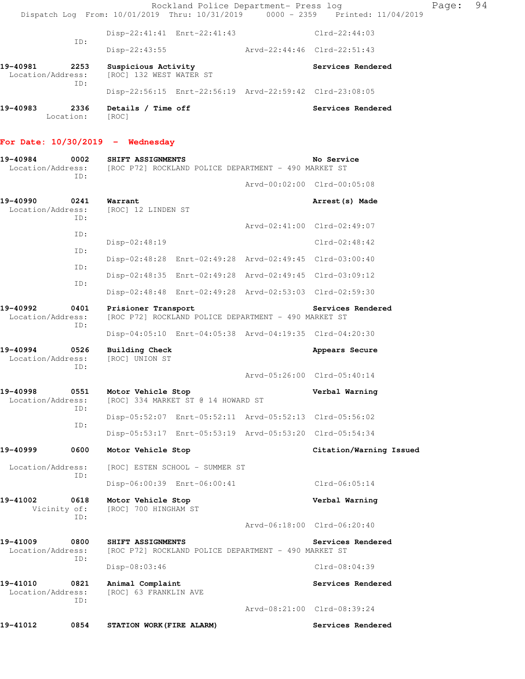Rockland Police Department- Press log Page: 94 Dispatch Log From: 10/01/2019 Thru: 10/31/2019 0000 - 2359 Printed: 11/04/2019 Disp-22:41:41 Enrt-22:41:43 Clrd-22:44:03 ID: Disp-22:43:55 Arvd-22:44:46 Clrd-22:51:43 **19-40981 2253 Suspicious Activity Services Rendered**  Location/Address: [ROC] 132 WEST WATER ST ID: Disp-22:56:15 Enrt-22:56:19 Arvd-22:59:42 Clrd-23:08:05 **19-40983 2336 Details / Time off Services Rendered**  Location: [ROC]

## **For Date: 10/30/2019 - Wednesday**

| 19-40984<br>Location/Address:         | 0002<br>TD: | SHIFT ASSIGNMENTS<br>[ROC P72] ROCKLAND POLICE DEPARTMENT - 490 MARKET ST                        |  | No Service                  |  |  |
|---------------------------------------|-------------|--------------------------------------------------------------------------------------------------|--|-----------------------------|--|--|
|                                       |             |                                                                                                  |  | Arvd-00:02:00 Clrd-00:05:08 |  |  |
| 19-40990<br>Location/Address:         | 0241<br>ID: | Warrant<br>[ROC] 12 LINDEN ST                                                                    |  | Arrest (s) Made             |  |  |
|                                       |             |                                                                                                  |  | Arvd-02:41:00 Clrd-02:49:07 |  |  |
|                                       | ID:         | Disp-02:48:19                                                                                    |  | $Clrd-02:48:42$             |  |  |
|                                       | ID:         | Disp-02:48:28 Enrt-02:49:28 Arvd-02:49:45 Clrd-03:00:40                                          |  |                             |  |  |
|                                       | ID:         | Disp-02:48:35 Enrt-02:49:28 Arvd-02:49:45 Clrd-03:09:12                                          |  |                             |  |  |
|                                       | ID:         | Disp-02:48:48 Enrt-02:49:28 Arvd-02:53:03 Clrd-02:59:30                                          |  |                             |  |  |
| 19-40992<br>0401<br>Location/Address: |             | Prisioner Transport<br>Services Rendered<br>[ROC P72] ROCKLAND POLICE DEPARTMENT - 490 MARKET ST |  |                             |  |  |
|                                       | ID:         | Disp-04:05:10 Enrt-04:05:38 Arvd-04:19:35 Clrd-04:20:30                                          |  |                             |  |  |
| 19-40994<br>Location/Address:         | 0526<br>ID: | Building Check<br>[ROC] UNION ST                                                                 |  | Appears Secure              |  |  |
|                                       |             |                                                                                                  |  | Arvd-05:26:00 Clrd-05:40:14 |  |  |
| 19-40998<br>Location/Address:         | 0551<br>ID: | Motor Vehicle Stop<br>[ROC] 334 MARKET ST @ 14 HOWARD ST                                         |  | Verbal Warning              |  |  |
|                                       | ID:         | Disp-05:52:07 Enrt-05:52:11 Arvd-05:52:13 Clrd-05:56:02                                          |  |                             |  |  |
|                                       |             | Disp-05:53:17 Enrt-05:53:19 Arvd-05:53:20 Clrd-05:54:34                                          |  |                             |  |  |
| 19-40999                              | 0600        | Motor Vehicle Stop                                                                               |  | Citation/Warning Issued     |  |  |
| Location/Address:                     | ID:         | [ROC] ESTEN SCHOOL - SUMMER ST                                                                   |  |                             |  |  |
|                                       |             | Disp-06:00:39 Enrt-06:00:41                                                                      |  | Clrd-06:05:14               |  |  |
| 19-41002<br>Vicinity of:              | 0618<br>ID: | Motor Vehicle Stop<br>[ROC] 700 HINGHAM ST                                                       |  | Verbal Warning              |  |  |
|                                       |             |                                                                                                  |  | Arvd-06:18:00 Clrd-06:20:40 |  |  |
| 19-41009<br>Location/Address:         | 0800<br>ID: | SHIFT ASSIGNMENTS<br>[ROC P72] ROCKLAND POLICE DEPARTMENT - 490 MARKET ST                        |  | Services Rendered           |  |  |
|                                       |             | Disp-08:03:46                                                                                    |  | Clrd-08:04:39               |  |  |
| 19-41010<br>Location/Address:         | 0821<br>ID: | Animal Complaint<br>[ROC] 63 FRANKLIN AVE                                                        |  | Services Rendered           |  |  |
|                                       |             |                                                                                                  |  | Arvd-08:21:00 Clrd-08:39:24 |  |  |
| 19-41012                              | 0854        | STATION WORK (FIRE ALARM)                                                                        |  | Services Rendered           |  |  |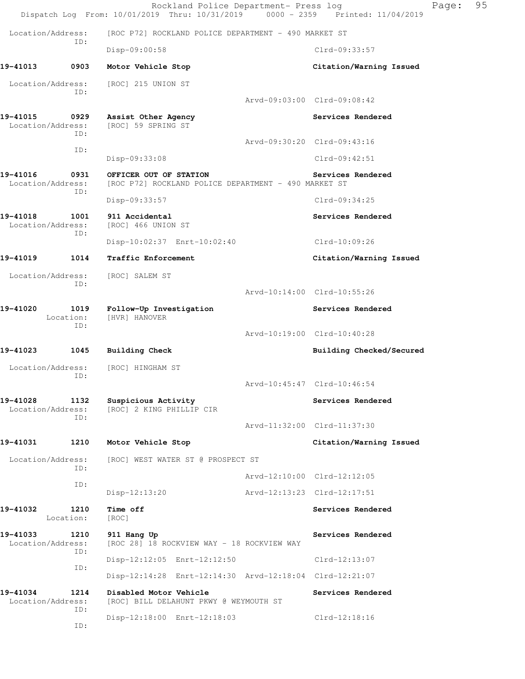|                               |                   | Rockland Police Department- Press log<br>Dispatch Log From: 10/01/2019 Thru: 10/31/2019 0000 - 2359 Printed: 11/04/2019 |                             |                                                  | 95<br>Page: |
|-------------------------------|-------------------|-------------------------------------------------------------------------------------------------------------------------|-----------------------------|--------------------------------------------------|-------------|
| Location/Address:             |                   | [ROC P72] ROCKLAND POLICE DEPARTMENT - 490 MARKET ST                                                                    |                             |                                                  |             |
|                               | ID:               | Disp-09:00:58                                                                                                           |                             | Clrd-09:33:57                                    |             |
| 19-41013                      | 0903              | Motor Vehicle Stop                                                                                                      |                             | Citation/Warning Issued                          |             |
| Location/Address:<br>ID:      |                   | [ROC] 215 UNION ST                                                                                                      |                             |                                                  |             |
|                               |                   |                                                                                                                         |                             | Arvd-09:03:00 Clrd-09:08:42                      |             |
| 19-41015<br>Location/Address: | 0929<br>ID:       | Assist Other Agency<br>[ROC] 59 SPRING ST                                                                               |                             | Services Rendered                                |             |
|                               | ID:               |                                                                                                                         |                             | Arvd-09:30:20 Clrd-09:43:16                      |             |
|                               |                   | Disp-09:33:08                                                                                                           |                             | Clrd-09:42:51                                    |             |
| 19-41016<br>Location/Address: | 0931<br>ID:       | OFFICER OUT OF STATION<br>[ROC P72] ROCKLAND POLICE DEPARTMENT - 490 MARKET ST                                          |                             | Services Rendered                                |             |
|                               |                   | Disp-09:33:57                                                                                                           |                             | Clrd-09:34:25                                    |             |
| 19-41018<br>Location/Address: | 1001<br>ID:       | 911 Accidental<br>[ROC] 466 UNION ST                                                                                    |                             | Services Rendered                                |             |
|                               |                   | Disp-10:02:37 Enrt-10:02:40                                                                                             |                             | Clrd-10:09:26                                    |             |
| 19-41019                      | 1014              | Traffic Enforcement                                                                                                     |                             | Citation/Warning Issued                          |             |
| Location/Address:             | ID:               | [ROC] SALEM ST                                                                                                          |                             | Arvd-10:14:00 Clrd-10:55:26                      |             |
| 19-41020                      | 1019              | Follow-Up Investigation                                                                                                 |                             | Services Rendered                                |             |
|                               | Location:<br>ID:  | [HVR] HANOVER                                                                                                           |                             | Arvd-10:19:00 Clrd-10:40:28                      |             |
| 19-41023                      | 1045              | Building Check                                                                                                          |                             | Building Checked/Secured                         |             |
| Location/Address:             | ID:               | [ROC] HINGHAM ST                                                                                                        |                             |                                                  |             |
|                               |                   |                                                                                                                         |                             | Arvd-10:45:47 Clrd-10:46:54                      |             |
| 19-41028<br>Location/Address: | 1132<br>ID:       | Suspicious Activity<br>[ROC] 2 KING PHILLIP CIR                                                                         |                             | Services Rendered<br>Arvd-11:32:00 Clrd-11:37:30 |             |
| 19-41031                      |                   |                                                                                                                         |                             |                                                  |             |
|                               | 1210              | Motor Vehicle Stop                                                                                                      |                             | Citation/Warning Issued                          |             |
| Location/Address:             | ID:               | [ROC] WEST WATER ST @ PROSPECT ST                                                                                       |                             |                                                  |             |
|                               | ID:               |                                                                                                                         |                             | Arvd-12:10:00 Clrd-12:12:05                      |             |
|                               |                   | $Disp-12:13:20$                                                                                                         | Arvd-12:13:23 Clrd-12:17:51 |                                                  |             |
| 19-41032                      | 1210<br>Location: | Time off<br>[ROC]                                                                                                       |                             | Services Rendered                                |             |
| 19-41033<br>Location/Address: | 1210<br>ID:       | 911 Hang Up<br>[ROC 28] 18 ROCKVIEW WAY - 18 ROCKVIEW WAY                                                               |                             | Services Rendered                                |             |
|                               | ID:               | Disp-12:12:05 Enrt-12:12:50                                                                                             |                             | $Clrd-12:13:07$                                  |             |
|                               |                   | Disp-12:14:28 Enrt-12:14:30 Arvd-12:18:04 Clrd-12:21:07                                                                 |                             |                                                  |             |
| 19-41034<br>Location/Address: | 1214<br>ID:       | Disabled Motor Vehicle<br>[ROC] BILL DELAHUNT PKWY @ WEYMOUTH ST                                                        |                             | Services Rendered                                |             |
|                               | ID:               | Disp-12:18:00 Enrt-12:18:03                                                                                             |                             | Clrd-12:18:16                                    |             |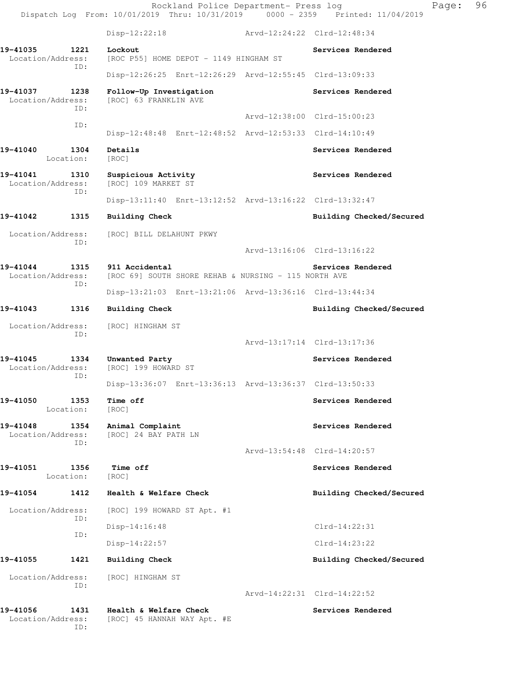Rockland Police Department- Press log Fage: 96 Dispatch Log From: 10/01/2019 Thru: 10/31/2019 0000 - 2359 Printed: 11/04/2019 Disp-12:22:18 Arvd-12:24:22 Clrd-12:48:34 19-41035 1221 Lockout **Services Rendered** Location/Address: [ROC P55] HOME DEPOT - 1149 HINGHAM ST ID: Disp-12:26:25 Enrt-12:26:29 Arvd-12:55:45 Clrd-13:09:33 **19-41037 1238 Follow-Up Investigation Services Rendered**  Location/Address: [ROC] 63 FRANKLIN AVE ID: Arvd-12:38:00 Clrd-15:00:23 ID: Disp-12:48:48 Enrt-12:48:52 Arvd-12:53:33 Clrd-14:10:49 **19-41040 1304 Details Services Rendered**  Location: [ROC] 19-41041 1310 Suspicious Activity **19-41041 Services Rendered** Location/Address: [ROC] 109 MARKET ST ID: Disp-13:11:40 Enrt-13:12:52 Arvd-13:16:22 Clrd-13:32:47 **19-41042 1315 Building Check Building Checked/Secured**  Location/Address: [ROC] BILL DELAHUNT PKWY ID: Arvd-13:16:06 Clrd-13:16:22 19-41044 1315 911 Accidental **19-41044** Services Rendered Location/Address: [ROC 69] SOUTH SHORE REHAB & NURSING - 115 NORTH AVE ID: Disp-13:21:03 Enrt-13:21:06 Arvd-13:36:16 Clrd-13:44:34 **19-41043 1316 Building Check Building Checked/Secured**  Location/Address: [ROC] HINGHAM ST ID: Arvd-13:17:14 Clrd-13:17:36 19-41045 1334 Unwanted Party **Services Rendered**  Location/Address: [ROC] 199 HOWARD ST ID: Disp-13:36:07 Enrt-13:36:13 Arvd-13:36:37 Clrd-13:50:33 **19-41050 1353 Time off Services Rendered**  Location: [ROC] 19-41048 1354 Animal Complaint **19-41048** Services Rendered Location/Address: [ROC] 24 BAY PATH LN ID: Arvd-13:54:48 Clrd-14:20:57 **19-41051 1356 Time off Services Rendered Execution:** [ROC] Location: **19-41054 1412 Health & Welfare Check Building Checked/Secured**  Location/Address: [ROC] 199 HOWARD ST Apt. #1 ID: Disp-14:16:48 Clrd-14:22:31 ID: Disp-14:22:57 Clrd-14:23:22 **19-41055 1421 Building Check Building Checked/Secured**  Location/Address: [ROC] HINGHAM ST ID: Arvd-14:22:31 Clrd-14:22:52 **19-41056 1431 Health & Welfare Check Services Rendered** 

Location/Address: [ROC] 45 HANNAH WAY Apt. #E

ID: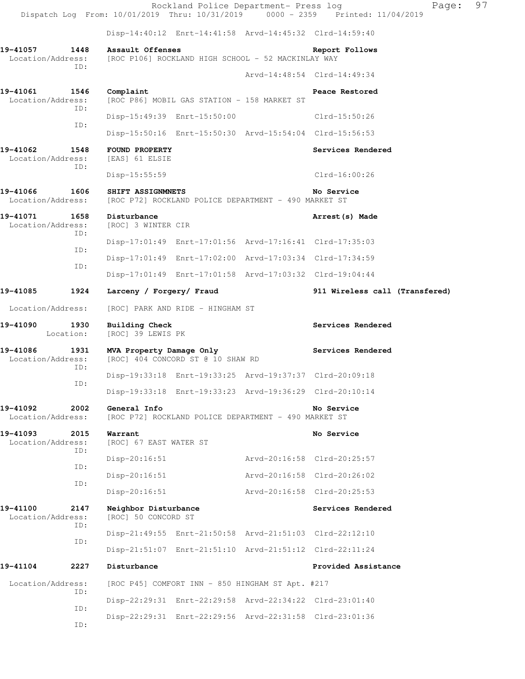Rockland Police Department- Press log Page: 97 Dispatch Log From: 10/01/2019 Thru: 10/31/2019 0000 - 2359 Printed: 11/04/2019 Disp-14:40:12 Enrt-14:41:58 Arvd-14:45:32 Clrd-14:59:40 **19-41057 1448 Assault Offenses Report Follows**  Location/Address: [ROC P106] ROCKLAND HIGH SCHOOL - 52 MACKINLAY WAY ID: Arvd-14:48:54 Clrd-14:49:34 **19-41061 1546 Complaint Peace Restored**  Location/Address: [ROC P86] MOBIL GAS STATION - 158 MARKET ST ID: Disp-15:49:39 Enrt-15:50:00 Clrd-15:50:26 ID: Disp-15:50:16 Enrt-15:50:30 Arvd-15:54:04 Clrd-15:56:53 **19-41062 1548 FOUND PROPERTY Services Rendered**  Location/Address: [EAS] 61 ELSIE ID: Disp-15:55:59 Clrd-16:00:26 **19-41066 1606 SHIFT ASSIGNMNETS No Service**  Location/Address: [ROC P72] ROCKLAND POLICE DEPARTMENT - 490 MARKET ST **19-41071 1658 Disturbance Arrest(s) Made**  Location/Address: [ROC] 3 WINTER CIR ID: Disp-17:01:49 Enrt-17:01:56 Arvd-17:16:41 Clrd-17:35:03 ID: Disp-17:01:49 Enrt-17:02:00 Arvd-17:03:34 Clrd-17:34:59 ID: Disp-17:01:49 Enrt-17:01:58 Arvd-17:03:32 Clrd-19:04:44 **19-41085 1924 Larceny / Forgery/ Fraud 911 Wireless call (Transfered)** Location/Address: [ROC] PARK AND RIDE - HINGHAM ST **19-41090 1930 Building Check Services Rendered**  Location: [ROC] 39 LEWIS PK 19-41086 1931 MVA Property Damage Only **Services Rendered**  Location/Address: [ROC] 404 CONCORD ST @ 10 SHAW RD ID: Disp-19:33:18 Enrt-19:33:25 Arvd-19:37:37 Clrd-20:09:18 ID: Disp-19:33:18 Enrt-19:33:23 Arvd-19:36:29 Clrd-20:10:14 **19-41092 2002 General Info No Service**  Location/Address: [ROC P72] ROCKLAND POLICE DEPARTMENT - 490 MARKET ST 19-41093 2015 Warrant **No. 19-41093** No. 2015 2015 Location/Address: [ROC] 67 EAST WATER ST ID: Disp-20:16:51 Arvd-20:16:58 Clrd-20:25:57 ID: Disp-20:16:51 Arvd-20:16:58 Clrd-20:26:02 ID: Disp-20:16:51 Arvd-20:16:58 Clrd-20:25:53 **19-41100 2147 Neighbor Disturbance Services Rendered**  Location/Address: [ROC] 50 CONCORD ST ID: Disp-21:49:55 Enrt-21:50:58 Arvd-21:51:03 Clrd-22:12:10 ID: Disp-21:51:07 Enrt-21:51:10 Arvd-21:51:12 Clrd-22:11:24 **19-41104 2227 Disturbance Provided Assistance**  Location/Address: [ROC P45] COMFORT INN - 850 HINGHAM ST Apt. #217 ID: Disp-22:29:31 Enrt-22:29:58 Arvd-22:34:22 Clrd-23:01:40 ID: Disp-22:29:31 Enrt-22:29:56 Arvd-22:31:58 Clrd-23:01:36 ID: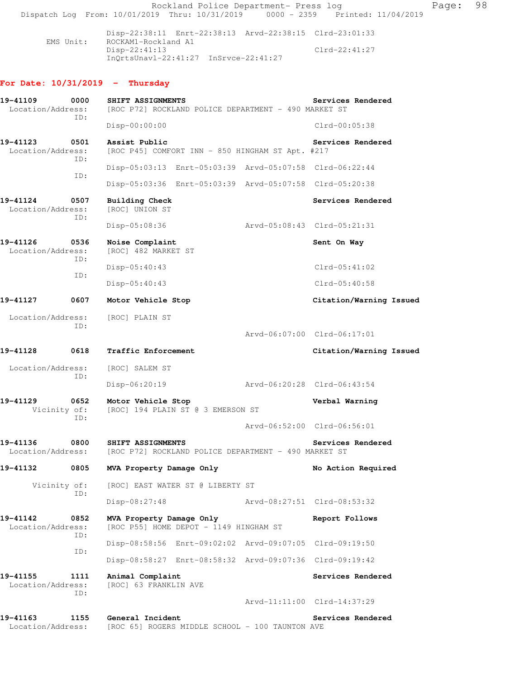Rockland Police Department- Press log Fage: 98 Dispatch Log From: 10/01/2019 Thru: 10/31/2019 0000 - 2359 Printed: 11/04/2019 Disp-22:38:11 Enrt-22:38:13 Arvd-22:38:15 Clrd-23:01:33<br>EMS Unit: ROCKAM1-Rockland A1 ROCKAM1-Rockland A1 Disp-22:41:13 Clrd-22:41:27 InQrtsUnavl-22:41:27 InSrvce-22:41:27 **For Date: 10/31/2019 - Thursday 19-41109 0000 SHIFT ASSIGNMENTS Services Rendered**  Location/Address: [ROC P72] ROCKLAND POLICE DEPARTMENT - 490 MARKET ST ID: Disp-00:00:00 Clrd-00:05:38 **19-41123 0501 Assist Public Services Rendered**  Location/Address: [ROC P45] COMFORT INN - 850 HINGHAM ST Apt. #217 ID: Disp-05:03:13 Enrt-05:03:39 Arvd-05:07:58 Clrd-06:22:44 ID: Disp-05:03:36 Enrt-05:03:39 Arvd-05:07:58 Clrd-05:20:38 **19-41124 0507 Building Check Services Rendered**  Location/Address: [ROC] UNION ST ID: Disp-05:08:36 Arvd-05:08:43 Clrd-05:21:31 19-41126 0536 Noise Complaint **Sent On Way**  Location/Address: [ROC] 482 MARKET ST ID: Disp-05:40:43 Clrd-05:41:02 ID: Disp-05:40:43 Clrd-05:40:58 **19-41127 0607 Motor Vehicle Stop Citation/Warning Issued**  Location/Address: [ROC] PLAIN ST ID: Arvd-06:07:00 Clrd-06:17:01 **19-41128 0618 Traffic Enforcement Citation/Warning Issued**  Location/Address: [ROC] SALEM ST ID: Disp-06:20:19 Arvd-06:20:28 Clrd-06:43:54 **19-41129 0652 Motor Vehicle Stop Verbal Warning**  Vicinity of: [ROC] 194 PLAIN ST @ 3 EMERSON ST ID: Arvd-06:52:00 Clrd-06:56:01 **19-41136 0800 SHIFT ASSIGNMENTS Services Rendered**  Location/Address: [ROC P72] ROCKLAND POLICE DEPARTMENT - 490 MARKET ST 19-41132 0805 MVA Property Damage Only **No Action Required**  Vicinity of: [ROC] EAST WATER ST @ LIBERTY ST ID: Disp-08:27:48 Arvd-08:27:51 Clrd-08:53:32 **19-41142 0852 MVA Property Damage Only Report Follows**  Location/Address: [ROC P55] HOME DEPOT - 1149 HINGHAM ST ID: Disp-08:58:56 Enrt-09:02:02 Arvd-09:07:05 Clrd-09:19:50 ID: Disp-08:58:27 Enrt-08:58:32 Arvd-09:07:36 Clrd-09:19:42 **19-41155 1111 Animal Complaint Services Rendered**  Location/Address: [ROC] 63 FRANKLIN AVE ID: Arvd-11:11:00 Clrd-14:37:29 19-41163 1155 General Incident **1155 Sensitive Services Rendered** Location/Address: [ROC 65] ROGERS MIDDLE SCHOOL - 100 TAUNTON AVE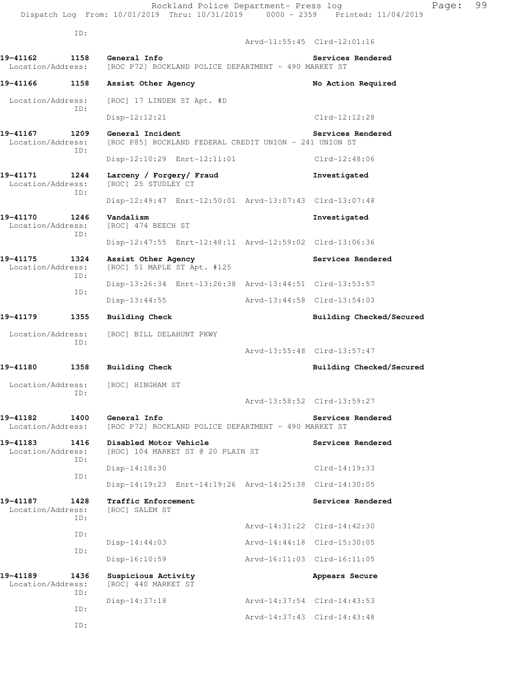ID:

 Arvd-11:55:45 Clrd-12:01:16 **19-41162 1158 General Info Services Rendered**  Location/Address: [ROC P72] ROCKLAND POLICE DEPARTMENT - 490 MARKET ST 19-41166 1158 Assist Other Agency **12 Construent Construent Agency** No Action Required Location/Address: [ROC] 17 LINDEN ST Apt. #D ID: Disp-12:12:21 Clrd-12:12:28 19-41167 1209 General Incident **1208** Services Rendered Location/Address: [ROC P85] ROCKLAND FEDERAL CREDIT UNION - 241 UNION ST ID: Disp-12:10:29 Enrt-12:11:01 Clrd-12:48:06 **19-41171 1244 Larceny / Forgery/ Fraud Investigated**  Location/Address: [ROC] 25 STUDLEY CT ID: Disp-12:49:47 Enrt-12:50:01 Arvd-13:07:43 Clrd-13:07:48 **19-41170 1246 Vandalism Investigated**  Location/Address: [ROC] 474 BEECH ST ID: Disp-12:47:55 Enrt-12:48:11 Arvd-12:59:02 Clrd-13:06:36 **19-41175 1324 Assist Other Agency Services Rendered**  Location/Address: [ROC] 51 MAPLE ST Apt. #125 ID: Disp-13:26:34 Enrt-13:26:38 Arvd-13:44:51 Clrd-13:53:57 ID: Disp-13:44:55 Arvd-13:44:58 Clrd-13:54:03 19-41179 1355 Building Check **Building Check Building Checked/Secured**  Location/Address: [ROC] BILL DELAHUNT PKWY ID: Arvd-13:55:48 Clrd-13:57:47 **19-41180 1358 Building Check Building Checked/Secured**  Location/Address: [ROC] HINGHAM ST ID: Arvd-13:58:52 Clrd-13:59:27 **19-41182 1400 General Info Services Rendered**  Location/Address: [ROC P72] ROCKLAND POLICE DEPARTMENT - 490 MARKET ST 19-41183 1416 Disabled Motor Vehicle **1996 1897 Services Rendered**  Location/Address: [ROC] 104 MARKET ST @ 20 PLAIN ST ID: Disp-14:18:30 Clrd-14:19:33 ID: Disp-14:19:23 Enrt-14:19:26 Arvd-14:25:38 Clrd-14:30:05 19-41187 1428 Traffic Enforcement **19-41187** Services Rendered Location/Address: [ROC] SALEM ST ID: Arvd-14:31:22 Clrd-14:42:30 ID: Disp-14:44:03 Arvd-14:44:18 Clrd-15:30:05 ID: Disp-16:10:59 Arvd-16:11:03 Clrd-16:11:05 19-41189 1436 Suspicious Activity **19-41189** Appears Secure Location/Address: [ROC] 440 MARKET ST ID: Disp-14:37:18 Arvd-14:37:54 Clrd-14:43:53 ID: Arvd-14:37:43 Clrd-14:43:48 ID: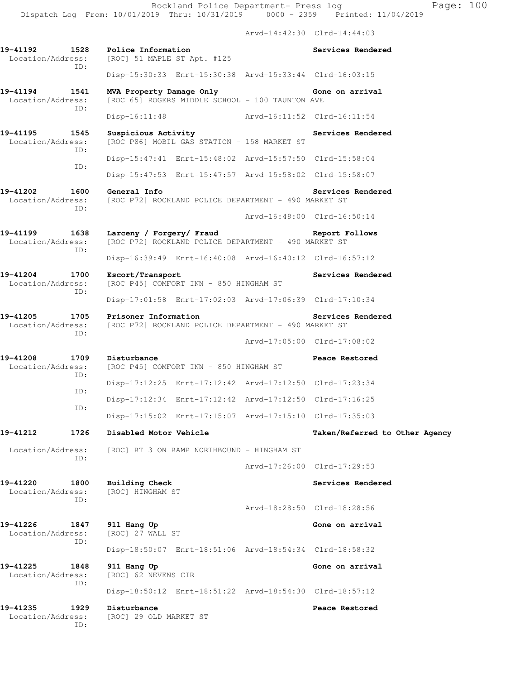Rockland Police Department- Press log Page: 100 Dispatch Log From: 10/01/2019 Thru: 10/31/2019 0000 - 2359 Printed: 11/04/2019

 Arvd-14:42:30 Clrd-14:44:03 **19-41192 1528 Police Information Services Rendered**  Location/Address: [ROC] 51 MAPLE ST Apt. #125 ID: Disp-15:30:33 Enrt-15:30:38 Arvd-15:33:44 Clrd-16:03:15 **19-41194 1541 MVA Property Damage Only Gone on arrival**  Location/Address: [ROC 65] ROGERS MIDDLE SCHOOL - 100 TAUNTON AVE ID: Disp-16:11:48 Arvd-16:11:52 Clrd-16:11:54 19-41195 1545 Suspicious Activity **19-41195** Services Rendered Location/Address: [ROC P86] MOBIL GAS STATION - 158 MARKET ST ID: Disp-15:47:41 Enrt-15:48:02 Arvd-15:57:50 Clrd-15:58:04 ID: Disp-15:47:53 Enrt-15:47:57 Arvd-15:58:02 Clrd-15:58:07 **19-41202 1600 General Info Services Rendered**  Location/Address: [ROC P72] ROCKLAND POLICE DEPARTMENT - 490 MARKET ST ID: Arvd-16:48:00 Clrd-16:50:14 **19-41199 1638 Larceny / Forgery/ Fraud Report Follows**  Location/Address: [ROC P72] ROCKLAND POLICE DEPARTMENT - 490 MARKET ST ID: Disp-16:39:49 Enrt-16:40:08 Arvd-16:40:12 Clrd-16:57:12 **19-41204 1700 Escort/Transport Services Rendered**  Location/Address: [ROC P45] COMFORT INN - 850 HINGHAM ST ID: Disp-17:01:58 Enrt-17:02:03 Arvd-17:06:39 Clrd-17:10:34 **19-41205 1705 Prisoner Information Services Rendered**  Location/Address: [ROC P72] ROCKLAND POLICE DEPARTMENT - 490 MARKET ST ID: Arvd-17:05:00 Clrd-17:08:02 **19-41208 1709 Disturbance Peace Restored**  Location/Address: [ROC P45] COMFORT INN - 850 HINGHAM ST ID: Disp-17:12:25 Enrt-17:12:42 Arvd-17:12:50 Clrd-17:23:34 ID: Disp-17:12:34 Enrt-17:12:42 Arvd-17:12:50 Clrd-17:16:25 ID: Disp-17:15:02 Enrt-17:15:07 Arvd-17:15:10 Clrd-17:35:03 **19-41212 1726 Disabled Motor Vehicle Taken/Referred to Other Agency** Location/Address: [ROC] RT 3 ON RAMP NORTHBOUND - HINGHAM ST ID: Arvd-17:26:00 Clrd-17:29:53 **19-41220 1800 Building Check Services Rendered**  Location/Address: [ROC] HINGHAM ST ID: Arvd-18:28:50 Clrd-18:28:56 19-41226 1847 911 Hang Up **Gone on arrival**  Location/Address: [ROC] 27 WALL ST ID: Disp-18:50:07 Enrt-18:51:06 Arvd-18:54:34 Clrd-18:58:32 **19-41225 1848 911 Hang Up Gone on arrival**  Location/Address: [ROC] 62 NEVENS CIR ID: Disp-18:50:12 Enrt-18:51:22 Arvd-18:54:30 Clrd-18:57:12 **19-41235 1929 Disturbance Peace Restored**  Location/Address: [ROC] 29 OLD MARKET ST

ID: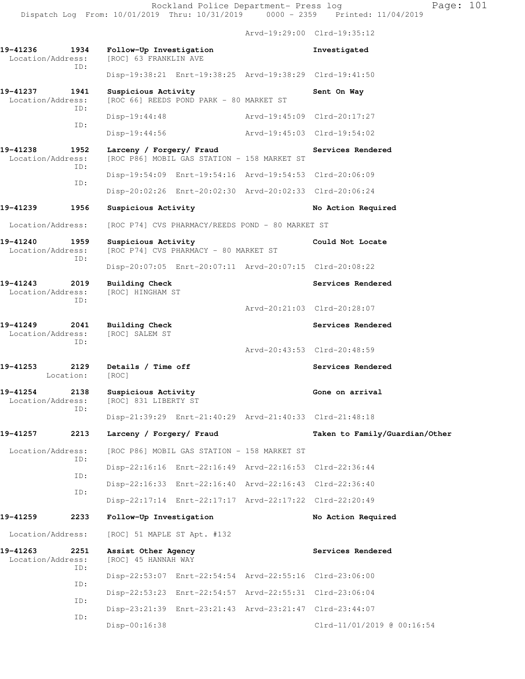Rockland Police Department- Press log Page: 101

 Dispatch Log From: 10/01/2019 Thru: 10/31/2019 0000 - 2359 Printed: 11/04/2019 Arvd-19:29:00 Clrd-19:35:12

**19-41236 1934 Follow-Up Investigation Investigated**  Location/Address: [ROC] 63 FRANKLIN AVE ID: Disp-19:38:21 Enrt-19:38:25 Arvd-19:38:29 Clrd-19:41:50 19-41237 1941 Suspicious Activity **Sent On Way**  Location/Address: [ROC 66] REEDS POND PARK - 80 MARKET ST ID: Disp-19:44:48 Arvd-19:45:09 Clrd-20:17:27 ID: Disp-19:44:56 Arvd-19:45:03 Clrd-19:54:02 **19-41238 1952 Larceny / Forgery/ Fraud Services Rendered**  Location/Address: [ROC P86] MOBIL GAS STATION - 158 MARKET ST ID: Disp-19:54:09 Enrt-19:54:16 Arvd-19:54:53 Clrd-20:06:09 ID: Disp-20:02:26 Enrt-20:02:30 Arvd-20:02:33 Clrd-20:06:24 **19-41239 1956 Suspicious Activity No Action Required**  Location/Address: [ROC P74] CVS PHARMACY/REEDS POND - 80 MARKET ST **19-41240 1959 Suspicious Activity Could Not Locate**  Location/Address: [ROC P74] CVS PHARMACY - 80 MARKET ST ID: Disp-20:07:05 Enrt-20:07:11 Arvd-20:07:15 Clrd-20:08:22 **19-41243 2019 Building Check Services Rendered**  Location/Address: [ROC] HINGHAM ST ID: Arvd-20:21:03 Clrd-20:28:07 19-41249 2041 Building Check Services Rendered **Services Rendered** Services Rendered **Services** Rendered Location/Address: ID: Arvd-20:43:53 Clrd-20:48:59 **19-41253 2129 Details / Time off Services Rendered**  Location: [ROC] **19-41254 2138 Suspicious Activity Gone on arrival**  Location/Address: [ROC] 831 LIBERTY ST ID: Disp-21:39:29 Enrt-21:40:29 Arvd-21:40:33 Clrd-21:48:18 **19-41257 2213 Larceny / Forgery/ Fraud Taken to Family/Guardian/Other** Location/Address: [ROC P86] MOBIL GAS STATION - 158 MARKET ST ID: Disp-22:16:16 Enrt-22:16:49 Arvd-22:16:53 Clrd-22:36:44 ID: Disp-22:16:33 Enrt-22:16:40 Arvd-22:16:43 Clrd-22:36:40 ID: Disp-22:17:14 Enrt-22:17:17 Arvd-22:17:22 Clrd-22:20:49 **19-41259 2233 Follow-Up Investigation No Action Required**  Location/Address: [ROC] 51 MAPLE ST Apt. #132 19-41263 2251 Assist Other Agency **19-41263** Services Rendered Location/Address: [ROC] 45 HANNAH WAY ID: Disp-22:53:07 Enrt-22:54:54 Arvd-22:55:16 Clrd-23:06:00 ID: Disp-22:53:23 Enrt-22:54:57 Arvd-22:55:31 Clrd-23:06:04 ID: Disp-23:21:39 Enrt-23:21:43 Arvd-23:21:47 Clrd-23:44:07 ID: Disp-00:16:38 Clrd-11/01/2019 @ 00:16:54